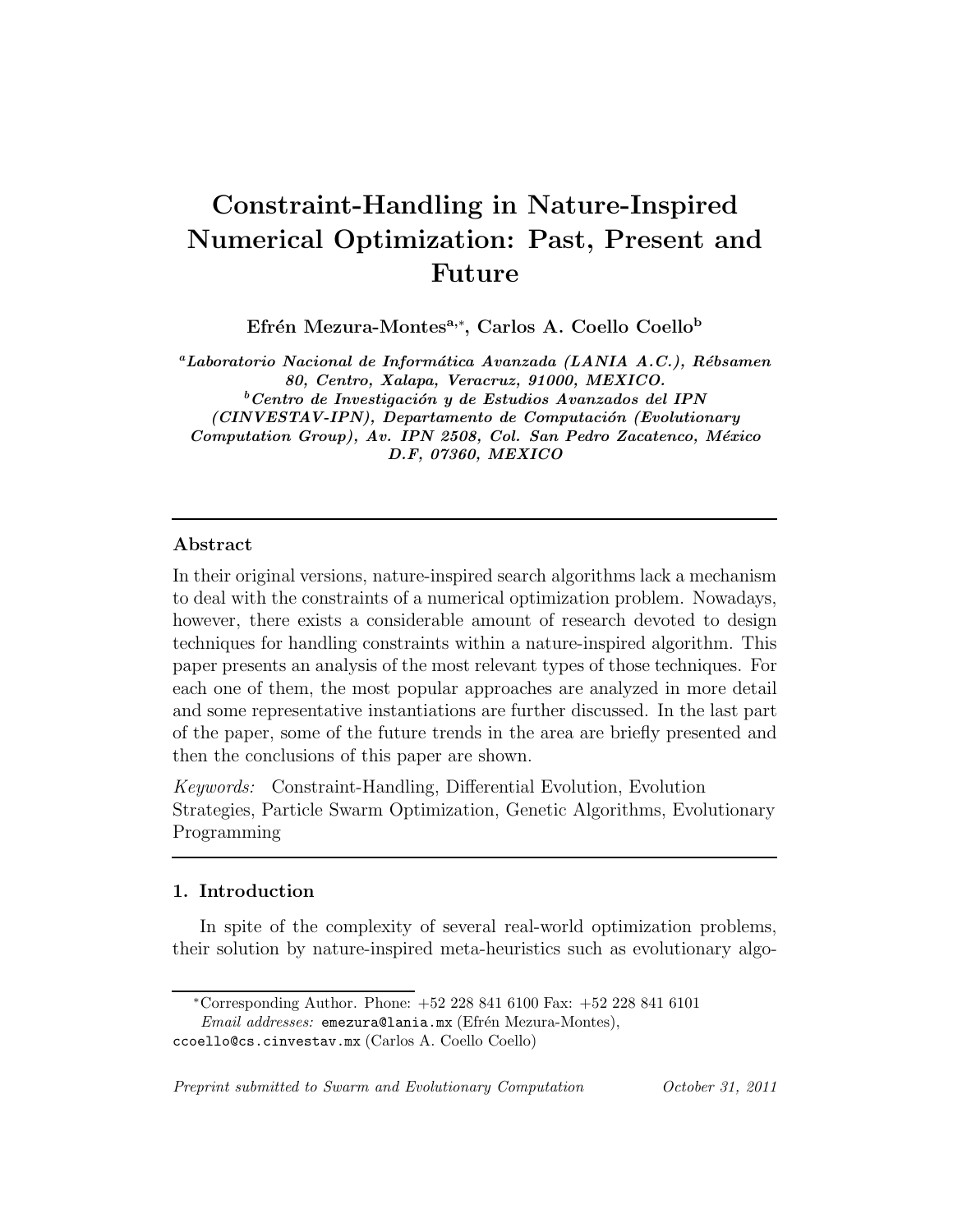# Constraint-Handling in Nature-Inspired Numerical Optimization: Past, Present and Future

Efrén Mezura-Montes<sup>a,</sup>\*, Carlos A. Coello Coello<sup>b</sup>

<sup>a</sup>Laboratorio Nacional de Informática Avanzada (LANIA A.C.), Rébsamen 80, Centro, Xalapa, Veracruz, 91000, MEXICO.  $b$ Centro de Investigación y de Estudios Avanzados del IPN (CINVESTAV-IPN), Departamento de Computación (Evolutionary Computation Group), Av. IPN 2508, Col. San Pedro Zacatenco, México D.F, 07360, MEXICO

# Abstract

In their original versions, nature-inspired search algorithms lack a mechanism to deal with the constraints of a numerical optimization problem. Nowadays, however, there exists a considerable amount of research devoted to design techniques for handling constraints within a nature-inspired algorithm. This paper presents an analysis of the most relevant types of those techniques. For each one of them, the most popular approaches are analyzed in more detail and some representative instantiations are further discussed. In the last part of the paper, some of the future trends in the area are briefly presented and then the conclusions of this paper are shown.

*Keywords:* Constraint-Handling, Differential Evolution, Evolution Strategies, Particle Swarm Optimization, Genetic Algorithms, Evolutionary Programming

## 1. Introduction

In spite of the complexity of several real-world optimization problems, their solution by nature-inspired meta-heuristics such as evolutionary algo-

<sup>∗</sup>Corresponding Author. Phone: +52 228 841 6100 Fax: +52 228 841 6101

 $Email \ addresses:$  emezura@lania.mx (Efrén Mezura-Montes),

ccoello@cs.cinvestav.mx (Carlos A. Coello Coello)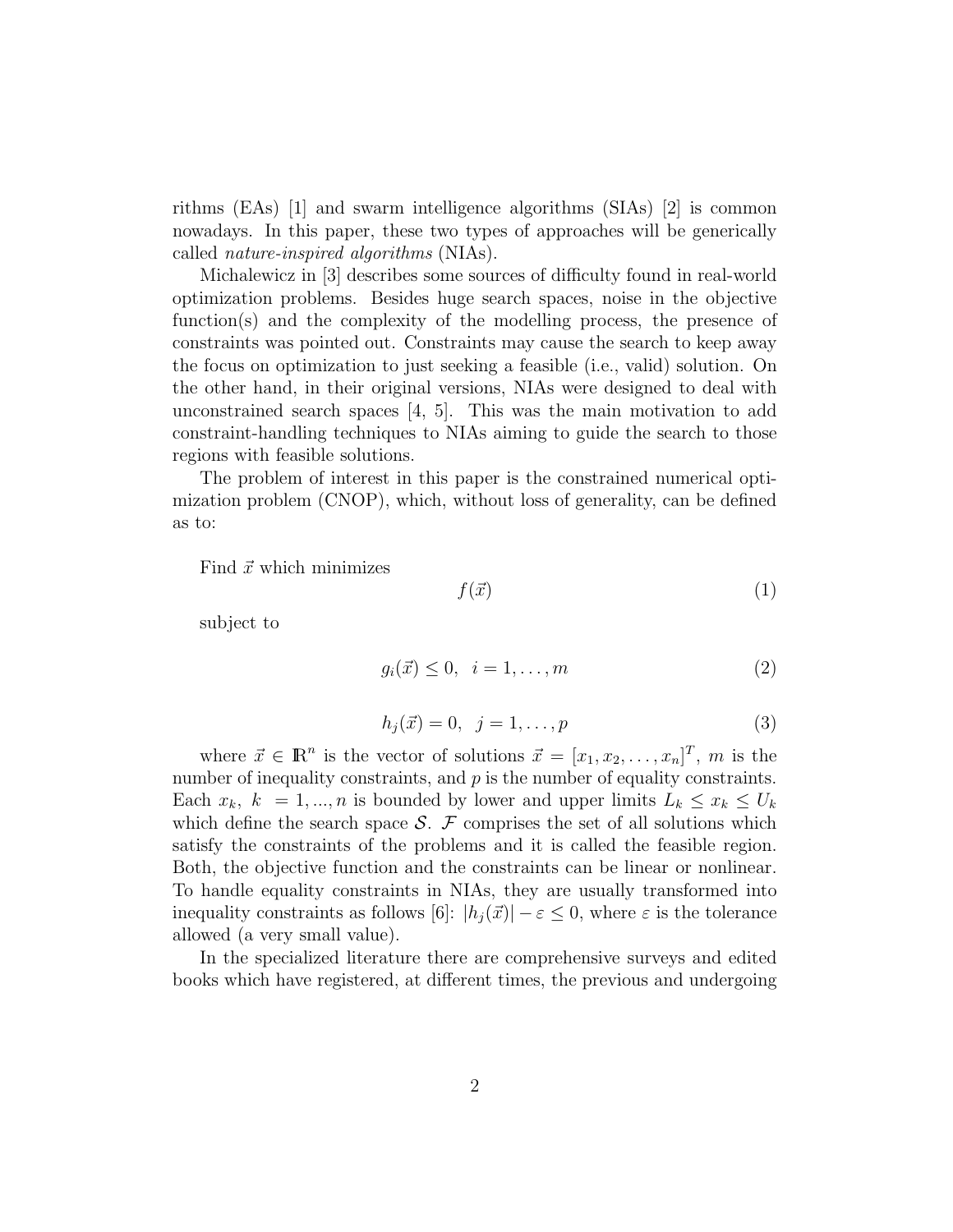rithms (EAs) [1] and swarm intelligence algorithms (SIAs) [2] is common nowadays. In this paper, these two types of approaches will be generically called *nature-inspired algorithms* (NIAs).

Michalewicz in [3] describes some sources of difficulty found in real-world optimization problems. Besides huge search spaces, noise in the objective function(s) and the complexity of the modelling process, the presence of constraints was pointed out. Constraints may cause the search to keep away the focus on optimization to just seeking a feasible (i.e., valid) solution. On the other hand, in their original versions, NIAs were designed to deal with unconstrained search spaces [4, 5]. This was the main motivation to add constraint-handling techniques to NIAs aiming to guide the search to those regions with feasible solutions.

The problem of interest in this paper is the constrained numerical optimization problem (CNOP), which, without loss of generality, can be defined as to:

Find  $\vec{x}$  which minimizes

$$
f(\vec{x})\tag{1}
$$

subject to

$$
g_i(\vec{x}) \le 0, \quad i = 1, \dots, m \tag{2}
$$

$$
h_j(\vec{x}) = 0, \ \ j = 1, \dots, p \tag{3}
$$

where  $\vec{x} \in \mathbb{R}^n$  is the vector of solutions  $\vec{x} = [x_1, x_2, \dots, x_n]^T$ , m is the number of inequality constraints, and  $p$  is the number of equality constraints. Each  $x_k$ ,  $k = 1, ..., n$  is bounded by lower and upper limits  $L_k \leq x_k \leq U_k$ which define the search space  $\mathcal{S}$ .  $\mathcal{F}$  comprises the set of all solutions which satisfy the constraints of the problems and it is called the feasible region. Both, the objective function and the constraints can be linear or nonlinear. To handle equality constraints in NIAs, they are usually transformed into inequality constraints as follows [6]:  $|h_i(\vec{x})| - \varepsilon \leq 0$ , where  $\varepsilon$  is the tolerance allowed (a very small value).

In the specialized literature there are comprehensive surveys and edited books which have registered, at different times, the previous and undergoing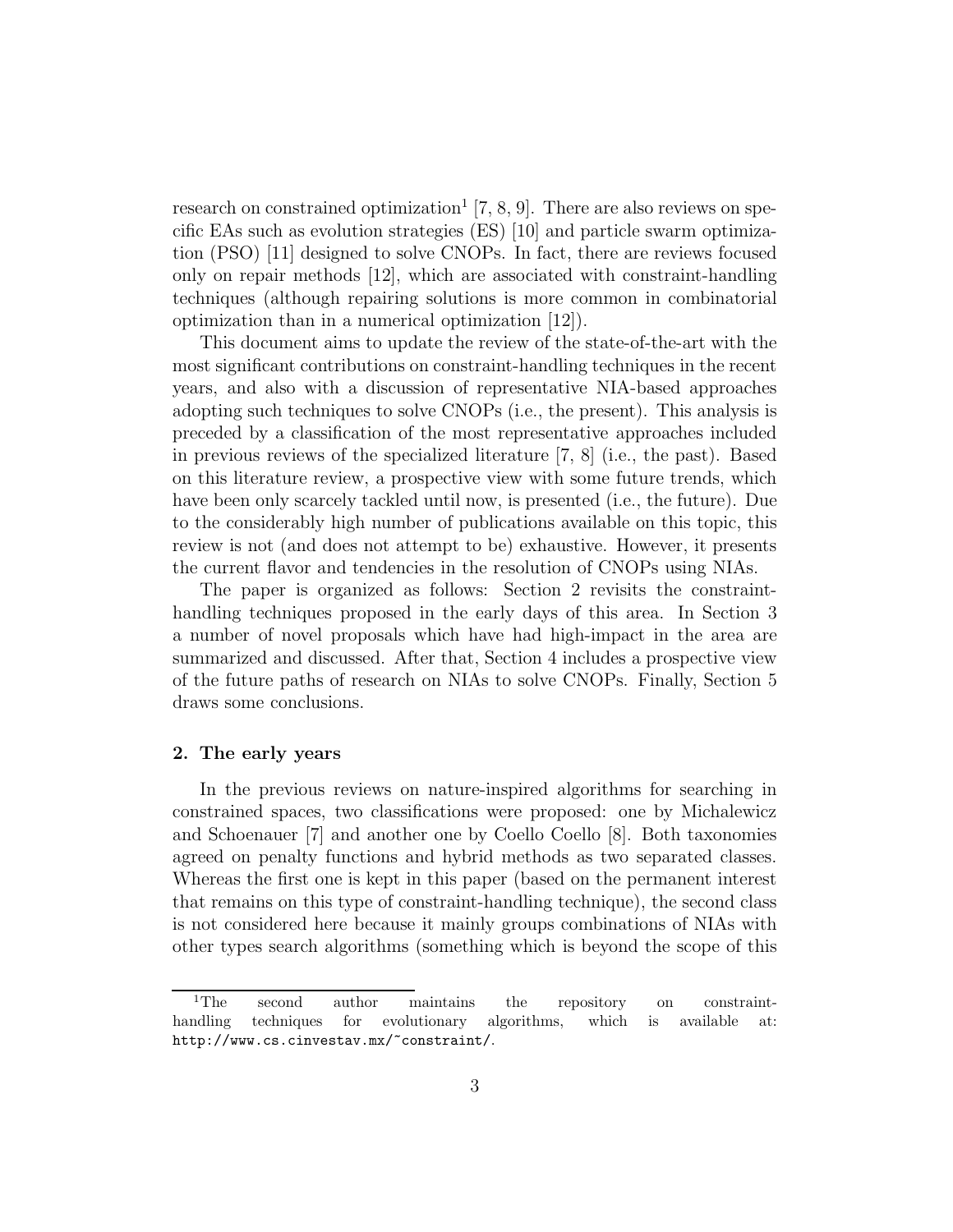research on constrained optimization<sup>1</sup> [7, 8, 9]. There are also reviews on specific EAs such as evolution strategies (ES) [10] and particle swarm optimization (PSO) [11] designed to solve CNOPs. In fact, there are reviews focused only on repair methods [12], which are associated with constraint-handling techniques (although repairing solutions is more common in combinatorial optimization than in a numerical optimization [12]).

This document aims to update the review of the state-of-the-art with the most significant contributions on constraint-handling techniques in the recent years, and also with a discussion of representative NIA-based approaches adopting such techniques to solve CNOPs (i.e., the present). This analysis is preceded by a classification of the most representative approaches included in previous reviews of the specialized literature [7, 8] (i.e., the past). Based on this literature review, a prospective view with some future trends, which have been only scarcely tackled until now, is presented (i.e., the future). Due to the considerably high number of publications available on this topic, this review is not (and does not attempt to be) exhaustive. However, it presents the current flavor and tendencies in the resolution of CNOPs using NIAs.

The paper is organized as follows: Section 2 revisits the constrainthandling techniques proposed in the early days of this area. In Section 3 a number of novel proposals which have had high-impact in the area are summarized and discussed. After that, Section 4 includes a prospective view of the future paths of research on NIAs to solve CNOPs. Finally, Section 5 draws some conclusions.

### 2. The early years

In the previous reviews on nature-inspired algorithms for searching in constrained spaces, two classifications were proposed: one by Michalewicz and Schoenauer [7] and another one by Coello Coello [8]. Both taxonomies agreed on penalty functions and hybrid methods as two separated classes. Whereas the first one is kept in this paper (based on the permanent interest that remains on this type of constraint-handling technique), the second class is not considered here because it mainly groups combinations of NIAs with other types search algorithms (something which is beyond the scope of this

<sup>&</sup>lt;sup>1</sup>The second author maintains the repository on constrainthandling techniques for evolutionary algorithms, which is available at: http://www.cs.cinvestav.mx/~constraint/.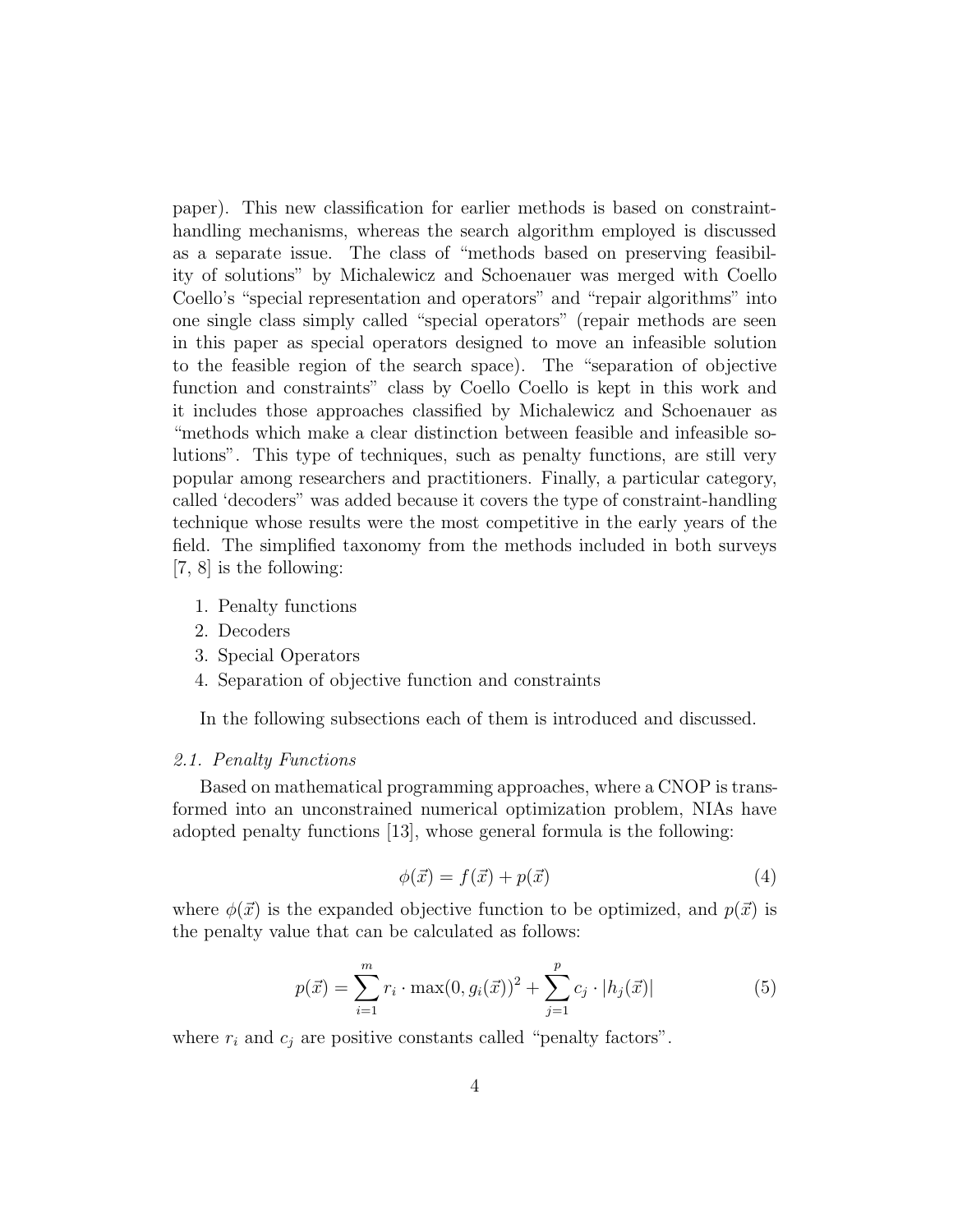paper). This new classification for earlier methods is based on constrainthandling mechanisms, whereas the search algorithm employed is discussed as a separate issue. The class of "methods based on preserving feasibility of solutions" by Michalewicz and Schoenauer was merged with Coello Coello's "special representation and operators" and "repair algorithms" into one single class simply called "special operators" (repair methods are seen in this paper as special operators designed to move an infeasible solution to the feasible region of the search space). The "separation of objective function and constraints" class by Coello Coello is kept in this work and it includes those approaches classified by Michalewicz and Schoenauer as "methods which make a clear distinction between feasible and infeasible solutions". This type of techniques, such as penalty functions, are still very popular among researchers and practitioners. Finally, a particular category, called 'decoders" was added because it covers the type of constraint-handling technique whose results were the most competitive in the early years of the field. The simplified taxonomy from the methods included in both surveys [7, 8] is the following:

- 1. Penalty functions
- 2. Decoders
- 3. Special Operators
- 4. Separation of objective function and constraints

In the following subsections each of them is introduced and discussed.

#### *2.1. Penalty Functions*

Based on mathematical programming approaches, where a CNOP is transformed into an unconstrained numerical optimization problem, NIAs have adopted penalty functions [13], whose general formula is the following:

$$
\phi(\vec{x}) = f(\vec{x}) + p(\vec{x})\tag{4}
$$

where  $\phi(\vec{x})$  is the expanded objective function to be optimized, and  $p(\vec{x})$  is the penalty value that can be calculated as follows:

$$
p(\vec{x}) = \sum_{i=1}^{m} r_i \cdot \max(0, g_i(\vec{x}))^2 + \sum_{j=1}^{p} c_j \cdot |h_j(\vec{x})|
$$
 (5)

where  $r_i$  and  $c_j$  are positive constants called "penalty factors".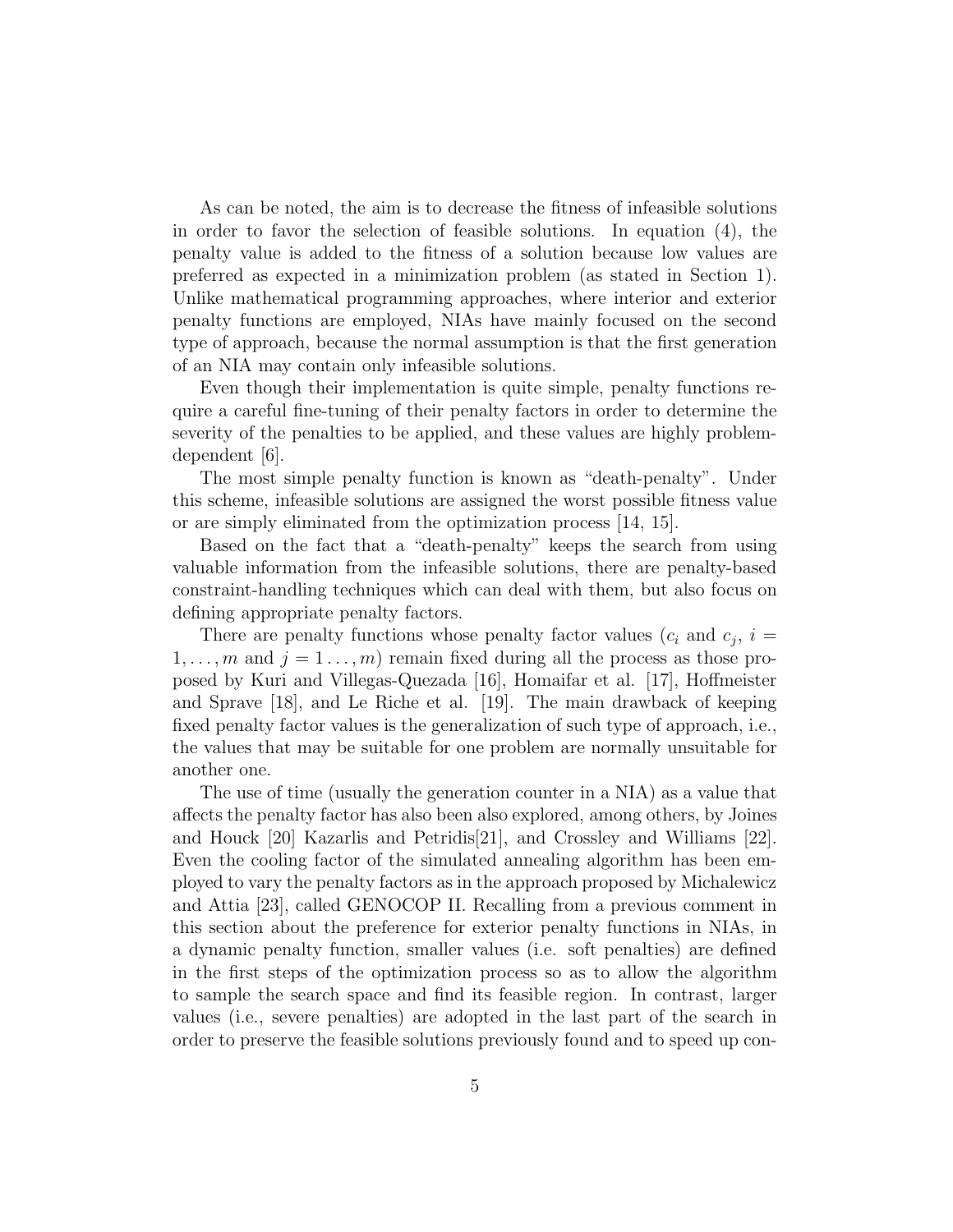As can be noted, the aim is to decrease the fitness of infeasible solutions in order to favor the selection of feasible solutions. In equation (4), the penalty value is added to the fitness of a solution because low values are preferred as expected in a minimization problem (as stated in Section 1). Unlike mathematical programming approaches, where interior and exterior penalty functions are employed, NIAs have mainly focused on the second type of approach, because the normal assumption is that the first generation of an NIA may contain only infeasible solutions.

Even though their implementation is quite simple, penalty functions require a careful fine-tuning of their penalty factors in order to determine the severity of the penalties to be applied, and these values are highly problemdependent [6].

The most simple penalty function is known as "death-penalty". Under this scheme, infeasible solutions are assigned the worst possible fitness value or are simply eliminated from the optimization process [14, 15].

Based on the fact that a "death-penalty" keeps the search from using valuable information from the infeasible solutions, there are penalty-based constraint-handling techniques which can deal with them, but also focus on defining appropriate penalty factors.

There are penalty functions whose penalty factor values  $(c_i \text{ and } c_j, i =$  $1, \ldots, m$  and  $j = 1, \ldots, m$  remain fixed during all the process as those proposed by Kuri and Villegas-Quezada [16], Homaifar et al. [17], Hoffmeister and Sprave [18], and Le Riche et al. [19]. The main drawback of keeping fixed penalty factor values is the generalization of such type of approach, i.e., the values that may be suitable for one problem are normally unsuitable for another one.

The use of time (usually the generation counter in a NIA) as a value that affects the penalty factor has also been also explored, among others, by Joines and Houck [20] Kazarlis and Petridis[21], and Crossley and Williams [22]. Even the cooling factor of the simulated annealing algorithm has been employed to vary the penalty factors as in the approach proposed by Michalewicz and Attia [23], called GENOCOP II. Recalling from a previous comment in this section about the preference for exterior penalty functions in NIAs, in a dynamic penalty function, smaller values (i.e. soft penalties) are defined in the first steps of the optimization process so as to allow the algorithm to sample the search space and find its feasible region. In contrast, larger values (i.e., severe penalties) are adopted in the last part of the search in order to preserve the feasible solutions previously found and to speed up con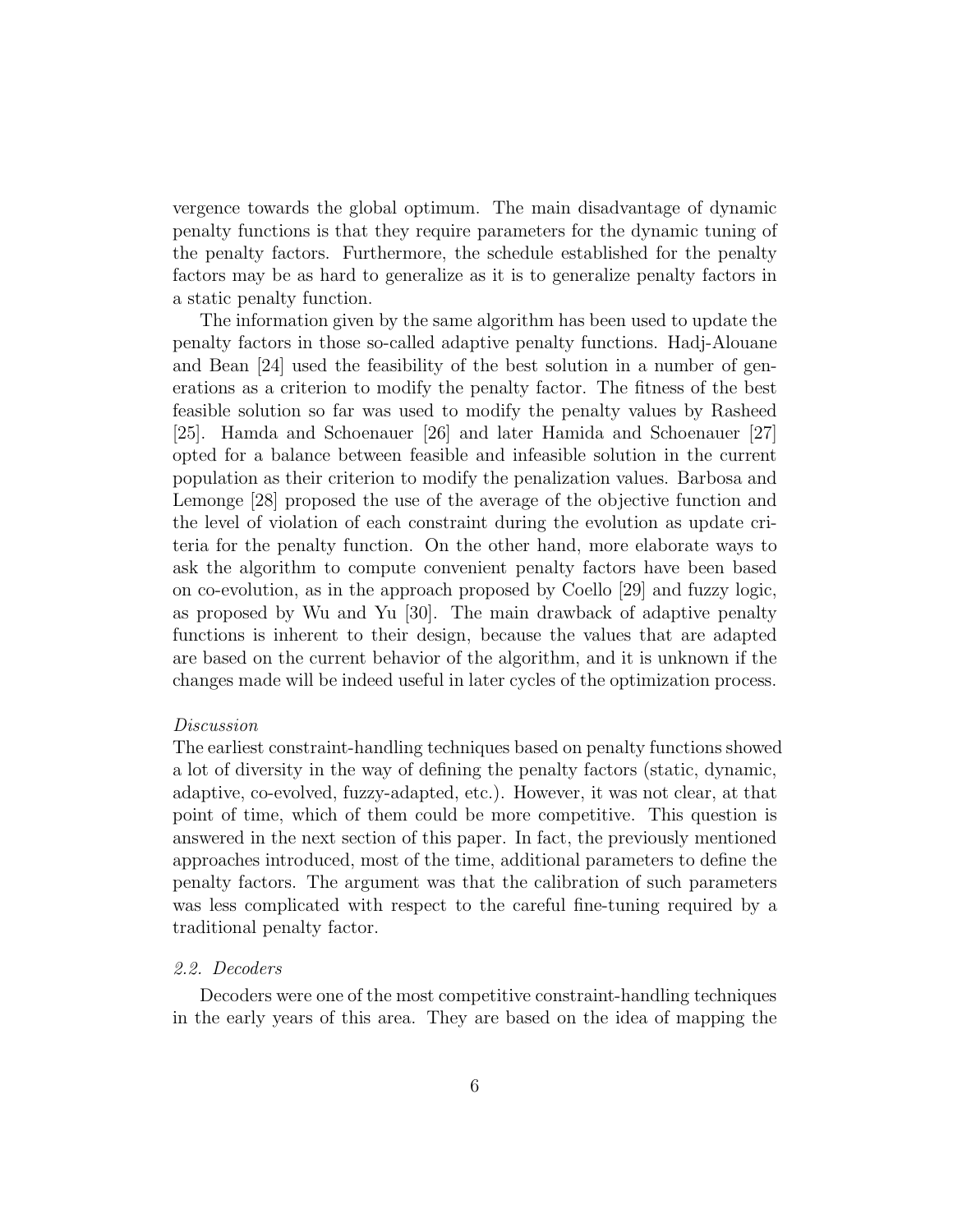vergence towards the global optimum. The main disadvantage of dynamic penalty functions is that they require parameters for the dynamic tuning of the penalty factors. Furthermore, the schedule established for the penalty factors may be as hard to generalize as it is to generalize penalty factors in a static penalty function.

The information given by the same algorithm has been used to update the penalty factors in those so-called adaptive penalty functions. Hadj-Alouane and Bean [24] used the feasibility of the best solution in a number of generations as a criterion to modify the penalty factor. The fitness of the best feasible solution so far was used to modify the penalty values by Rasheed [25]. Hamda and Schoenauer [26] and later Hamida and Schoenauer [27] opted for a balance between feasible and infeasible solution in the current population as their criterion to modify the penalization values. Barbosa and Lemonge [28] proposed the use of the average of the objective function and the level of violation of each constraint during the evolution as update criteria for the penalty function. On the other hand, more elaborate ways to ask the algorithm to compute convenient penalty factors have been based on co-evolution, as in the approach proposed by Coello [29] and fuzzy logic, as proposed by Wu and Yu [30]. The main drawback of adaptive penalty functions is inherent to their design, because the values that are adapted are based on the current behavior of the algorithm, and it is unknown if the changes made will be indeed useful in later cycles of the optimization process.

# *Discussion*

The earliest constraint-handling techniques based on penalty functions showed a lot of diversity in the way of defining the penalty factors (static, dynamic, adaptive, co-evolved, fuzzy-adapted, etc.). However, it was not clear, at that point of time, which of them could be more competitive. This question is answered in the next section of this paper. In fact, the previously mentioned approaches introduced, most of the time, additional parameters to define the penalty factors. The argument was that the calibration of such parameters was less complicated with respect to the careful fine-tuning required by a traditional penalty factor.

## *2.2. Decoders*

Decoders were one of the most competitive constraint-handling techniques in the early years of this area. They are based on the idea of mapping the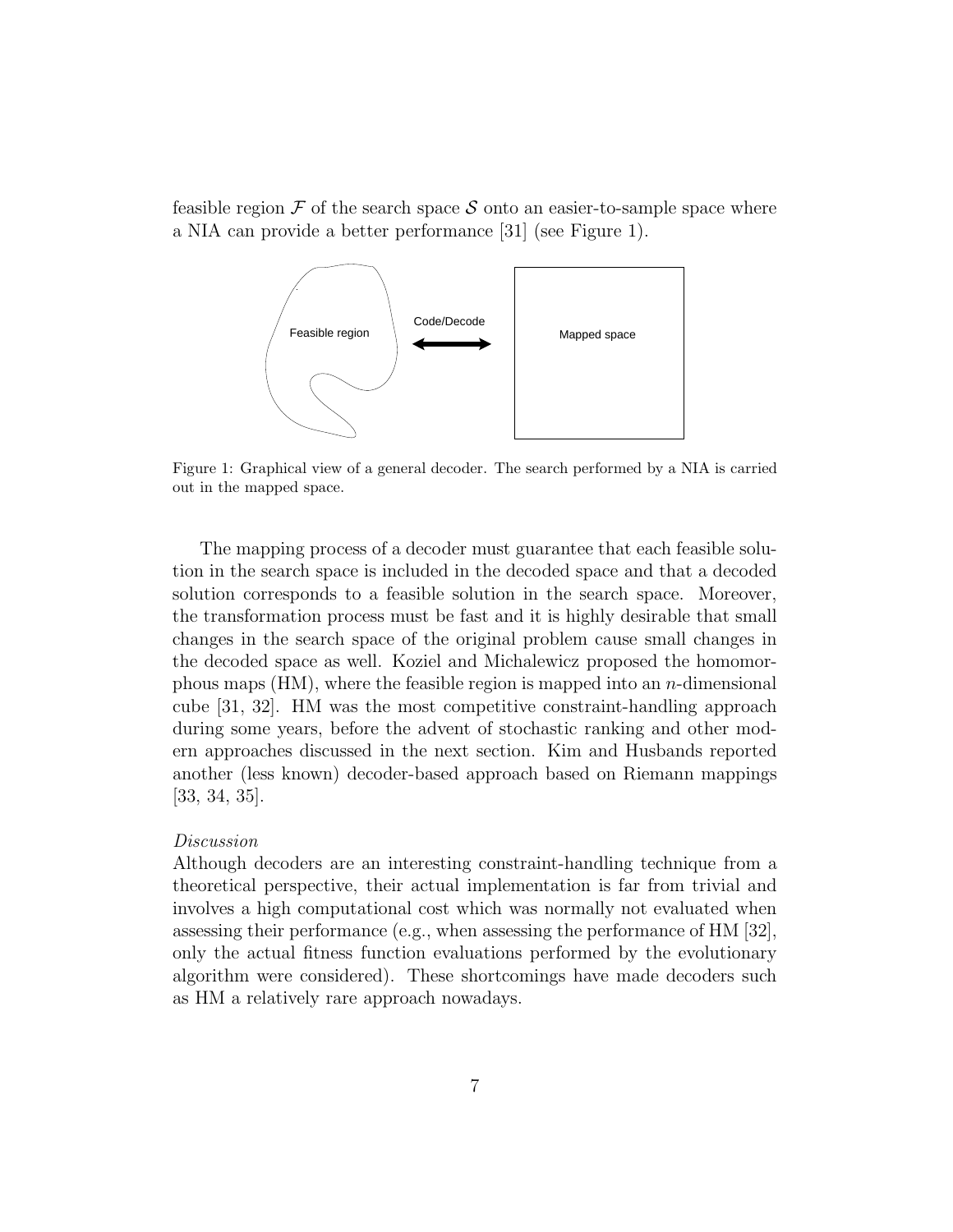feasible region  $\mathcal F$  of the search space  $\mathcal S$  onto an easier-to-sample space where a NIA can provide a better performance [31] (see Figure 1).



Figure 1: Graphical view of a general decoder. The search performed by a NIA is carried out in the mapped space.

The mapping process of a decoder must guarantee that each feasible solution in the search space is included in the decoded space and that a decoded solution corresponds to a feasible solution in the search space. Moreover, the transformation process must be fast and it is highly desirable that small changes in the search space of the original problem cause small changes in the decoded space as well. Koziel and Michalewicz proposed the homomorphous maps (HM), where the feasible region is mapped into an  $n$ -dimensional cube [31, 32]. HM was the most competitive constraint-handling approach during some years, before the advent of stochastic ranking and other modern approaches discussed in the next section. Kim and Husbands reported another (less known) decoder-based approach based on Riemann mappings [33, 34, 35].

# *Discussion*

Although decoders are an interesting constraint-handling technique from a theoretical perspective, their actual implementation is far from trivial and involves a high computational cost which was normally not evaluated when assessing their performance (e.g., when assessing the performance of HM [32], only the actual fitness function evaluations performed by the evolutionary algorithm were considered). These shortcomings have made decoders such as HM a relatively rare approach nowadays.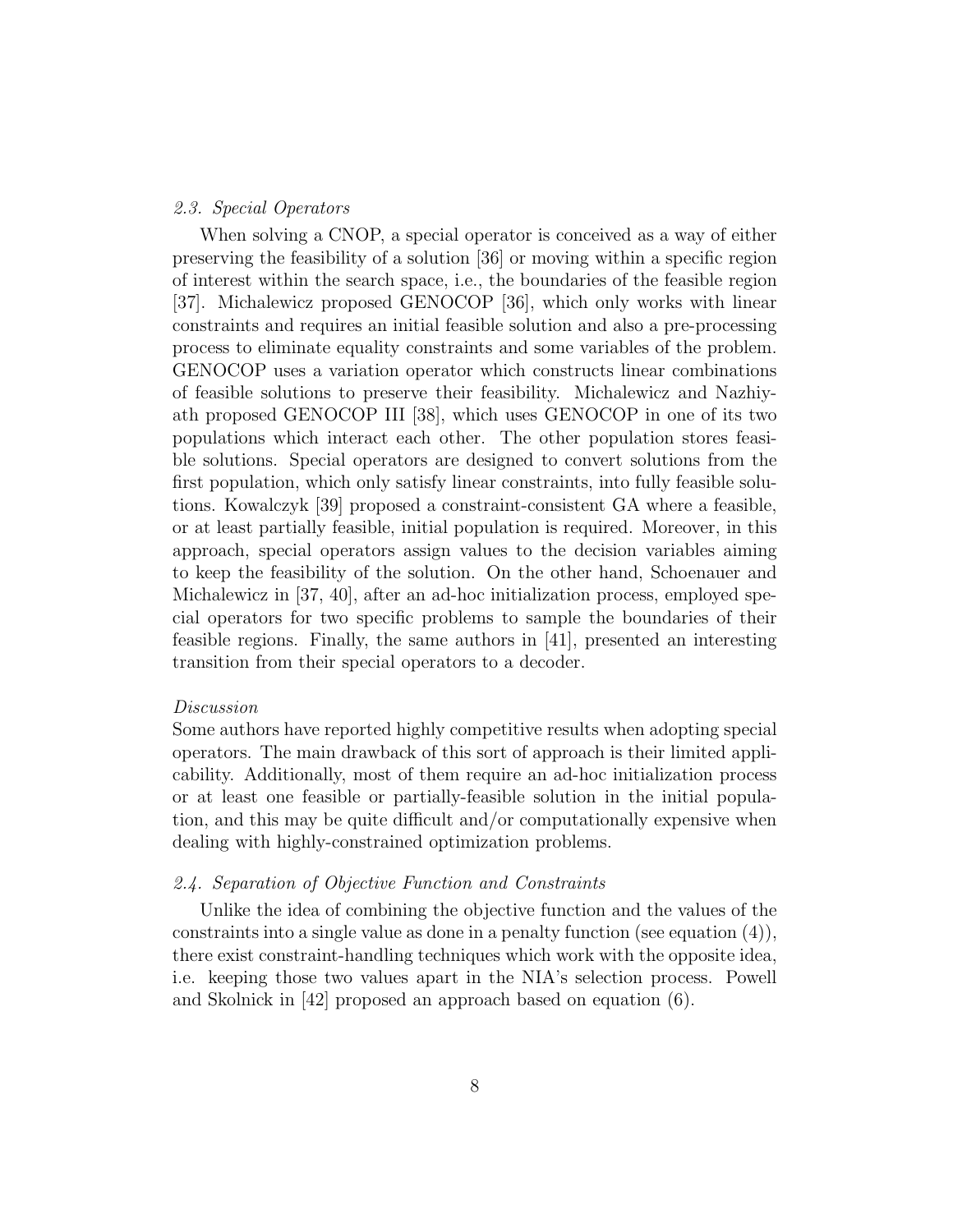#### *2.3. Special Operators*

When solving a CNOP, a special operator is conceived as a way of either preserving the feasibility of a solution [36] or moving within a specific region of interest within the search space, i.e., the boundaries of the feasible region [37]. Michalewicz proposed GENOCOP [36], which only works with linear constraints and requires an initial feasible solution and also a pre-processing process to eliminate equality constraints and some variables of the problem. GENOCOP uses a variation operator which constructs linear combinations of feasible solutions to preserve their feasibility. Michalewicz and Nazhiyath proposed GENOCOP III [38], which uses GENOCOP in one of its two populations which interact each other. The other population stores feasible solutions. Special operators are designed to convert solutions from the first population, which only satisfy linear constraints, into fully feasible solutions. Kowalczyk [39] proposed a constraint-consistent GA where a feasible, or at least partially feasible, initial population is required. Moreover, in this approach, special operators assign values to the decision variables aiming to keep the feasibility of the solution. On the other hand, Schoenauer and Michalewicz in [37, 40], after an ad-hoc initialization process, employed special operators for two specific problems to sample the boundaries of their feasible regions. Finally, the same authors in [41], presented an interesting transition from their special operators to a decoder.

# *Discussion*

Some authors have reported highly competitive results when adopting special operators. The main drawback of this sort of approach is their limited applicability. Additionally, most of them require an ad-hoc initialization process or at least one feasible or partially-feasible solution in the initial population, and this may be quite difficult and/or computationally expensive when dealing with highly-constrained optimization problems.

# *2.4. Separation of Objective Function and Constraints*

Unlike the idea of combining the objective function and the values of the constraints into a single value as done in a penalty function (see equation  $(4)$ ), there exist constraint-handling techniques which work with the opposite idea, i.e. keeping those two values apart in the NIA's selection process. Powell and Skolnick in [42] proposed an approach based on equation (6).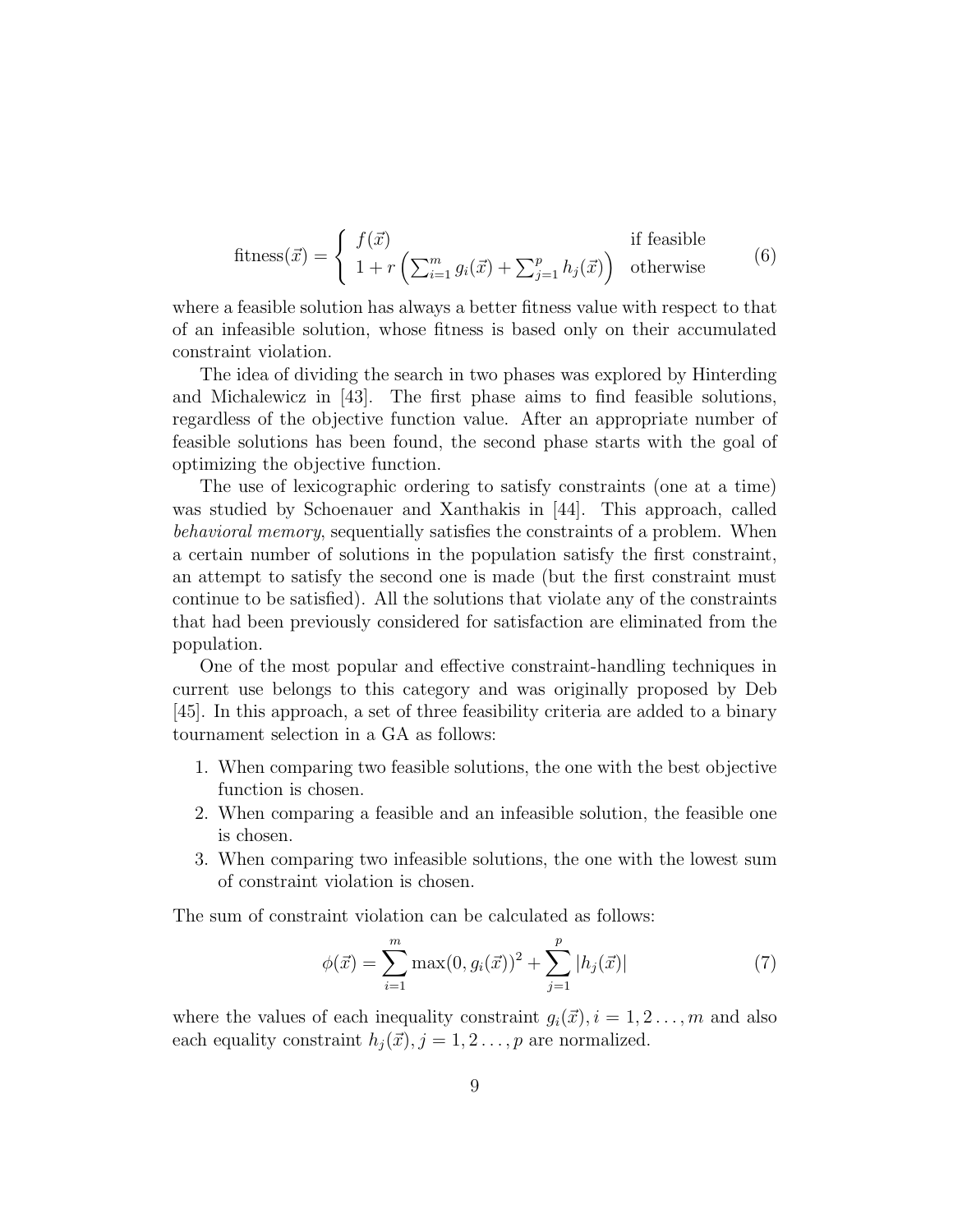fitness(
$$
\vec{x}
$$
) = 
$$
\begin{cases} f(\vec{x}) & \text{if feasible} \\ 1 + r\left(\sum_{i=1}^{m} g_i(\vec{x}) + \sum_{j=1}^{p} h_j(\vec{x})\right) & \text{otherwise} \end{cases}
$$
(6)

where a feasible solution has always a better fitness value with respect to that of an infeasible solution, whose fitness is based only on their accumulated constraint violation.

The idea of dividing the search in two phases was explored by Hinterding and Michalewicz in [43]. The first phase aims to find feasible solutions, regardless of the objective function value. After an appropriate number of feasible solutions has been found, the second phase starts with the goal of optimizing the objective function.

The use of lexicographic ordering to satisfy constraints (one at a time) was studied by Schoenauer and Xanthakis in [44]. This approach, called *behavioral memory*, sequentially satisfies the constraints of a problem. When a certain number of solutions in the population satisfy the first constraint, an attempt to satisfy the second one is made (but the first constraint must continue to be satisfied). All the solutions that violate any of the constraints that had been previously considered for satisfaction are eliminated from the population.

One of the most popular and effective constraint-handling techniques in current use belongs to this category and was originally proposed by Deb [45]. In this approach, a set of three feasibility criteria are added to a binary tournament selection in a GA as follows:

- 1. When comparing two feasible solutions, the one with the best objective function is chosen.
- 2. When comparing a feasible and an infeasible solution, the feasible one is chosen.
- 3. When comparing two infeasible solutions, the one with the lowest sum of constraint violation is chosen.

The sum of constraint violation can be calculated as follows:

$$
\phi(\vec{x}) = \sum_{i=1}^{m} \max(0, g_i(\vec{x}))^2 + \sum_{j=1}^{p} |h_j(\vec{x})| \tag{7}
$$

where the values of each inequality constraint  $g_i(\vec{x}), i = 1, 2, ..., m$  and also each equality constraint  $h_j(\vec{x}), j = 1, 2, \ldots, p$  are normalized.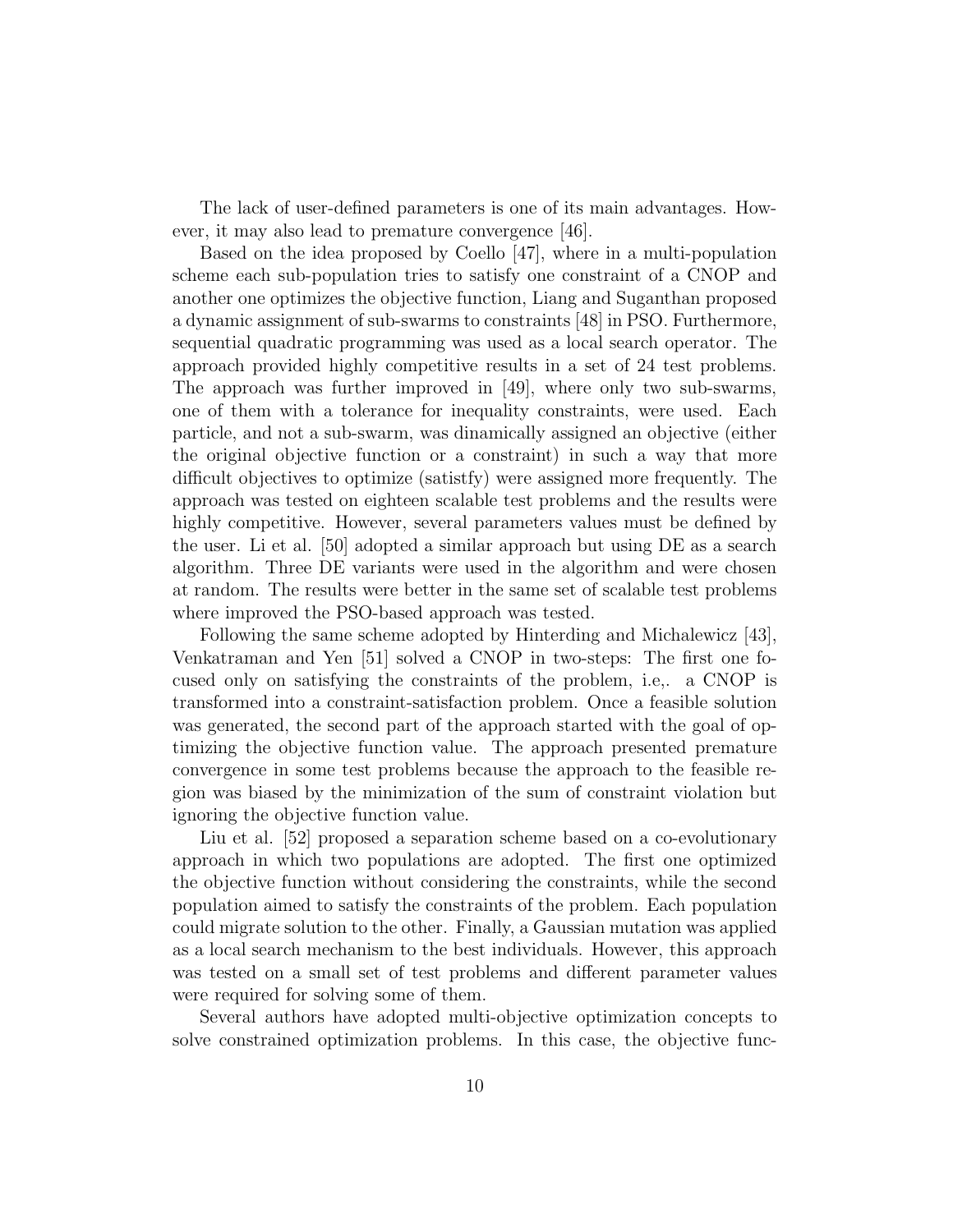The lack of user-defined parameters is one of its main advantages. However, it may also lead to premature convergence [46].

Based on the idea proposed by Coello [47], where in a multi-population scheme each sub-population tries to satisfy one constraint of a CNOP and another one optimizes the objective function, Liang and Suganthan proposed a dynamic assignment of sub-swarms to constraints [48] in PSO. Furthermore, sequential quadratic programming was used as a local search operator. The approach provided highly competitive results in a set of 24 test problems. The approach was further improved in [49], where only two sub-swarms, one of them with a tolerance for inequality constraints, were used. Each particle, and not a sub-swarm, was dinamically assigned an objective (either the original objective function or a constraint) in such a way that more difficult objectives to optimize (satistfy) were assigned more frequently. The approach was tested on eighteen scalable test problems and the results were highly competitive. However, several parameters values must be defined by the user. Li et al. [50] adopted a similar approach but using DE as a search algorithm. Three DE variants were used in the algorithm and were chosen at random. The results were better in the same set of scalable test problems where improved the PSO-based approach was tested.

Following the same scheme adopted by Hinterding and Michalewicz [43], Venkatraman and Yen [51] solved a CNOP in two-steps: The first one focused only on satisfying the constraints of the problem, i.e,. a CNOP is transformed into a constraint-satisfaction problem. Once a feasible solution was generated, the second part of the approach started with the goal of optimizing the objective function value. The approach presented premature convergence in some test problems because the approach to the feasible region was biased by the minimization of the sum of constraint violation but ignoring the objective function value.

Liu et al. [52] proposed a separation scheme based on a co-evolutionary approach in which two populations are adopted. The first one optimized the objective function without considering the constraints, while the second population aimed to satisfy the constraints of the problem. Each population could migrate solution to the other. Finally, a Gaussian mutation was applied as a local search mechanism to the best individuals. However, this approach was tested on a small set of test problems and different parameter values were required for solving some of them.

Several authors have adopted multi-objective optimization concepts to solve constrained optimization problems. In this case, the objective func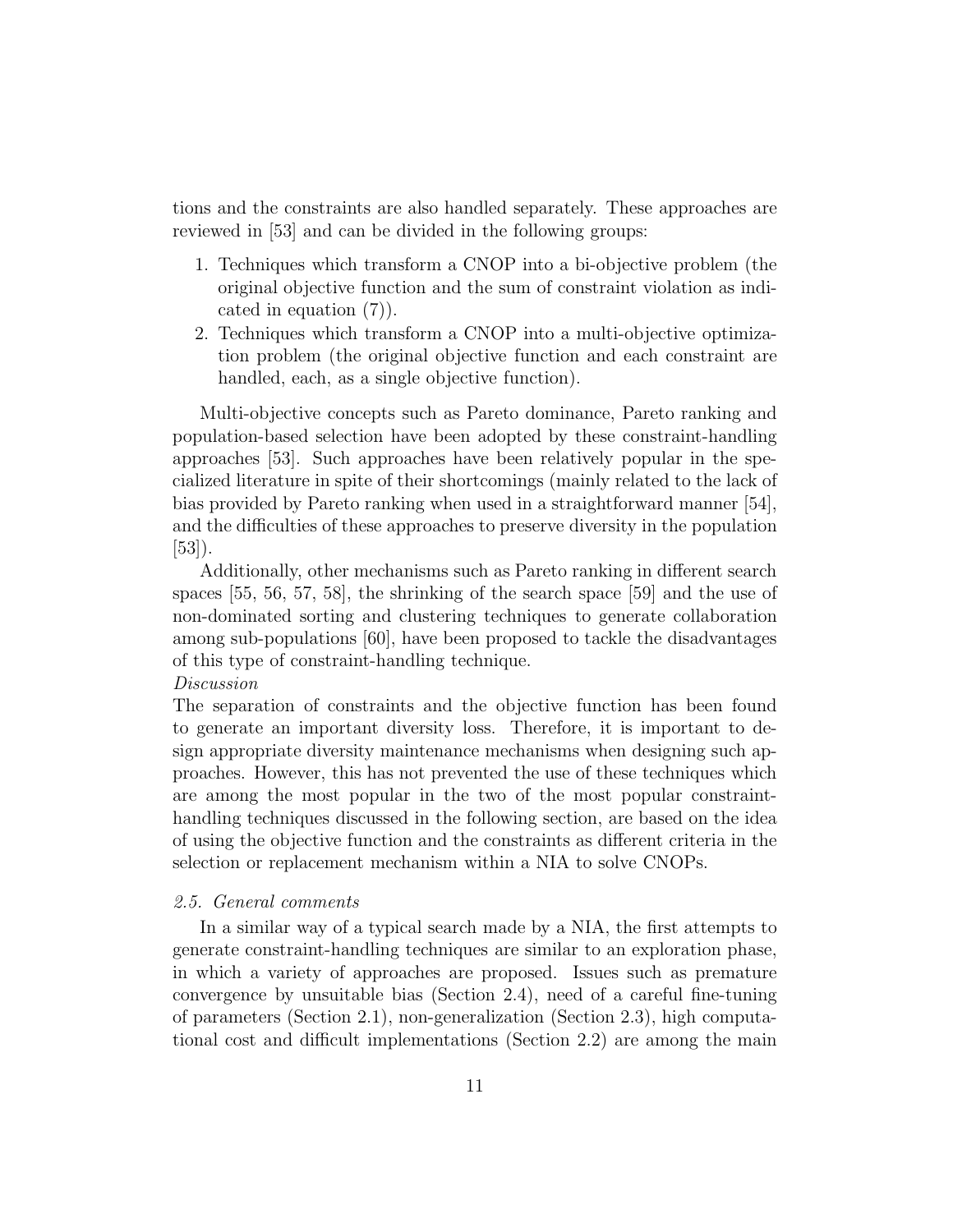tions and the constraints are also handled separately. These approaches are reviewed in [53] and can be divided in the following groups:

- 1. Techniques which transform a CNOP into a bi-objective problem (the original objective function and the sum of constraint violation as indicated in equation (7)).
- 2. Techniques which transform a CNOP into a multi-objective optimization problem (the original objective function and each constraint are handled, each, as a single objective function).

Multi-objective concepts such as Pareto dominance, Pareto ranking and population-based selection have been adopted by these constraint-handling approaches [53]. Such approaches have been relatively popular in the specialized literature in spite of their shortcomings (mainly related to the lack of bias provided by Pareto ranking when used in a straightforward manner [54], and the difficulties of these approaches to preserve diversity in the population [53]).

Additionally, other mechanisms such as Pareto ranking in different search spaces [55, 56, 57, 58], the shrinking of the search space [59] and the use of non-dominated sorting and clustering techniques to generate collaboration among sub-populations [60], have been proposed to tackle the disadvantages of this type of constraint-handling technique.

#### *Discussion*

The separation of constraints and the objective function has been found to generate an important diversity loss. Therefore, it is important to design appropriate diversity maintenance mechanisms when designing such approaches. However, this has not prevented the use of these techniques which are among the most popular in the two of the most popular constrainthandling techniques discussed in the following section, are based on the idea of using the objective function and the constraints as different criteria in the selection or replacement mechanism within a NIA to solve CNOPs.

# *2.5. General comments*

In a similar way of a typical search made by a NIA, the first attempts to generate constraint-handling techniques are similar to an exploration phase, in which a variety of approaches are proposed. Issues such as premature convergence by unsuitable bias (Section 2.4), need of a careful fine-tuning of parameters (Section 2.1), non-generalization (Section 2.3), high computational cost and difficult implementations (Section 2.2) are among the main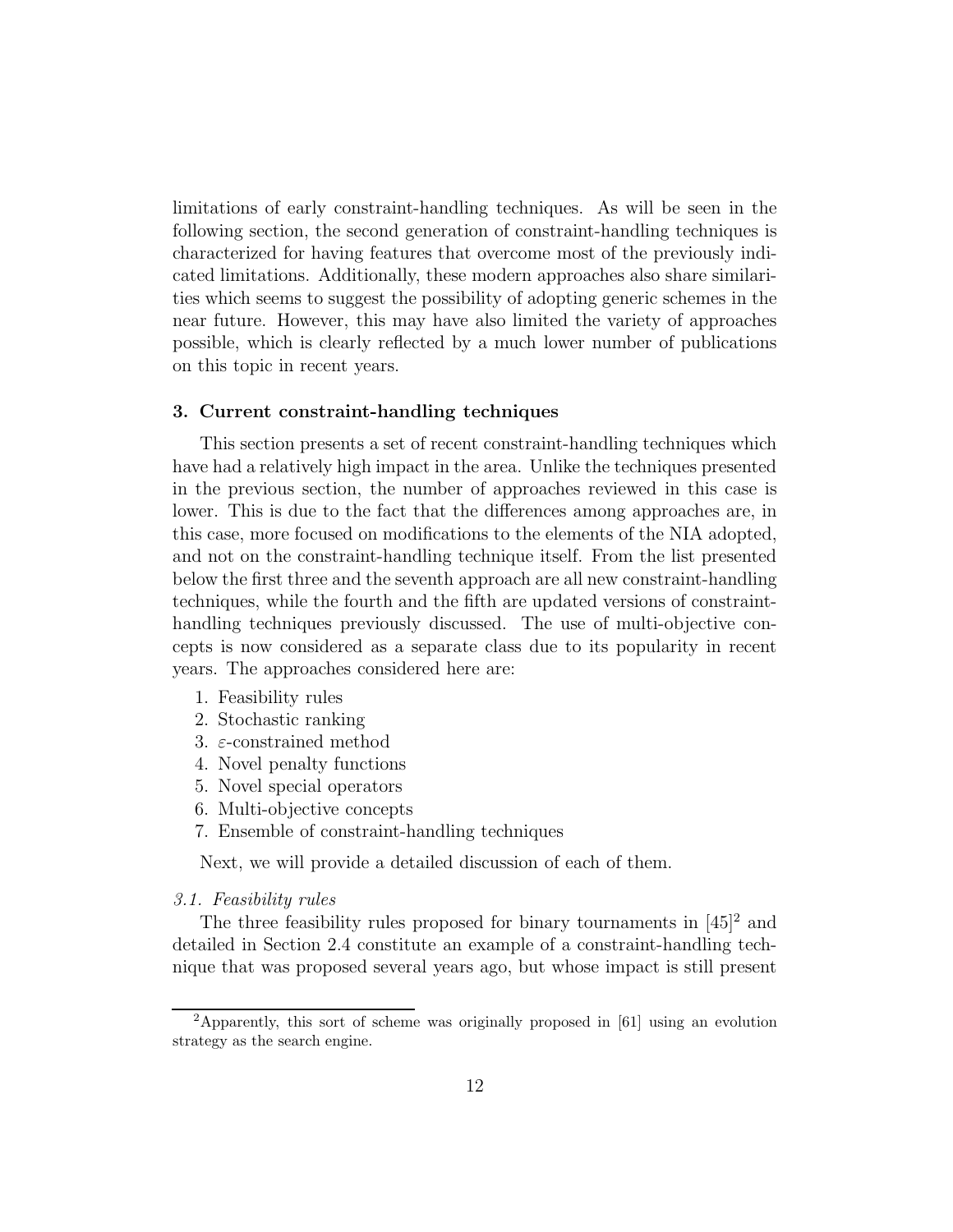limitations of early constraint-handling techniques. As will be seen in the following section, the second generation of constraint-handling techniques is characterized for having features that overcome most of the previously indicated limitations. Additionally, these modern approaches also share similarities which seems to suggest the possibility of adopting generic schemes in the near future. However, this may have also limited the variety of approaches possible, which is clearly reflected by a much lower number of publications on this topic in recent years.

## 3. Current constraint-handling techniques

This section presents a set of recent constraint-handling techniques which have had a relatively high impact in the area. Unlike the techniques presented in the previous section, the number of approaches reviewed in this case is lower. This is due to the fact that the differences among approaches are, in this case, more focused on modifications to the elements of the NIA adopted, and not on the constraint-handling technique itself. From the list presented below the first three and the seventh approach are all new constraint-handling techniques, while the fourth and the fifth are updated versions of constrainthandling techniques previously discussed. The use of multi-objective concepts is now considered as a separate class due to its popularity in recent years. The approaches considered here are:

- 1. Feasibility rules
- 2. Stochastic ranking
- 3. ε-constrained method
- 4. Novel penalty functions
- 5. Novel special operators
- 6. Multi-objective concepts
- 7. Ensemble of constraint-handling techniques

Next, we will provide a detailed discussion of each of them.

# *3.1. Feasibility rules*

The three feasibility rules proposed for binary tournaments in  $[45]$ <sup>2</sup> and detailed in Section 2.4 constitute an example of a constraint-handling technique that was proposed several years ago, but whose impact is still present

<sup>2</sup>Apparently, this sort of scheme was originally proposed in [61] using an evolution strategy as the search engine.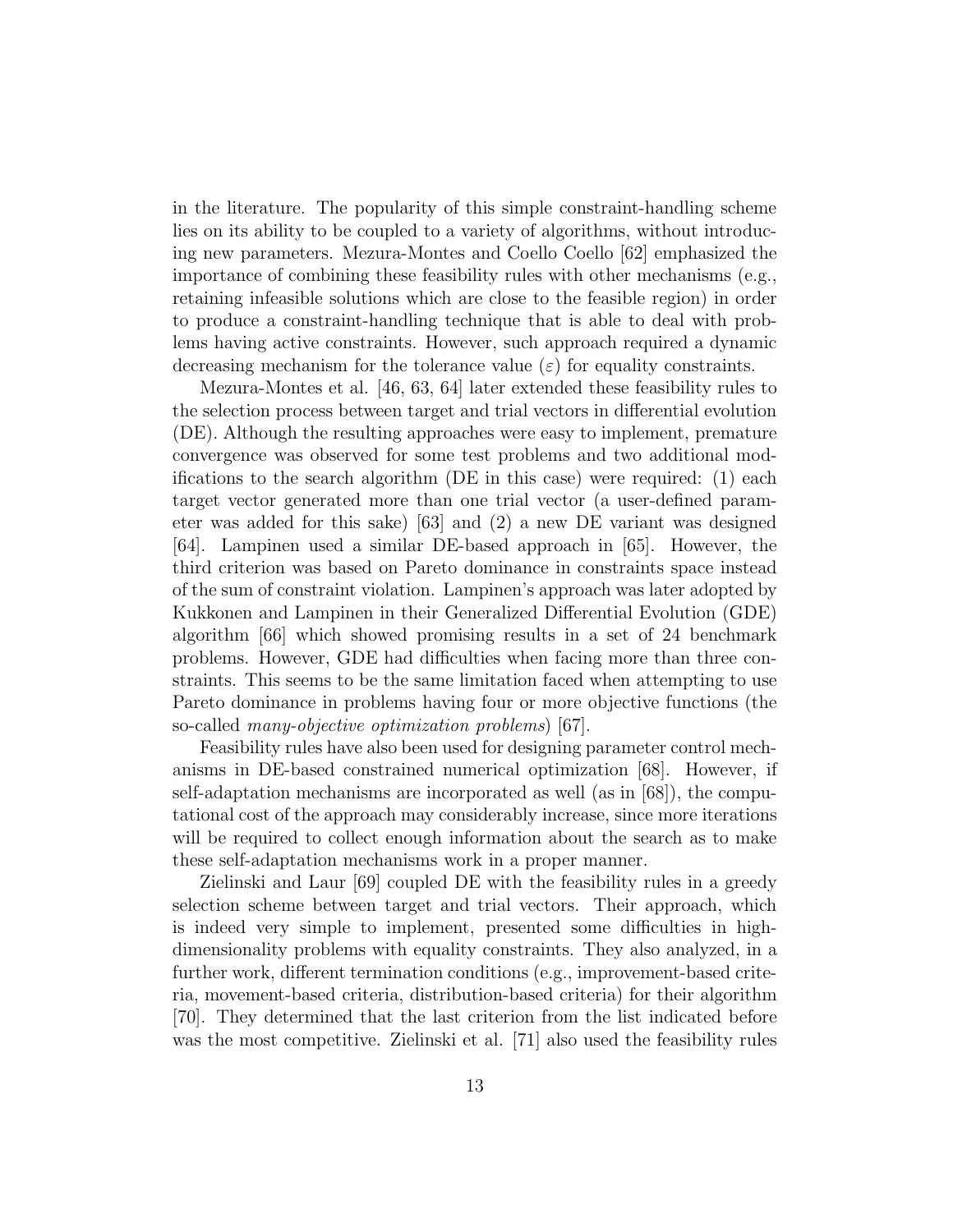in the literature. The popularity of this simple constraint-handling scheme lies on its ability to be coupled to a variety of algorithms, without introducing new parameters. Mezura-Montes and Coello Coello [62] emphasized the importance of combining these feasibility rules with other mechanisms (e.g., retaining infeasible solutions which are close to the feasible region) in order to produce a constraint-handling technique that is able to deal with problems having active constraints. However, such approach required a dynamic decreasing mechanism for the tolerance value  $(\varepsilon)$  for equality constraints.

Mezura-Montes et al. [46, 63, 64] later extended these feasibility rules to the selection process between target and trial vectors in differential evolution (DE). Although the resulting approaches were easy to implement, premature convergence was observed for some test problems and two additional modifications to the search algorithm (DE in this case) were required: (1) each target vector generated more than one trial vector (a user-defined parameter was added for this sake) [63] and (2) a new DE variant was designed [64]. Lampinen used a similar DE-based approach in [65]. However, the third criterion was based on Pareto dominance in constraints space instead of the sum of constraint violation. Lampinen's approach was later adopted by Kukkonen and Lampinen in their Generalized Differential Evolution (GDE) algorithm [66] which showed promising results in a set of 24 benchmark problems. However, GDE had difficulties when facing more than three constraints. This seems to be the same limitation faced when attempting to use Pareto dominance in problems having four or more objective functions (the so-called *many-objective optimization problems*) [67].

Feasibility rules have also been used for designing parameter control mechanisms in DE-based constrained numerical optimization [68]. However, if self-adaptation mechanisms are incorporated as well (as in [68]), the computational cost of the approach may considerably increase, since more iterations will be required to collect enough information about the search as to make these self-adaptation mechanisms work in a proper manner.

Zielinski and Laur [69] coupled DE with the feasibility rules in a greedy selection scheme between target and trial vectors. Their approach, which is indeed very simple to implement, presented some difficulties in highdimensionality problems with equality constraints. They also analyzed, in a further work, different termination conditions (e.g., improvement-based criteria, movement-based criteria, distribution-based criteria) for their algorithm [70]. They determined that the last criterion from the list indicated before was the most competitive. Zielinski et al. [71] also used the feasibility rules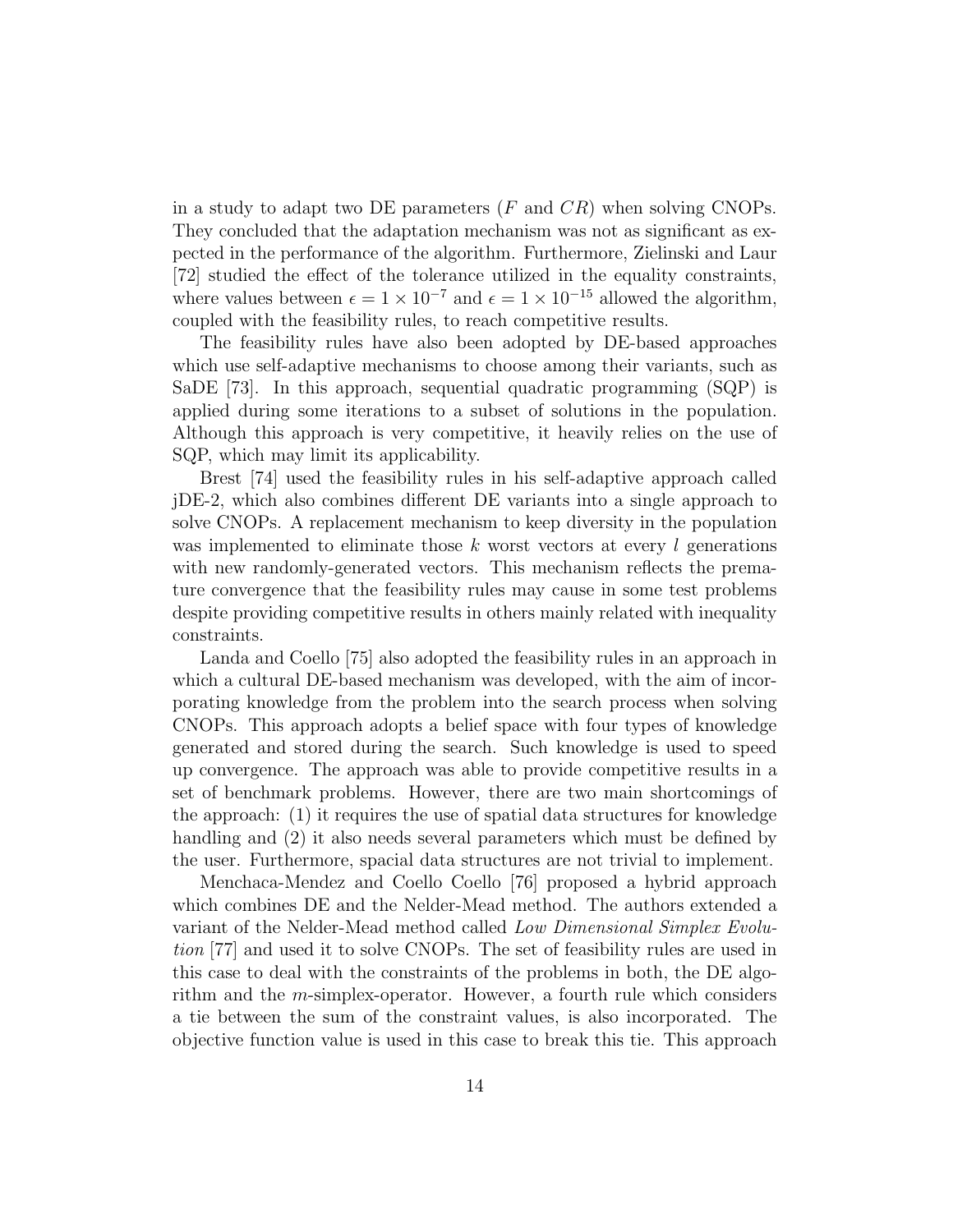in a study to adapt two DE parameters  $(F \text{ and } CR)$  when solving CNOPs. They concluded that the adaptation mechanism was not as significant as expected in the performance of the algorithm. Furthermore, Zielinski and Laur [72] studied the effect of the tolerance utilized in the equality constraints, where values between  $\epsilon = 1 \times 10^{-7}$  and  $\epsilon = 1 \times 10^{-15}$  allowed the algorithm, coupled with the feasibility rules, to reach competitive results.

The feasibility rules have also been adopted by DE-based approaches which use self-adaptive mechanisms to choose among their variants, such as SaDE [73]. In this approach, sequential quadratic programming (SQP) is applied during some iterations to a subset of solutions in the population. Although this approach is very competitive, it heavily relies on the use of SQP, which may limit its applicability.

Brest [74] used the feasibility rules in his self-adaptive approach called jDE-2, which also combines different DE variants into a single approach to solve CNOPs. A replacement mechanism to keep diversity in the population was implemented to eliminate those  $k$  worst vectors at every  $l$  generations with new randomly-generated vectors. This mechanism reflects the premature convergence that the feasibility rules may cause in some test problems despite providing competitive results in others mainly related with inequality constraints.

Landa and Coello [75] also adopted the feasibility rules in an approach in which a cultural DE-based mechanism was developed, with the aim of incorporating knowledge from the problem into the search process when solving CNOPs. This approach adopts a belief space with four types of knowledge generated and stored during the search. Such knowledge is used to speed up convergence. The approach was able to provide competitive results in a set of benchmark problems. However, there are two main shortcomings of the approach: (1) it requires the use of spatial data structures for knowledge handling and (2) it also needs several parameters which must be defined by the user. Furthermore, spacial data structures are not trivial to implement.

Menchaca-Mendez and Coello Coello [76] proposed a hybrid approach which combines DE and the Nelder-Mead method. The authors extended a variant of the Nelder-Mead method called *Low Dimensional Simplex Evolution* [77] and used it to solve CNOPs. The set of feasibility rules are used in this case to deal with the constraints of the problems in both, the DE algorithm and the m-simplex-operator. However, a fourth rule which considers a tie between the sum of the constraint values, is also incorporated. The objective function value is used in this case to break this tie. This approach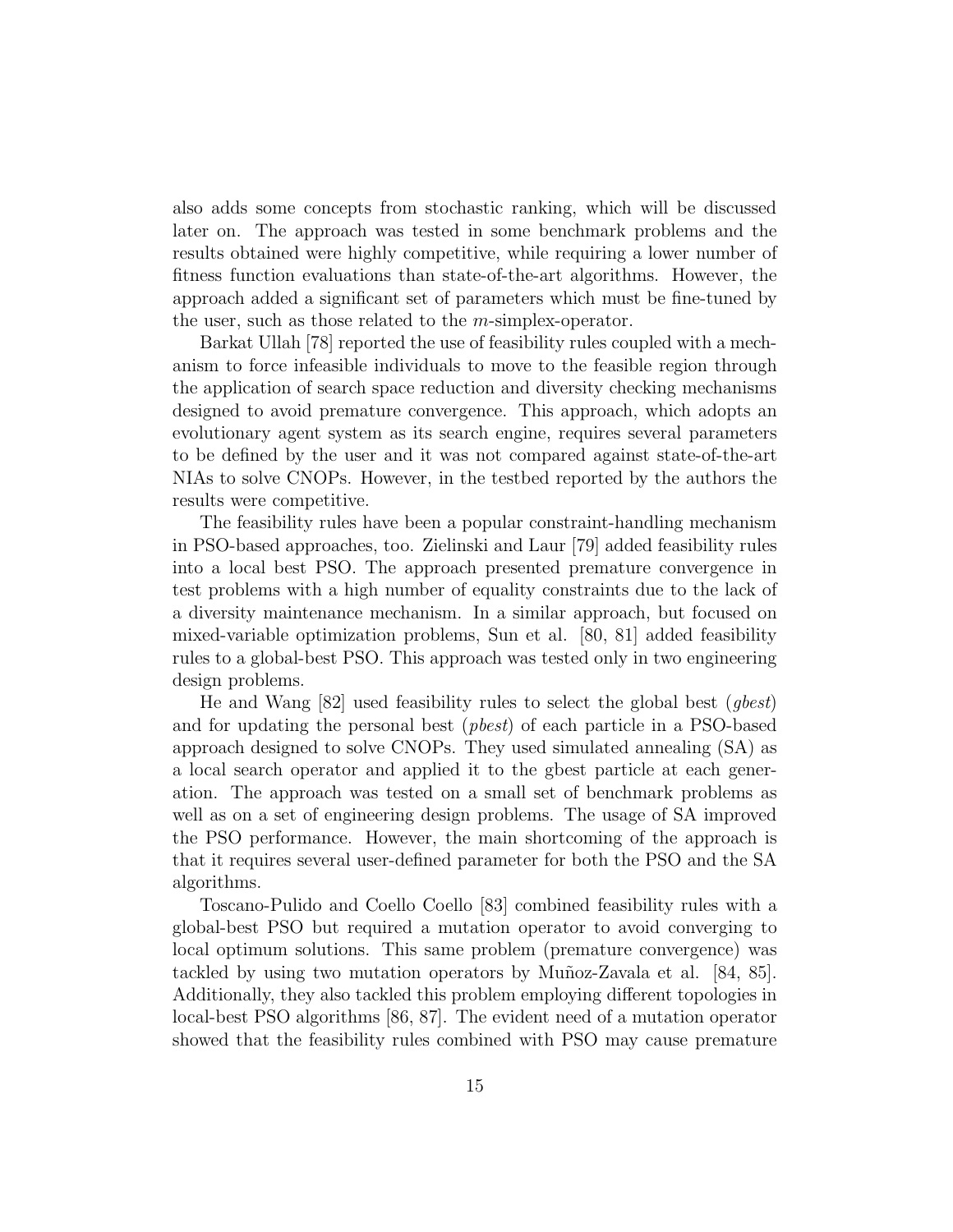also adds some concepts from stochastic ranking, which will be discussed later on. The approach was tested in some benchmark problems and the results obtained were highly competitive, while requiring a lower number of fitness function evaluations than state-of-the-art algorithms. However, the approach added a significant set of parameters which must be fine-tuned by the user, such as those related to the m-simplex-operator.

Barkat Ullah [78] reported the use of feasibility rules coupled with a mechanism to force infeasible individuals to move to the feasible region through the application of search space reduction and diversity checking mechanisms designed to avoid premature convergence. This approach, which adopts an evolutionary agent system as its search engine, requires several parameters to be defined by the user and it was not compared against state-of-the-art NIAs to solve CNOPs. However, in the testbed reported by the authors the results were competitive.

The feasibility rules have been a popular constraint-handling mechanism in PSO-based approaches, too. Zielinski and Laur [79] added feasibility rules into a local best PSO. The approach presented premature convergence in test problems with a high number of equality constraints due to the lack of a diversity maintenance mechanism. In a similar approach, but focused on mixed-variable optimization problems, Sun et al. [80, 81] added feasibility rules to a global-best PSO. This approach was tested only in two engineering design problems.

He and Wang [82] used feasibility rules to select the global best (*gbest*) and for updating the personal best (*pbest*) of each particle in a PSO-based approach designed to solve CNOPs. They used simulated annealing (SA) as a local search operator and applied it to the gbest particle at each generation. The approach was tested on a small set of benchmark problems as well as on a set of engineering design problems. The usage of SA improved the PSO performance. However, the main shortcoming of the approach is that it requires several user-defined parameter for both the PSO and the SA algorithms.

Toscano-Pulido and Coello Coello [83] combined feasibility rules with a global-best PSO but required a mutation operator to avoid converging to local optimum solutions. This same problem (premature convergence) was tackled by using two mutation operators by Muñoz-Zavala et al. [84, 85]. Additionally, they also tackled this problem employing different topologies in local-best PSO algorithms [86, 87]. The evident need of a mutation operator showed that the feasibility rules combined with PSO may cause premature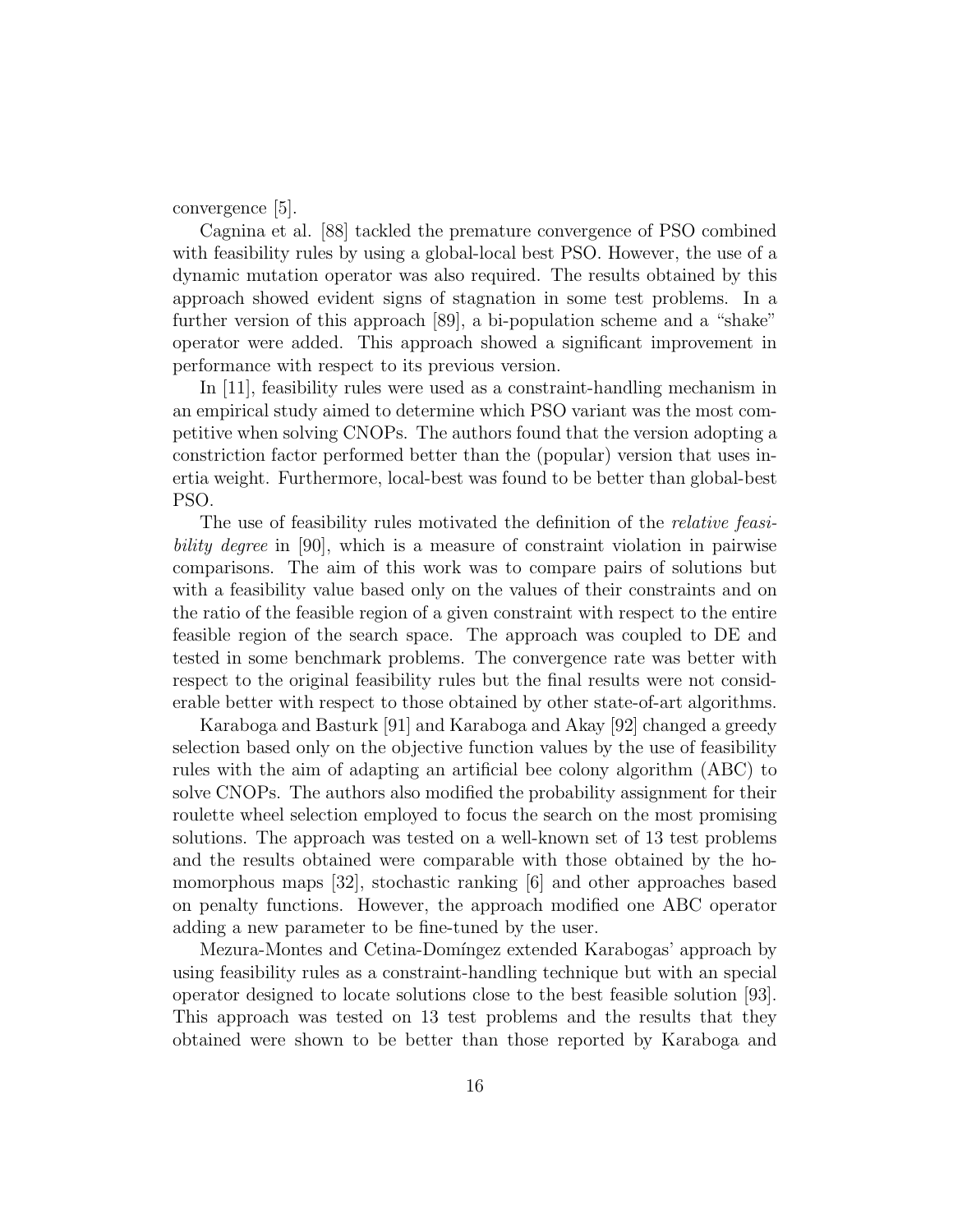convergence [5].

Cagnina et al. [88] tackled the premature convergence of PSO combined with feasibility rules by using a global-local best PSO. However, the use of a dynamic mutation operator was also required. The results obtained by this approach showed evident signs of stagnation in some test problems. In a further version of this approach [89], a bi-population scheme and a "shake" operator were added. This approach showed a significant improvement in performance with respect to its previous version.

In [11], feasibility rules were used as a constraint-handling mechanism in an empirical study aimed to determine which PSO variant was the most competitive when solving CNOPs. The authors found that the version adopting a constriction factor performed better than the (popular) version that uses inertia weight. Furthermore, local-best was found to be better than global-best PSO.

The use of feasibility rules motivated the definition of the *relative feasibility degree* in [90], which is a measure of constraint violation in pairwise comparisons. The aim of this work was to compare pairs of solutions but with a feasibility value based only on the values of their constraints and on the ratio of the feasible region of a given constraint with respect to the entire feasible region of the search space. The approach was coupled to DE and tested in some benchmark problems. The convergence rate was better with respect to the original feasibility rules but the final results were not considerable better with respect to those obtained by other state-of-art algorithms.

Karaboga and Basturk [91] and Karaboga and Akay [92] changed a greedy selection based only on the objective function values by the use of feasibility rules with the aim of adapting an artificial bee colony algorithm (ABC) to solve CNOPs. The authors also modified the probability assignment for their roulette wheel selection employed to focus the search on the most promising solutions. The approach was tested on a well-known set of 13 test problems and the results obtained were comparable with those obtained by the homomorphous maps [32], stochastic ranking [6] and other approaches based on penalty functions. However, the approach modified one ABC operator adding a new parameter to be fine-tuned by the user.

Mezura-Montes and Cetina-Domíngez extended Karabogas' approach by using feasibility rules as a constraint-handling technique but with an special operator designed to locate solutions close to the best feasible solution [93]. This approach was tested on 13 test problems and the results that they obtained were shown to be better than those reported by Karaboga and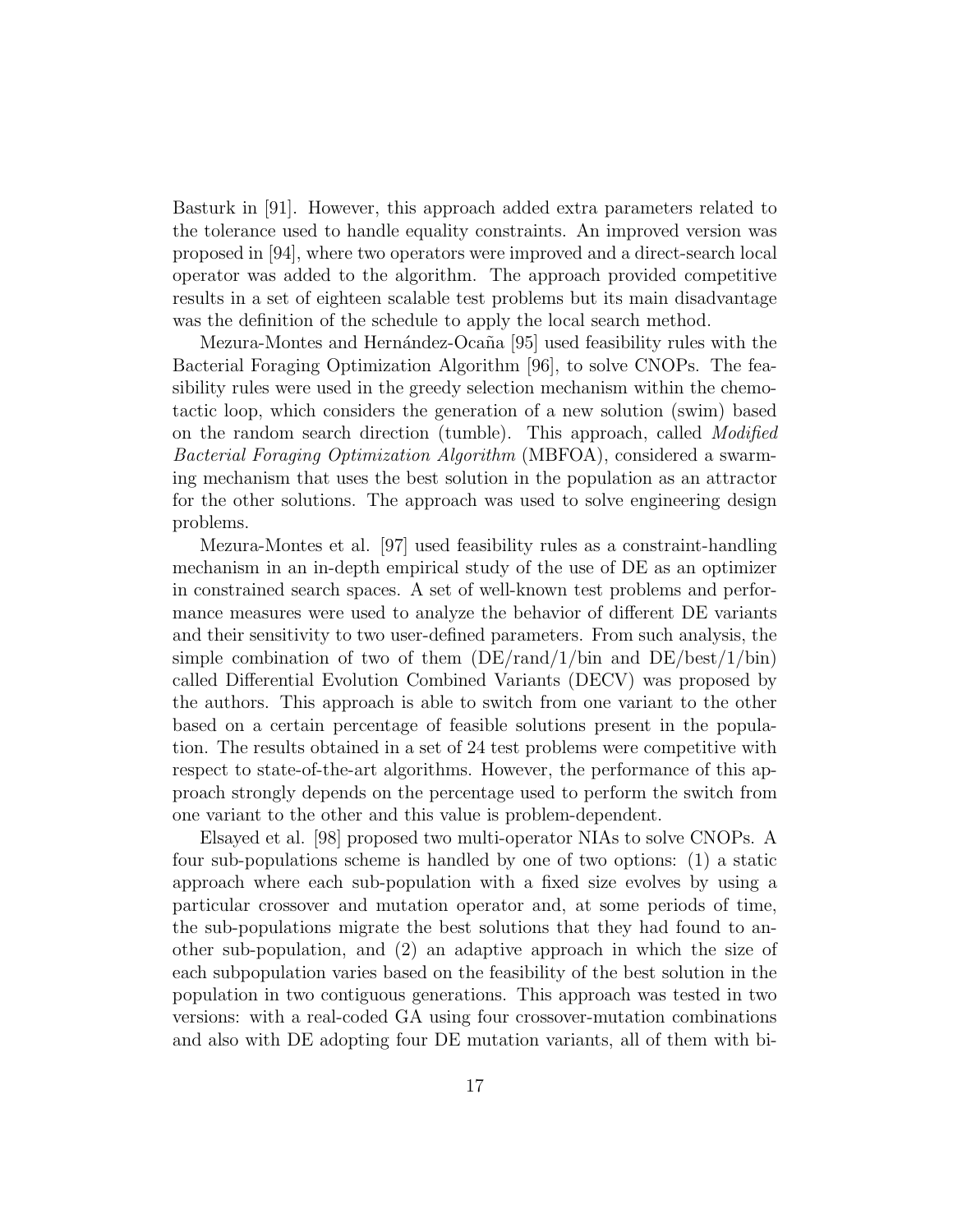Basturk in [91]. However, this approach added extra parameters related to the tolerance used to handle equality constraints. An improved version was proposed in [94], where two operators were improved and a direct-search local operator was added to the algorithm. The approach provided competitive results in a set of eighteen scalable test problems but its main disadvantage was the definition of the schedule to apply the local search method.

Mezura-Montes and Hernández-Ocaña [95] used feasibility rules with the Bacterial Foraging Optimization Algorithm [96], to solve CNOPs. The feasibility rules were used in the greedy selection mechanism within the chemotactic loop, which considers the generation of a new solution (swim) based on the random search direction (tumble). This approach, called *Modified Bacterial Foraging Optimization Algorithm* (MBFOA), considered a swarming mechanism that uses the best solution in the population as an attractor for the other solutions. The approach was used to solve engineering design problems.

Mezura-Montes et al. [97] used feasibility rules as a constraint-handling mechanism in an in-depth empirical study of the use of DE as an optimizer in constrained search spaces. A set of well-known test problems and performance measures were used to analyze the behavior of different DE variants and their sensitivity to two user-defined parameters. From such analysis, the simple combination of two of them  $(DE/rand/1/bin$  and  $DE/best/1/bin)$ called Differential Evolution Combined Variants (DECV) was proposed by the authors. This approach is able to switch from one variant to the other based on a certain percentage of feasible solutions present in the population. The results obtained in a set of 24 test problems were competitive with respect to state-of-the-art algorithms. However, the performance of this approach strongly depends on the percentage used to perform the switch from one variant to the other and this value is problem-dependent.

Elsayed et al. [98] proposed two multi-operator NIAs to solve CNOPs. A four sub-populations scheme is handled by one of two options: (1) a static approach where each sub-population with a fixed size evolves by using a particular crossover and mutation operator and, at some periods of time, the sub-populations migrate the best solutions that they had found to another sub-population, and (2) an adaptive approach in which the size of each subpopulation varies based on the feasibility of the best solution in the population in two contiguous generations. This approach was tested in two versions: with a real-coded GA using four crossover-mutation combinations and also with DE adopting four DE mutation variants, all of them with bi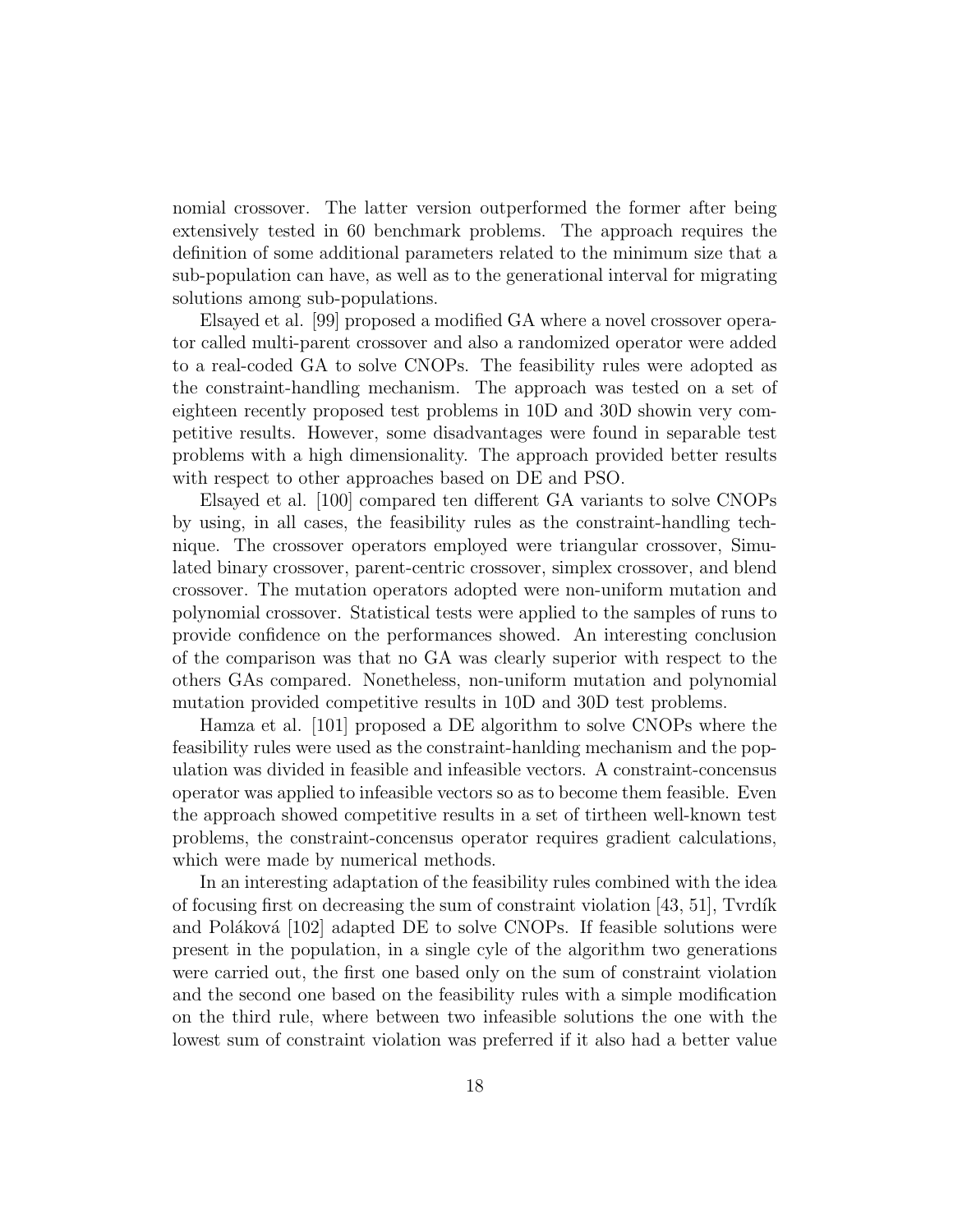nomial crossover. The latter version outperformed the former after being extensively tested in 60 benchmark problems. The approach requires the definition of some additional parameters related to the minimum size that a sub-population can have, as well as to the generational interval for migrating solutions among sub-populations.

Elsayed et al. [99] proposed a modified GA where a novel crossover operator called multi-parent crossover and also a randomized operator were added to a real-coded GA to solve CNOPs. The feasibility rules were adopted as the constraint-handling mechanism. The approach was tested on a set of eighteen recently proposed test problems in 10D and 30D showin very competitive results. However, some disadvantages were found in separable test problems with a high dimensionality. The approach provided better results with respect to other approaches based on DE and PSO.

Elsayed et al. [100] compared ten different GA variants to solve CNOPs by using, in all cases, the feasibility rules as the constraint-handling technique. The crossover operators employed were triangular crossover, Simulated binary crossover, parent-centric crossover, simplex crossover, and blend crossover. The mutation operators adopted were non-uniform mutation and polynomial crossover. Statistical tests were applied to the samples of runs to provide confidence on the performances showed. An interesting conclusion of the comparison was that no GA was clearly superior with respect to the others GAs compared. Nonetheless, non-uniform mutation and polynomial mutation provided competitive results in 10D and 30D test problems.

Hamza et al. [101] proposed a DE algorithm to solve CNOPs where the feasibility rules were used as the constraint-hanlding mechanism and the population was divided in feasible and infeasible vectors. A constraint-concensus operator was applied to infeasible vectors so as to become them feasible. Even the approach showed competitive results in a set of tirtheen well-known test problems, the constraint-concensus operator requires gradient calculations, which were made by numerical methods.

In an interesting adaptation of the feasibility rules combined with the idea of focusing first on decreasing the sum of constraint violation  $[43, 51]$ , Tvrdík and Poláková  $|102|$  adapted DE to solve CNOPs. If feasible solutions were present in the population, in a single cyle of the algorithm two generations were carried out, the first one based only on the sum of constraint violation and the second one based on the feasibility rules with a simple modification on the third rule, where between two infeasible solutions the one with the lowest sum of constraint violation was preferred if it also had a better value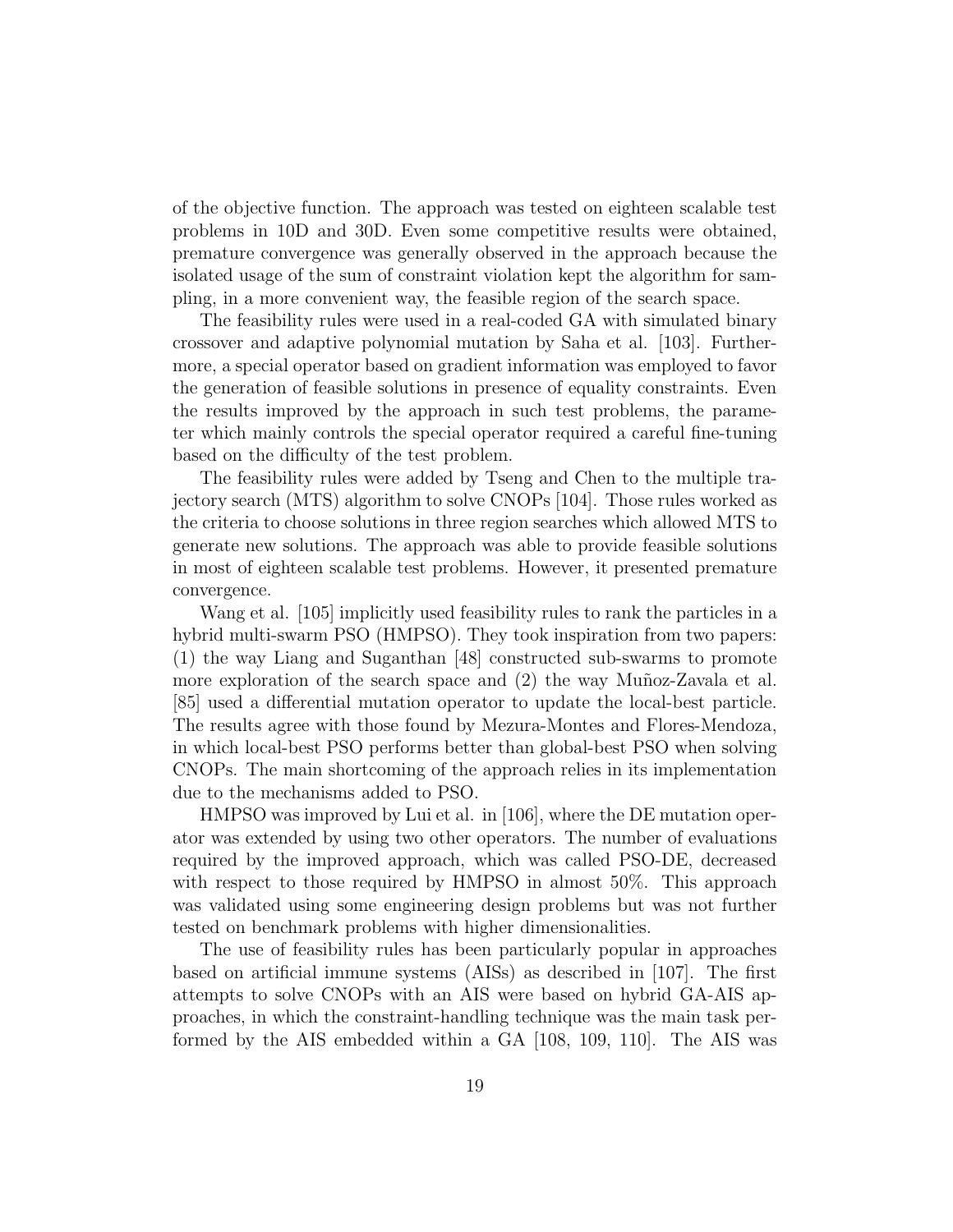of the objective function. The approach was tested on eighteen scalable test problems in 10D and 30D. Even some competitive results were obtained, premature convergence was generally observed in the approach because the isolated usage of the sum of constraint violation kept the algorithm for sampling, in a more convenient way, the feasible region of the search space.

The feasibility rules were used in a real-coded GA with simulated binary crossover and adaptive polynomial mutation by Saha et al. [103]. Furthermore, a special operator based on gradient information was employed to favor the generation of feasible solutions in presence of equality constraints. Even the results improved by the approach in such test problems, the parameter which mainly controls the special operator required a careful fine-tuning based on the difficulty of the test problem.

The feasibility rules were added by Tseng and Chen to the multiple trajectory search (MTS) algorithm to solve CNOPs [104]. Those rules worked as the criteria to choose solutions in three region searches which allowed MTS to generate new solutions. The approach was able to provide feasible solutions in most of eighteen scalable test problems. However, it presented premature convergence.

Wang et al. [105] implicitly used feasibility rules to rank the particles in a hybrid multi-swarm PSO (HMPSO). They took inspiration from two papers: (1) the way Liang and Suganthan [48] constructed sub-swarms to promote more exploration of the search space and  $(2)$  the way Muñoz-Zavala et al. [85] used a differential mutation operator to update the local-best particle. The results agree with those found by Mezura-Montes and Flores-Mendoza, in which local-best PSO performs better than global-best PSO when solving CNOPs. The main shortcoming of the approach relies in its implementation due to the mechanisms added to PSO.

HMPSO was improved by Lui et al. in [106], where the DE mutation operator was extended by using two other operators. The number of evaluations required by the improved approach, which was called PSO-DE, decreased with respect to those required by HMPSO in almost 50%. This approach was validated using some engineering design problems but was not further tested on benchmark problems with higher dimensionalities.

The use of feasibility rules has been particularly popular in approaches based on artificial immune systems (AISs) as described in [107]. The first attempts to solve CNOPs with an AIS were based on hybrid GA-AIS approaches, in which the constraint-handling technique was the main task performed by the AIS embedded within a GA [108, 109, 110]. The AIS was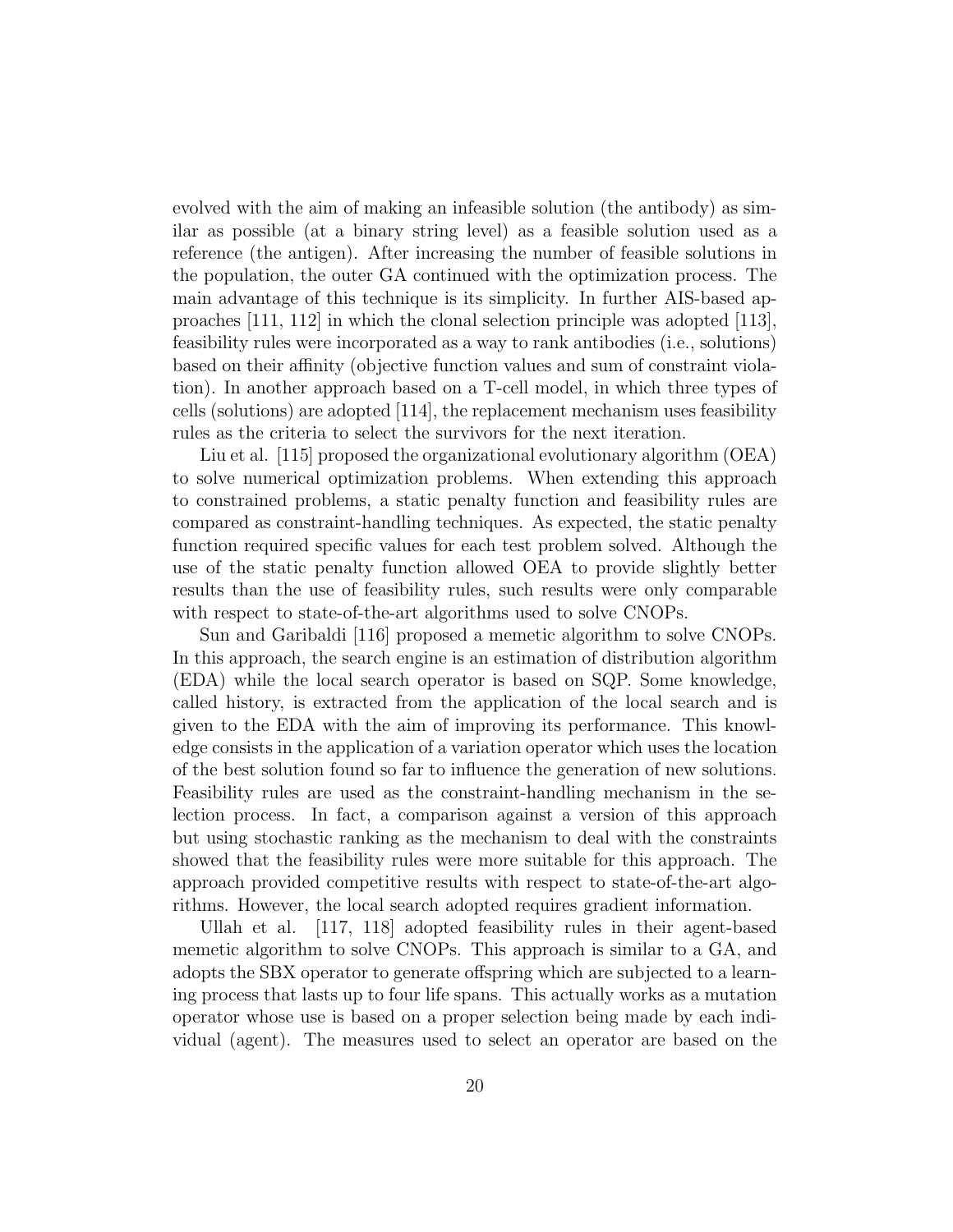evolved with the aim of making an infeasible solution (the antibody) as similar as possible (at a binary string level) as a feasible solution used as a reference (the antigen). After increasing the number of feasible solutions in the population, the outer GA continued with the optimization process. The main advantage of this technique is its simplicity. In further AIS-based approaches [111, 112] in which the clonal selection principle was adopted [113], feasibility rules were incorporated as a way to rank antibodies (i.e., solutions) based on their affinity (objective function values and sum of constraint violation). In another approach based on a T-cell model, in which three types of cells (solutions) are adopted [114], the replacement mechanism uses feasibility rules as the criteria to select the survivors for the next iteration.

Liu et al. [115] proposed the organizational evolutionary algorithm (OEA) to solve numerical optimization problems. When extending this approach to constrained problems, a static penalty function and feasibility rules are compared as constraint-handling techniques. As expected, the static penalty function required specific values for each test problem solved. Although the use of the static penalty function allowed OEA to provide slightly better results than the use of feasibility rules, such results were only comparable with respect to state-of-the-art algorithms used to solve CNOPs.

Sun and Garibaldi [116] proposed a memetic algorithm to solve CNOPs. In this approach, the search engine is an estimation of distribution algorithm (EDA) while the local search operator is based on SQP. Some knowledge, called history, is extracted from the application of the local search and is given to the EDA with the aim of improving its performance. This knowledge consists in the application of a variation operator which uses the location of the best solution found so far to influence the generation of new solutions. Feasibility rules are used as the constraint-handling mechanism in the selection process. In fact, a comparison against a version of this approach but using stochastic ranking as the mechanism to deal with the constraints showed that the feasibility rules were more suitable for this approach. The approach provided competitive results with respect to state-of-the-art algorithms. However, the local search adopted requires gradient information.

Ullah et al. [117, 118] adopted feasibility rules in their agent-based memetic algorithm to solve CNOPs. This approach is similar to a GA, and adopts the SBX operator to generate offspring which are subjected to a learning process that lasts up to four life spans. This actually works as a mutation operator whose use is based on a proper selection being made by each individual (agent). The measures used to select an operator are based on the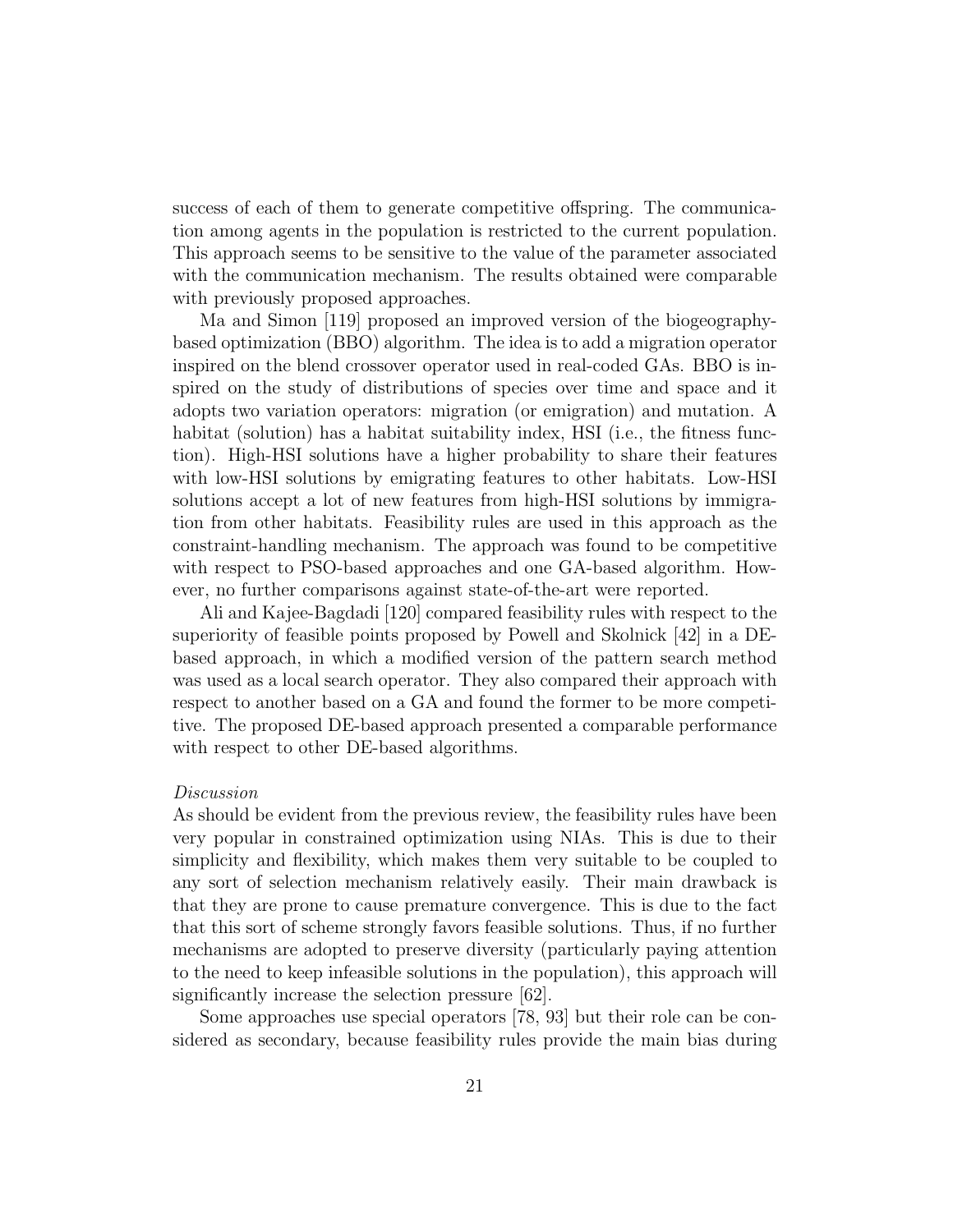success of each of them to generate competitive offspring. The communication among agents in the population is restricted to the current population. This approach seems to be sensitive to the value of the parameter associated with the communication mechanism. The results obtained were comparable with previously proposed approaches.

Ma and Simon [119] proposed an improved version of the biogeographybased optimization (BBO) algorithm. The idea is to add a migration operator inspired on the blend crossover operator used in real-coded GAs. BBO is inspired on the study of distributions of species over time and space and it adopts two variation operators: migration (or emigration) and mutation. A habitat (solution) has a habitat suitability index, HSI (i.e., the fitness function). High-HSI solutions have a higher probability to share their features with low-HSI solutions by emigrating features to other habitats. Low-HSI solutions accept a lot of new features from high-HSI solutions by immigration from other habitats. Feasibility rules are used in this approach as the constraint-handling mechanism. The approach was found to be competitive with respect to PSO-based approaches and one GA-based algorithm. However, no further comparisons against state-of-the-art were reported.

Ali and Kajee-Bagdadi [120] compared feasibility rules with respect to the superiority of feasible points proposed by Powell and Skolnick [42] in a DEbased approach, in which a modified version of the pattern search method was used as a local search operator. They also compared their approach with respect to another based on a GA and found the former to be more competitive. The proposed DE-based approach presented a comparable performance with respect to other DE-based algorithms.

#### *Discussion*

As should be evident from the previous review, the feasibility rules have been very popular in constrained optimization using NIAs. This is due to their simplicity and flexibility, which makes them very suitable to be coupled to any sort of selection mechanism relatively easily. Their main drawback is that they are prone to cause premature convergence. This is due to the fact that this sort of scheme strongly favors feasible solutions. Thus, if no further mechanisms are adopted to preserve diversity (particularly paying attention to the need to keep infeasible solutions in the population), this approach will significantly increase the selection pressure [62].

Some approaches use special operators [78, 93] but their role can be considered as secondary, because feasibility rules provide the main bias during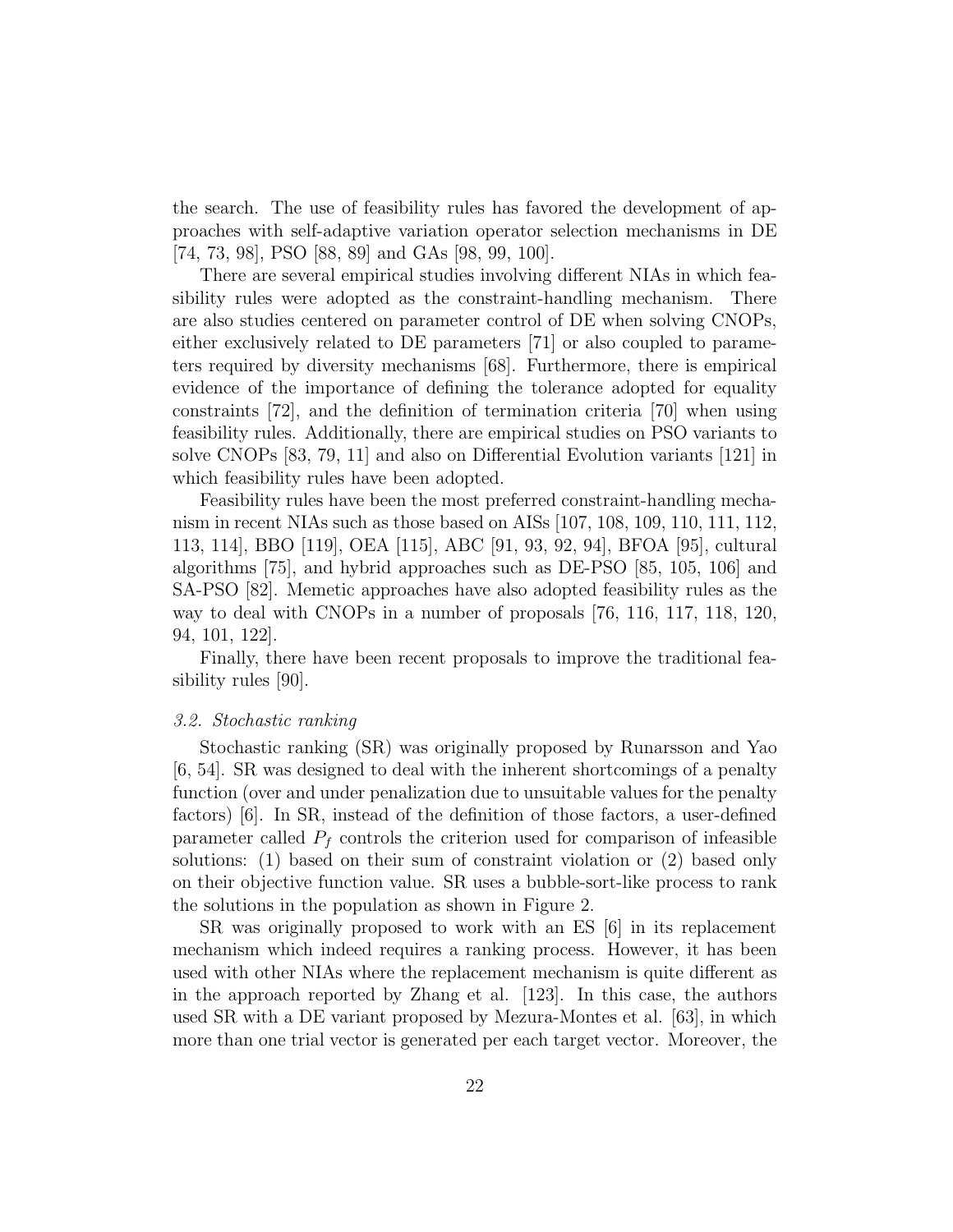the search. The use of feasibility rules has favored the development of approaches with self-adaptive variation operator selection mechanisms in DE [74, 73, 98], PSO [88, 89] and GAs [98, 99, 100].

There are several empirical studies involving different NIAs in which feasibility rules were adopted as the constraint-handling mechanism. There are also studies centered on parameter control of DE when solving CNOPs, either exclusively related to DE parameters [71] or also coupled to parameters required by diversity mechanisms [68]. Furthermore, there is empirical evidence of the importance of defining the tolerance adopted for equality constraints [72], and the definition of termination criteria [70] when using feasibility rules. Additionally, there are empirical studies on PSO variants to solve CNOPs [83, 79, 11] and also on Differential Evolution variants [121] in which feasibility rules have been adopted.

Feasibility rules have been the most preferred constraint-handling mechanism in recent NIAs such as those based on AISs [107, 108, 109, 110, 111, 112, 113, 114], BBO [119], OEA [115], ABC [91, 93, 92, 94], BFOA [95], cultural algorithms [75], and hybrid approaches such as DE-PSO [85, 105, 106] and SA-PSO [82]. Memetic approaches have also adopted feasibility rules as the way to deal with CNOPs in a number of proposals [76, 116, 117, 118, 120, 94, 101, 122].

Finally, there have been recent proposals to improve the traditional feasibility rules [90].

#### *3.2. Stochastic ranking*

Stochastic ranking (SR) was originally proposed by Runarsson and Yao [6, 54]. SR was designed to deal with the inherent shortcomings of a penalty function (over and under penalization due to unsuitable values for the penalty factors) [6]. In SR, instead of the definition of those factors, a user-defined parameter called  $P_f$  controls the criterion used for comparison of infeasible solutions: (1) based on their sum of constraint violation or (2) based only on their objective function value. SR uses a bubble-sort-like process to rank the solutions in the population as shown in Figure 2.

SR was originally proposed to work with an ES [6] in its replacement mechanism which indeed requires a ranking process. However, it has been used with other NIAs where the replacement mechanism is quite different as in the approach reported by Zhang et al. [123]. In this case, the authors used SR with a DE variant proposed by Mezura-Montes et al. [63], in which more than one trial vector is generated per each target vector. Moreover, the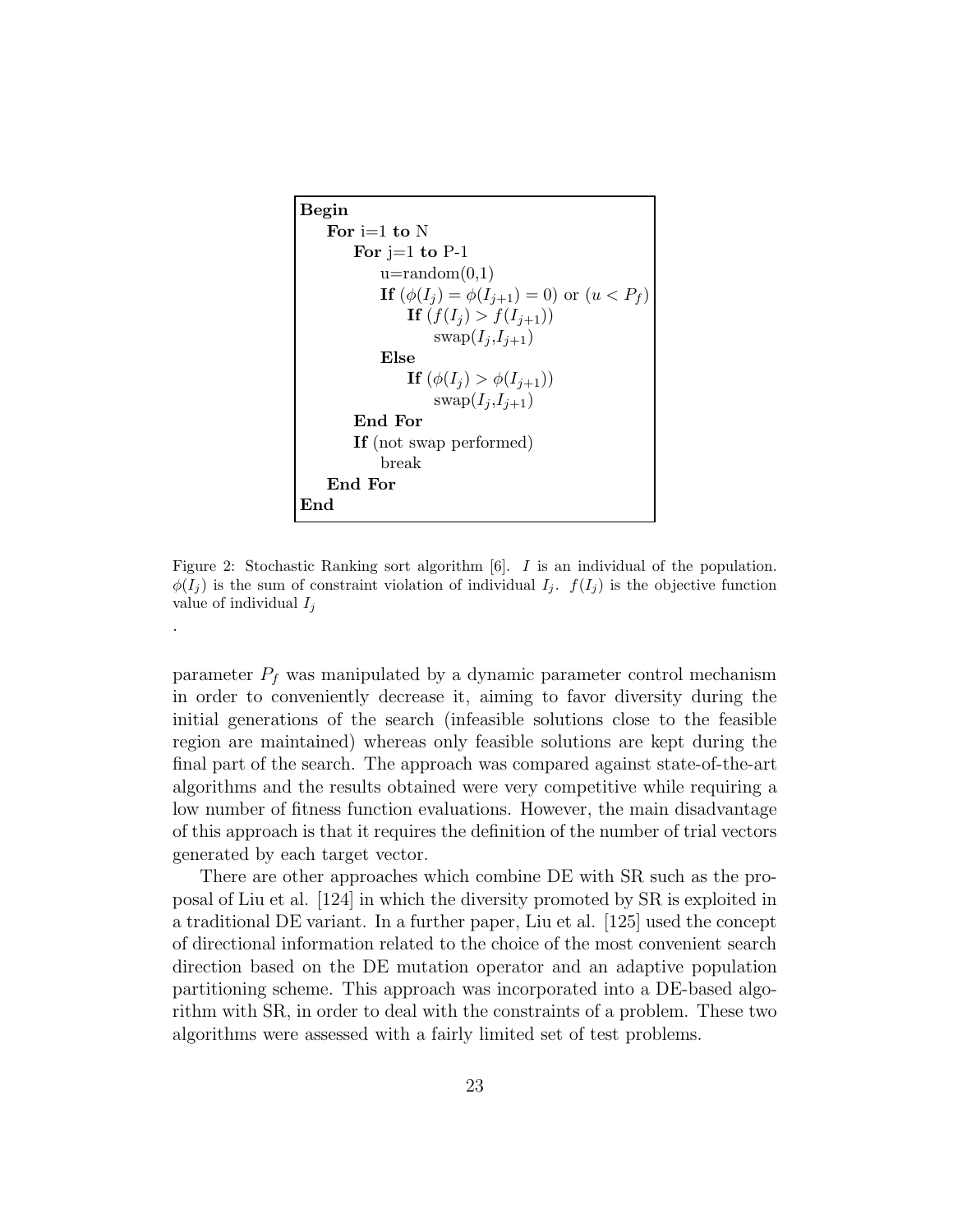```
Begin
    For i=1 to N
        For i=1 to P-1
            u=random(0,1)If (\phi(I_j) = \phi(I_{j+1}) = 0) or (u < P_f)If (f(I_j) > f(I_{j+1}))\mathrm{swap}(I_j, I_{j+1})Else
                If (\phi(I_j) > \phi(I_{j+1}))swap(I_j, I_{j+1})End For
        If (not swap performed)
            break
    End For
End
```
Figure 2: Stochastic Ranking sort algorithm [6]. I is an individual of the population.  $\phi(I_i)$  is the sum of constraint violation of individual  $I_i$ .  $f(I_i)$  is the objective function value of individual  $I_i$ 

.

parameter  $P_f$  was manipulated by a dynamic parameter control mechanism in order to conveniently decrease it, aiming to favor diversity during the initial generations of the search (infeasible solutions close to the feasible region are maintained) whereas only feasible solutions are kept during the final part of the search. The approach was compared against state-of-the-art algorithms and the results obtained were very competitive while requiring a low number of fitness function evaluations. However, the main disadvantage of this approach is that it requires the definition of the number of trial vectors generated by each target vector.

There are other approaches which combine DE with SR such as the proposal of Liu et al. [124] in which the diversity promoted by SR is exploited in a traditional DE variant. In a further paper, Liu et al. [125] used the concept of directional information related to the choice of the most convenient search direction based on the DE mutation operator and an adaptive population partitioning scheme. This approach was incorporated into a DE-based algorithm with SR, in order to deal with the constraints of a problem. These two algorithms were assessed with a fairly limited set of test problems.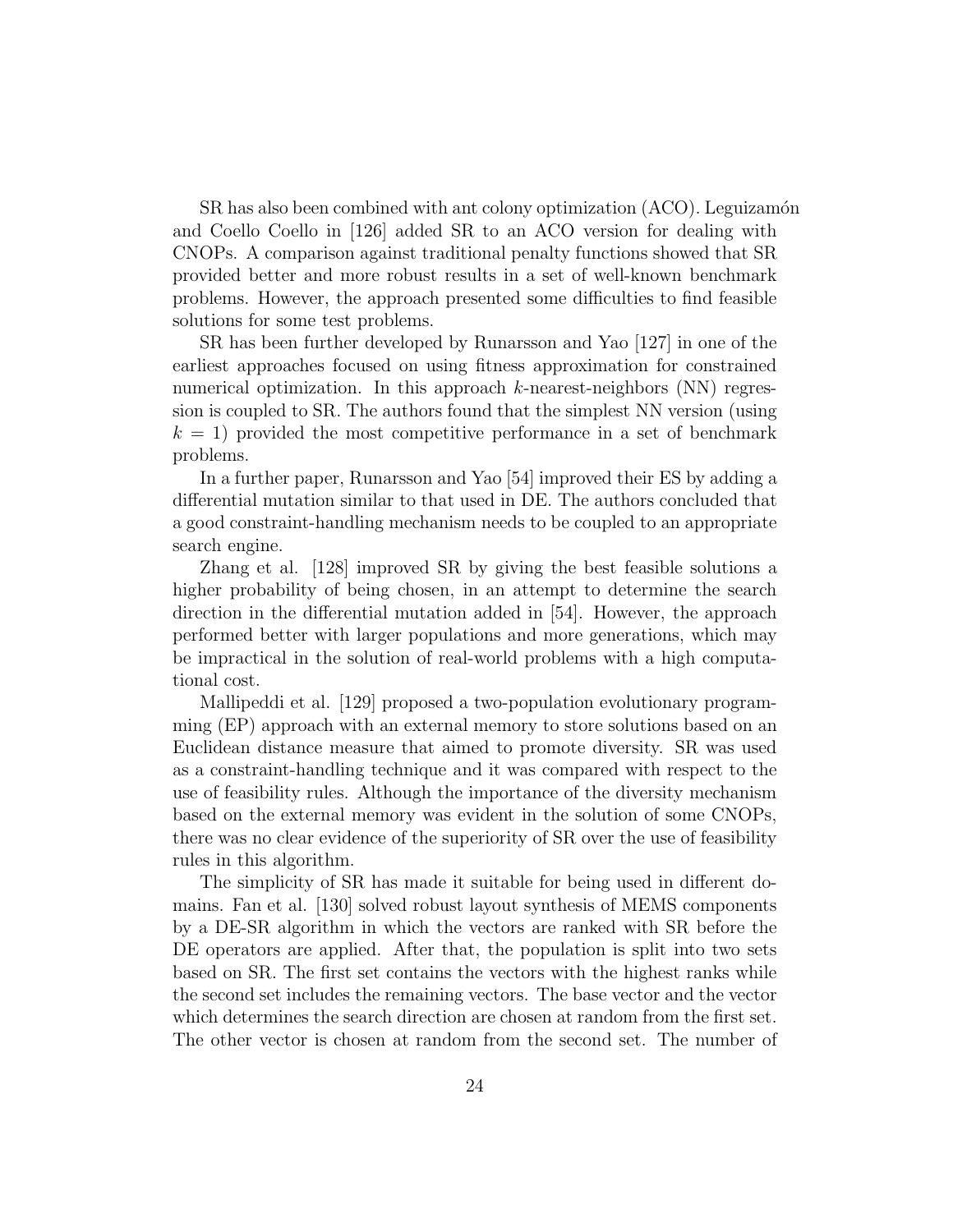SR has also been combined with ant colony optimization (ACO). Leguizamón and Coello Coello in [126] added SR to an ACO version for dealing with CNOPs. A comparison against traditional penalty functions showed that SR provided better and more robust results in a set of well-known benchmark problems. However, the approach presented some difficulties to find feasible solutions for some test problems.

SR has been further developed by Runarsson and Yao [127] in one of the earliest approaches focused on using fitness approximation for constrained numerical optimization. In this approach  $k$ -nearest-neighbors  $(NN)$  regression is coupled to SR. The authors found that the simplest NN version (using  $k = 1$ ) provided the most competitive performance in a set of benchmark problems.

In a further paper, Runarsson and Yao [54] improved their ES by adding a differential mutation similar to that used in DE. The authors concluded that a good constraint-handling mechanism needs to be coupled to an appropriate search engine.

Zhang et al. [128] improved SR by giving the best feasible solutions a higher probability of being chosen, in an attempt to determine the search direction in the differential mutation added in [54]. However, the approach performed better with larger populations and more generations, which may be impractical in the solution of real-world problems with a high computational cost.

Mallipeddi et al. [129] proposed a two-population evolutionary programming (EP) approach with an external memory to store solutions based on an Euclidean distance measure that aimed to promote diversity. SR was used as a constraint-handling technique and it was compared with respect to the use of feasibility rules. Although the importance of the diversity mechanism based on the external memory was evident in the solution of some CNOPs, there was no clear evidence of the superiority of SR over the use of feasibility rules in this algorithm.

The simplicity of SR has made it suitable for being used in different domains. Fan et al. [130] solved robust layout synthesis of MEMS components by a DE-SR algorithm in which the vectors are ranked with SR before the DE operators are applied. After that, the population is split into two sets based on SR. The first set contains the vectors with the highest ranks while the second set includes the remaining vectors. The base vector and the vector which determines the search direction are chosen at random from the first set. The other vector is chosen at random from the second set. The number of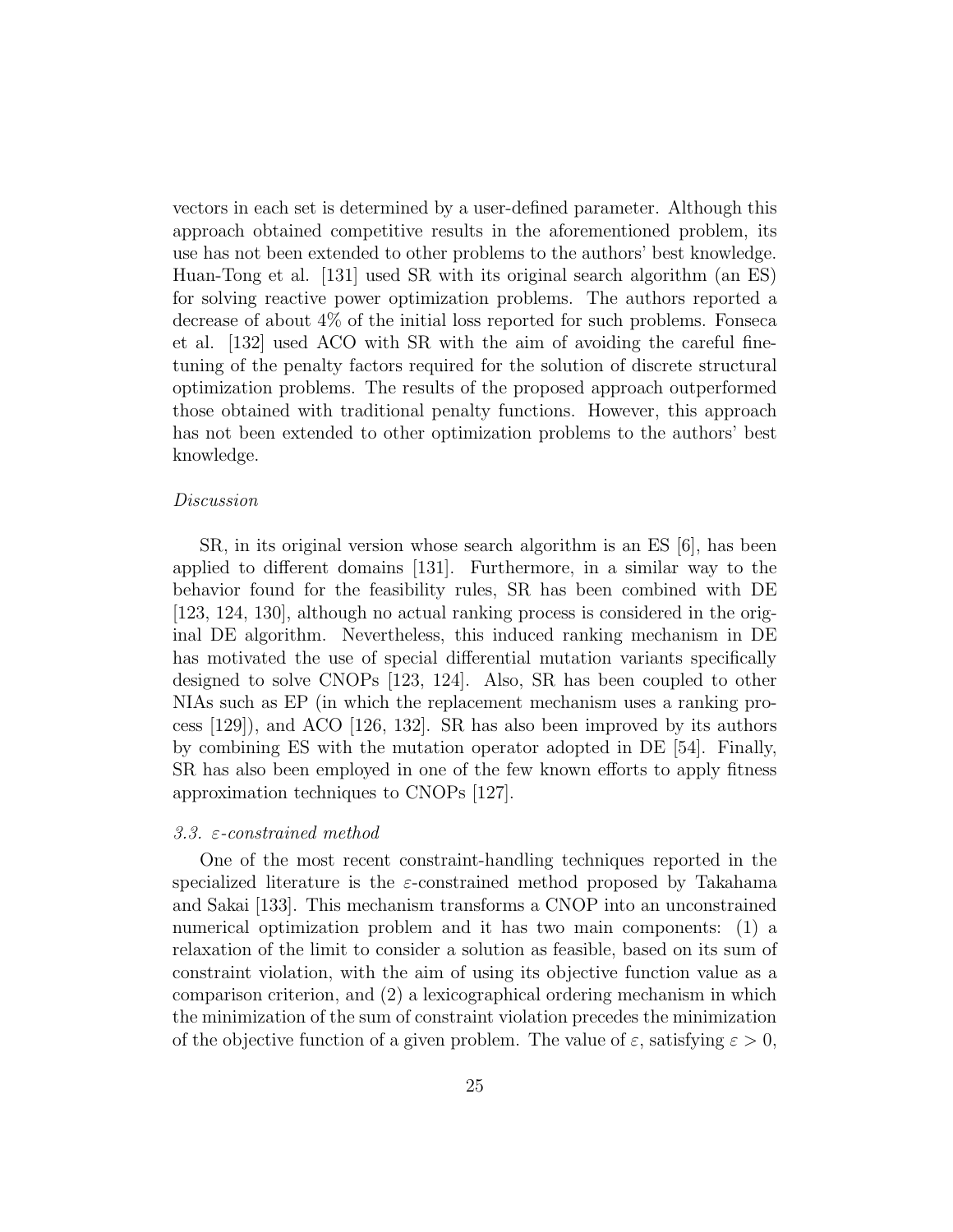vectors in each set is determined by a user-defined parameter. Although this approach obtained competitive results in the aforementioned problem, its use has not been extended to other problems to the authors' best knowledge. Huan-Tong et al. [131] used SR with its original search algorithm (an ES) for solving reactive power optimization problems. The authors reported a decrease of about 4% of the initial loss reported for such problems. Fonseca et al. [132] used ACO with SR with the aim of avoiding the careful finetuning of the penalty factors required for the solution of discrete structural optimization problems. The results of the proposed approach outperformed those obtained with traditional penalty functions. However, this approach has not been extended to other optimization problems to the authors' best knowledge.

#### *Discussion*

SR, in its original version whose search algorithm is an ES [6], has been applied to different domains [131]. Furthermore, in a similar way to the behavior found for the feasibility rules, SR has been combined with DE [123, 124, 130], although no actual ranking process is considered in the original DE algorithm. Nevertheless, this induced ranking mechanism in DE has motivated the use of special differential mutation variants specifically designed to solve CNOPs [123, 124]. Also, SR has been coupled to other NIAs such as EP (in which the replacement mechanism uses a ranking process [129]), and ACO [126, 132]. SR has also been improved by its authors by combining ES with the mutation operator adopted in DE [54]. Finally, SR has also been employed in one of the few known efforts to apply fitness approximation techniques to CNOPs [127].

#### *3.3.* ε*-constrained method*

One of the most recent constraint-handling techniques reported in the specialized literature is the  $\varepsilon$ -constrained method proposed by Takahama and Sakai [133]. This mechanism transforms a CNOP into an unconstrained numerical optimization problem and it has two main components: (1) a relaxation of the limit to consider a solution as feasible, based on its sum of constraint violation, with the aim of using its objective function value as a comparison criterion, and (2) a lexicographical ordering mechanism in which the minimization of the sum of constraint violation precedes the minimization of the objective function of a given problem. The value of  $\varepsilon$ , satisfying  $\varepsilon > 0$ ,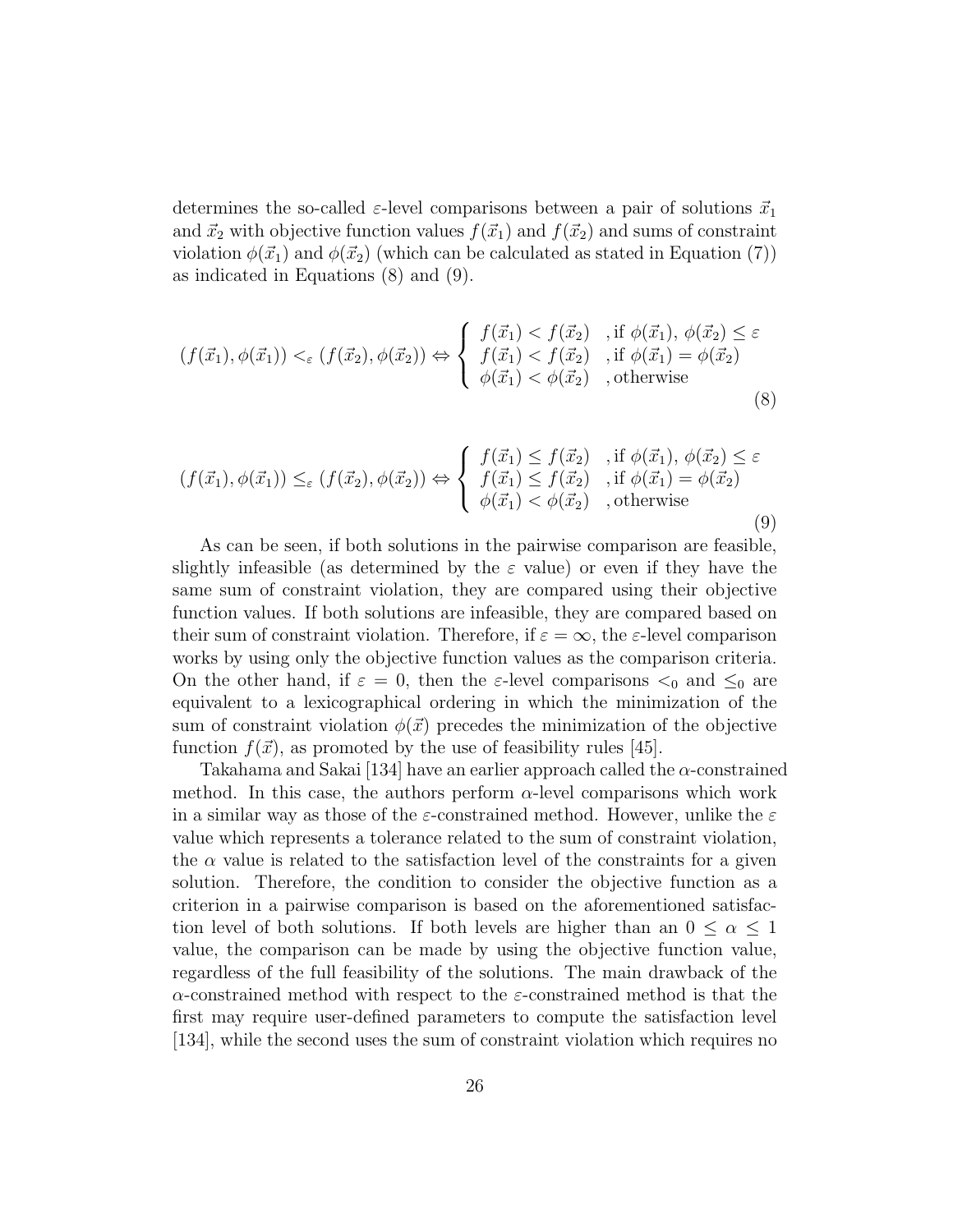determines the so-called  $\varepsilon$ -level comparisons between a pair of solutions  $\vec{x}_1$ and  $\vec{x}_2$  with objective function values  $f(\vec{x}_1)$  and  $f(\vec{x}_2)$  and sums of constraint violation  $\phi(\vec{x}_1)$  and  $\phi(\vec{x}_2)$  (which can be calculated as stated in Equation (7)) as indicated in Equations (8) and (9).

$$
(f(\vec{x}_1), \phi(\vec{x}_1)) <_{\varepsilon} (f(\vec{x}_2), \phi(\vec{x}_2)) \Leftrightarrow \begin{cases} f(\vec{x}_1) < f(\vec{x}_2) \\ f(\vec{x}_1) < f(\vec{x}_2) \\ \phi(\vec{x}_1) < \phi(\vec{x}_2) \end{cases}
$$
, if  $\phi(\vec{x}_1) = \phi(\vec{x}_2)$   
\n
$$
(8)
$$

$$
(f(\vec{x}_1), \phi(\vec{x}_1)) \leq_{\varepsilon} (f(\vec{x}_2), \phi(\vec{x}_2)) \Leftrightarrow \begin{cases} f(\vec{x}_1) \leq f(\vec{x}_2) & \text{, if } \phi(\vec{x}_1), \phi(\vec{x}_2) \leq \varepsilon \\ f(\vec{x}_1) \leq f(\vec{x}_2) & \text{, if } \phi(\vec{x}_1) = \phi(\vec{x}_2) \\ \phi(\vec{x}_1) < \phi(\vec{x}_2) & \text{, otherwise} \end{cases}
$$
\n
$$
(9)
$$

As can be seen, if both solutions in the pairwise comparison are feasible, slightly infeasible (as determined by the  $\varepsilon$  value) or even if they have the same sum of constraint violation, they are compared using their objective function values. If both solutions are infeasible, they are compared based on their sum of constraint violation. Therefore, if  $\varepsilon = \infty$ , the  $\varepsilon$ -level comparison works by using only the objective function values as the comparison criteria. On the other hand, if  $\varepsilon = 0$ , then the  $\varepsilon$ -level comparisons  $\leq_0$  and  $\leq_0$  are equivalent to a lexicographical ordering in which the minimization of the sum of constraint violation  $\phi(\vec{x})$  precedes the minimization of the objective function  $f(\vec{x})$ , as promoted by the use of feasibility rules [45].

Takahama and Sakai [134] have an earlier approach called the  $\alpha$ -constrained method. In this case, the authors perform  $\alpha$ -level comparisons which work in a similar way as those of the  $\varepsilon$ -constrained method. However, unlike the  $\varepsilon$ value which represents a tolerance related to the sum of constraint violation, the  $\alpha$  value is related to the satisfaction level of the constraints for a given solution. Therefore, the condition to consider the objective function as a criterion in a pairwise comparison is based on the aforementioned satisfaction level of both solutions. If both levels are higher than an  $0 \leq \alpha \leq 1$ value, the comparison can be made by using the objective function value, regardless of the full feasibility of the solutions. The main drawback of the  $\alpha$ -constrained method with respect to the *ε*-constrained method is that the first may require user-defined parameters to compute the satisfaction level [134], while the second uses the sum of constraint violation which requires no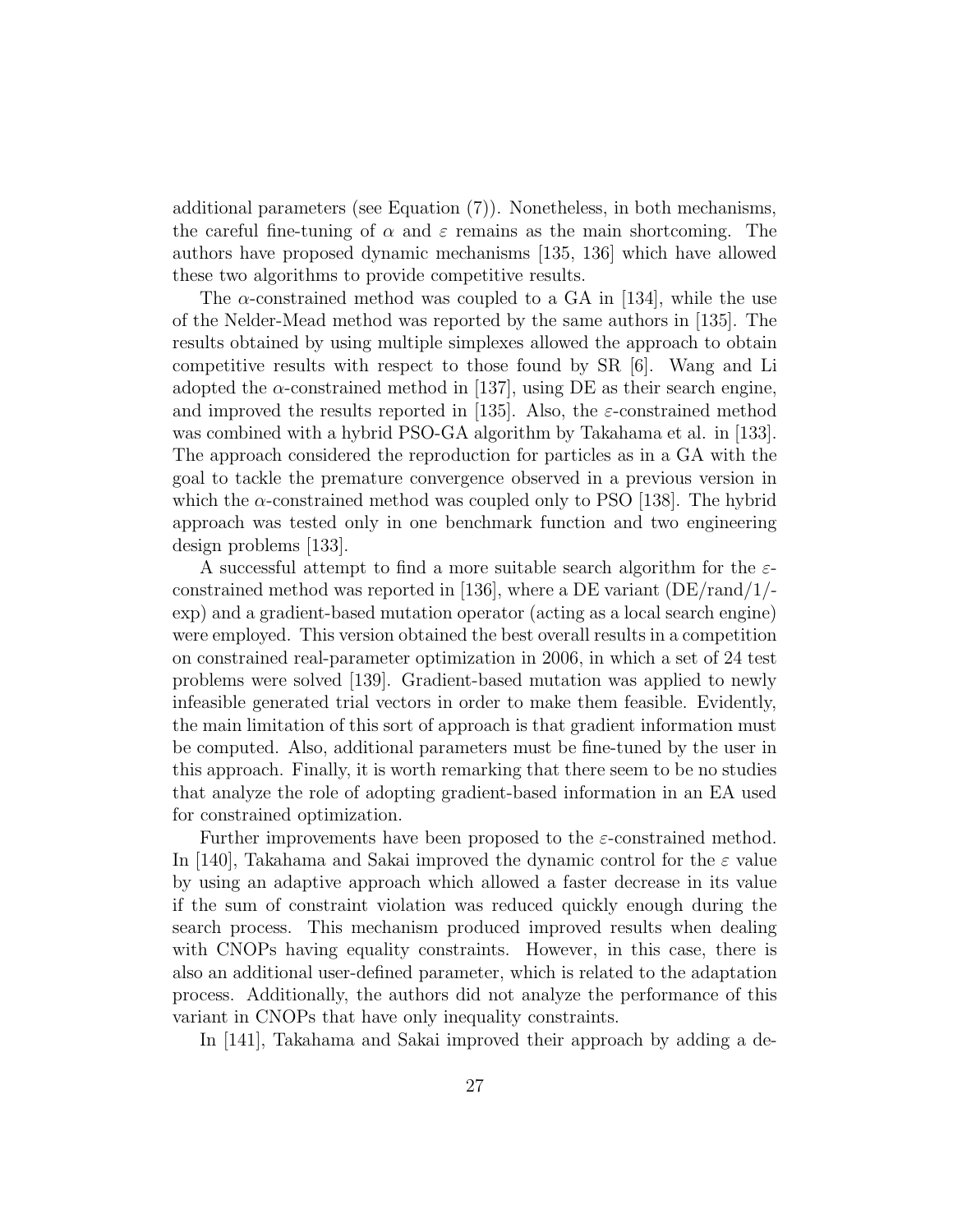additional parameters (see Equation (7)). Nonetheless, in both mechanisms, the careful fine-tuning of  $\alpha$  and  $\varepsilon$  remains as the main shortcoming. The authors have proposed dynamic mechanisms [135, 136] which have allowed these two algorithms to provide competitive results.

The  $\alpha$ -constrained method was coupled to a GA in [134], while the use of the Nelder-Mead method was reported by the same authors in [135]. The results obtained by using multiple simplexes allowed the approach to obtain competitive results with respect to those found by SR [6]. Wang and Li adopted the  $\alpha$ -constrained method in [137], using DE as their search engine, and improved the results reported in [135]. Also, the  $\varepsilon$ -constrained method was combined with a hybrid PSO-GA algorithm by Takahama et al. in [133]. The approach considered the reproduction for particles as in a GA with the goal to tackle the premature convergence observed in a previous version in which the  $\alpha$ -constrained method was coupled only to PSO [138]. The hybrid approach was tested only in one benchmark function and two engineering design problems [133].

A successful attempt to find a more suitable search algorithm for the  $\varepsilon$ constrained method was reported in [136], where a DE variant (DE/rand/1/ exp) and a gradient-based mutation operator (acting as a local search engine) were employed. This version obtained the best overall results in a competition on constrained real-parameter optimization in 2006, in which a set of 24 test problems were solved [139]. Gradient-based mutation was applied to newly infeasible generated trial vectors in order to make them feasible. Evidently, the main limitation of this sort of approach is that gradient information must be computed. Also, additional parameters must be fine-tuned by the user in this approach. Finally, it is worth remarking that there seem to be no studies that analyze the role of adopting gradient-based information in an EA used for constrained optimization.

Further improvements have been proposed to the  $\varepsilon$ -constrained method. In [140], Takahama and Sakai improved the dynamic control for the  $\varepsilon$  value by using an adaptive approach which allowed a faster decrease in its value if the sum of constraint violation was reduced quickly enough during the search process. This mechanism produced improved results when dealing with CNOPs having equality constraints. However, in this case, there is also an additional user-defined parameter, which is related to the adaptation process. Additionally, the authors did not analyze the performance of this variant in CNOPs that have only inequality constraints.

In [141], Takahama and Sakai improved their approach by adding a de-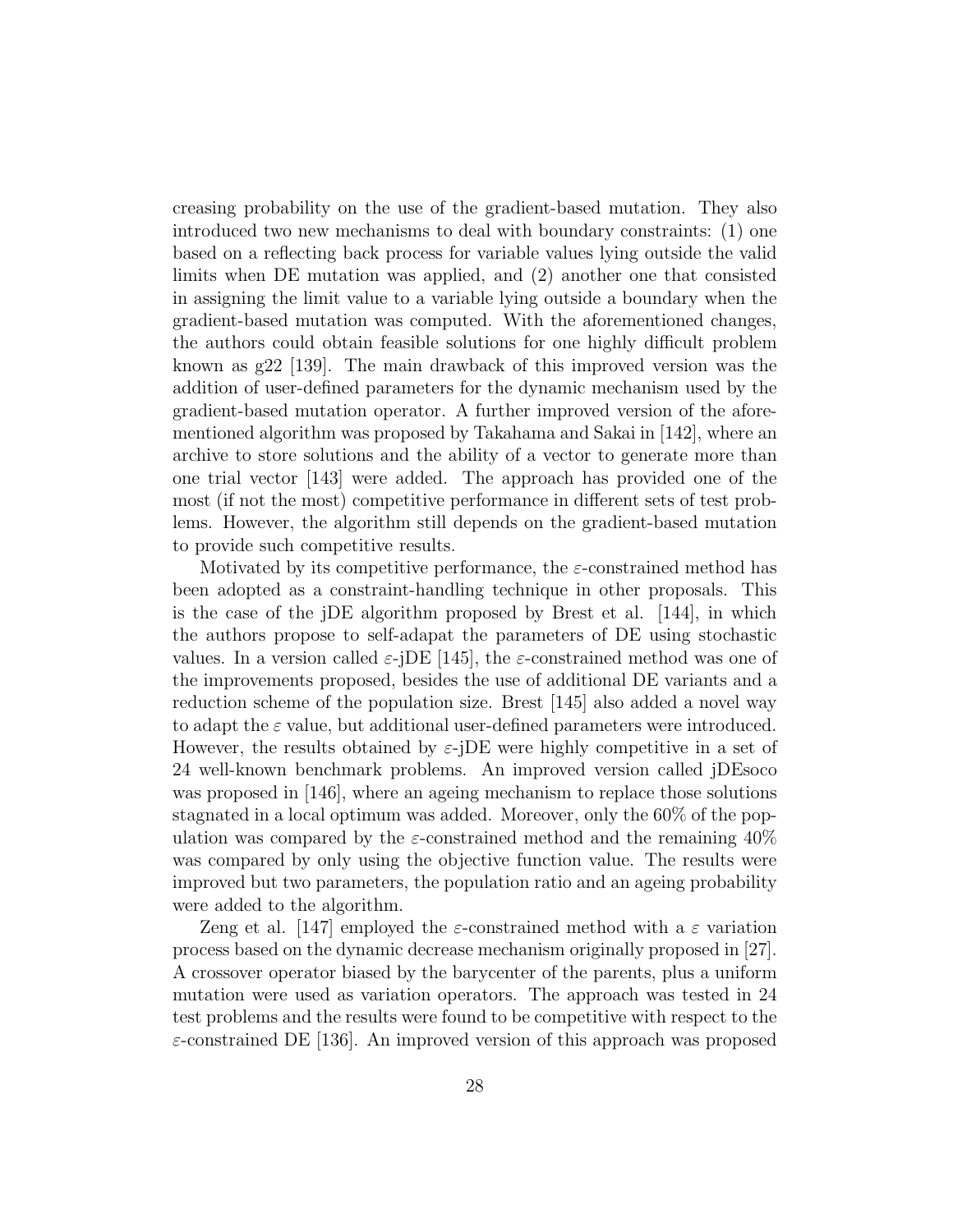creasing probability on the use of the gradient-based mutation. They also introduced two new mechanisms to deal with boundary constraints: (1) one based on a reflecting back process for variable values lying outside the valid limits when DE mutation was applied, and (2) another one that consisted in assigning the limit value to a variable lying outside a boundary when the gradient-based mutation was computed. With the aforementioned changes, the authors could obtain feasible solutions for one highly difficult problem known as g22 [139]. The main drawback of this improved version was the addition of user-defined parameters for the dynamic mechanism used by the gradient-based mutation operator. A further improved version of the aforementioned algorithm was proposed by Takahama and Sakai in [142], where an archive to store solutions and the ability of a vector to generate more than one trial vector [143] were added. The approach has provided one of the most (if not the most) competitive performance in different sets of test problems. However, the algorithm still depends on the gradient-based mutation to provide such competitive results.

Motivated by its competitive performance, the  $\varepsilon$ -constrained method has been adopted as a constraint-handling technique in other proposals. This is the case of the jDE algorithm proposed by Brest et al. [144], in which the authors propose to self-adapat the parameters of DE using stochastic values. In a version called  $\varepsilon$ -jDE [145], the  $\varepsilon$ -constrained method was one of the improvements proposed, besides the use of additional DE variants and a reduction scheme of the population size. Brest [145] also added a novel way to adapt the  $\varepsilon$  value, but additional user-defined parameters were introduced. However, the results obtained by  $\varepsilon$ -jDE were highly competitive in a set of 24 well-known benchmark problems. An improved version called jDEsoco was proposed in [146], where an ageing mechanism to replace those solutions stagnated in a local optimum was added. Moreover, only the 60% of the population was compared by the  $\varepsilon$ -constrained method and the remaining  $40\%$ was compared by only using the objective function value. The results were improved but two parameters, the population ratio and an ageing probability were added to the algorithm.

Zeng et al. [147] employed the  $\varepsilon$ -constrained method with a  $\varepsilon$  variation process based on the dynamic decrease mechanism originally proposed in [27]. A crossover operator biased by the barycenter of the parents, plus a uniform mutation were used as variation operators. The approach was tested in 24 test problems and the results were found to be competitive with respect to the  $\varepsilon$ -constrained DE [136]. An improved version of this approach was proposed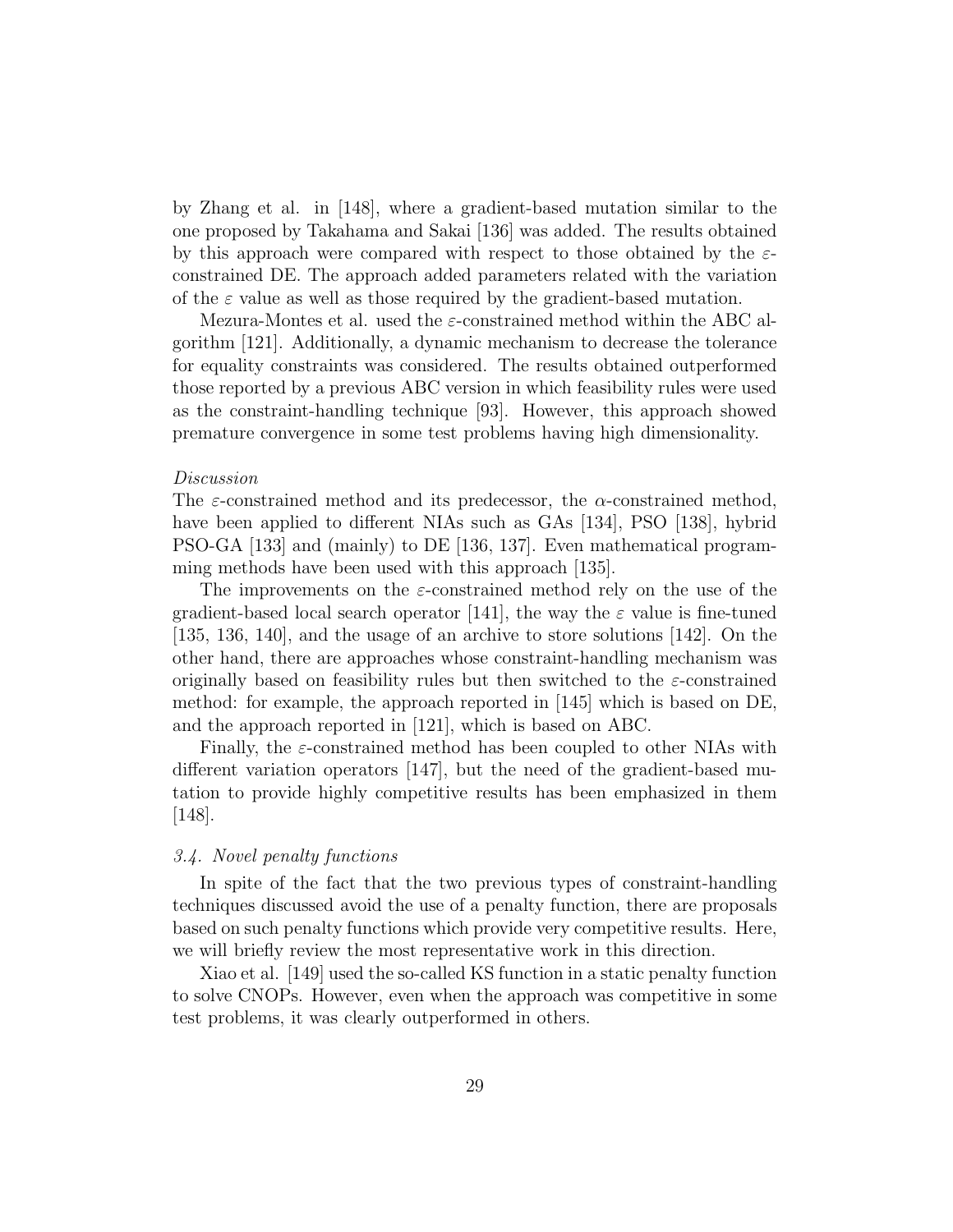by Zhang et al. in [148], where a gradient-based mutation similar to the one proposed by Takahama and Sakai [136] was added. The results obtained by this approach were compared with respect to those obtained by the  $\varepsilon$ constrained DE. The approach added parameters related with the variation of the  $\varepsilon$  value as well as those required by the gradient-based mutation.

Mezura-Montes et al. used the  $\varepsilon$ -constrained method within the ABC algorithm [121]. Additionally, a dynamic mechanism to decrease the tolerance for equality constraints was considered. The results obtained outperformed those reported by a previous ABC version in which feasibility rules were used as the constraint-handling technique [93]. However, this approach showed premature convergence in some test problems having high dimensionality.

# *Discussion*

The  $\varepsilon$ -constrained method and its predecessor, the  $\alpha$ -constrained method, have been applied to different NIAs such as GAs [134], PSO [138], hybrid PSO-GA [133] and (mainly) to DE [136, 137]. Even mathematical programming methods have been used with this approach [135].

The improvements on the  $\varepsilon$ -constrained method rely on the use of the gradient-based local search operator [141], the way the  $\varepsilon$  value is fine-tuned [135, 136, 140], and the usage of an archive to store solutions [142]. On the other hand, there are approaches whose constraint-handling mechanism was originally based on feasibility rules but then switched to the  $\varepsilon$ -constrained method: for example, the approach reported in [145] which is based on DE, and the approach reported in [121], which is based on ABC.

Finally, the  $\varepsilon$ -constrained method has been coupled to other NIAs with different variation operators [147], but the need of the gradient-based mutation to provide highly competitive results has been emphasized in them [148].

## *3.4. Novel penalty functions*

In spite of the fact that the two previous types of constraint-handling techniques discussed avoid the use of a penalty function, there are proposals based on such penalty functions which provide very competitive results. Here, we will briefly review the most representative work in this direction.

Xiao et al. [149] used the so-called KS function in a static penalty function to solve CNOPs. However, even when the approach was competitive in some test problems, it was clearly outperformed in others.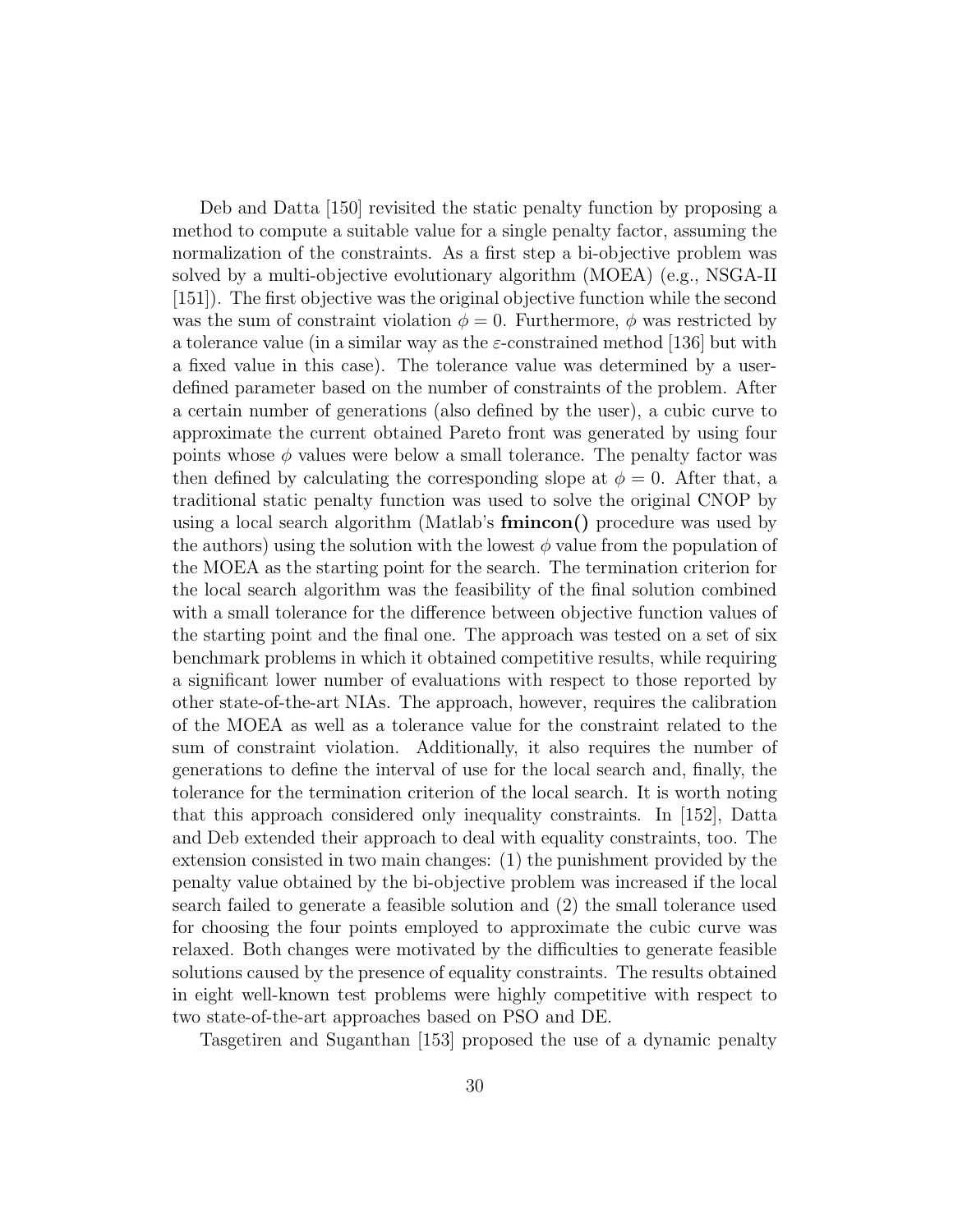Deb and Datta [150] revisited the static penalty function by proposing a method to compute a suitable value for a single penalty factor, assuming the normalization of the constraints. As a first step a bi-objective problem was solved by a multi-objective evolutionary algorithm (MOEA) (e.g., NSGA-II [151]). The first objective was the original objective function while the second was the sum of constraint violation  $\phi = 0$ . Furthermore,  $\phi$  was restricted by a tolerance value (in a similar way as the  $\varepsilon$ -constrained method [136] but with a fixed value in this case). The tolerance value was determined by a userdefined parameter based on the number of constraints of the problem. After a certain number of generations (also defined by the user), a cubic curve to approximate the current obtained Pareto front was generated by using four points whose  $\phi$  values were below a small tolerance. The penalty factor was then defined by calculating the corresponding slope at  $\phi = 0$ . After that, a traditional static penalty function was used to solve the original CNOP by using a local search algorithm (Matlab's fmincon() procedure was used by the authors) using the solution with the lowest  $\phi$  value from the population of the MOEA as the starting point for the search. The termination criterion for the local search algorithm was the feasibility of the final solution combined with a small tolerance for the difference between objective function values of the starting point and the final one. The approach was tested on a set of six benchmark problems in which it obtained competitive results, while requiring a significant lower number of evaluations with respect to those reported by other state-of-the-art NIAs. The approach, however, requires the calibration of the MOEA as well as a tolerance value for the constraint related to the sum of constraint violation. Additionally, it also requires the number of generations to define the interval of use for the local search and, finally, the tolerance for the termination criterion of the local search. It is worth noting that this approach considered only inequality constraints. In [152], Datta and Deb extended their approach to deal with equality constraints, too. The extension consisted in two main changes: (1) the punishment provided by the penalty value obtained by the bi-objective problem was increased if the local search failed to generate a feasible solution and (2) the small tolerance used for choosing the four points employed to approximate the cubic curve was relaxed. Both changes were motivated by the difficulties to generate feasible solutions caused by the presence of equality constraints. The results obtained in eight well-known test problems were highly competitive with respect to two state-of-the-art approaches based on PSO and DE.

Tasgetiren and Suganthan [153] proposed the use of a dynamic penalty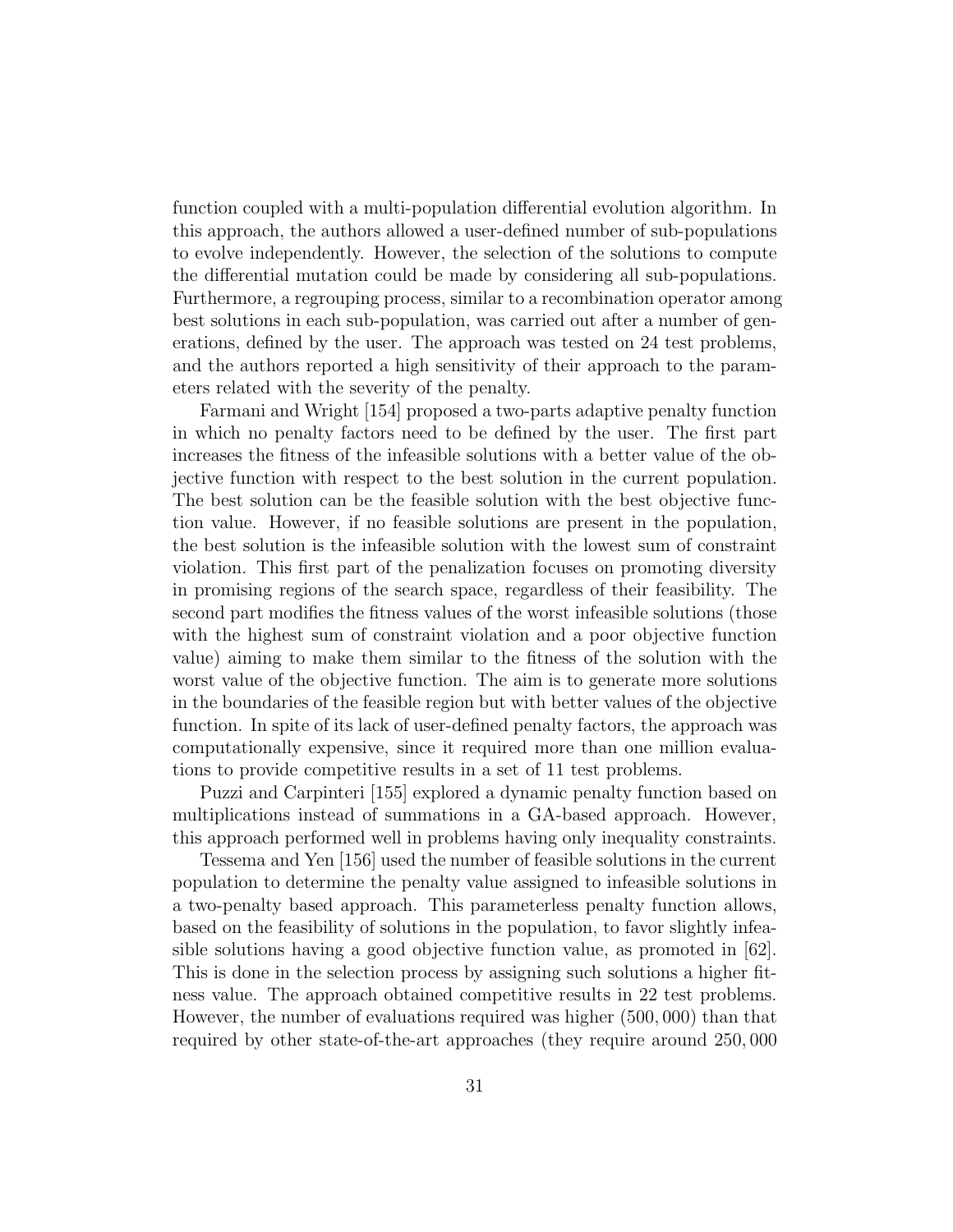function coupled with a multi-population differential evolution algorithm. In this approach, the authors allowed a user-defined number of sub-populations to evolve independently. However, the selection of the solutions to compute the differential mutation could be made by considering all sub-populations. Furthermore, a regrouping process, similar to a recombination operator among best solutions in each sub-population, was carried out after a number of generations, defined by the user. The approach was tested on 24 test problems, and the authors reported a high sensitivity of their approach to the parameters related with the severity of the penalty.

Farmani and Wright [154] proposed a two-parts adaptive penalty function in which no penalty factors need to be defined by the user. The first part increases the fitness of the infeasible solutions with a better value of the objective function with respect to the best solution in the current population. The best solution can be the feasible solution with the best objective function value. However, if no feasible solutions are present in the population, the best solution is the infeasible solution with the lowest sum of constraint violation. This first part of the penalization focuses on promoting diversity in promising regions of the search space, regardless of their feasibility. The second part modifies the fitness values of the worst infeasible solutions (those with the highest sum of constraint violation and a poor objective function value) aiming to make them similar to the fitness of the solution with the worst value of the objective function. The aim is to generate more solutions in the boundaries of the feasible region but with better values of the objective function. In spite of its lack of user-defined penalty factors, the approach was computationally expensive, since it required more than one million evaluations to provide competitive results in a set of 11 test problems.

Puzzi and Carpinteri [155] explored a dynamic penalty function based on multiplications instead of summations in a GA-based approach. However, this approach performed well in problems having only inequality constraints.

Tessema and Yen [156] used the number of feasible solutions in the current population to determine the penalty value assigned to infeasible solutions in a two-penalty based approach. This parameterless penalty function allows, based on the feasibility of solutions in the population, to favor slightly infeasible solutions having a good objective function value, as promoted in [62]. This is done in the selection process by assigning such solutions a higher fitness value. The approach obtained competitive results in 22 test problems. However, the number of evaluations required was higher (500, 000) than that required by other state-of-the-art approaches (they require around 250, 000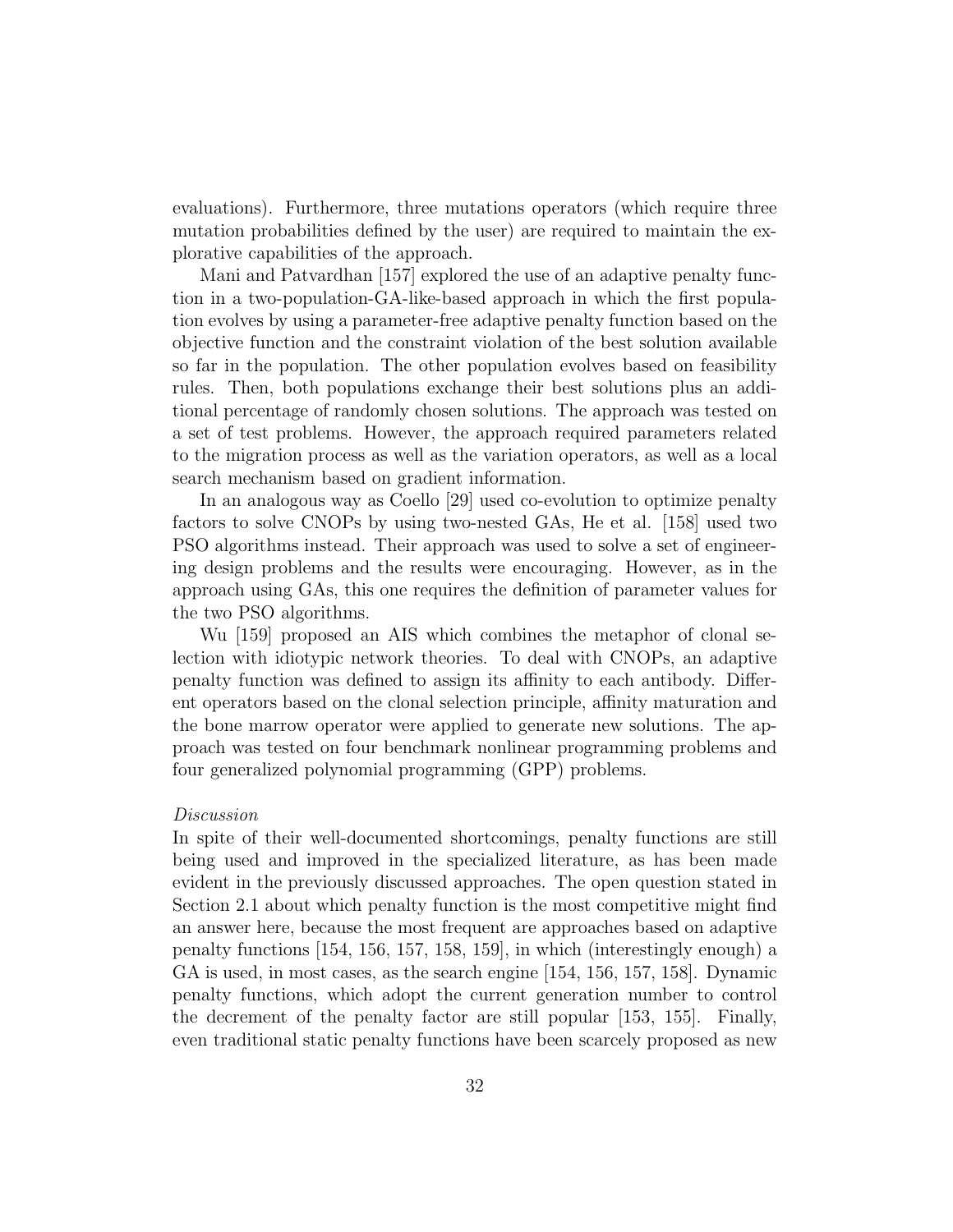evaluations). Furthermore, three mutations operators (which require three mutation probabilities defined by the user) are required to maintain the explorative capabilities of the approach.

Mani and Patvardhan [157] explored the use of an adaptive penalty function in a two-population-GA-like-based approach in which the first population evolves by using a parameter-free adaptive penalty function based on the objective function and the constraint violation of the best solution available so far in the population. The other population evolves based on feasibility rules. Then, both populations exchange their best solutions plus an additional percentage of randomly chosen solutions. The approach was tested on a set of test problems. However, the approach required parameters related to the migration process as well as the variation operators, as well as a local search mechanism based on gradient information.

In an analogous way as Coello [29] used co-evolution to optimize penalty factors to solve CNOPs by using two-nested GAs, He et al. [158] used two PSO algorithms instead. Their approach was used to solve a set of engineering design problems and the results were encouraging. However, as in the approach using GAs, this one requires the definition of parameter values for the two PSO algorithms.

Wu [159] proposed an AIS which combines the metaphor of clonal selection with idiotypic network theories. To deal with CNOPs, an adaptive penalty function was defined to assign its affinity to each antibody. Different operators based on the clonal selection principle, affinity maturation and the bone marrow operator were applied to generate new solutions. The approach was tested on four benchmark nonlinear programming problems and four generalized polynomial programming (GPP) problems.

## *Discussion*

In spite of their well-documented shortcomings, penalty functions are still being used and improved in the specialized literature, as has been made evident in the previously discussed approaches. The open question stated in Section 2.1 about which penalty function is the most competitive might find an answer here, because the most frequent are approaches based on adaptive penalty functions [154, 156, 157, 158, 159], in which (interestingly enough) a GA is used, in most cases, as the search engine [154, 156, 157, 158]. Dynamic penalty functions, which adopt the current generation number to control the decrement of the penalty factor are still popular [153, 155]. Finally, even traditional static penalty functions have been scarcely proposed as new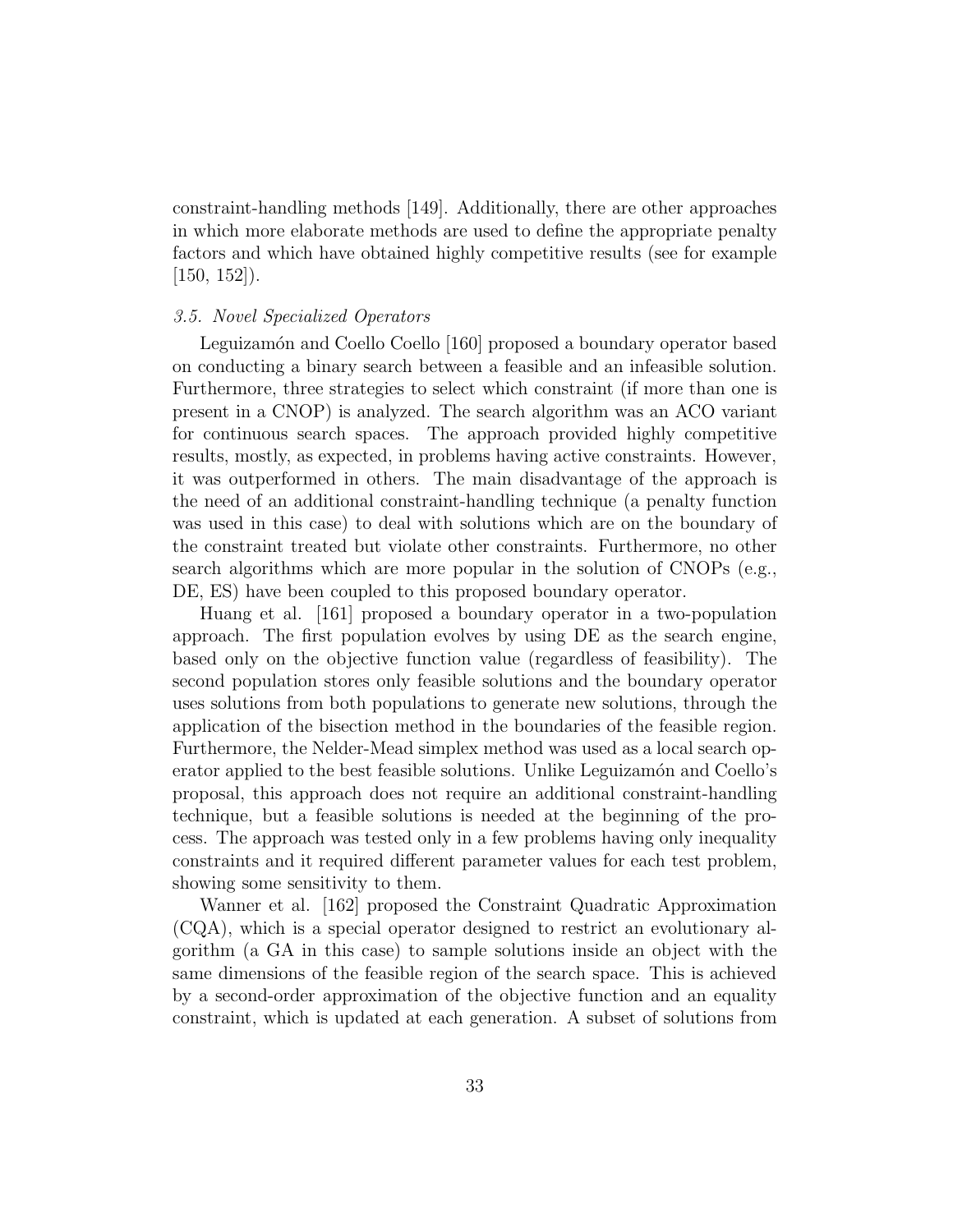constraint-handling methods [149]. Additionally, there are other approaches in which more elaborate methods are used to define the appropriate penalty factors and which have obtained highly competitive results (see for example  $[150, 152]$ .

# *3.5. Novel Specialized Operators*

Leguizamón and Coello Coello [160] proposed a boundary operator based on conducting a binary search between a feasible and an infeasible solution. Furthermore, three strategies to select which constraint (if more than one is present in a CNOP) is analyzed. The search algorithm was an ACO variant for continuous search spaces. The approach provided highly competitive results, mostly, as expected, in problems having active constraints. However, it was outperformed in others. The main disadvantage of the approach is the need of an additional constraint-handling technique (a penalty function was used in this case) to deal with solutions which are on the boundary of the constraint treated but violate other constraints. Furthermore, no other search algorithms which are more popular in the solution of CNOPs (e.g., DE, ES) have been coupled to this proposed boundary operator.

Huang et al. [161] proposed a boundary operator in a two-population approach. The first population evolves by using DE as the search engine, based only on the objective function value (regardless of feasibility). The second population stores only feasible solutions and the boundary operator uses solutions from both populations to generate new solutions, through the application of the bisection method in the boundaries of the feasible region. Furthermore, the Nelder-Mead simplex method was used as a local search operator applied to the best feasible solutions. Unlike Leguizamón and Coello's proposal, this approach does not require an additional constraint-handling technique, but a feasible solutions is needed at the beginning of the process. The approach was tested only in a few problems having only inequality constraints and it required different parameter values for each test problem, showing some sensitivity to them.

Wanner et al. [162] proposed the Constraint Quadratic Approximation (CQA), which is a special operator designed to restrict an evolutionary algorithm (a GA in this case) to sample solutions inside an object with the same dimensions of the feasible region of the search space. This is achieved by a second-order approximation of the objective function and an equality constraint, which is updated at each generation. A subset of solutions from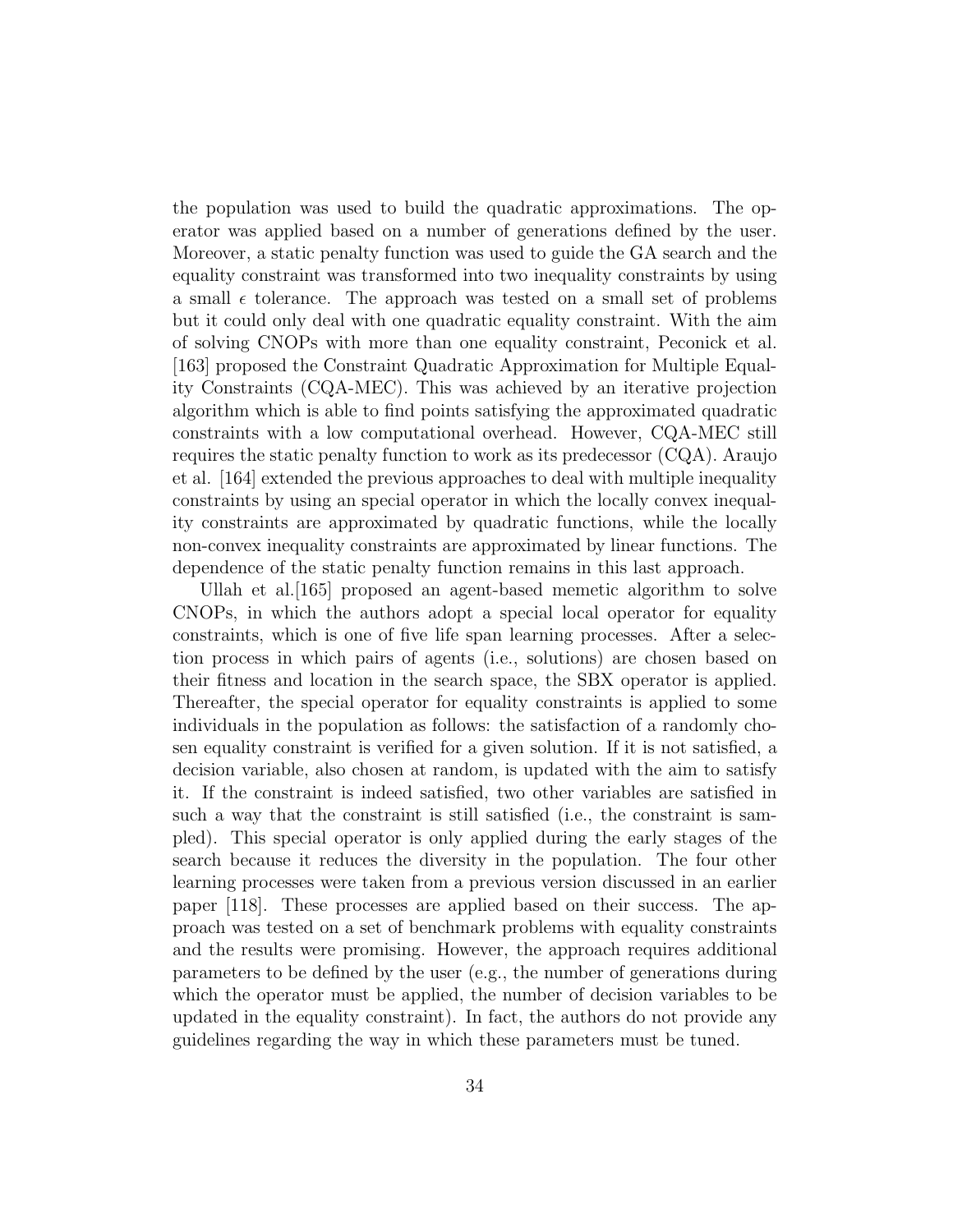the population was used to build the quadratic approximations. The operator was applied based on a number of generations defined by the user. Moreover, a static penalty function was used to guide the GA search and the equality constraint was transformed into two inequality constraints by using a small  $\epsilon$  tolerance. The approach was tested on a small set of problems but it could only deal with one quadratic equality constraint. With the aim of solving CNOPs with more than one equality constraint, Peconick et al. [163] proposed the Constraint Quadratic Approximation for Multiple Equality Constraints (CQA-MEC). This was achieved by an iterative projection algorithm which is able to find points satisfying the approximated quadratic constraints with a low computational overhead. However, CQA-MEC still requires the static penalty function to work as its predecessor (CQA). Araujo et al. [164] extended the previous approaches to deal with multiple inequality constraints by using an special operator in which the locally convex inequality constraints are approximated by quadratic functions, while the locally non-convex inequality constraints are approximated by linear functions. The dependence of the static penalty function remains in this last approach.

Ullah et al.[165] proposed an agent-based memetic algorithm to solve CNOPs, in which the authors adopt a special local operator for equality constraints, which is one of five life span learning processes. After a selection process in which pairs of agents (i.e., solutions) are chosen based on their fitness and location in the search space, the SBX operator is applied. Thereafter, the special operator for equality constraints is applied to some individuals in the population as follows: the satisfaction of a randomly chosen equality constraint is verified for a given solution. If it is not satisfied, a decision variable, also chosen at random, is updated with the aim to satisfy it. If the constraint is indeed satisfied, two other variables are satisfied in such a way that the constraint is still satisfied (i.e., the constraint is sampled). This special operator is only applied during the early stages of the search because it reduces the diversity in the population. The four other learning processes were taken from a previous version discussed in an earlier paper [118]. These processes are applied based on their success. The approach was tested on a set of benchmark problems with equality constraints and the results were promising. However, the approach requires additional parameters to be defined by the user (e.g., the number of generations during which the operator must be applied, the number of decision variables to be updated in the equality constraint). In fact, the authors do not provide any guidelines regarding the way in which these parameters must be tuned.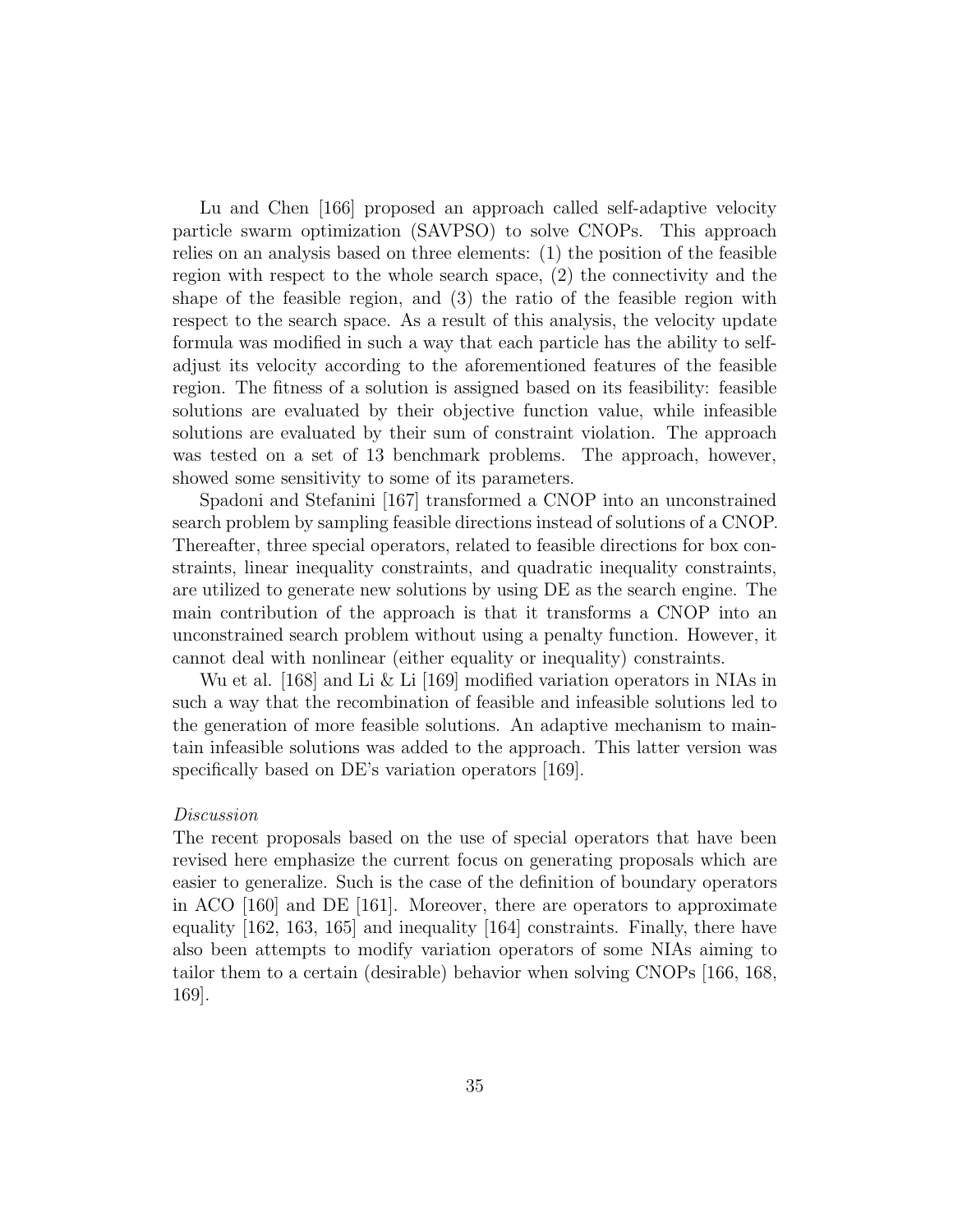Lu and Chen [166] proposed an approach called self-adaptive velocity particle swarm optimization (SAVPSO) to solve CNOPs. This approach relies on an analysis based on three elements: (1) the position of the feasible region with respect to the whole search space, (2) the connectivity and the shape of the feasible region, and (3) the ratio of the feasible region with respect to the search space. As a result of this analysis, the velocity update formula was modified in such a way that each particle has the ability to selfadjust its velocity according to the aforementioned features of the feasible region. The fitness of a solution is assigned based on its feasibility: feasible solutions are evaluated by their objective function value, while infeasible solutions are evaluated by their sum of constraint violation. The approach was tested on a set of 13 benchmark problems. The approach, however, showed some sensitivity to some of its parameters.

Spadoni and Stefanini [167] transformed a CNOP into an unconstrained search problem by sampling feasible directions instead of solutions of a CNOP. Thereafter, three special operators, related to feasible directions for box constraints, linear inequality constraints, and quadratic inequality constraints, are utilized to generate new solutions by using DE as the search engine. The main contribution of the approach is that it transforms a CNOP into an unconstrained search problem without using a penalty function. However, it cannot deal with nonlinear (either equality or inequality) constraints.

Wu et al. [168] and Li & Li [169] modified variation operators in NIAs in such a way that the recombination of feasible and infeasible solutions led to the generation of more feasible solutions. An adaptive mechanism to maintain infeasible solutions was added to the approach. This latter version was specifically based on DE's variation operators [169].

#### *Discussion*

The recent proposals based on the use of special operators that have been revised here emphasize the current focus on generating proposals which are easier to generalize. Such is the case of the definition of boundary operators in ACO [160] and DE [161]. Moreover, there are operators to approximate equality  $[162, 163, 165]$  and inequality  $[164]$  constraints. Finally, there have also been attempts to modify variation operators of some NIAs aiming to tailor them to a certain (desirable) behavior when solving CNOPs [166, 168, 169].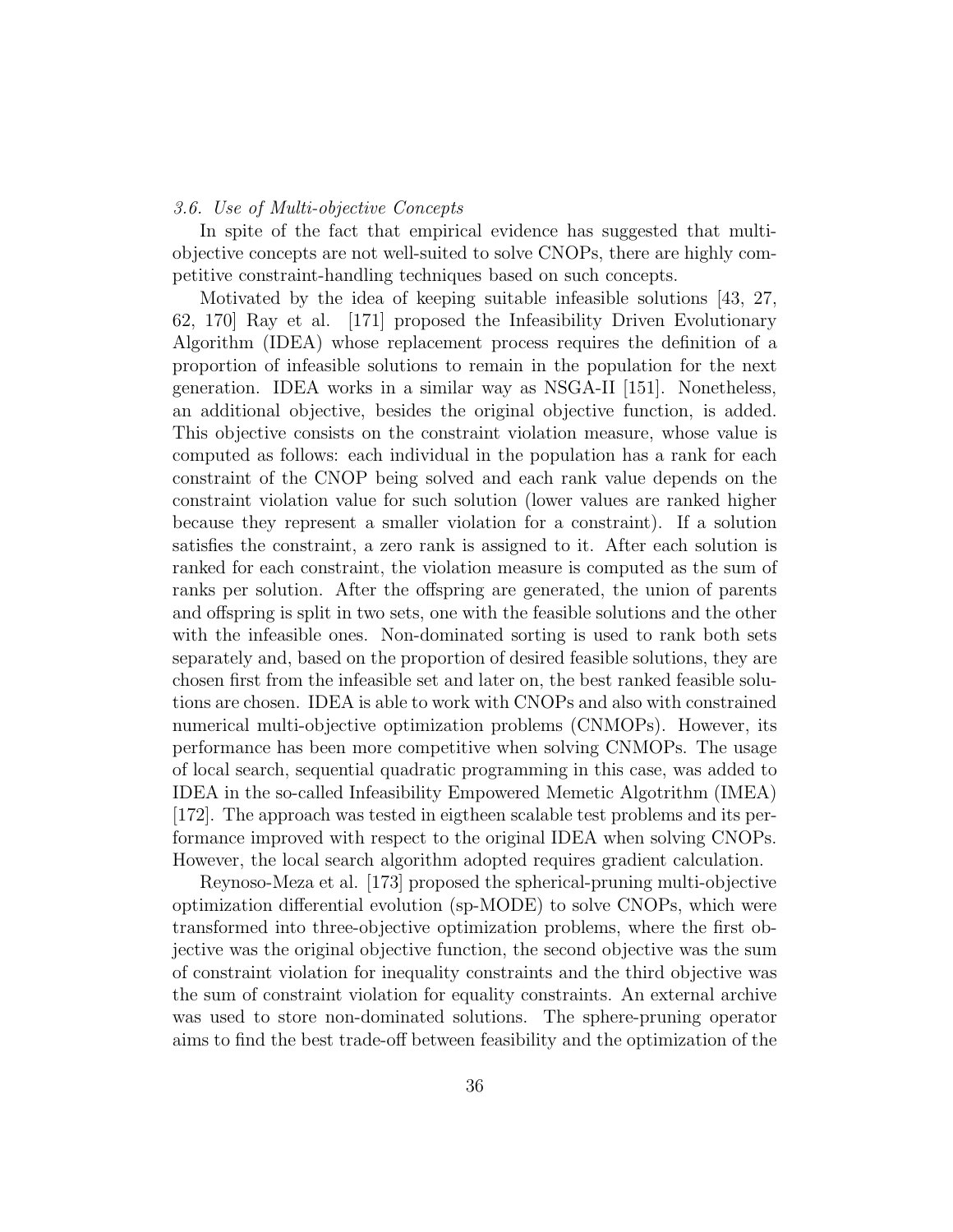#### *3.6. Use of Multi-objective Concepts*

In spite of the fact that empirical evidence has suggested that multiobjective concepts are not well-suited to solve CNOPs, there are highly competitive constraint-handling techniques based on such concepts.

Motivated by the idea of keeping suitable infeasible solutions [43, 27, 62, 170] Ray et al. [171] proposed the Infeasibility Driven Evolutionary Algorithm (IDEA) whose replacement process requires the definition of a proportion of infeasible solutions to remain in the population for the next generation. IDEA works in a similar way as NSGA-II [151]. Nonetheless, an additional objective, besides the original objective function, is added. This objective consists on the constraint violation measure, whose value is computed as follows: each individual in the population has a rank for each constraint of the CNOP being solved and each rank value depends on the constraint violation value for such solution (lower values are ranked higher because they represent a smaller violation for a constraint). If a solution satisfies the constraint, a zero rank is assigned to it. After each solution is ranked for each constraint, the violation measure is computed as the sum of ranks per solution. After the offspring are generated, the union of parents and offspring is split in two sets, one with the feasible solutions and the other with the infeasible ones. Non-dominated sorting is used to rank both sets separately and, based on the proportion of desired feasible solutions, they are chosen first from the infeasible set and later on, the best ranked feasible solutions are chosen. IDEA is able to work with CNOPs and also with constrained numerical multi-objective optimization problems (CNMOPs). However, its performance has been more competitive when solving CNMOPs. The usage of local search, sequential quadratic programming in this case, was added to IDEA in the so-called Infeasibility Empowered Memetic Algotrithm (IMEA) [172]. The approach was tested in eigtheen scalable test problems and its performance improved with respect to the original IDEA when solving CNOPs. However, the local search algorithm adopted requires gradient calculation.

Reynoso-Meza et al. [173] proposed the spherical-pruning multi-objective optimization differential evolution (sp-MODE) to solve CNOPs, which were transformed into three-objective optimization problems, where the first objective was the original objective function, the second objective was the sum of constraint violation for inequality constraints and the third objective was the sum of constraint violation for equality constraints. An external archive was used to store non-dominated solutions. The sphere-pruning operator aims to find the best trade-off between feasibility and the optimization of the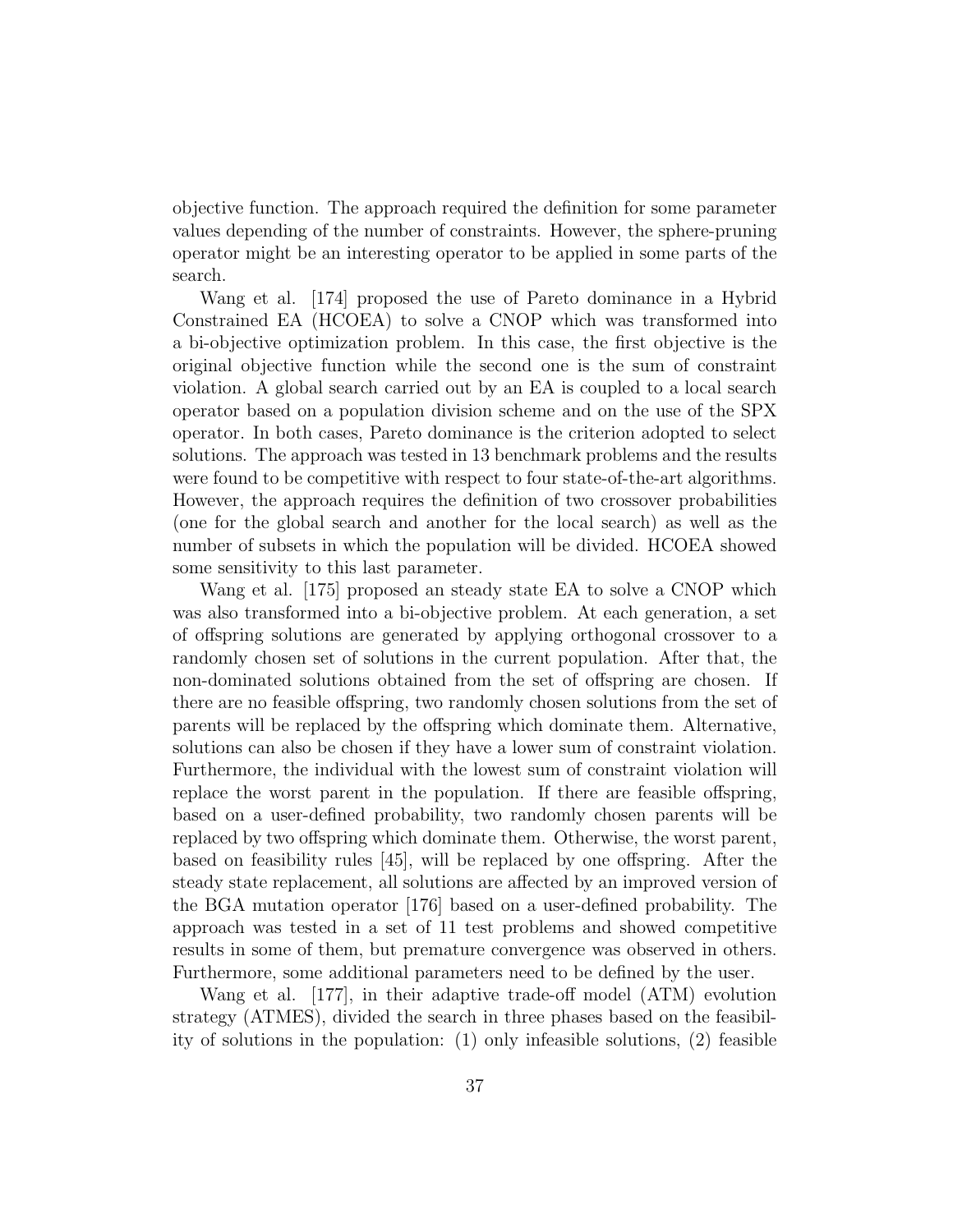objective function. The approach required the definition for some parameter values depending of the number of constraints. However, the sphere-pruning operator might be an interesting operator to be applied in some parts of the search.

Wang et al. [174] proposed the use of Pareto dominance in a Hybrid Constrained EA (HCOEA) to solve a CNOP which was transformed into a bi-objective optimization problem. In this case, the first objective is the original objective function while the second one is the sum of constraint violation. A global search carried out by an EA is coupled to a local search operator based on a population division scheme and on the use of the SPX operator. In both cases, Pareto dominance is the criterion adopted to select solutions. The approach was tested in 13 benchmark problems and the results were found to be competitive with respect to four state-of-the-art algorithms. However, the approach requires the definition of two crossover probabilities (one for the global search and another for the local search) as well as the number of subsets in which the population will be divided. HCOEA showed some sensitivity to this last parameter.

Wang et al. [175] proposed an steady state EA to solve a CNOP which was also transformed into a bi-objective problem. At each generation, a set of offspring solutions are generated by applying orthogonal crossover to a randomly chosen set of solutions in the current population. After that, the non-dominated solutions obtained from the set of offspring are chosen. If there are no feasible offspring, two randomly chosen solutions from the set of parents will be replaced by the offspring which dominate them. Alternative, solutions can also be chosen if they have a lower sum of constraint violation. Furthermore, the individual with the lowest sum of constraint violation will replace the worst parent in the population. If there are feasible offspring, based on a user-defined probability, two randomly chosen parents will be replaced by two offspring which dominate them. Otherwise, the worst parent, based on feasibility rules [45], will be replaced by one offspring. After the steady state replacement, all solutions are affected by an improved version of the BGA mutation operator [176] based on a user-defined probability. The approach was tested in a set of 11 test problems and showed competitive results in some of them, but premature convergence was observed in others. Furthermore, some additional parameters need to be defined by the user.

Wang et al. [177], in their adaptive trade-off model (ATM) evolution strategy (ATMES), divided the search in three phases based on the feasibility of solutions in the population: (1) only infeasible solutions, (2) feasible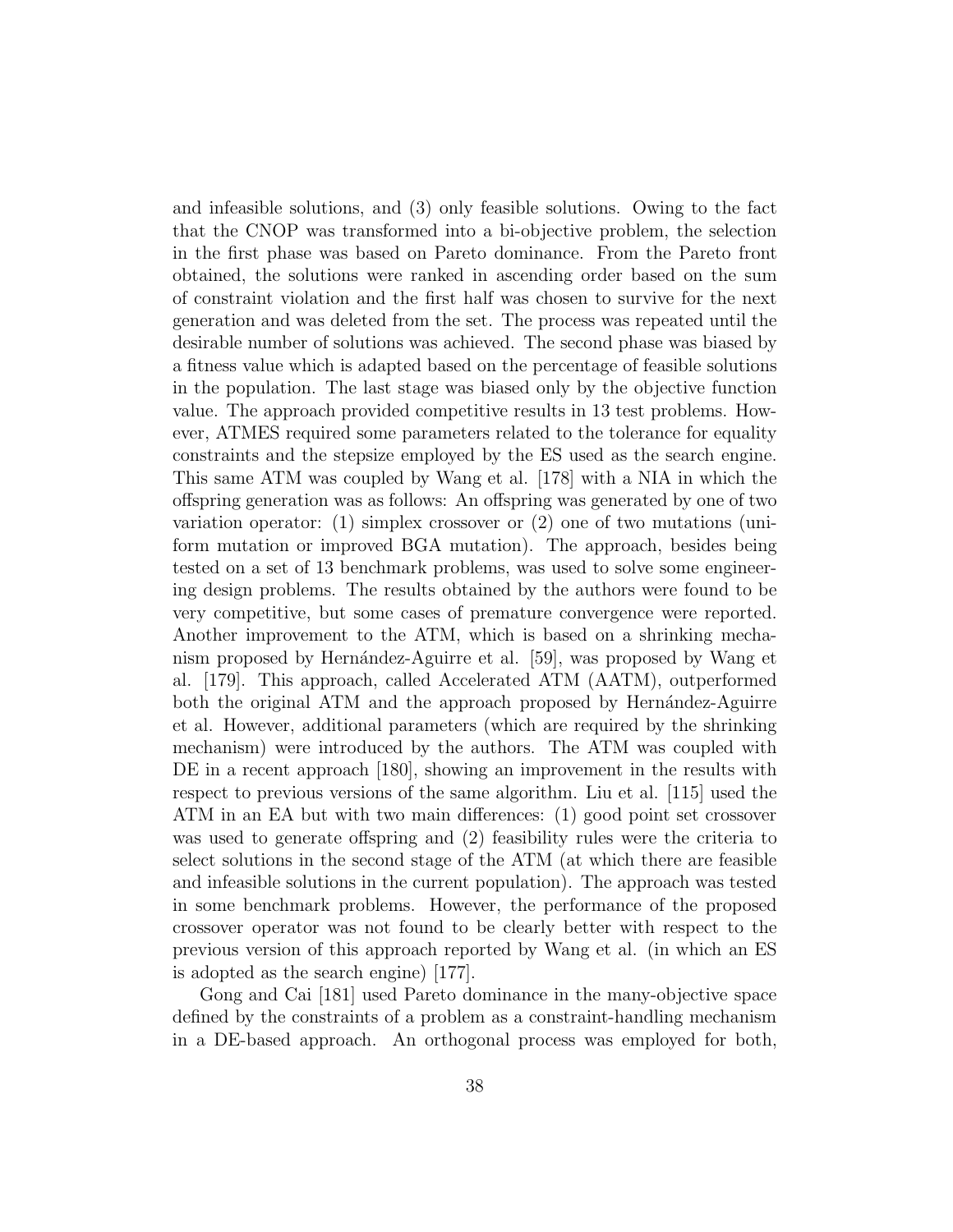and infeasible solutions, and (3) only feasible solutions. Owing to the fact that the CNOP was transformed into a bi-objective problem, the selection in the first phase was based on Pareto dominance. From the Pareto front obtained, the solutions were ranked in ascending order based on the sum of constraint violation and the first half was chosen to survive for the next generation and was deleted from the set. The process was repeated until the desirable number of solutions was achieved. The second phase was biased by a fitness value which is adapted based on the percentage of feasible solutions in the population. The last stage was biased only by the objective function value. The approach provided competitive results in 13 test problems. However, ATMES required some parameters related to the tolerance for equality constraints and the stepsize employed by the ES used as the search engine. This same ATM was coupled by Wang et al. [178] with a NIA in which the offspring generation was as follows: An offspring was generated by one of two variation operator: (1) simplex crossover or (2) one of two mutations (uniform mutation or improved BGA mutation). The approach, besides being tested on a set of 13 benchmark problems, was used to solve some engineering design problems. The results obtained by the authors were found to be very competitive, but some cases of premature convergence were reported. Another improvement to the ATM, which is based on a shrinking mechanism proposed by Hernández-Aguirre et al. [59], was proposed by Wang et al. [179]. This approach, called Accelerated ATM (AATM), outperformed both the original ATM and the approach proposed by Hernández-Aguirre et al. However, additional parameters (which are required by the shrinking mechanism) were introduced by the authors. The ATM was coupled with DE in a recent approach [180], showing an improvement in the results with respect to previous versions of the same algorithm. Liu et al. [115] used the ATM in an EA but with two main differences: (1) good point set crossover was used to generate offspring and (2) feasibility rules were the criteria to select solutions in the second stage of the ATM (at which there are feasible and infeasible solutions in the current population). The approach was tested in some benchmark problems. However, the performance of the proposed crossover operator was not found to be clearly better with respect to the previous version of this approach reported by Wang et al. (in which an ES is adopted as the search engine) [177].

Gong and Cai [181] used Pareto dominance in the many-objective space defined by the constraints of a problem as a constraint-handling mechanism in a DE-based approach. An orthogonal process was employed for both,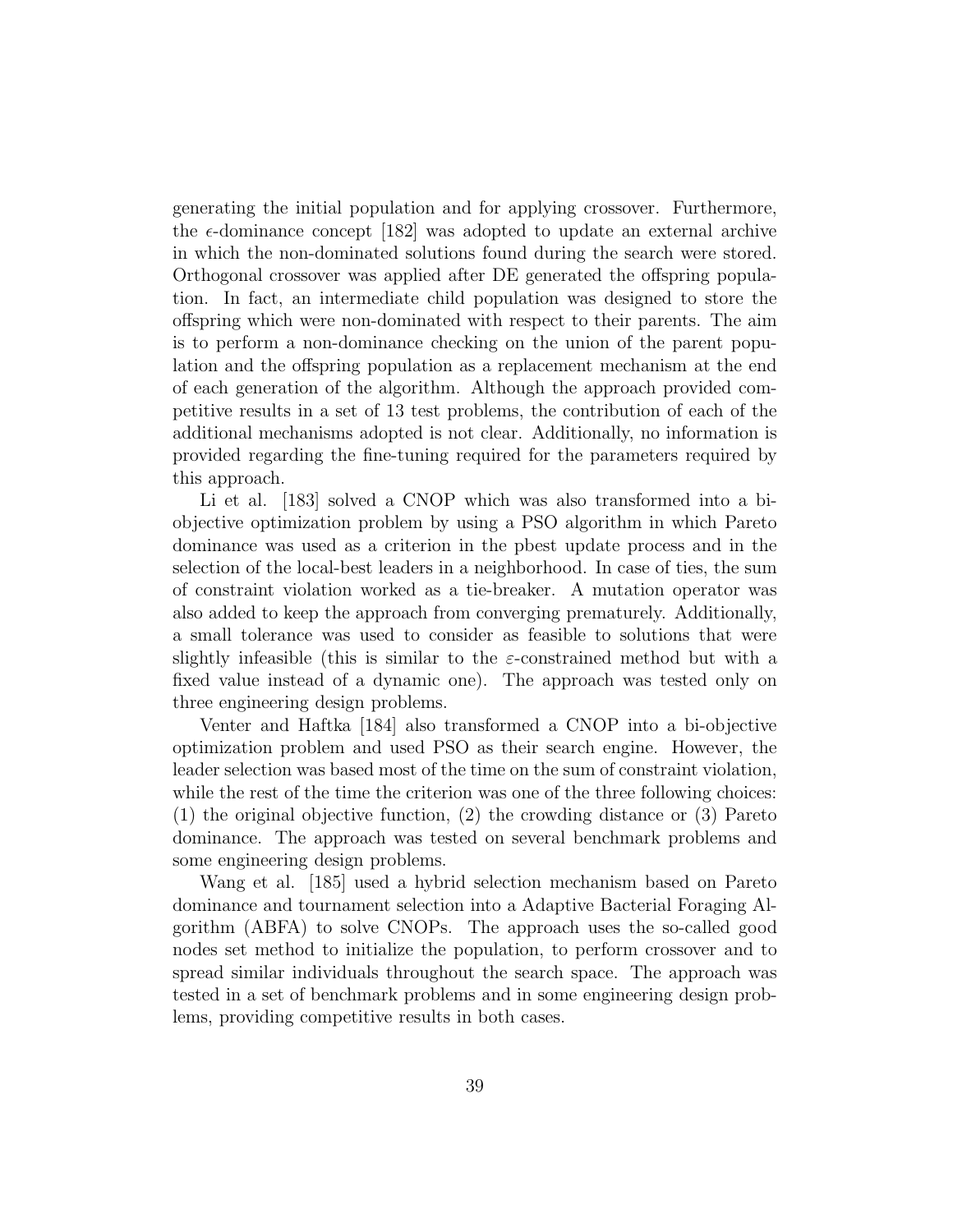generating the initial population and for applying crossover. Furthermore, the  $\epsilon$ -dominance concept [182] was adopted to update an external archive in which the non-dominated solutions found during the search were stored. Orthogonal crossover was applied after DE generated the offspring population. In fact, an intermediate child population was designed to store the offspring which were non-dominated with respect to their parents. The aim is to perform a non-dominance checking on the union of the parent population and the offspring population as a replacement mechanism at the end of each generation of the algorithm. Although the approach provided competitive results in a set of 13 test problems, the contribution of each of the additional mechanisms adopted is not clear. Additionally, no information is provided regarding the fine-tuning required for the parameters required by this approach.

Li et al. [183] solved a CNOP which was also transformed into a biobjective optimization problem by using a PSO algorithm in which Pareto dominance was used as a criterion in the pbest update process and in the selection of the local-best leaders in a neighborhood. In case of ties, the sum of constraint violation worked as a tie-breaker. A mutation operator was also added to keep the approach from converging prematurely. Additionally, a small tolerance was used to consider as feasible to solutions that were slightly infeasible (this is similar to the  $\varepsilon$ -constrained method but with a fixed value instead of a dynamic one). The approach was tested only on three engineering design problems.

Venter and Haftka [184] also transformed a CNOP into a bi-objective optimization problem and used PSO as their search engine. However, the leader selection was based most of the time on the sum of constraint violation, while the rest of the time the criterion was one of the three following choices: (1) the original objective function, (2) the crowding distance or (3) Pareto dominance. The approach was tested on several benchmark problems and some engineering design problems.

Wang et al. [185] used a hybrid selection mechanism based on Pareto dominance and tournament selection into a Adaptive Bacterial Foraging Algorithm (ABFA) to solve CNOPs. The approach uses the so-called good nodes set method to initialize the population, to perform crossover and to spread similar individuals throughout the search space. The approach was tested in a set of benchmark problems and in some engineering design problems, providing competitive results in both cases.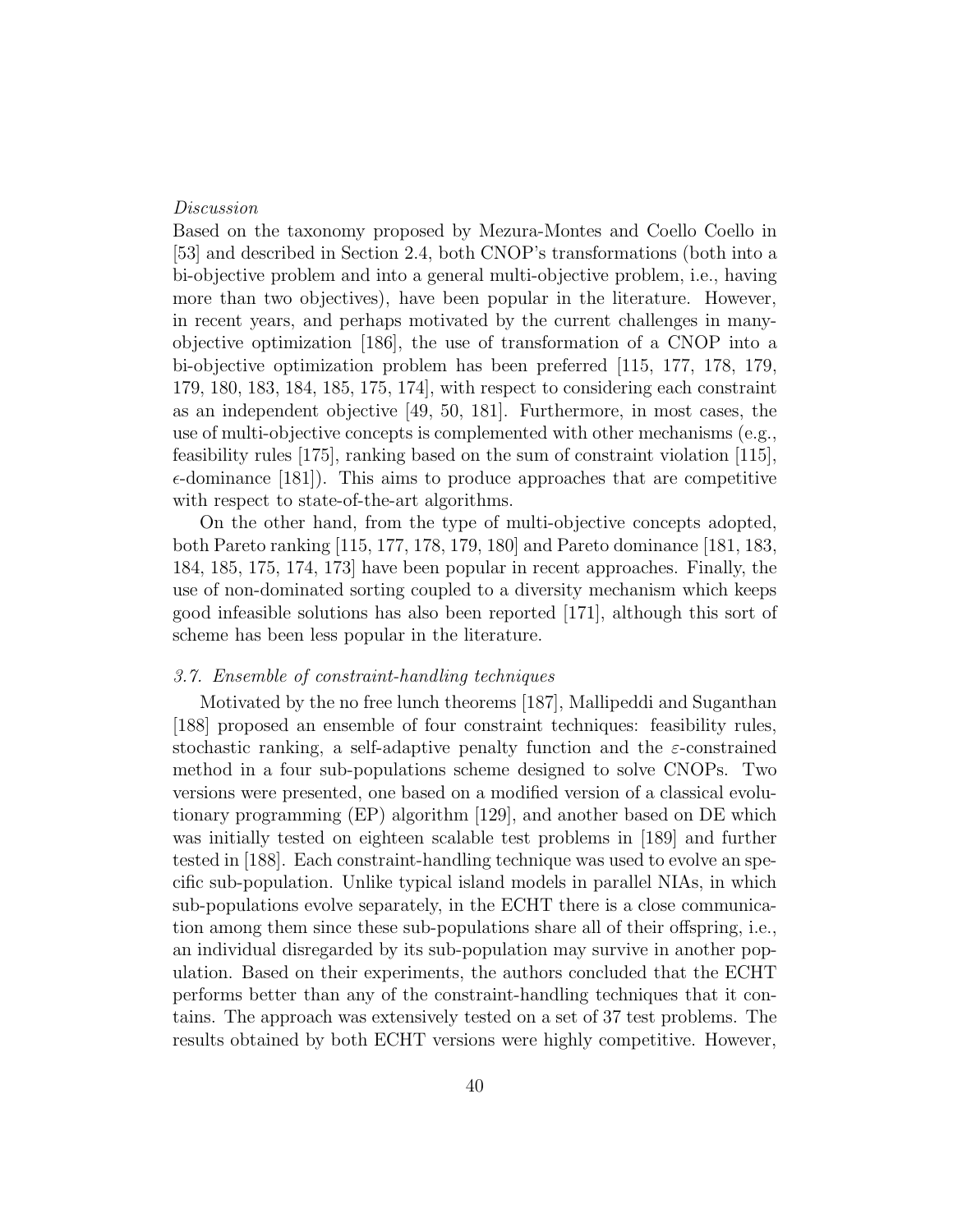## *Discussion*

Based on the taxonomy proposed by Mezura-Montes and Coello Coello in [53] and described in Section 2.4, both CNOP's transformations (both into a bi-objective problem and into a general multi-objective problem, i.e., having more than two objectives), have been popular in the literature. However, in recent years, and perhaps motivated by the current challenges in manyobjective optimization [186], the use of transformation of a CNOP into a bi-objective optimization problem has been preferred [115, 177, 178, 179, 179, 180, 183, 184, 185, 175, 174], with respect to considering each constraint as an independent objective [49, 50, 181]. Furthermore, in most cases, the use of multi-objective concepts is complemented with other mechanisms (e.g., feasibility rules [175], ranking based on the sum of constraint violation [115],  $\epsilon$ -dominance [181]). This aims to produce approaches that are competitive with respect to state-of-the-art algorithms.

On the other hand, from the type of multi-objective concepts adopted, both Pareto ranking [115, 177, 178, 179, 180] and Pareto dominance [181, 183, 184, 185, 175, 174, 173] have been popular in recent approaches. Finally, the use of non-dominated sorting coupled to a diversity mechanism which keeps good infeasible solutions has also been reported [171], although this sort of scheme has been less popular in the literature.

#### *3.7. Ensemble of constraint-handling techniques*

Motivated by the no free lunch theorems [187], Mallipeddi and Suganthan [188] proposed an ensemble of four constraint techniques: feasibility rules, stochastic ranking, a self-adaptive penalty function and the  $\varepsilon$ -constrained method in a four sub-populations scheme designed to solve CNOPs. Two versions were presented, one based on a modified version of a classical evolutionary programming (EP) algorithm [129], and another based on DE which was initially tested on eighteen scalable test problems in [189] and further tested in [188]. Each constraint-handling technique was used to evolve an specific sub-population. Unlike typical island models in parallel NIAs, in which sub-populations evolve separately, in the ECHT there is a close communication among them since these sub-populations share all of their offspring, i.e., an individual disregarded by its sub-population may survive in another population. Based on their experiments, the authors concluded that the ECHT performs better than any of the constraint-handling techniques that it contains. The approach was extensively tested on a set of 37 test problems. The results obtained by both ECHT versions were highly competitive. However,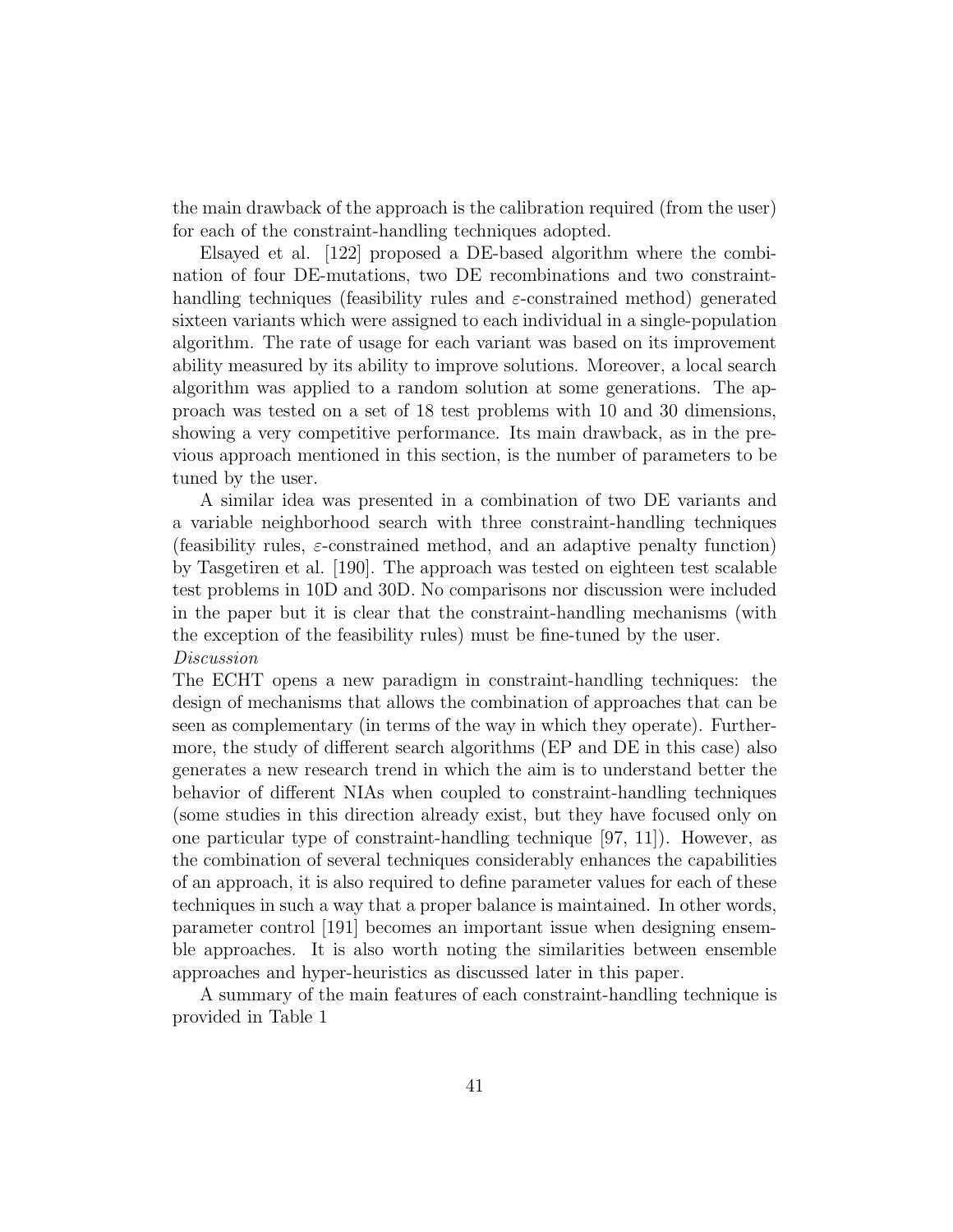the main drawback of the approach is the calibration required (from the user) for each of the constraint-handling techniques adopted.

Elsayed et al. [122] proposed a DE-based algorithm where the combination of four DE-mutations, two DE recombinations and two constrainthandling techniques (feasibility rules and  $\varepsilon$ -constrained method) generated sixteen variants which were assigned to each individual in a single-population algorithm. The rate of usage for each variant was based on its improvement ability measured by its ability to improve solutions. Moreover, a local search algorithm was applied to a random solution at some generations. The approach was tested on a set of 18 test problems with 10 and 30 dimensions, showing a very competitive performance. Its main drawback, as in the previous approach mentioned in this section, is the number of parameters to be tuned by the user.

A similar idea was presented in a combination of two DE variants and a variable neighborhood search with three constraint-handling techniques (feasibility rules,  $\varepsilon$ -constrained method, and an adaptive penalty function) by Tasgetiren et al. [190]. The approach was tested on eighteen test scalable test problems in 10D and 30D. No comparisons nor discussion were included in the paper but it is clear that the constraint-handling mechanisms (with the exception of the feasibility rules) must be fine-tuned by the user. *Discussion*

The ECHT opens a new paradigm in constraint-handling techniques: the design of mechanisms that allows the combination of approaches that can be seen as complementary (in terms of the way in which they operate). Furthermore, the study of different search algorithms (EP and DE in this case) also generates a new research trend in which the aim is to understand better the behavior of different NIAs when coupled to constraint-handling techniques (some studies in this direction already exist, but they have focused only on one particular type of constraint-handling technique [97, 11]). However, as the combination of several techniques considerably enhances the capabilities of an approach, it is also required to define parameter values for each of these techniques in such a way that a proper balance is maintained. In other words, parameter control [191] becomes an important issue when designing ensemble approaches. It is also worth noting the similarities between ensemble approaches and hyper-heuristics as discussed later in this paper.

A summary of the main features of each constraint-handling technique is provided in Table 1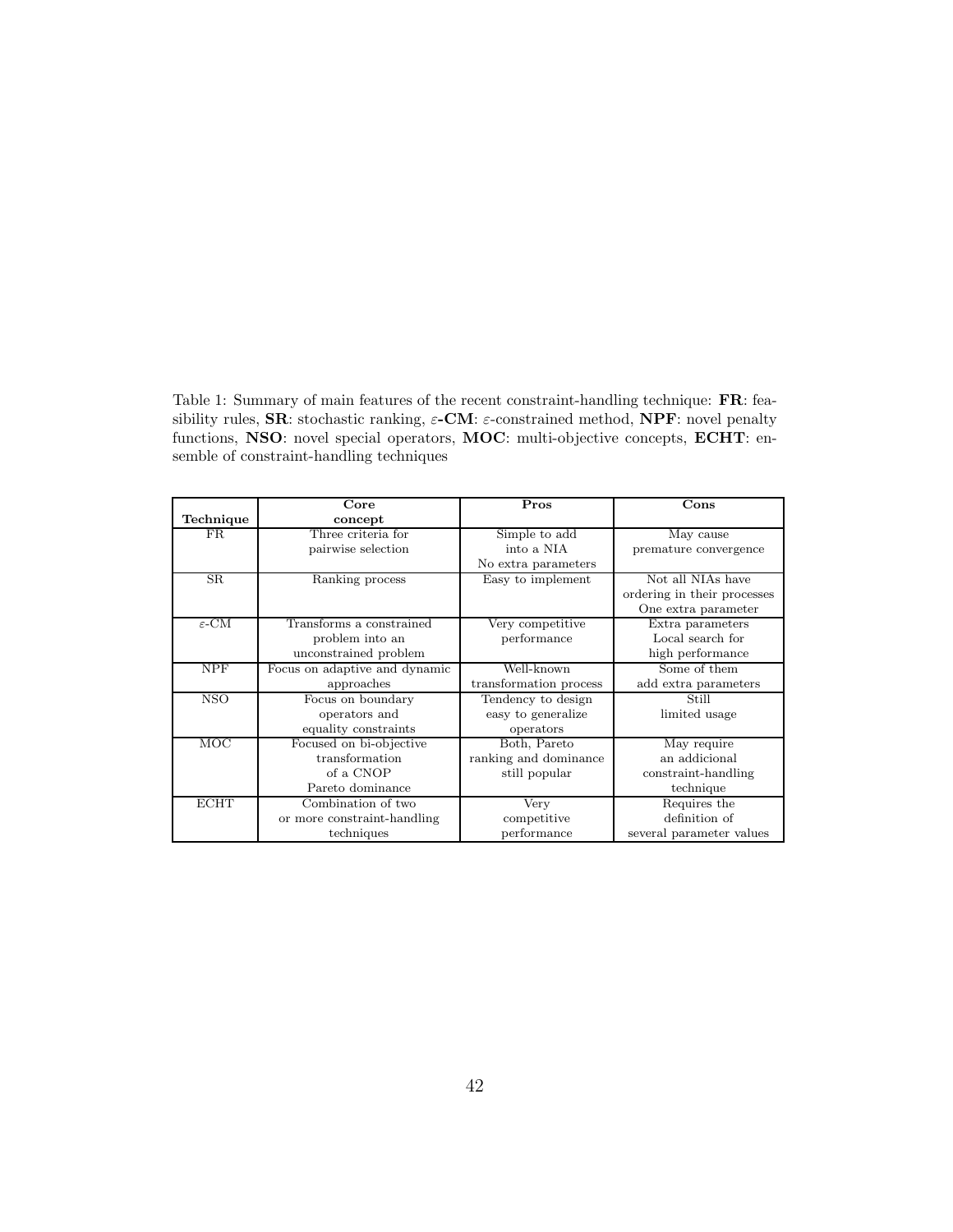Table 1: Summary of main features of the recent constraint-handling technique: FR: feasibility rules, **SR**: stochastic ranking,  $\varepsilon$ -CM:  $\varepsilon$ -constrained method, **NPF**: novel penalty functions, NSO: novel special operators, MOC: multi-objective concepts, ECHT: ensemble of constraint-handling techniques

|                   | Core                          | Pros                   | $\overline{\textbf{Cons}}$  |
|-------------------|-------------------------------|------------------------|-----------------------------|
| Technique         | concept                       |                        |                             |
| FR                | Three criteria for            | Simple to add          | May cause                   |
|                   | pairwise selection            | into a NIA             | premature convergence       |
|                   |                               | No extra parameters    |                             |
| SR                | Ranking process               | Easy to implement      | Not all NIAs have           |
|                   |                               |                        | ordering in their processes |
|                   |                               |                        | One extra parameter         |
| $\varepsilon$ -CM | Transforms a constrained      | Very competitive       | Extra parameters            |
|                   | problem into an               | performance            | Local search for            |
|                   | unconstrained problem         |                        | high performance            |
| <b>NPF</b>        | Focus on adaptive and dynamic | Well-known             | Some of them                |
|                   | approaches                    | transformation process | add extra parameters        |
| <b>NSO</b>        | Focus on boundary             | Tendency to design     | Still                       |
|                   | operators and                 | easy to generalize     | limited usage               |
|                   | equality constraints          | operators              |                             |
| MOC               | Focused on bi-objective       | Both, Pareto           | May require                 |
|                   | transformation                | ranking and dominance  | an addicional               |
|                   | of a CNOP                     | still popular          | constraint-handling         |
|                   | Pareto dominance              |                        | technique                   |
| <b>ECHT</b>       | Combination of two            | Very                   | Requires the                |
|                   | or more constraint-handling   | competitive            | definition of               |
|                   | techniques                    | performance            | several parameter values    |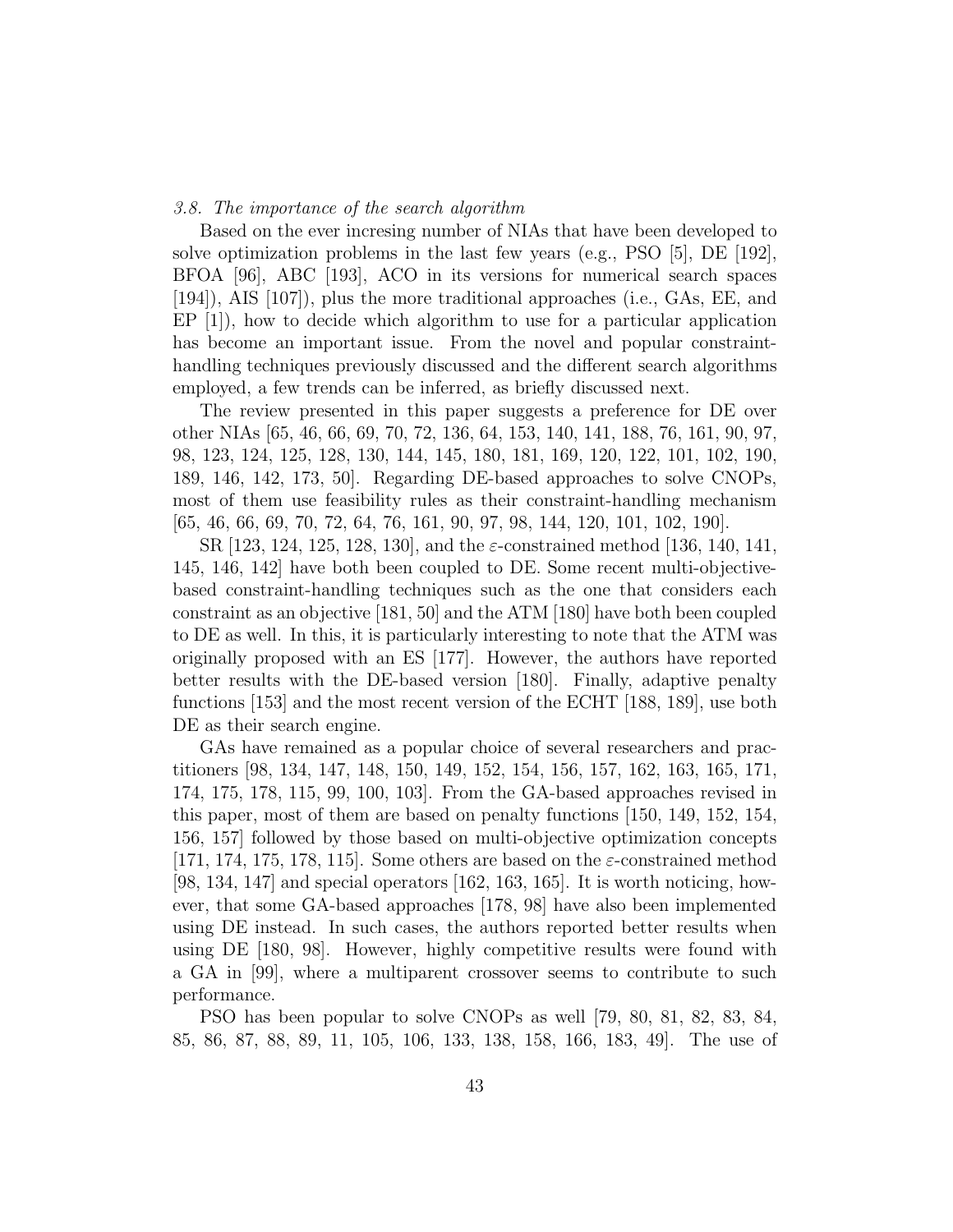#### *3.8. The importance of the search algorithm*

Based on the ever incresing number of NIAs that have been developed to solve optimization problems in the last few years (e.g., PSO [5], DE [192], BFOA [96], ABC [193], ACO in its versions for numerical search spaces [194]), AIS [107]), plus the more traditional approaches (i.e., GAs, EE, and EP [1]), how to decide which algorithm to use for a particular application has become an important issue. From the novel and popular constrainthandling techniques previously discussed and the different search algorithms employed, a few trends can be inferred, as briefly discussed next.

The review presented in this paper suggests a preference for DE over other NIAs [65, 46, 66, 69, 70, 72, 136, 64, 153, 140, 141, 188, 76, 161, 90, 97, 98, 123, 124, 125, 128, 130, 144, 145, 180, 181, 169, 120, 122, 101, 102, 190, 189, 146, 142, 173, 50]. Regarding DE-based approaches to solve CNOPs, most of them use feasibility rules as their constraint-handling mechanism [65, 46, 66, 69, 70, 72, 64, 76, 161, 90, 97, 98, 144, 120, 101, 102, 190].

SR  $[123, 124, 125, 128, 130]$ , and the  $\varepsilon$ -constrained method  $[136, 140, 141,$ 145, 146, 142] have both been coupled to DE. Some recent multi-objectivebased constraint-handling techniques such as the one that considers each constraint as an objective [181, 50] and the ATM [180] have both been coupled to DE as well. In this, it is particularly interesting to note that the ATM was originally proposed with an ES [177]. However, the authors have reported better results with the DE-based version [180]. Finally, adaptive penalty functions [153] and the most recent version of the ECHT [188, 189], use both DE as their search engine.

GAs have remained as a popular choice of several researchers and practitioners [98, 134, 147, 148, 150, 149, 152, 154, 156, 157, 162, 163, 165, 171, 174, 175, 178, 115, 99, 100, 103]. From the GA-based approaches revised in this paper, most of them are based on penalty functions [150, 149, 152, 154, 156, 157] followed by those based on multi-objective optimization concepts [171, 174, 175, 178, 115]. Some others are based on the  $\varepsilon$ -constrained method [98, 134, 147] and special operators  $[162, 163, 165]$ . It is worth noticing, however, that some GA-based approaches [178, 98] have also been implemented using DE instead. In such cases, the authors reported better results when using DE [180, 98]. However, highly competitive results were found with a GA in [99], where a multiparent crossover seems to contribute to such performance.

PSO has been popular to solve CNOPs as well [79, 80, 81, 82, 83, 84, 85, 86, 87, 88, 89, 11, 105, 106, 133, 138, 158, 166, 183, 49]. The use of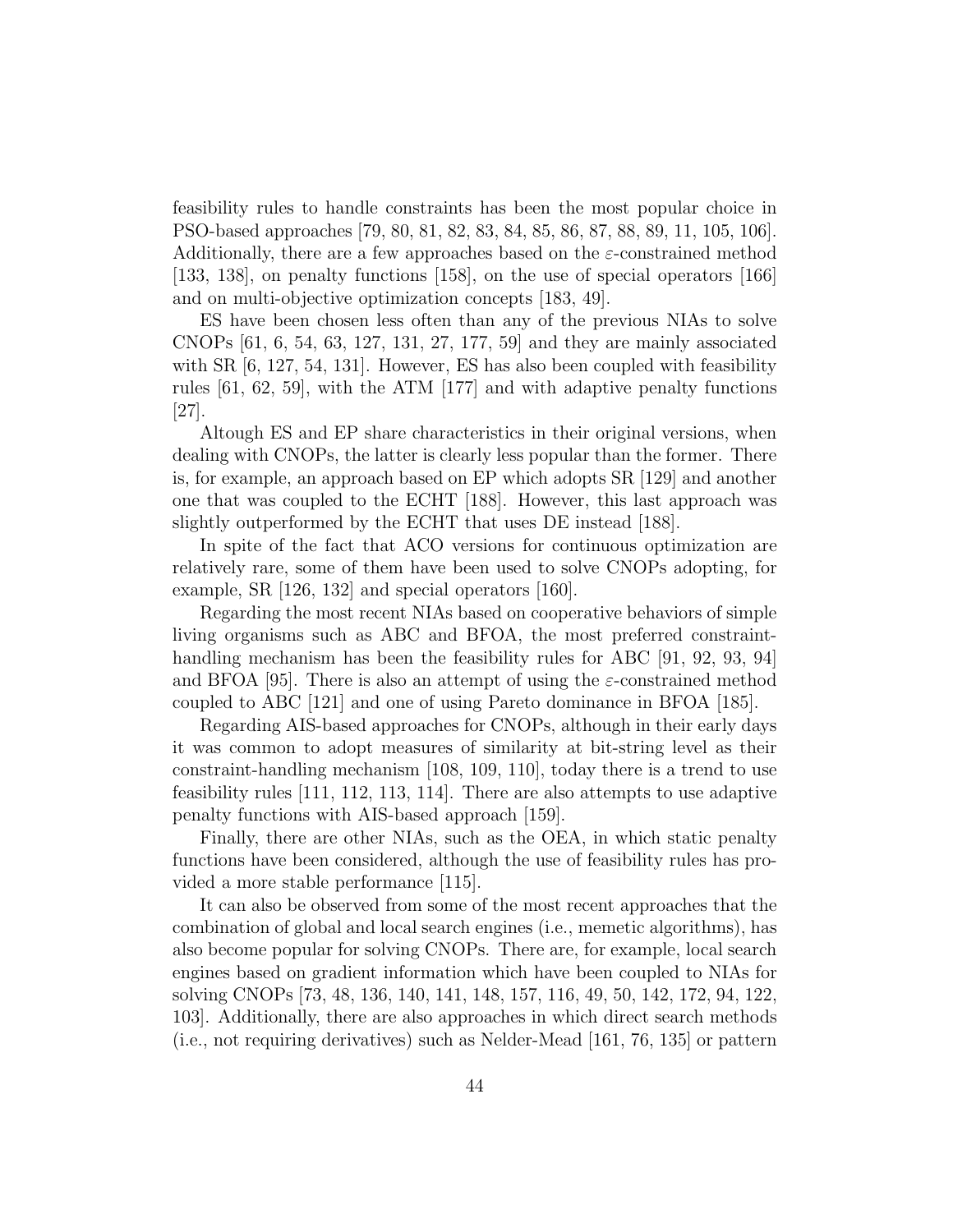feasibility rules to handle constraints has been the most popular choice in PSO-based approaches [79, 80, 81, 82, 83, 84, 85, 86, 87, 88, 89, 11, 105, 106]. Additionally, there are a few approaches based on the  $\varepsilon$ -constrained method [133, 138], on penalty functions [158], on the use of special operators [166] and on multi-objective optimization concepts [183, 49].

ES have been chosen less often than any of the previous NIAs to solve CNOPs [61, 6, 54, 63, 127, 131, 27, 177, 59] and they are mainly associated with SR  $[6, 127, 54, 131]$ . However, ES has also been coupled with feasibility rules [61, 62, 59], with the ATM [177] and with adaptive penalty functions [27].

Altough ES and EP share characteristics in their original versions, when dealing with CNOPs, the latter is clearly less popular than the former. There is, for example, an approach based on EP which adopts SR [129] and another one that was coupled to the ECHT [188]. However, this last approach was slightly outperformed by the ECHT that uses DE instead [188].

In spite of the fact that ACO versions for continuous optimization are relatively rare, some of them have been used to solve CNOPs adopting, for example, SR [126, 132] and special operators [160].

Regarding the most recent NIAs based on cooperative behaviors of simple living organisms such as ABC and BFOA, the most preferred constrainthandling mechanism has been the feasibility rules for ABC [91, 92, 93, 94] and BFOA [95]. There is also an attempt of using the  $\varepsilon$ -constrained method coupled to ABC [121] and one of using Pareto dominance in BFOA [185].

Regarding AIS-based approaches for CNOPs, although in their early days it was common to adopt measures of similarity at bit-string level as their constraint-handling mechanism [108, 109, 110], today there is a trend to use feasibility rules [111, 112, 113, 114]. There are also attempts to use adaptive penalty functions with AIS-based approach [159].

Finally, there are other NIAs, such as the OEA, in which static penalty functions have been considered, although the use of feasibility rules has provided a more stable performance [115].

It can also be observed from some of the most recent approaches that the combination of global and local search engines (i.e., memetic algorithms), has also become popular for solving CNOPs. There are, for example, local search engines based on gradient information which have been coupled to NIAs for solving CNOPs [73, 48, 136, 140, 141, 148, 157, 116, 49, 50, 142, 172, 94, 122, 103]. Additionally, there are also approaches in which direct search methods (i.e., not requiring derivatives) such as Nelder-Mead [161, 76, 135] or pattern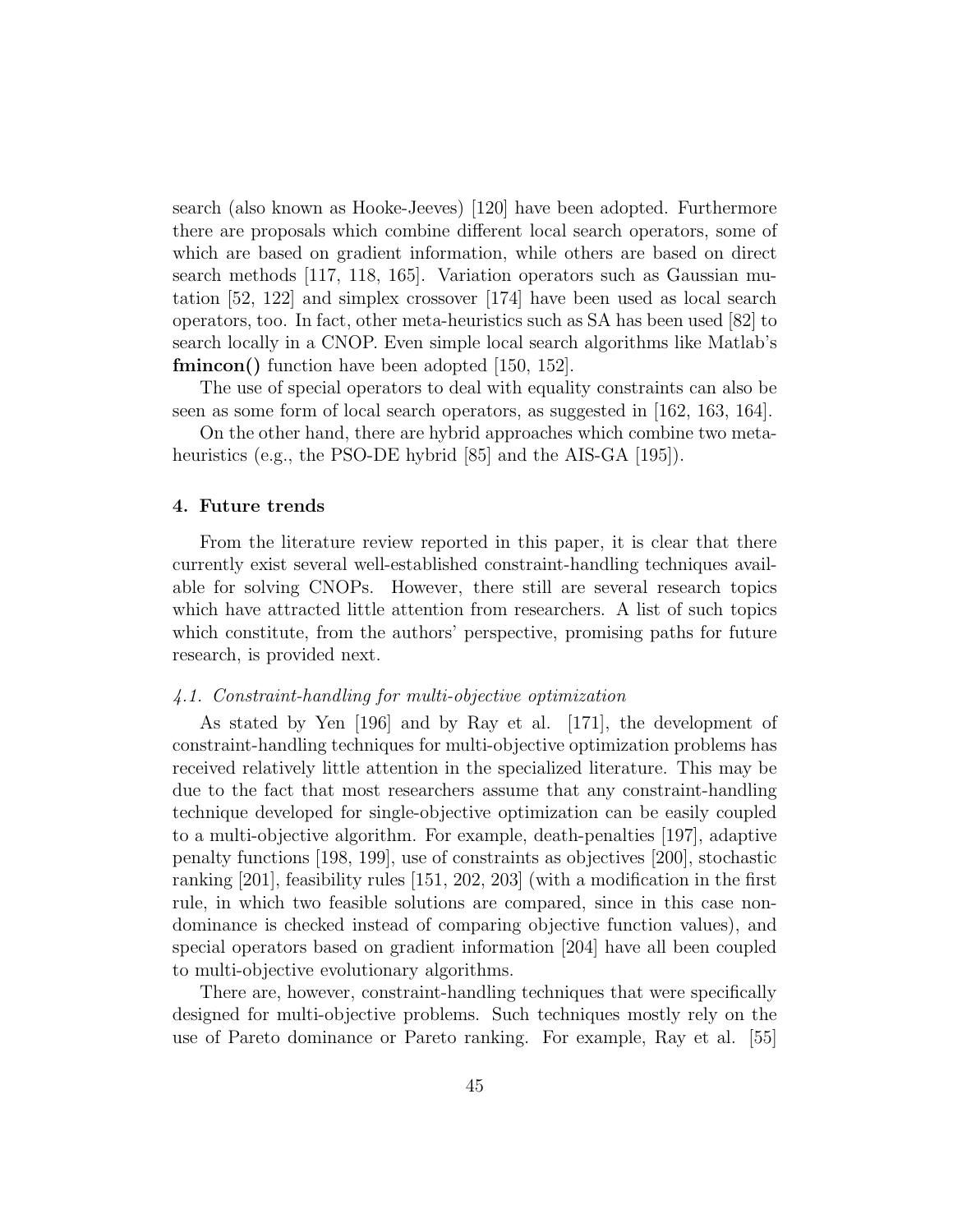search (also known as Hooke-Jeeves) [120] have been adopted. Furthermore there are proposals which combine different local search operators, some of which are based on gradient information, while others are based on direct search methods [117, 118, 165]. Variation operators such as Gaussian mutation [52, 122] and simplex crossover [174] have been used as local search operators, too. In fact, other meta-heuristics such as SA has been used [82] to search locally in a CNOP. Even simple local search algorithms like Matlab's fmincon() function have been adopted [150, 152].

The use of special operators to deal with equality constraints can also be seen as some form of local search operators, as suggested in [162, 163, 164].

On the other hand, there are hybrid approaches which combine two metaheuristics (e.g., the PSO-DE hybrid [85] and the AIS-GA [195]).

### 4. Future trends

From the literature review reported in this paper, it is clear that there currently exist several well-established constraint-handling techniques available for solving CNOPs. However, there still are several research topics which have attracted little attention from researchers. A list of such topics which constitute, from the authors' perspective, promising paths for future research, is provided next.

## *4.1. Constraint-handling for multi-objective optimization*

As stated by Yen [196] and by Ray et al. [171], the development of constraint-handling techniques for multi-objective optimization problems has received relatively little attention in the specialized literature. This may be due to the fact that most researchers assume that any constraint-handling technique developed for single-objective optimization can be easily coupled to a multi-objective algorithm. For example, death-penalties [197], adaptive penalty functions [198, 199], use of constraints as objectives [200], stochastic ranking [201], feasibility rules [151, 202, 203] (with a modification in the first rule, in which two feasible solutions are compared, since in this case nondominance is checked instead of comparing objective function values), and special operators based on gradient information [204] have all been coupled to multi-objective evolutionary algorithms.

There are, however, constraint-handling techniques that were specifically designed for multi-objective problems. Such techniques mostly rely on the use of Pareto dominance or Pareto ranking. For example, Ray et al. [55]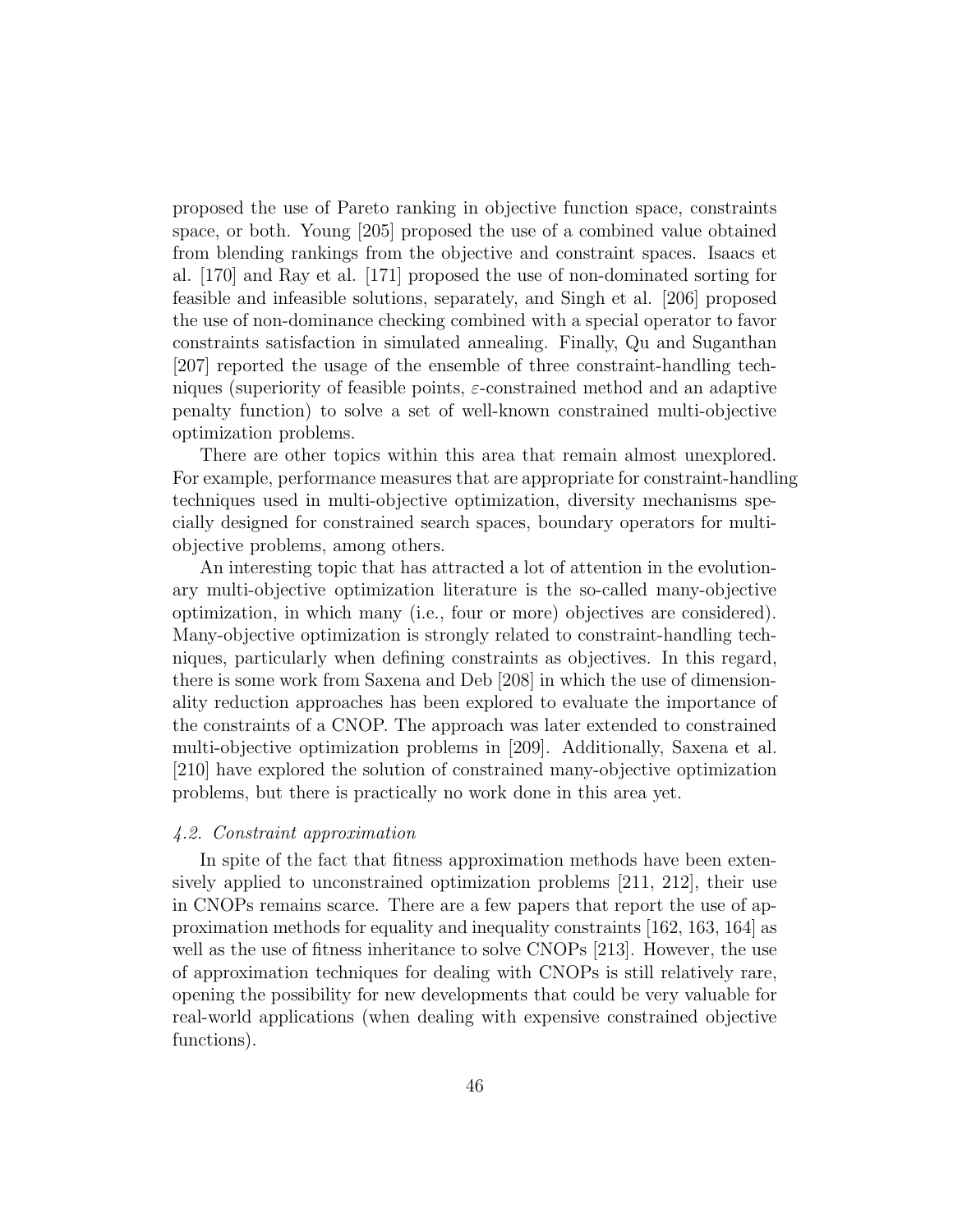proposed the use of Pareto ranking in objective function space, constraints space, or both. Young [205] proposed the use of a combined value obtained from blending rankings from the objective and constraint spaces. Isaacs et al. [170] and Ray et al. [171] proposed the use of non-dominated sorting for feasible and infeasible solutions, separately, and Singh et al. [206] proposed the use of non-dominance checking combined with a special operator to favor constraints satisfaction in simulated annealing. Finally, Qu and Suganthan [207] reported the usage of the ensemble of three constraint-handling techniques (superiority of feasible points,  $\varepsilon$ -constrained method and an adaptive penalty function) to solve a set of well-known constrained multi-objective optimization problems.

There are other topics within this area that remain almost unexplored. For example, performance measures that are appropriate for constraint-handling techniques used in multi-objective optimization, diversity mechanisms specially designed for constrained search spaces, boundary operators for multiobjective problems, among others.

An interesting topic that has attracted a lot of attention in the evolutionary multi-objective optimization literature is the so-called many-objective optimization, in which many (i.e., four or more) objectives are considered). Many-objective optimization is strongly related to constraint-handling techniques, particularly when defining constraints as objectives. In this regard, there is some work from Saxena and Deb [208] in which the use of dimensionality reduction approaches has been explored to evaluate the importance of the constraints of a CNOP. The approach was later extended to constrained multi-objective optimization problems in [209]. Additionally, Saxena et al. [210] have explored the solution of constrained many-objective optimization problems, but there is practically no work done in this area yet.

#### *4.2. Constraint approximation*

In spite of the fact that fitness approximation methods have been extensively applied to unconstrained optimization problems [211, 212], their use in CNOPs remains scarce. There are a few papers that report the use of approximation methods for equality and inequality constraints [162, 163, 164] as well as the use of fitness inheritance to solve CNOPs [213]. However, the use of approximation techniques for dealing with CNOPs is still relatively rare, opening the possibility for new developments that could be very valuable for real-world applications (when dealing with expensive constrained objective functions).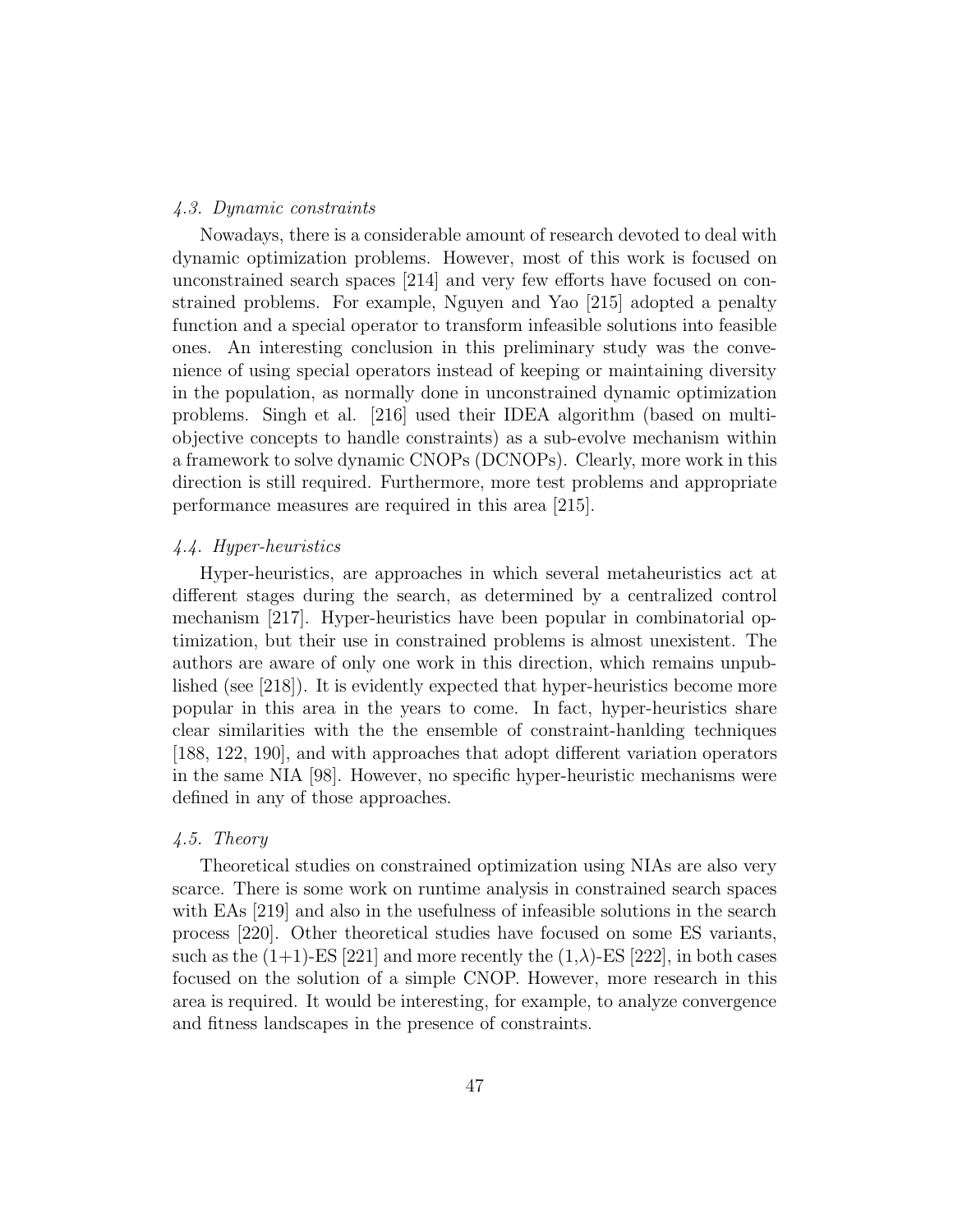### *4.3. Dynamic constraints*

Nowadays, there is a considerable amount of research devoted to deal with dynamic optimization problems. However, most of this work is focused on unconstrained search spaces [214] and very few efforts have focused on constrained problems. For example, Nguyen and Yao [215] adopted a penalty function and a special operator to transform infeasible solutions into feasible ones. An interesting conclusion in this preliminary study was the convenience of using special operators instead of keeping or maintaining diversity in the population, as normally done in unconstrained dynamic optimization problems. Singh et al. [216] used their IDEA algorithm (based on multiobjective concepts to handle constraints) as a sub-evolve mechanism within a framework to solve dynamic CNOPs (DCNOPs). Clearly, more work in this direction is still required. Furthermore, more test problems and appropriate performance measures are required in this area [215].

## *4.4. Hyper-heuristics*

Hyper-heuristics, are approaches in which several metaheuristics act at different stages during the search, as determined by a centralized control mechanism [217]. Hyper-heuristics have been popular in combinatorial optimization, but their use in constrained problems is almost unexistent. The authors are aware of only one work in this direction, which remains unpublished (see [218]). It is evidently expected that hyper-heuristics become more popular in this area in the years to come. In fact, hyper-heuristics share clear similarities with the the ensemble of constraint-hanlding techniques [188, 122, 190], and with approaches that adopt different variation operators in the same NIA [98]. However, no specific hyper-heuristic mechanisms were defined in any of those approaches.

## *4.5. Theory*

Theoretical studies on constrained optimization using NIAs are also very scarce. There is some work on runtime analysis in constrained search spaces with EAs [219] and also in the usefulness of infeasible solutions in the search process [220]. Other theoretical studies have focused on some ES variants, such as the  $(1+1)$ -ES [221] and more recently the  $(1,\lambda)$ -ES [222], in both cases focused on the solution of a simple CNOP. However, more research in this area is required. It would be interesting, for example, to analyze convergence and fitness landscapes in the presence of constraints.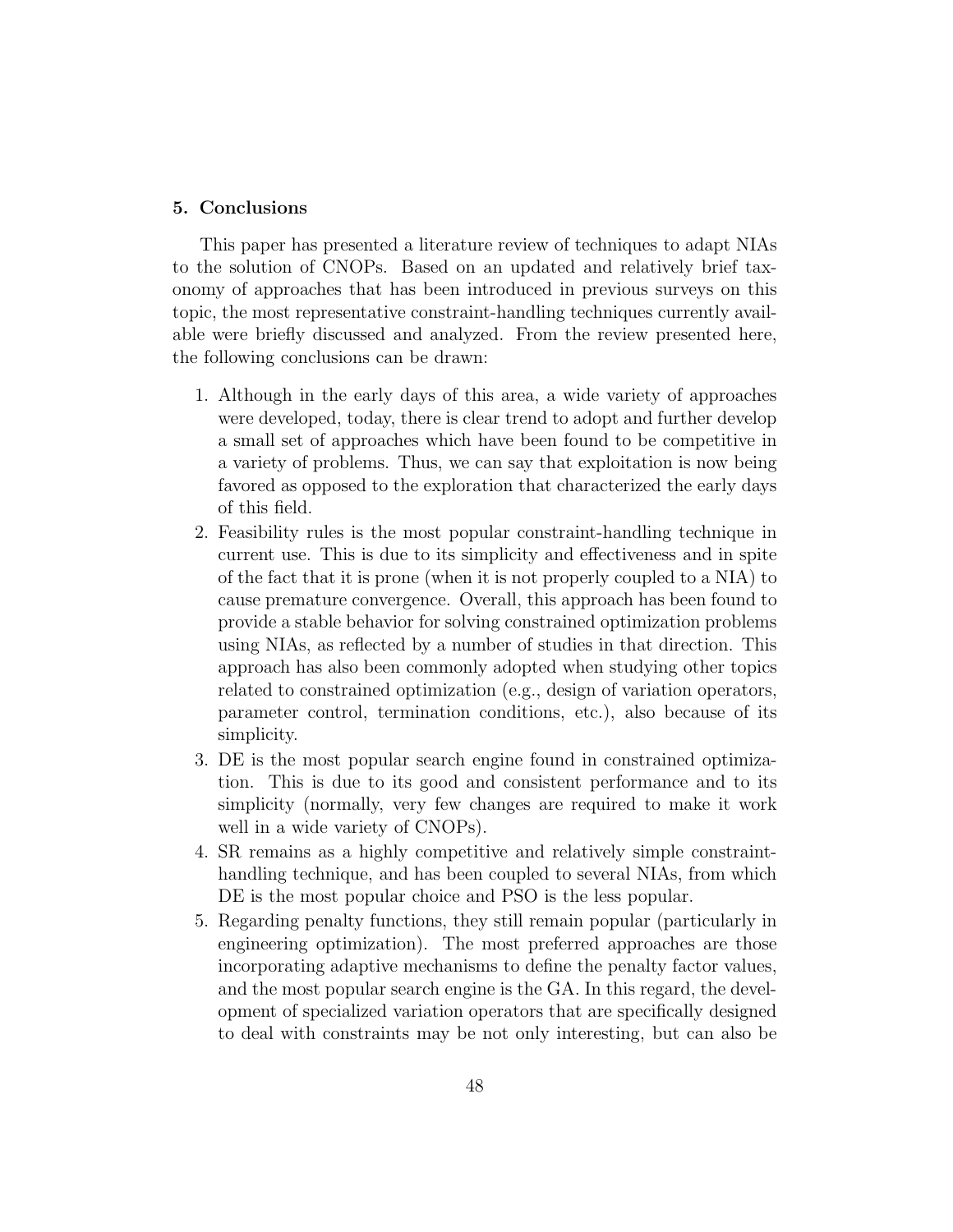### 5. Conclusions

This paper has presented a literature review of techniques to adapt NIAs to the solution of CNOPs. Based on an updated and relatively brief taxonomy of approaches that has been introduced in previous surveys on this topic, the most representative constraint-handling techniques currently available were briefly discussed and analyzed. From the review presented here, the following conclusions can be drawn:

- 1. Although in the early days of this area, a wide variety of approaches were developed, today, there is clear trend to adopt and further develop a small set of approaches which have been found to be competitive in a variety of problems. Thus, we can say that exploitation is now being favored as opposed to the exploration that characterized the early days of this field.
- 2. Feasibility rules is the most popular constraint-handling technique in current use. This is due to its simplicity and effectiveness and in spite of the fact that it is prone (when it is not properly coupled to a NIA) to cause premature convergence. Overall, this approach has been found to provide a stable behavior for solving constrained optimization problems using NIAs, as reflected by a number of studies in that direction. This approach has also been commonly adopted when studying other topics related to constrained optimization (e.g., design of variation operators, parameter control, termination conditions, etc.), also because of its simplicity.
- 3. DE is the most popular search engine found in constrained optimization. This is due to its good and consistent performance and to its simplicity (normally, very few changes are required to make it work well in a wide variety of CNOPs).
- 4. SR remains as a highly competitive and relatively simple constrainthandling technique, and has been coupled to several NIAs, from which DE is the most popular choice and PSO is the less popular.
- 5. Regarding penalty functions, they still remain popular (particularly in engineering optimization). The most preferred approaches are those incorporating adaptive mechanisms to define the penalty factor values, and the most popular search engine is the GA. In this regard, the development of specialized variation operators that are specifically designed to deal with constraints may be not only interesting, but can also be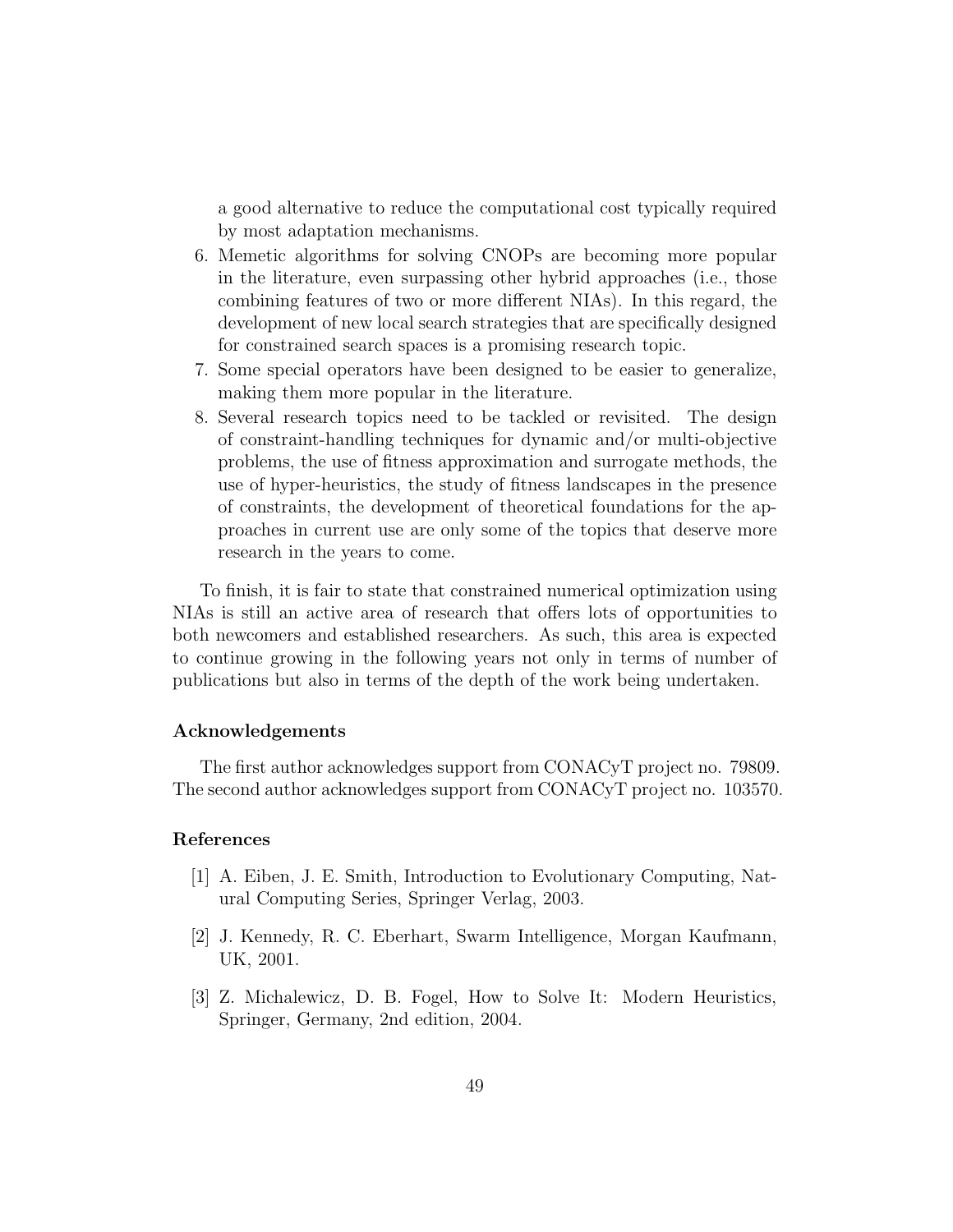a good alternative to reduce the computational cost typically required by most adaptation mechanisms.

- 6. Memetic algorithms for solving CNOPs are becoming more popular in the literature, even surpassing other hybrid approaches (i.e., those combining features of two or more different NIAs). In this regard, the development of new local search strategies that are specifically designed for constrained search spaces is a promising research topic.
- 7. Some special operators have been designed to be easier to generalize, making them more popular in the literature.
- 8. Several research topics need to be tackled or revisited. The design of constraint-handling techniques for dynamic and/or multi-objective problems, the use of fitness approximation and surrogate methods, the use of hyper-heuristics, the study of fitness landscapes in the presence of constraints, the development of theoretical foundations for the approaches in current use are only some of the topics that deserve more research in the years to come.

To finish, it is fair to state that constrained numerical optimization using NIAs is still an active area of research that offers lots of opportunities to both newcomers and established researchers. As such, this area is expected to continue growing in the following years not only in terms of number of publications but also in terms of the depth of the work being undertaken.

## Acknowledgements

The first author acknowledges support from CONACyT project no. 79809. The second author acknowledges support from CONACyT project no. 103570.

# References

- [1] A. Eiben, J. E. Smith, Introduction to Evolutionary Computing, Natural Computing Series, Springer Verlag, 2003.
- [2] J. Kennedy, R. C. Eberhart, Swarm Intelligence, Morgan Kaufmann, UK, 2001.
- [3] Z. Michalewicz, D. B. Fogel, How to Solve It: Modern Heuristics, Springer, Germany, 2nd edition, 2004.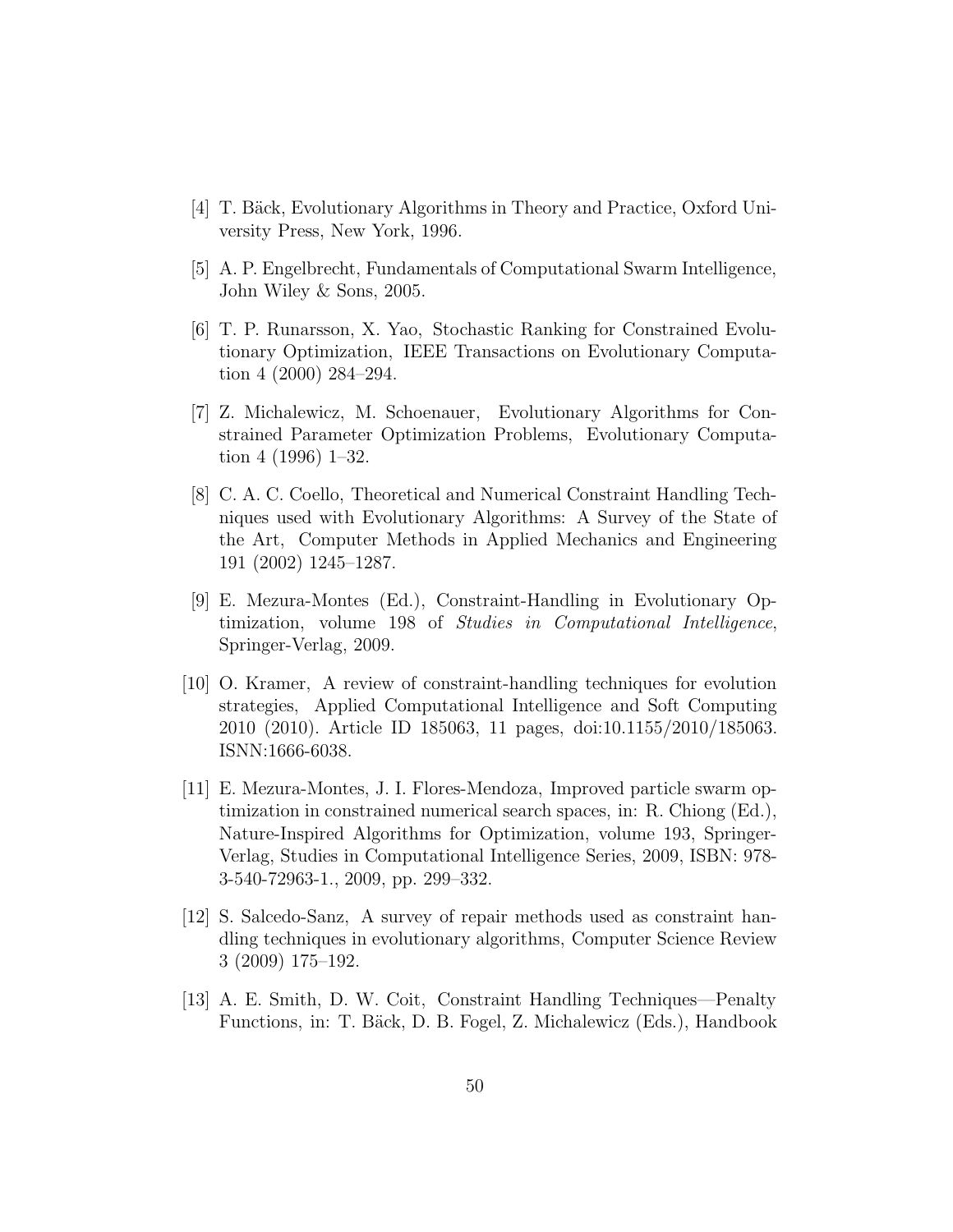- [4] T. Bäck, Evolutionary Algorithms in Theory and Practice, Oxford University Press, New York, 1996.
- [5] A. P. Engelbrecht, Fundamentals of Computational Swarm Intelligence, John Wiley & Sons, 2005.
- [6] T. P. Runarsson, X. Yao, Stochastic Ranking for Constrained Evolutionary Optimization, IEEE Transactions on Evolutionary Computation 4 (2000) 284–294.
- [7] Z. Michalewicz, M. Schoenauer, Evolutionary Algorithms for Constrained Parameter Optimization Problems, Evolutionary Computation 4 (1996) 1–32.
- [8] C. A. C. Coello, Theoretical and Numerical Constraint Handling Techniques used with Evolutionary Algorithms: A Survey of the State of the Art, Computer Methods in Applied Mechanics and Engineering 191 (2002) 1245–1287.
- [9] E. Mezura-Montes (Ed.), Constraint-Handling in Evolutionary Optimization, volume 198 of *Studies in Computational Intelligence*, Springer-Verlag, 2009.
- [10] O. Kramer, A review of constraint-handling techniques for evolution strategies, Applied Computational Intelligence and Soft Computing 2010 (2010). Article ID 185063, 11 pages, doi:10.1155/2010/185063. ISNN:1666-6038.
- [11] E. Mezura-Montes, J. I. Flores-Mendoza, Improved particle swarm optimization in constrained numerical search spaces, in: R. Chiong (Ed.), Nature-Inspired Algorithms for Optimization, volume 193, Springer-Verlag, Studies in Computational Intelligence Series, 2009, ISBN: 978- 3-540-72963-1., 2009, pp. 299–332.
- [12] S. Salcedo-Sanz, A survey of repair methods used as constraint handling techniques in evolutionary algorithms, Computer Science Review 3 (2009) 175–192.
- [13] A. E. Smith, D. W. Coit, Constraint Handling Techniques—Penalty Functions, in: T. B¨ack, D. B. Fogel, Z. Michalewicz (Eds.), Handbook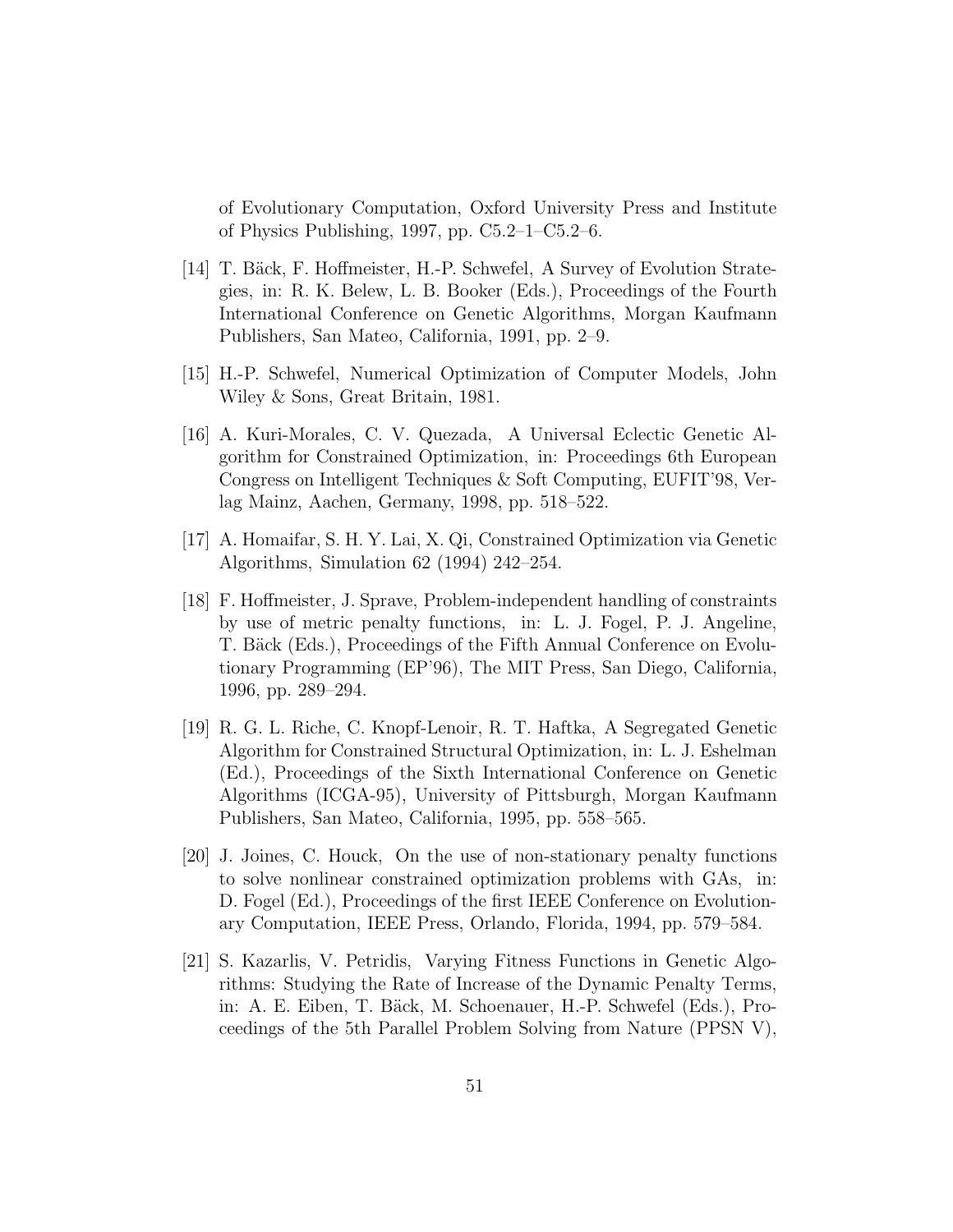of Evolutionary Computation, Oxford University Press and Institute of Physics Publishing, 1997, pp. C5.2–1–C5.2–6.

- [14] T. Bäck, F. Hoffmeister, H.-P. Schwefel, A Survey of Evolution Strategies, in: R. K. Belew, L. B. Booker (Eds.), Proceedings of the Fourth International Conference on Genetic Algorithms, Morgan Kaufmann Publishers, San Mateo, California, 1991, pp. 2–9.
- [15] H.-P. Schwefel, Numerical Optimization of Computer Models, John Wiley & Sons, Great Britain, 1981.
- [16] A. Kuri-Morales, C. V. Quezada, A Universal Eclectic Genetic Algorithm for Constrained Optimization, in: Proceedings 6th European Congress on Intelligent Techniques & Soft Computing, EUFIT'98, Verlag Mainz, Aachen, Germany, 1998, pp. 518–522.
- [17] A. Homaifar, S. H. Y. Lai, X. Qi, Constrained Optimization via Genetic Algorithms, Simulation 62 (1994) 242–254.
- [18] F. Hoffmeister, J. Sprave, Problem-independent handling of constraints by use of metric penalty functions, in: L. J. Fogel, P. J. Angeline, T. Bäck (Eds.), Proceedings of the Fifth Annual Conference on Evolutionary Programming (EP'96), The MIT Press, San Diego, California, 1996, pp. 289–294.
- [19] R. G. L. Riche, C. Knopf-Lenoir, R. T. Haftka, A Segregated Genetic Algorithm for Constrained Structural Optimization, in: L. J. Eshelman (Ed.), Proceedings of the Sixth International Conference on Genetic Algorithms (ICGA-95), University of Pittsburgh, Morgan Kaufmann Publishers, San Mateo, California, 1995, pp. 558–565.
- [20] J. Joines, C. Houck, On the use of non-stationary penalty functions to solve nonlinear constrained optimization problems with GAs, in: D. Fogel (Ed.), Proceedings of the first IEEE Conference on Evolutionary Computation, IEEE Press, Orlando, Florida, 1994, pp. 579–584.
- [21] S. Kazarlis, V. Petridis, Varying Fitness Functions in Genetic Algorithms: Studying the Rate of Increase of the Dynamic Penalty Terms, in: A. E. Eiben, T. Bäck, M. Schoenauer, H.-P. Schwefel (Eds.), Proceedings of the 5th Parallel Problem Solving from Nature (PPSN V),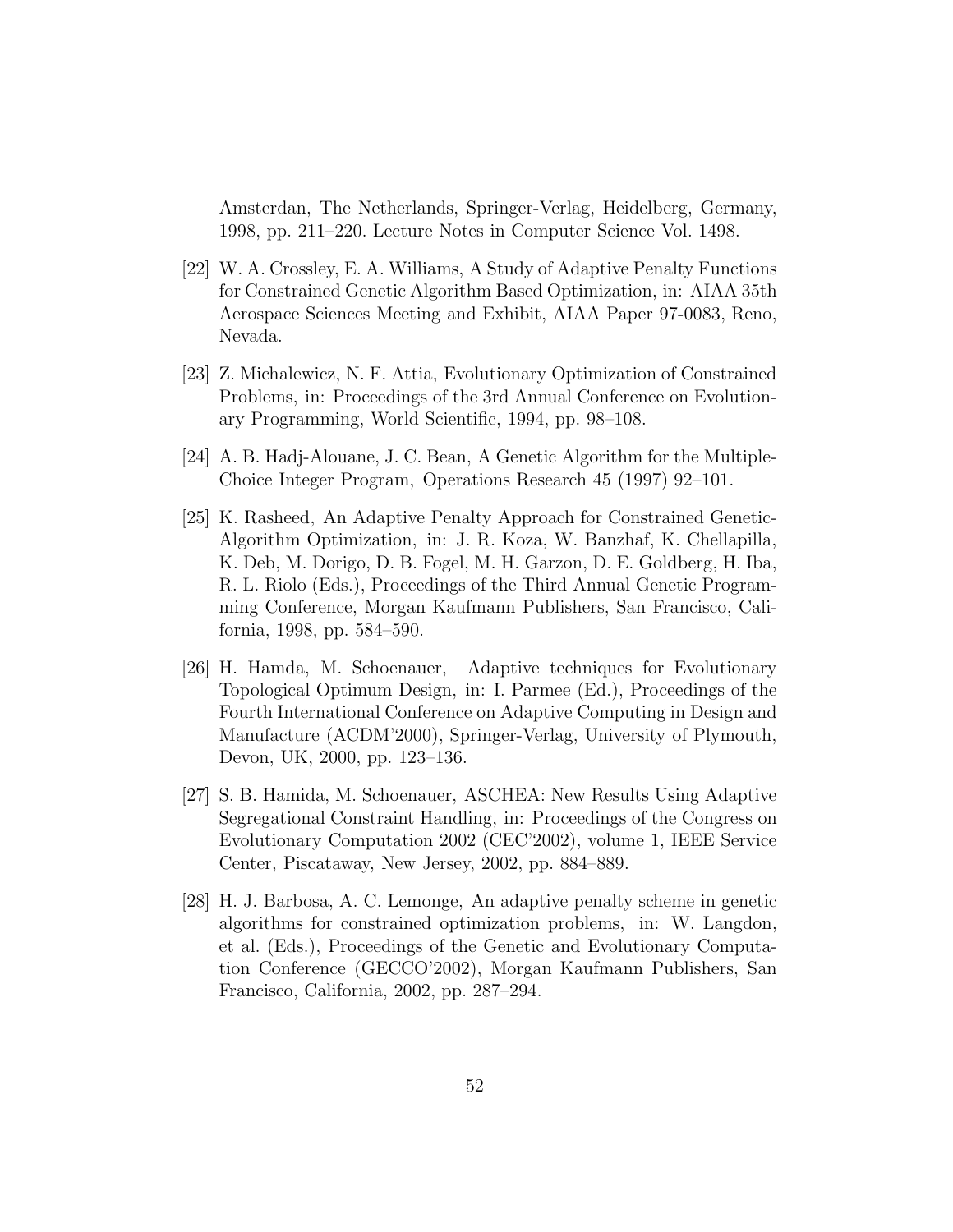Amsterdan, The Netherlands, Springer-Verlag, Heidelberg, Germany, 1998, pp. 211–220. Lecture Notes in Computer Science Vol. 1498.

- [22] W. A. Crossley, E. A. Williams, A Study of Adaptive Penalty Functions for Constrained Genetic Algorithm Based Optimization, in: AIAA 35th Aerospace Sciences Meeting and Exhibit, AIAA Paper 97-0083, Reno, Nevada.
- [23] Z. Michalewicz, N. F. Attia, Evolutionary Optimization of Constrained Problems, in: Proceedings of the 3rd Annual Conference on Evolutionary Programming, World Scientific, 1994, pp. 98–108.
- [24] A. B. Hadj-Alouane, J. C. Bean, A Genetic Algorithm for the Multiple-Choice Integer Program, Operations Research 45 (1997) 92–101.
- [25] K. Rasheed, An Adaptive Penalty Approach for Constrained Genetic-Algorithm Optimization, in: J. R. Koza, W. Banzhaf, K. Chellapilla, K. Deb, M. Dorigo, D. B. Fogel, M. H. Garzon, D. E. Goldberg, H. Iba, R. L. Riolo (Eds.), Proceedings of the Third Annual Genetic Programming Conference, Morgan Kaufmann Publishers, San Francisco, California, 1998, pp. 584–590.
- [26] H. Hamda, M. Schoenauer, Adaptive techniques for Evolutionary Topological Optimum Design, in: I. Parmee (Ed.), Proceedings of the Fourth International Conference on Adaptive Computing in Design and Manufacture (ACDM'2000), Springer-Verlag, University of Plymouth, Devon, UK, 2000, pp. 123–136.
- [27] S. B. Hamida, M. Schoenauer, ASCHEA: New Results Using Adaptive Segregational Constraint Handling, in: Proceedings of the Congress on Evolutionary Computation 2002 (CEC'2002), volume 1, IEEE Service Center, Piscataway, New Jersey, 2002, pp. 884–889.
- [28] H. J. Barbosa, A. C. Lemonge, An adaptive penalty scheme in genetic algorithms for constrained optimization problems, in: W. Langdon, et al. (Eds.), Proceedings of the Genetic and Evolutionary Computation Conference (GECCO'2002), Morgan Kaufmann Publishers, San Francisco, California, 2002, pp. 287–294.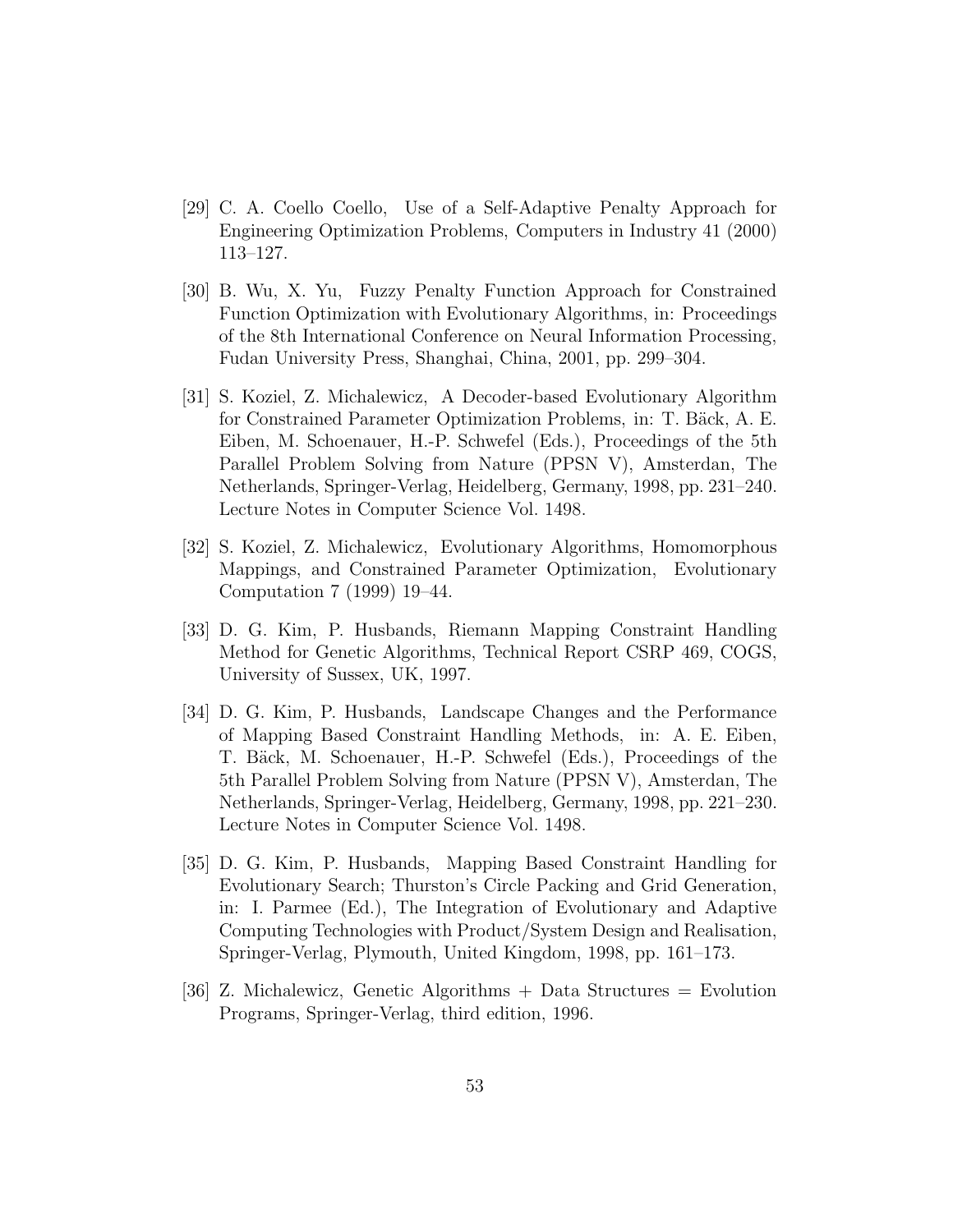- [29] C. A. Coello Coello, Use of a Self-Adaptive Penalty Approach for Engineering Optimization Problems, Computers in Industry 41 (2000) 113–127.
- [30] B. Wu, X. Yu, Fuzzy Penalty Function Approach for Constrained Function Optimization with Evolutionary Algorithms, in: Proceedings of the 8th International Conference on Neural Information Processing, Fudan University Press, Shanghai, China, 2001, pp. 299–304.
- [31] S. Koziel, Z. Michalewicz, A Decoder-based Evolutionary Algorithm for Constrained Parameter Optimization Problems, in: T. Bäck, A. E. Eiben, M. Schoenauer, H.-P. Schwefel (Eds.), Proceedings of the 5th Parallel Problem Solving from Nature (PPSN V), Amsterdan, The Netherlands, Springer-Verlag, Heidelberg, Germany, 1998, pp. 231–240. Lecture Notes in Computer Science Vol. 1498.
- [32] S. Koziel, Z. Michalewicz, Evolutionary Algorithms, Homomorphous Mappings, and Constrained Parameter Optimization, Evolutionary Computation 7 (1999) 19–44.
- [33] D. G. Kim, P. Husbands, Riemann Mapping Constraint Handling Method for Genetic Algorithms, Technical Report CSRP 469, COGS, University of Sussex, UK, 1997.
- [34] D. G. Kim, P. Husbands, Landscape Changes and the Performance of Mapping Based Constraint Handling Methods, in: A. E. Eiben, T. Bäck, M. Schoenauer, H.-P. Schwefel (Eds.), Proceedings of the 5th Parallel Problem Solving from Nature (PPSN V), Amsterdan, The Netherlands, Springer-Verlag, Heidelberg, Germany, 1998, pp. 221–230. Lecture Notes in Computer Science Vol. 1498.
- [35] D. G. Kim, P. Husbands, Mapping Based Constraint Handling for Evolutionary Search; Thurston's Circle Packing and Grid Generation, in: I. Parmee (Ed.), The Integration of Evolutionary and Adaptive Computing Technologies with Product/System Design and Realisation, Springer-Verlag, Plymouth, United Kingdom, 1998, pp. 161–173.
- [36] Z. Michalewicz, Genetic Algorithms + Data Structures = Evolution Programs, Springer-Verlag, third edition, 1996.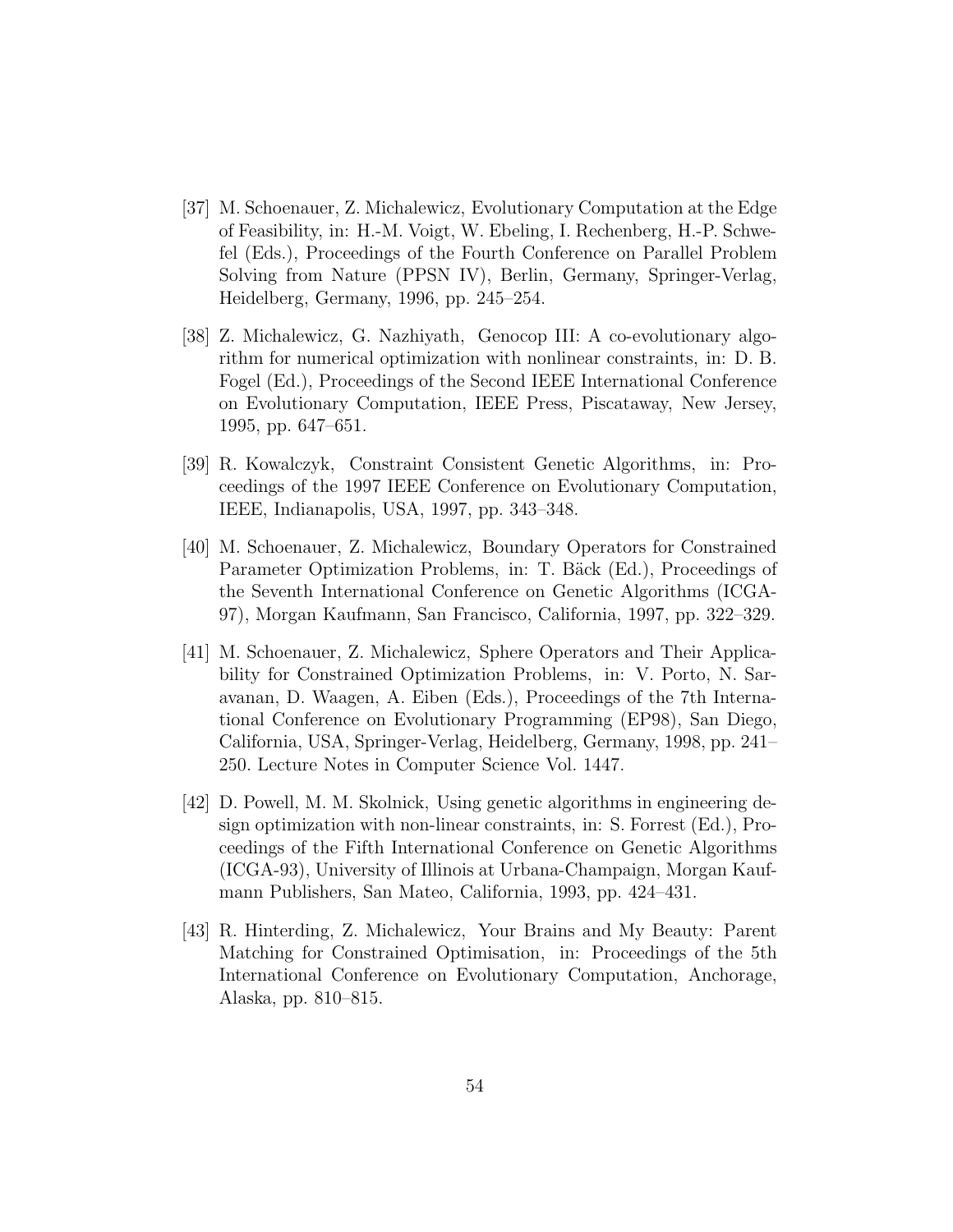- [37] M. Schoenauer, Z. Michalewicz, Evolutionary Computation at the Edge of Feasibility, in: H.-M. Voigt, W. Ebeling, I. Rechenberg, H.-P. Schwefel (Eds.), Proceedings of the Fourth Conference on Parallel Problem Solving from Nature (PPSN IV), Berlin, Germany, Springer-Verlag, Heidelberg, Germany, 1996, pp. 245–254.
- [38] Z. Michalewicz, G. Nazhiyath, Genocop III: A co-evolutionary algorithm for numerical optimization with nonlinear constraints, in: D. B. Fogel (Ed.), Proceedings of the Second IEEE International Conference on Evolutionary Computation, IEEE Press, Piscataway, New Jersey, 1995, pp. 647–651.
- [39] R. Kowalczyk, Constraint Consistent Genetic Algorithms, in: Proceedings of the 1997 IEEE Conference on Evolutionary Computation, IEEE, Indianapolis, USA, 1997, pp. 343–348.
- [40] M. Schoenauer, Z. Michalewicz, Boundary Operators for Constrained Parameter Optimization Problems, in: T. Bäck (Ed.), Proceedings of the Seventh International Conference on Genetic Algorithms (ICGA-97), Morgan Kaufmann, San Francisco, California, 1997, pp. 322–329.
- [41] M. Schoenauer, Z. Michalewicz, Sphere Operators and Their Applicability for Constrained Optimization Problems, in: V. Porto, N. Saravanan, D. Waagen, A. Eiben (Eds.), Proceedings of the 7th International Conference on Evolutionary Programming (EP98), San Diego, California, USA, Springer-Verlag, Heidelberg, Germany, 1998, pp. 241– 250. Lecture Notes in Computer Science Vol. 1447.
- [42] D. Powell, M. M. Skolnick, Using genetic algorithms in engineering design optimization with non-linear constraints, in: S. Forrest (Ed.), Proceedings of the Fifth International Conference on Genetic Algorithms (ICGA-93), University of Illinois at Urbana-Champaign, Morgan Kaufmann Publishers, San Mateo, California, 1993, pp. 424–431.
- [43] R. Hinterding, Z. Michalewicz, Your Brains and My Beauty: Parent Matching for Constrained Optimisation, in: Proceedings of the 5th International Conference on Evolutionary Computation, Anchorage, Alaska, pp. 810–815.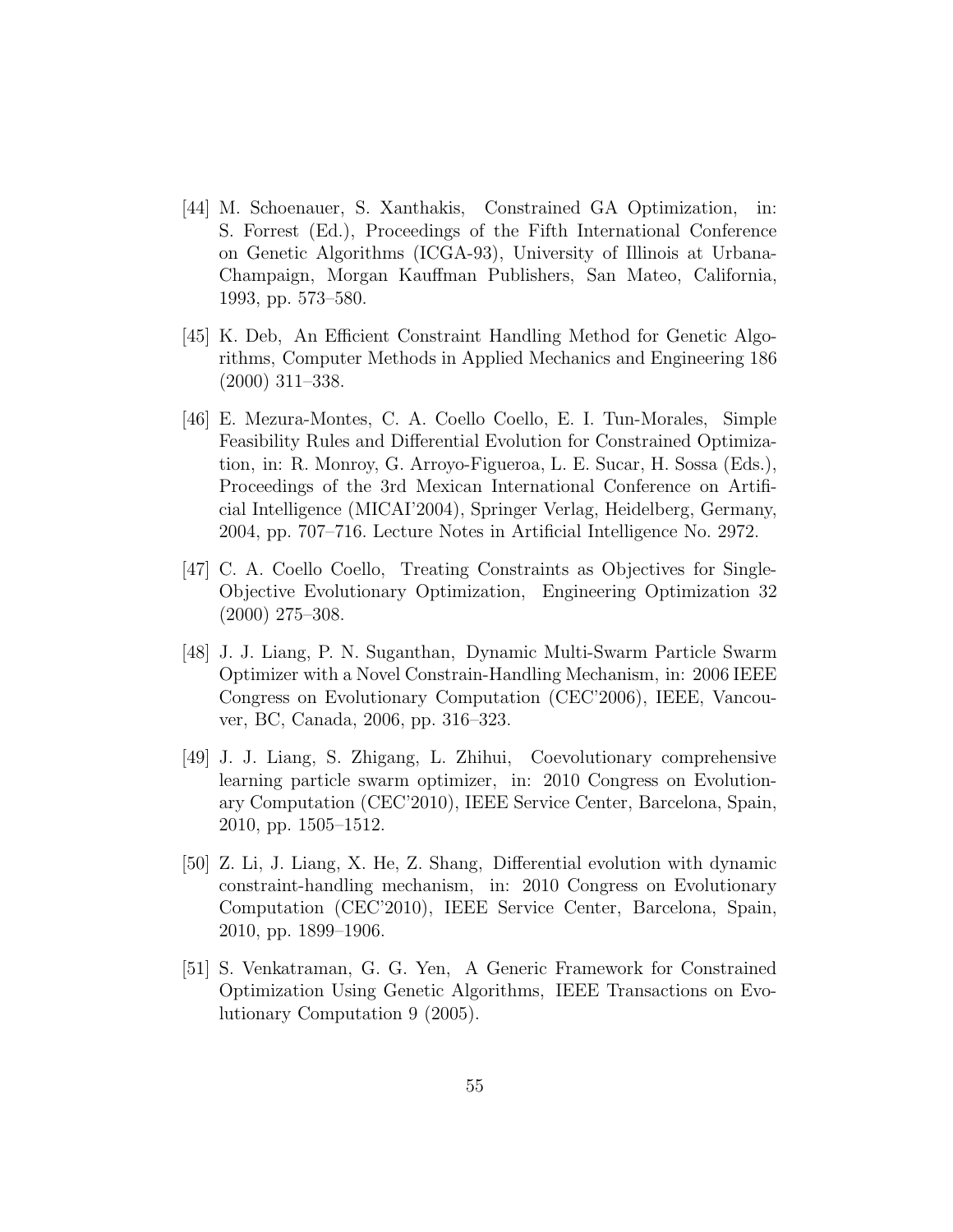- [44] M. Schoenauer, S. Xanthakis, Constrained GA Optimization, in: S. Forrest (Ed.), Proceedings of the Fifth International Conference on Genetic Algorithms (ICGA-93), University of Illinois at Urbana-Champaign, Morgan Kauffman Publishers, San Mateo, California, 1993, pp. 573–580.
- [45] K. Deb, An Efficient Constraint Handling Method for Genetic Algorithms, Computer Methods in Applied Mechanics and Engineering 186 (2000) 311–338.
- [46] E. Mezura-Montes, C. A. Coello Coello, E. I. Tun-Morales, Simple Feasibility Rules and Differential Evolution for Constrained Optimization, in: R. Monroy, G. Arroyo-Figueroa, L. E. Sucar, H. Sossa (Eds.), Proceedings of the 3rd Mexican International Conference on Artificial Intelligence (MICAI'2004), Springer Verlag, Heidelberg, Germany, 2004, pp. 707–716. Lecture Notes in Artificial Intelligence No. 2972.
- [47] C. A. Coello Coello, Treating Constraints as Objectives for Single-Objective Evolutionary Optimization, Engineering Optimization 32 (2000) 275–308.
- [48] J. J. Liang, P. N. Suganthan, Dynamic Multi-Swarm Particle Swarm Optimizer with a Novel Constrain-Handling Mechanism, in: 2006 IEEE Congress on Evolutionary Computation (CEC'2006), IEEE, Vancouver, BC, Canada, 2006, pp. 316–323.
- [49] J. J. Liang, S. Zhigang, L. Zhihui, Coevolutionary comprehensive learning particle swarm optimizer, in: 2010 Congress on Evolutionary Computation (CEC'2010), IEEE Service Center, Barcelona, Spain, 2010, pp. 1505–1512.
- [50] Z. Li, J. Liang, X. He, Z. Shang, Differential evolution with dynamic constraint-handling mechanism, in: 2010 Congress on Evolutionary Computation (CEC'2010), IEEE Service Center, Barcelona, Spain, 2010, pp. 1899–1906.
- [51] S. Venkatraman, G. G. Yen, A Generic Framework for Constrained Optimization Using Genetic Algorithms, IEEE Transactions on Evolutionary Computation 9 (2005).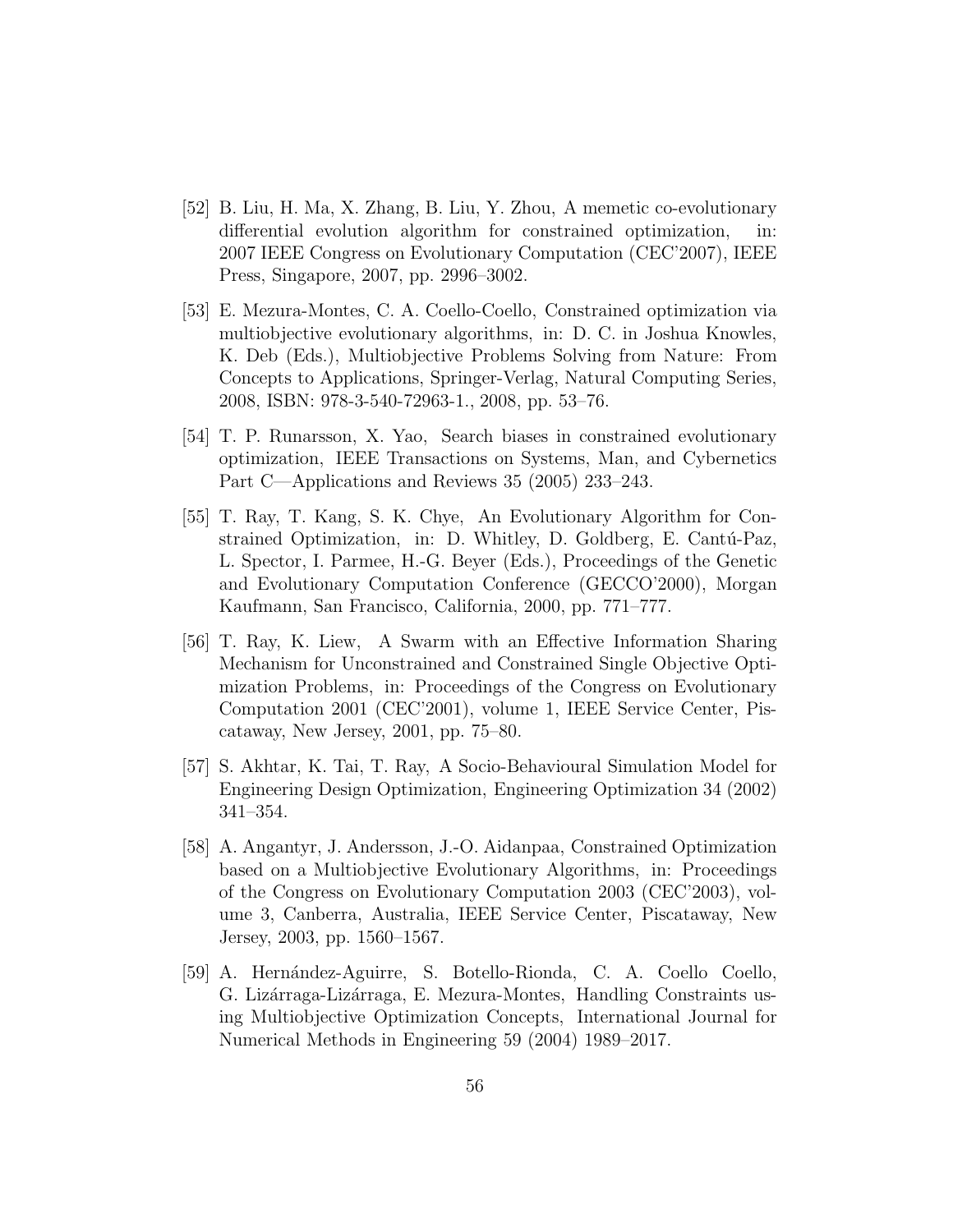- [52] B. Liu, H. Ma, X. Zhang, B. Liu, Y. Zhou, A memetic co-evolutionary differential evolution algorithm for constrained optimization, in: 2007 IEEE Congress on Evolutionary Computation (CEC'2007), IEEE Press, Singapore, 2007, pp. 2996–3002.
- [53] E. Mezura-Montes, C. A. Coello-Coello, Constrained optimization via multiobjective evolutionary algorithms, in: D. C. in Joshua Knowles, K. Deb (Eds.), Multiobjective Problems Solving from Nature: From Concepts to Applications, Springer-Verlag, Natural Computing Series, 2008, ISBN: 978-3-540-72963-1., 2008, pp. 53–76.
- [54] T. P. Runarsson, X. Yao, Search biases in constrained evolutionary optimization, IEEE Transactions on Systems, Man, and Cybernetics Part C—Applications and Reviews 35 (2005) 233–243.
- [55] T. Ray, T. Kang, S. K. Chye, An Evolutionary Algorithm for Constrained Optimization, in: D. Whitley, D. Goldberg, E. Cantú-Paz, L. Spector, I. Parmee, H.-G. Beyer (Eds.), Proceedings of the Genetic and Evolutionary Computation Conference (GECCO'2000), Morgan Kaufmann, San Francisco, California, 2000, pp. 771–777.
- [56] T. Ray, K. Liew, A Swarm with an Effective Information Sharing Mechanism for Unconstrained and Constrained Single Objective Optimization Problems, in: Proceedings of the Congress on Evolutionary Computation 2001 (CEC'2001), volume 1, IEEE Service Center, Piscataway, New Jersey, 2001, pp. 75–80.
- [57] S. Akhtar, K. Tai, T. Ray, A Socio-Behavioural Simulation Model for Engineering Design Optimization, Engineering Optimization 34 (2002) 341–354.
- [58] A. Angantyr, J. Andersson, J.-O. Aidanpaa, Constrained Optimization based on a Multiobjective Evolutionary Algorithms, in: Proceedings of the Congress on Evolutionary Computation 2003 (CEC'2003), volume 3, Canberra, Australia, IEEE Service Center, Piscataway, New Jersey, 2003, pp. 1560–1567.
- [59] A. Hern´andez-Aguirre, S. Botello-Rionda, C. A. Coello Coello, G. Lizárraga-Lizárraga, E. Mezura-Montes, Handling Constraints using Multiobjective Optimization Concepts, International Journal for Numerical Methods in Engineering 59 (2004) 1989–2017.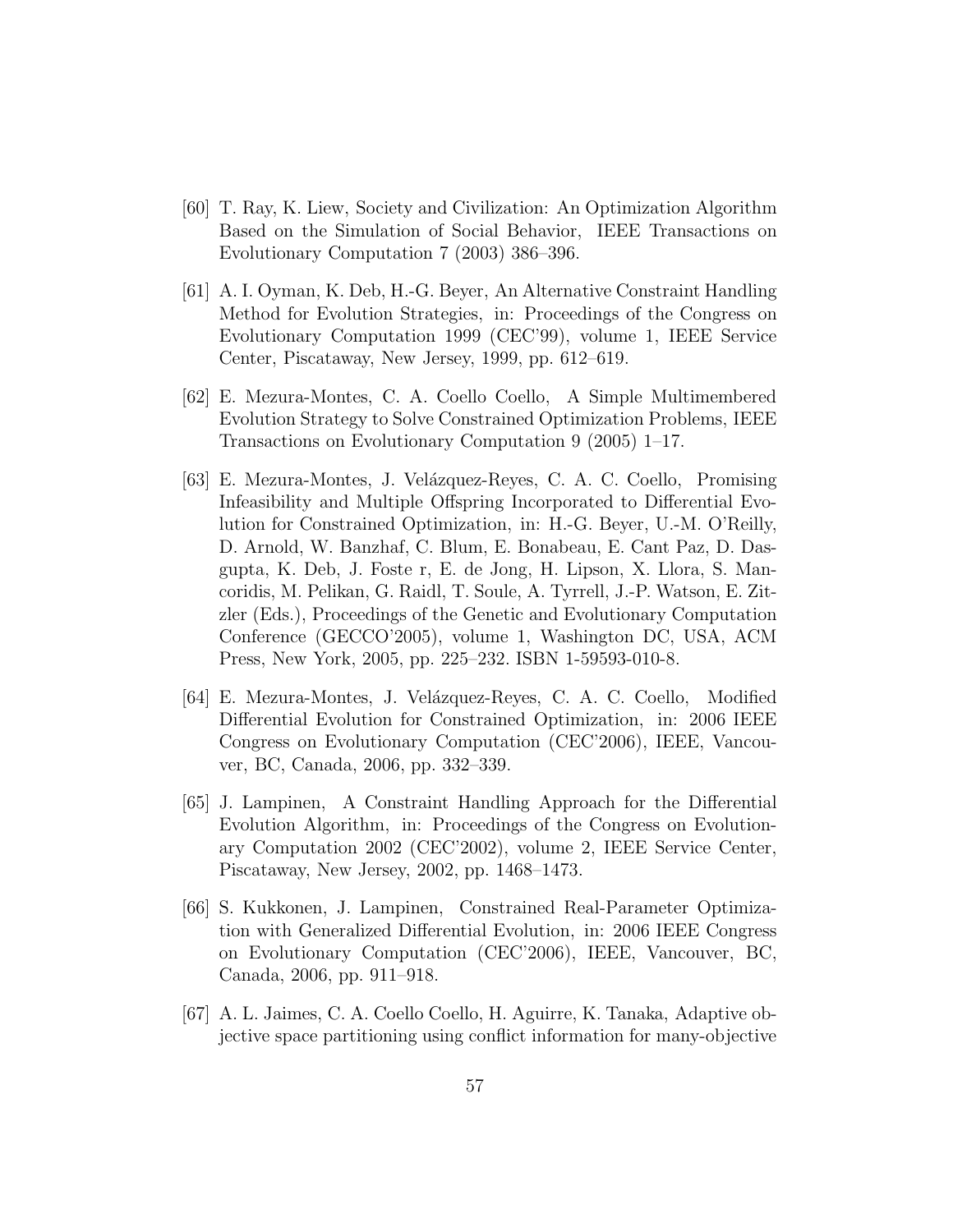- [60] T. Ray, K. Liew, Society and Civilization: An Optimization Algorithm Based on the Simulation of Social Behavior, IEEE Transactions on Evolutionary Computation 7 (2003) 386–396.
- [61] A. I. Oyman, K. Deb, H.-G. Beyer, An Alternative Constraint Handling Method for Evolution Strategies, in: Proceedings of the Congress on Evolutionary Computation 1999 (CEC'99), volume 1, IEEE Service Center, Piscataway, New Jersey, 1999, pp. 612–619.
- [62] E. Mezura-Montes, C. A. Coello Coello, A Simple Multimembered Evolution Strategy to Solve Constrained Optimization Problems, IEEE Transactions on Evolutionary Computation 9 (2005) 1–17.
- [63] E. Mezura-Montes, J. Velázquez-Reyes, C. A. C. Coello, Promising Infeasibility and Multiple Offspring Incorporated to Differential Evolution for Constrained Optimization, in: H.-G. Beyer, U.-M. O'Reilly, D. Arnold, W. Banzhaf, C. Blum, E. Bonabeau, E. Cant Paz, D. Dasgupta, K. Deb, J. Foste r, E. de Jong, H. Lipson, X. Llora, S. Mancoridis, M. Pelikan, G. Raidl, T. Soule, A. Tyrrell, J.-P. Watson, E. Zitzler (Eds.), Proceedings of the Genetic and Evolutionary Computation Conference (GECCO'2005), volume 1, Washington DC, USA, ACM Press, New York, 2005, pp. 225–232. ISBN 1-59593-010-8.
- [64] E. Mezura-Montes, J. Velázquez-Reyes, C. A. C. Coello, Modified Differential Evolution for Constrained Optimization, in: 2006 IEEE Congress on Evolutionary Computation (CEC'2006), IEEE, Vancouver, BC, Canada, 2006, pp. 332–339.
- [65] J. Lampinen, A Constraint Handling Approach for the Differential Evolution Algorithm, in: Proceedings of the Congress on Evolutionary Computation 2002 (CEC'2002), volume 2, IEEE Service Center, Piscataway, New Jersey, 2002, pp. 1468–1473.
- [66] S. Kukkonen, J. Lampinen, Constrained Real-Parameter Optimization with Generalized Differential Evolution, in: 2006 IEEE Congress on Evolutionary Computation (CEC'2006), IEEE, Vancouver, BC, Canada, 2006, pp. 911–918.
- [67] A. L. Jaimes, C. A. Coello Coello, H. Aguirre, K. Tanaka, Adaptive objective space partitioning using conflict information for many-objective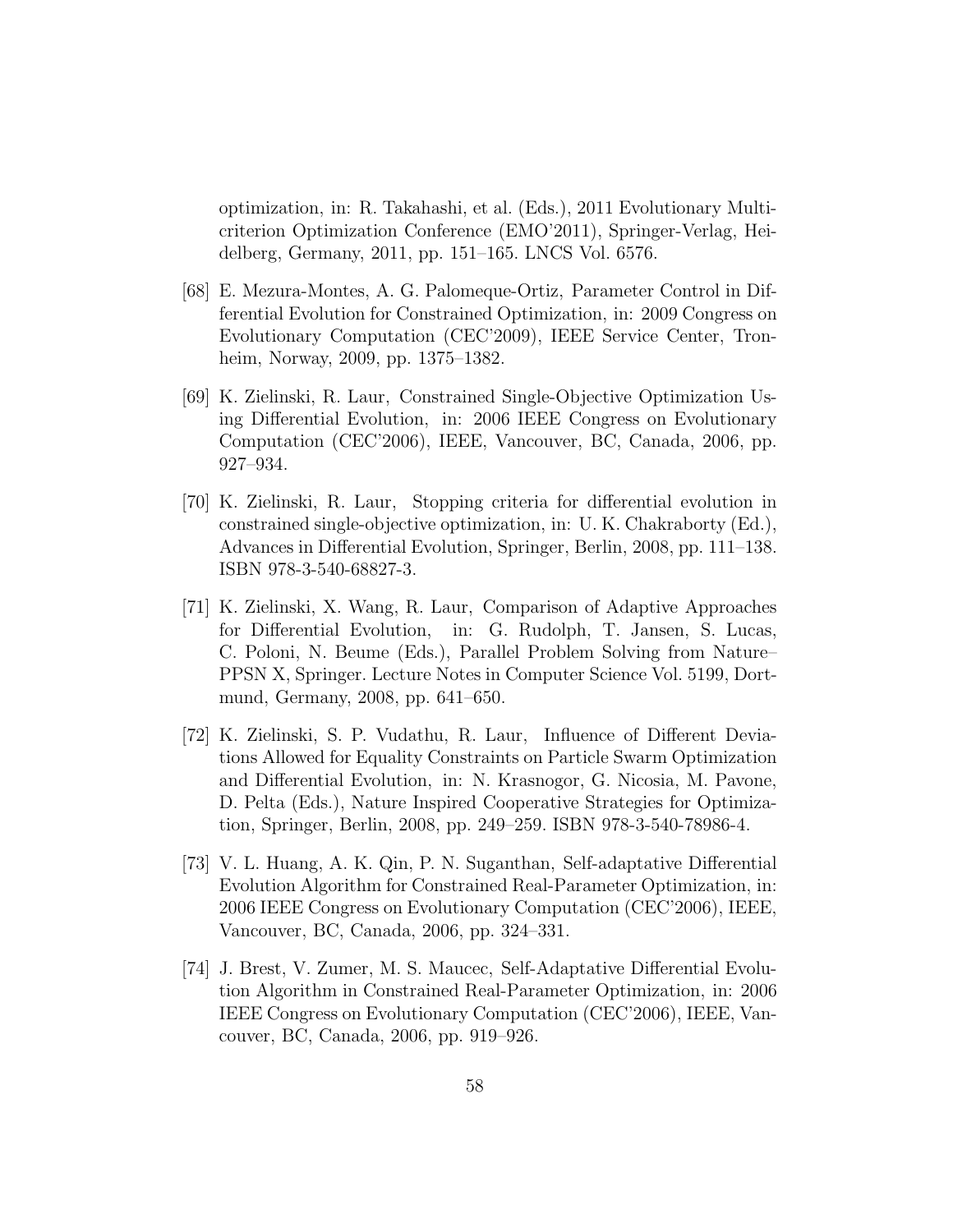optimization, in: R. Takahashi, et al. (Eds.), 2011 Evolutionary Multicriterion Optimization Conference (EMO'2011), Springer-Verlag, Heidelberg, Germany, 2011, pp. 151–165. LNCS Vol. 6576.

- [68] E. Mezura-Montes, A. G. Palomeque-Ortiz, Parameter Control in Differential Evolution for Constrained Optimization, in: 2009 Congress on Evolutionary Computation (CEC'2009), IEEE Service Center, Tronheim, Norway, 2009, pp. 1375–1382.
- [69] K. Zielinski, R. Laur, Constrained Single-Objective Optimization Using Differential Evolution, in: 2006 IEEE Congress on Evolutionary Computation (CEC'2006), IEEE, Vancouver, BC, Canada, 2006, pp. 927–934.
- [70] K. Zielinski, R. Laur, Stopping criteria for differential evolution in constrained single-objective optimization, in: U. K. Chakraborty (Ed.), Advances in Differential Evolution, Springer, Berlin, 2008, pp. 111–138. ISBN 978-3-540-68827-3.
- [71] K. Zielinski, X. Wang, R. Laur, Comparison of Adaptive Approaches for Differential Evolution, in: G. Rudolph, T. Jansen, S. Lucas, C. Poloni, N. Beume (Eds.), Parallel Problem Solving from Nature– PPSN X, Springer. Lecture Notes in Computer Science Vol. 5199, Dortmund, Germany, 2008, pp. 641–650.
- [72] K. Zielinski, S. P. Vudathu, R. Laur, Influence of Different Deviations Allowed for Equality Constraints on Particle Swarm Optimization and Differential Evolution, in: N. Krasnogor, G. Nicosia, M. Pavone, D. Pelta (Eds.), Nature Inspired Cooperative Strategies for Optimization, Springer, Berlin, 2008, pp. 249–259. ISBN 978-3-540-78986-4.
- [73] V. L. Huang, A. K. Qin, P. N. Suganthan, Self-adaptative Differential Evolution Algorithm for Constrained Real-Parameter Optimization, in: 2006 IEEE Congress on Evolutionary Computation (CEC'2006), IEEE, Vancouver, BC, Canada, 2006, pp. 324–331.
- [74] J. Brest, V. Zumer, M. S. Maucec, Self-Adaptative Differential Evolution Algorithm in Constrained Real-Parameter Optimization, in: 2006 IEEE Congress on Evolutionary Computation (CEC'2006), IEEE, Vancouver, BC, Canada, 2006, pp. 919–926.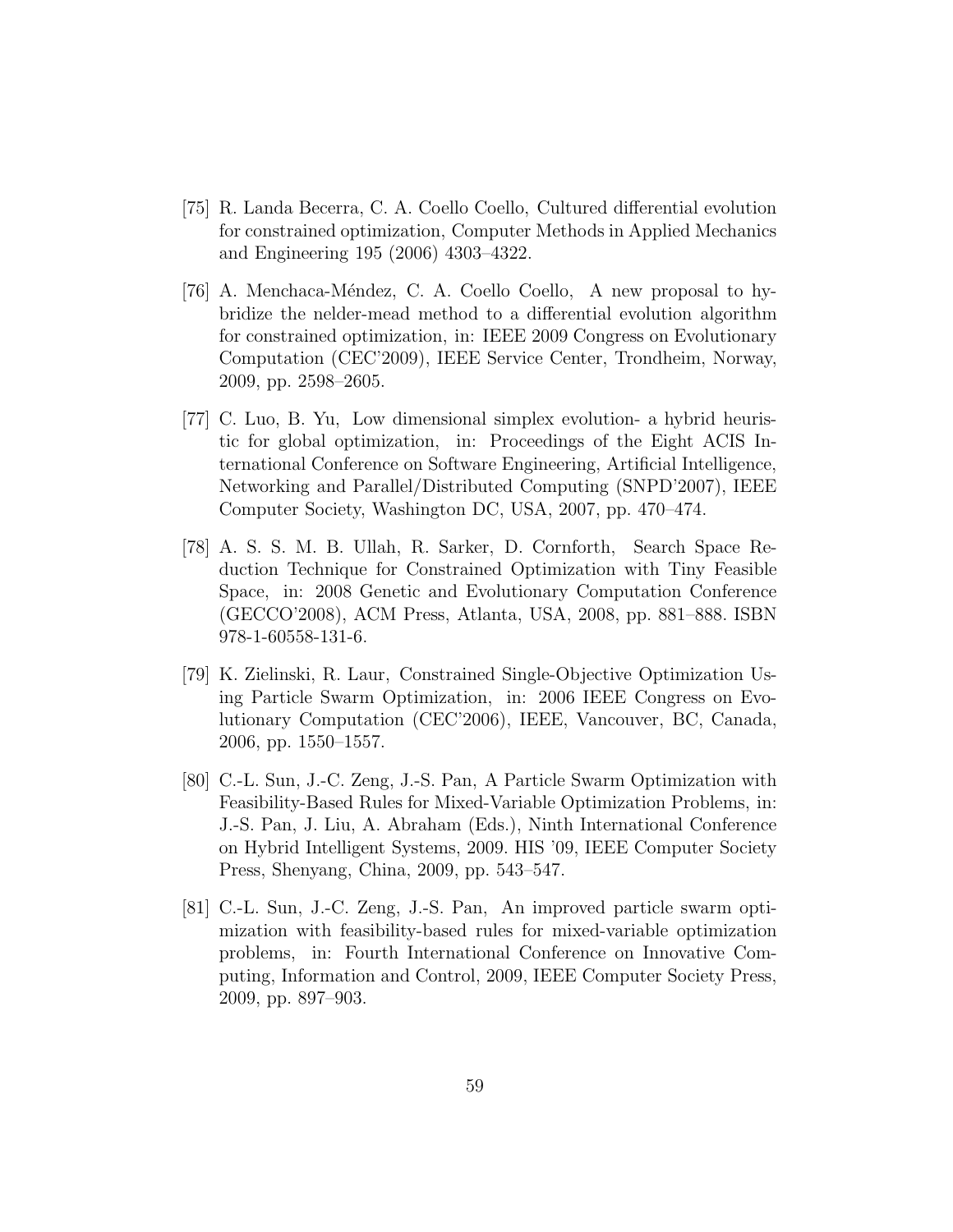- [75] R. Landa Becerra, C. A. Coello Coello, Cultured differential evolution for constrained optimization, Computer Methods in Applied Mechanics and Engineering 195 (2006) 4303–4322.
- [76] A. Menchaca-M´endez, C. A. Coello Coello, A new proposal to hybridize the nelder-mead method to a differential evolution algorithm for constrained optimization, in: IEEE 2009 Congress on Evolutionary Computation (CEC'2009), IEEE Service Center, Trondheim, Norway, 2009, pp. 2598–2605.
- [77] C. Luo, B. Yu, Low dimensional simplex evolution- a hybrid heuristic for global optimization, in: Proceedings of the Eight ACIS International Conference on Software Engineering, Artificial Intelligence, Networking and Parallel/Distributed Computing (SNPD'2007), IEEE Computer Society, Washington DC, USA, 2007, pp. 470–474.
- [78] A. S. S. M. B. Ullah, R. Sarker, D. Cornforth, Search Space Reduction Technique for Constrained Optimization with Tiny Feasible Space, in: 2008 Genetic and Evolutionary Computation Conference (GECCO'2008), ACM Press, Atlanta, USA, 2008, pp. 881–888. ISBN 978-1-60558-131-6.
- [79] K. Zielinski, R. Laur, Constrained Single-Objective Optimization Using Particle Swarm Optimization, in: 2006 IEEE Congress on Evolutionary Computation (CEC'2006), IEEE, Vancouver, BC, Canada, 2006, pp. 1550–1557.
- [80] C.-L. Sun, J.-C. Zeng, J.-S. Pan, A Particle Swarm Optimization with Feasibility-Based Rules for Mixed-Variable Optimization Problems, in: J.-S. Pan, J. Liu, A. Abraham (Eds.), Ninth International Conference on Hybrid Intelligent Systems, 2009. HIS '09, IEEE Computer Society Press, Shenyang, China, 2009, pp. 543–547.
- [81] C.-L. Sun, J.-C. Zeng, J.-S. Pan, An improved particle swarm optimization with feasibility-based rules for mixed-variable optimization problems, in: Fourth International Conference on Innovative Computing, Information and Control, 2009, IEEE Computer Society Press, 2009, pp. 897–903.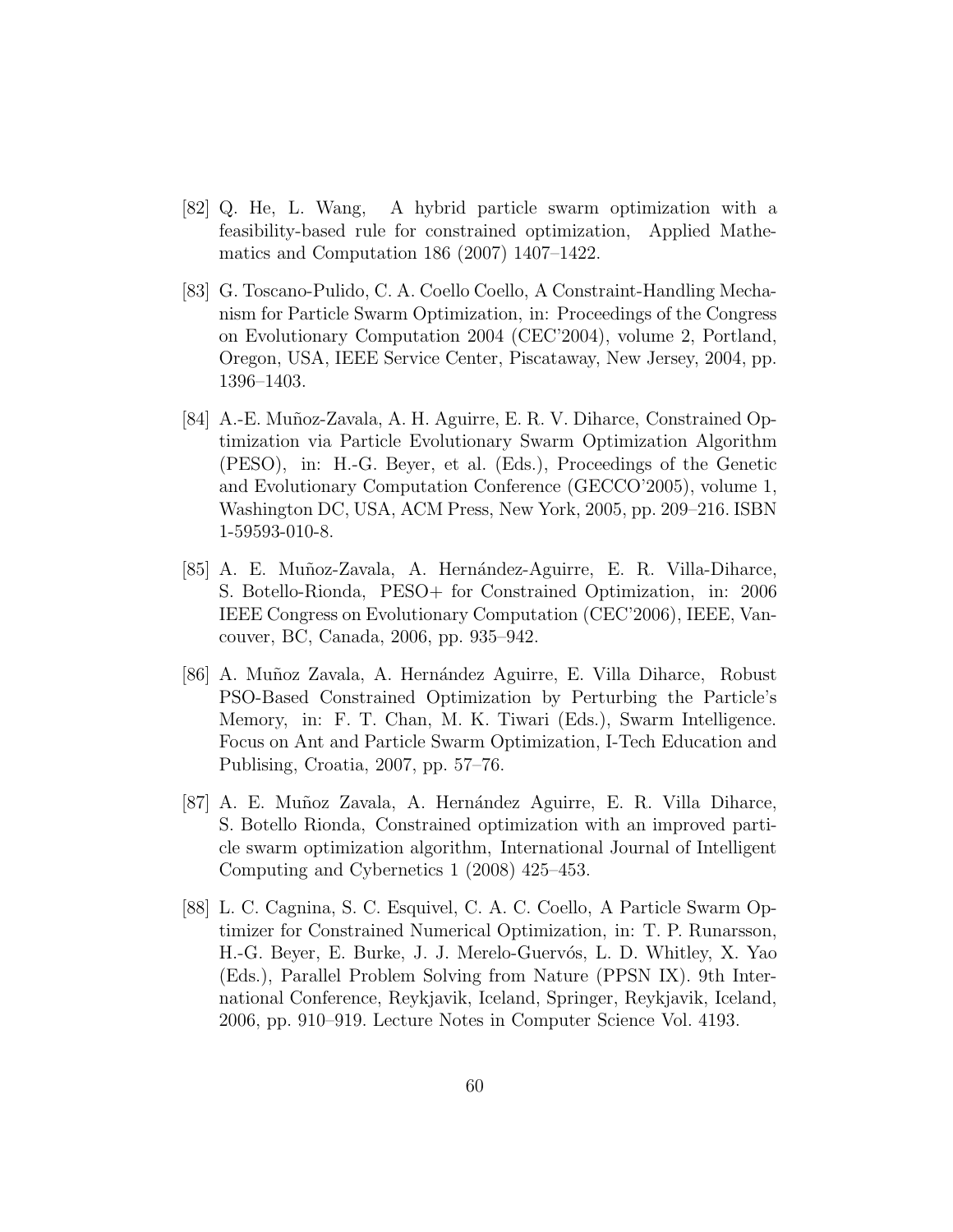- [82] Q. He, L. Wang, A hybrid particle swarm optimization with a feasibility-based rule for constrained optimization, Applied Mathematics and Computation 186 (2007) 1407–1422.
- [83] G. Toscano-Pulido, C. A. Coello Coello, A Constraint-Handling Mechanism for Particle Swarm Optimization, in: Proceedings of the Congress on Evolutionary Computation 2004 (CEC'2004), volume 2, Portland, Oregon, USA, IEEE Service Center, Piscataway, New Jersey, 2004, pp. 1396–1403.
- [84] A.-E. Mu˜noz-Zavala, A. H. Aguirre, E. R. V. Diharce, Constrained Optimization via Particle Evolutionary Swarm Optimization Algorithm (PESO), in: H.-G. Beyer, et al. (Eds.), Proceedings of the Genetic and Evolutionary Computation Conference (GECCO'2005), volume 1, Washington DC, USA, ACM Press, New York, 2005, pp. 209–216. ISBN 1-59593-010-8.
- [85] A. E. Muñoz-Zavala, A. Hernández-Aguirre, E. R. Villa-Diharce, S. Botello-Rionda, PESO+ for Constrained Optimization, in: 2006 IEEE Congress on Evolutionary Computation (CEC'2006), IEEE, Vancouver, BC, Canada, 2006, pp. 935–942.
- [86] A. Muñoz Zavala, A. Hernández Aguirre, E. Villa Diharce, Robust PSO-Based Constrained Optimization by Perturbing the Particle's Memory, in: F. T. Chan, M. K. Tiwari (Eds.), Swarm Intelligence. Focus on Ant and Particle Swarm Optimization, I-Tech Education and Publising, Croatia, 2007, pp. 57–76.
- [87] A. E. Mu˜noz Zavala, A. Hern´andez Aguirre, E. R. Villa Diharce, S. Botello Rionda, Constrained optimization with an improved particle swarm optimization algorithm, International Journal of Intelligent Computing and Cybernetics 1 (2008) 425–453.
- [88] L. C. Cagnina, S. C. Esquivel, C. A. C. Coello, A Particle Swarm Optimizer for Constrained Numerical Optimization, in: T. P. Runarsson, H.-G. Beyer, E. Burke, J. J. Merelo-Guervós, L. D. Whitley, X. Yao (Eds.), Parallel Problem Solving from Nature (PPSN IX). 9th International Conference, Reykjavik, Iceland, Springer, Reykjavik, Iceland, 2006, pp. 910–919. Lecture Notes in Computer Science Vol. 4193.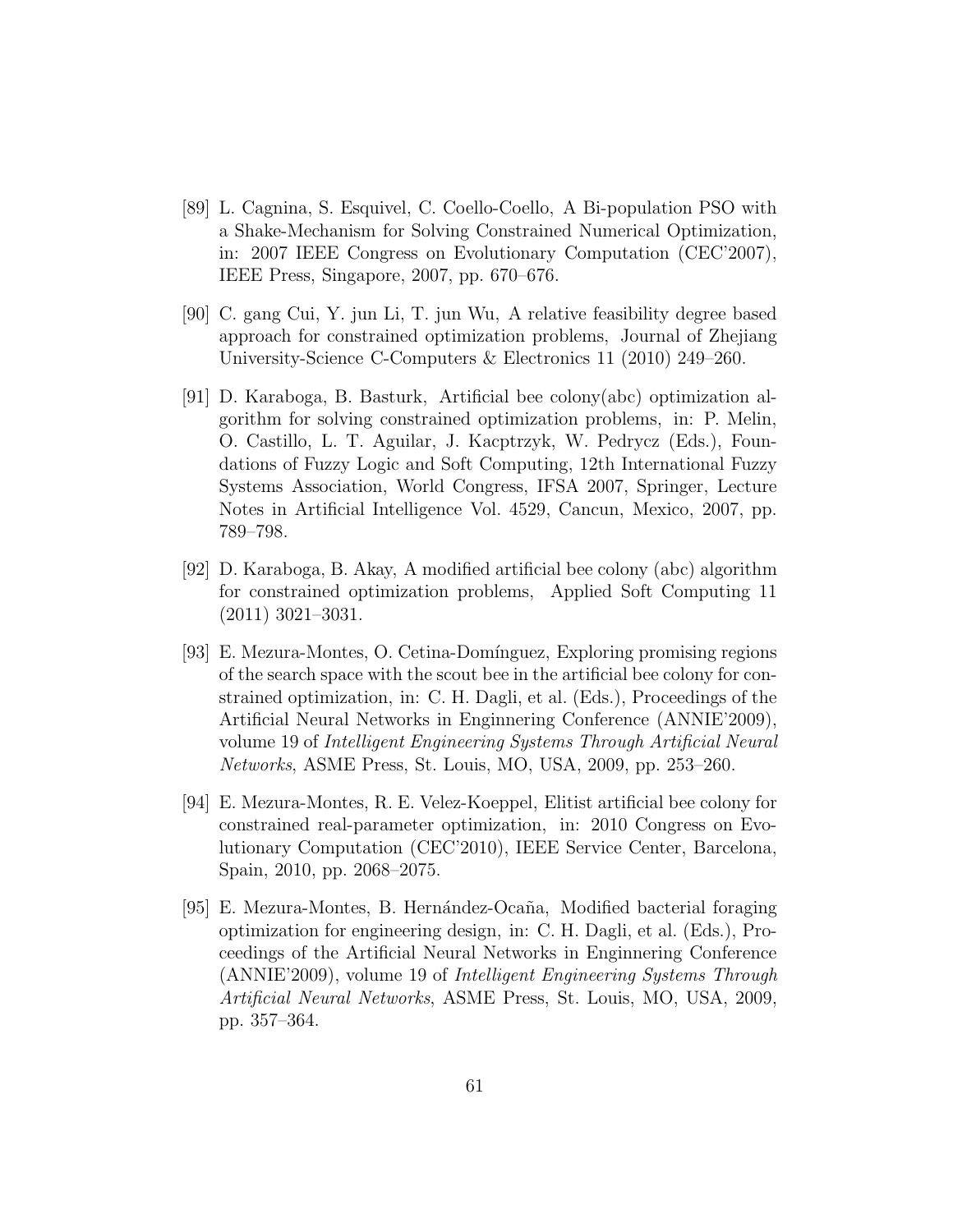- [89] L. Cagnina, S. Esquivel, C. Coello-Coello, A Bi-population PSO with a Shake-Mechanism for Solving Constrained Numerical Optimization, in: 2007 IEEE Congress on Evolutionary Computation (CEC'2007), IEEE Press, Singapore, 2007, pp. 670–676.
- [90] C. gang Cui, Y. jun Li, T. jun Wu, A relative feasibility degree based approach for constrained optimization problems, Journal of Zhejiang University-Science C-Computers & Electronics 11 (2010) 249–260.
- [91] D. Karaboga, B. Basturk, Artificial bee colony(abc) optimization algorithm for solving constrained optimization problems, in: P. Melin, O. Castillo, L. T. Aguilar, J. Kacptrzyk, W. Pedrycz (Eds.), Foundations of Fuzzy Logic and Soft Computing, 12th International Fuzzy Systems Association, World Congress, IFSA 2007, Springer, Lecture Notes in Artificial Intelligence Vol. 4529, Cancun, Mexico, 2007, pp. 789–798.
- [92] D. Karaboga, B. Akay, A modified artificial bee colony (abc) algorithm for constrained optimization problems, Applied Soft Computing 11 (2011) 3021–3031.
- [93] E. Mezura-Montes, O. Cetina-Dom´ınguez, Exploring promising regions of the search space with the scout bee in the artificial bee colony for constrained optimization, in: C. H. Dagli, et al. (Eds.), Proceedings of the Artificial Neural Networks in Enginnering Conference (ANNIE'2009), volume 19 of *Intelligent Engineering Systems Through Artificial Neural Networks*, ASME Press, St. Louis, MO, USA, 2009, pp. 253–260.
- [94] E. Mezura-Montes, R. E. Velez-Koeppel, Elitist artificial bee colony for constrained real-parameter optimization, in: 2010 Congress on Evolutionary Computation (CEC'2010), IEEE Service Center, Barcelona, Spain, 2010, pp. 2068–2075.
- [95] E. Mezura-Montes, B. Hernández-Ocaña, Modified bacterial foraging optimization for engineering design, in: C. H. Dagli, et al. (Eds.), Proceedings of the Artificial Neural Networks in Enginnering Conference (ANNIE'2009), volume 19 of *Intelligent Engineering Systems Through Artificial Neural Networks*, ASME Press, St. Louis, MO, USA, 2009, pp. 357–364.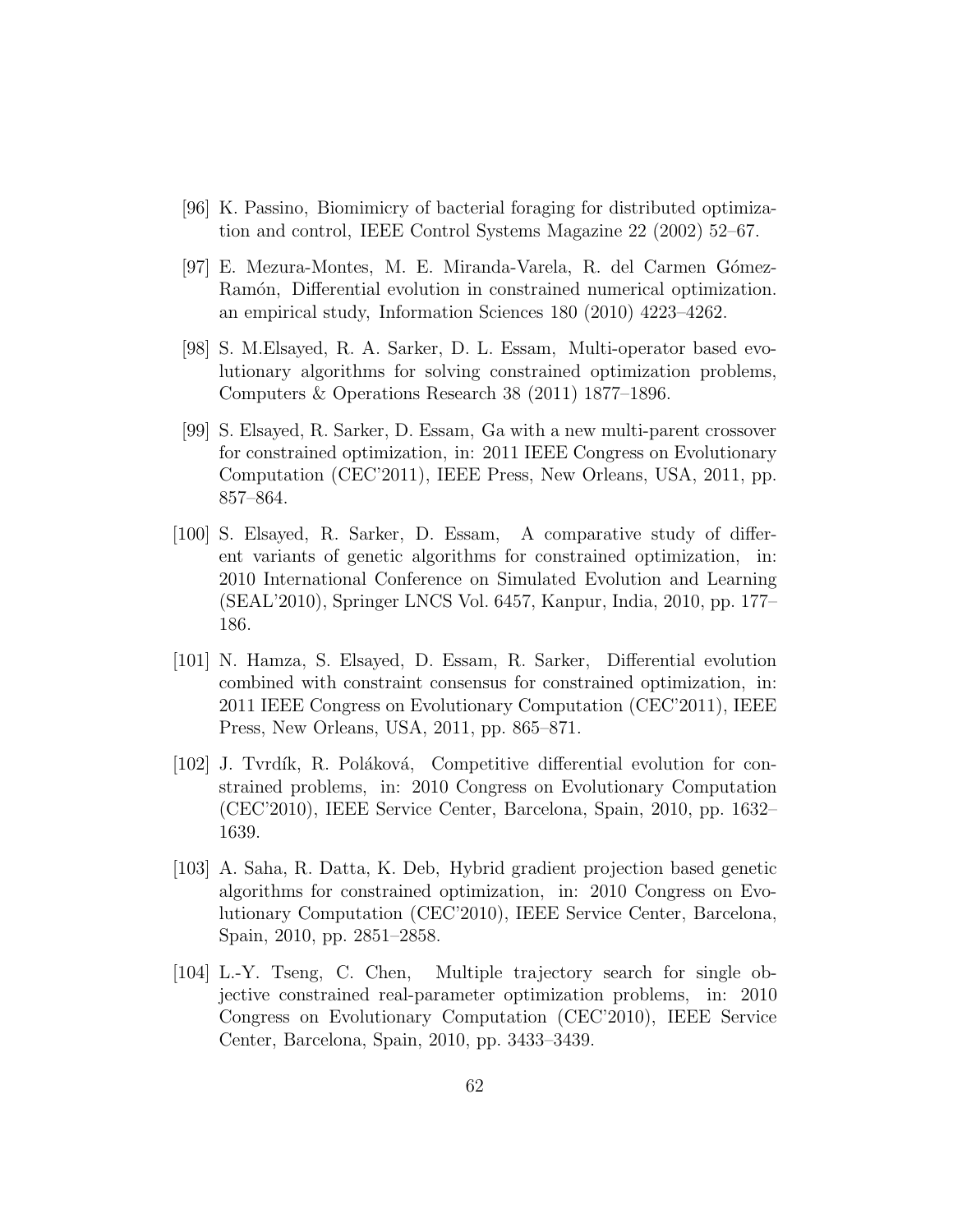- [96] K. Passino, Biomimicry of bacterial foraging for distributed optimization and control, IEEE Control Systems Magazine 22 (2002) 52–67.
- [97] E. Mezura-Montes, M. E. Miranda-Varela, R. del Carmen Gómez-Ramón, Differential evolution in constrained numerical optimization. an empirical study, Information Sciences 180 (2010) 4223–4262.
- [98] S. M.Elsayed, R. A. Sarker, D. L. Essam, Multi-operator based evolutionary algorithms for solving constrained optimization problems, Computers & Operations Research 38 (2011) 1877–1896.
- [99] S. Elsayed, R. Sarker, D. Essam, Ga with a new multi-parent crossover for constrained optimization, in: 2011 IEEE Congress on Evolutionary Computation (CEC'2011), IEEE Press, New Orleans, USA, 2011, pp. 857–864.
- [100] S. Elsayed, R. Sarker, D. Essam, A comparative study of different variants of genetic algorithms for constrained optimization, in: 2010 International Conference on Simulated Evolution and Learning (SEAL'2010), Springer LNCS Vol. 6457, Kanpur, India, 2010, pp. 177– 186.
- [101] N. Hamza, S. Elsayed, D. Essam, R. Sarker, Differential evolution combined with constraint consensus for constrained optimization, in: 2011 IEEE Congress on Evolutionary Computation (CEC'2011), IEEE Press, New Orleans, USA, 2011, pp. 865–871.
- [102] J. Tvrdík, R. Poláková, Competitive differential evolution for constrained problems, in: 2010 Congress on Evolutionary Computation (CEC'2010), IEEE Service Center, Barcelona, Spain, 2010, pp. 1632– 1639.
- [103] A. Saha, R. Datta, K. Deb, Hybrid gradient projection based genetic algorithms for constrained optimization, in: 2010 Congress on Evolutionary Computation (CEC'2010), IEEE Service Center, Barcelona, Spain, 2010, pp. 2851–2858.
- [104] L.-Y. Tseng, C. Chen, Multiple trajectory search for single objective constrained real-parameter optimization problems, in: 2010 Congress on Evolutionary Computation (CEC'2010), IEEE Service Center, Barcelona, Spain, 2010, pp. 3433–3439.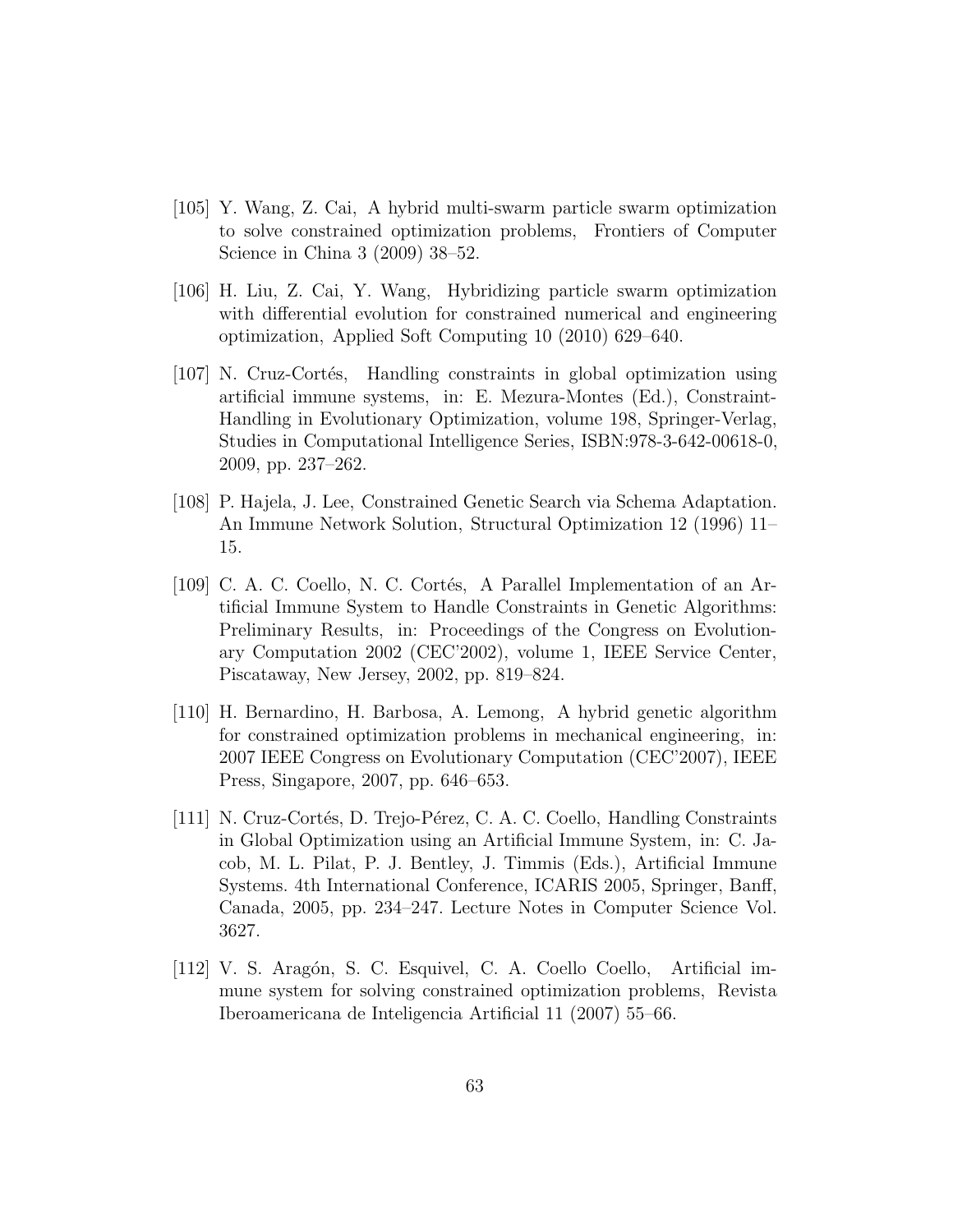- [105] Y. Wang, Z. Cai, A hybrid multi-swarm particle swarm optimization to solve constrained optimization problems, Frontiers of Computer Science in China 3 (2009) 38–52.
- [106] H. Liu, Z. Cai, Y. Wang, Hybridizing particle swarm optimization with differential evolution for constrained numerical and engineering optimization, Applied Soft Computing 10 (2010) 629–640.
- [107] N. Cruz-Cortés, Handling constraints in global optimization using artificial immune systems, in: E. Mezura-Montes (Ed.), Constraint-Handling in Evolutionary Optimization, volume 198, Springer-Verlag, Studies in Computational Intelligence Series, ISBN:978-3-642-00618-0, 2009, pp. 237–262.
- [108] P. Hajela, J. Lee, Constrained Genetic Search via Schema Adaptation. An Immune Network Solution, Structural Optimization 12 (1996) 11– 15.
- [109] C. A. C. Coello, N. C. Cortés, A Parallel Implementation of an Artificial Immune System to Handle Constraints in Genetic Algorithms: Preliminary Results, in: Proceedings of the Congress on Evolutionary Computation 2002 (CEC'2002), volume 1, IEEE Service Center, Piscataway, New Jersey, 2002, pp. 819–824.
- [110] H. Bernardino, H. Barbosa, A. Lemong, A hybrid genetic algorithm for constrained optimization problems in mechanical engineering, in: 2007 IEEE Congress on Evolutionary Computation (CEC'2007), IEEE Press, Singapore, 2007, pp. 646–653.
- [111] N. Cruz-Cortés, D. Trejo-Pérez, C. A. C. Coello, Handling Constraints in Global Optimization using an Artificial Immune System, in: C. Jacob, M. L. Pilat, P. J. Bentley, J. Timmis (Eds.), Artificial Immune Systems. 4th International Conference, ICARIS 2005, Springer, Banff, Canada, 2005, pp. 234–247. Lecture Notes in Computer Science Vol. 3627.
- [112] V. S. Aragón, S. C. Esquivel, C. A. Coello Coello, Artificial immune system for solving constrained optimization problems, Revista Iberoamericana de Inteligencia Artificial 11 (2007) 55–66.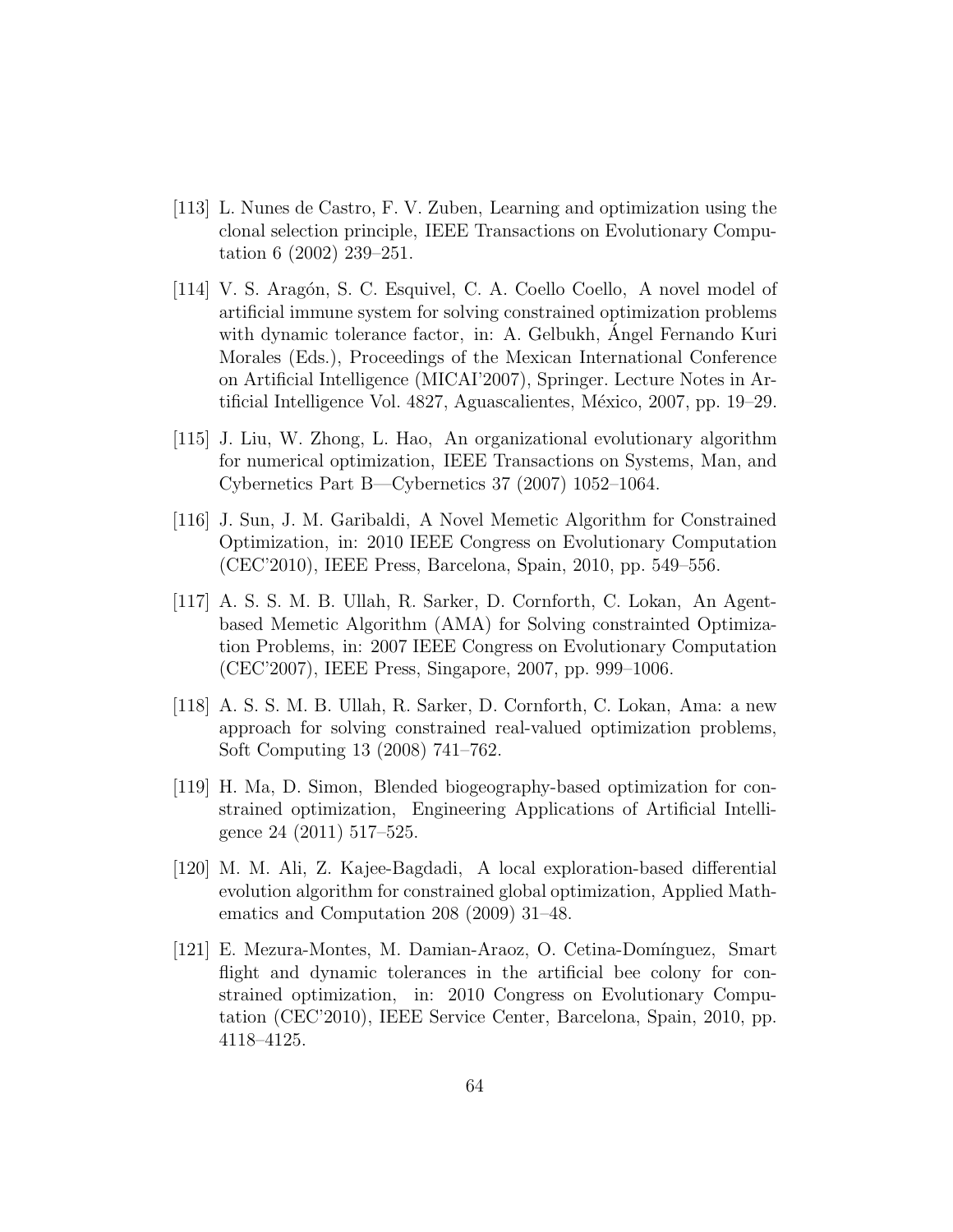- [113] L. Nunes de Castro, F. V. Zuben, Learning and optimization using the clonal selection principle, IEEE Transactions on Evolutionary Computation 6 (2002) 239–251.
- [114] V. S. Aragón, S. C. Esquivel, C. A. Coello Coello, A novel model of artificial immune system for solving constrained optimization problems with dynamic tolerance factor, in: A. Gelbukh, Angel Fernando Kuri Morales (Eds.), Proceedings of the Mexican International Conference on Artificial Intelligence (MICAI'2007), Springer. Lecture Notes in Artificial Intelligence Vol. 4827, Aguascalientes, México, 2007, pp. 19–29.
- [115] J. Liu, W. Zhong, L. Hao, An organizational evolutionary algorithm for numerical optimization, IEEE Transactions on Systems, Man, and Cybernetics Part B—Cybernetics 37 (2007) 1052–1064.
- [116] J. Sun, J. M. Garibaldi, A Novel Memetic Algorithm for Constrained Optimization, in: 2010 IEEE Congress on Evolutionary Computation (CEC'2010), IEEE Press, Barcelona, Spain, 2010, pp. 549–556.
- [117] A. S. S. M. B. Ullah, R. Sarker, D. Cornforth, C. Lokan, An Agentbased Memetic Algorithm (AMA) for Solving constrainted Optimization Problems, in: 2007 IEEE Congress on Evolutionary Computation (CEC'2007), IEEE Press, Singapore, 2007, pp. 999–1006.
- [118] A. S. S. M. B. Ullah, R. Sarker, D. Cornforth, C. Lokan, Ama: a new approach for solving constrained real-valued optimization problems, Soft Computing 13 (2008) 741–762.
- [119] H. Ma, D. Simon, Blended biogeography-based optimization for constrained optimization, Engineering Applications of Artificial Intelligence 24 (2011) 517–525.
- [120] M. M. Ali, Z. Kajee-Bagdadi, A local exploration-based differential evolution algorithm for constrained global optimization, Applied Mathematics and Computation 208 (2009) 31–48.
- [121] E. Mezura-Montes, M. Damian-Araoz, O. Cetina-Dom´ınguez, Smart flight and dynamic tolerances in the artificial bee colony for constrained optimization, in: 2010 Congress on Evolutionary Computation (CEC'2010), IEEE Service Center, Barcelona, Spain, 2010, pp. 4118–4125.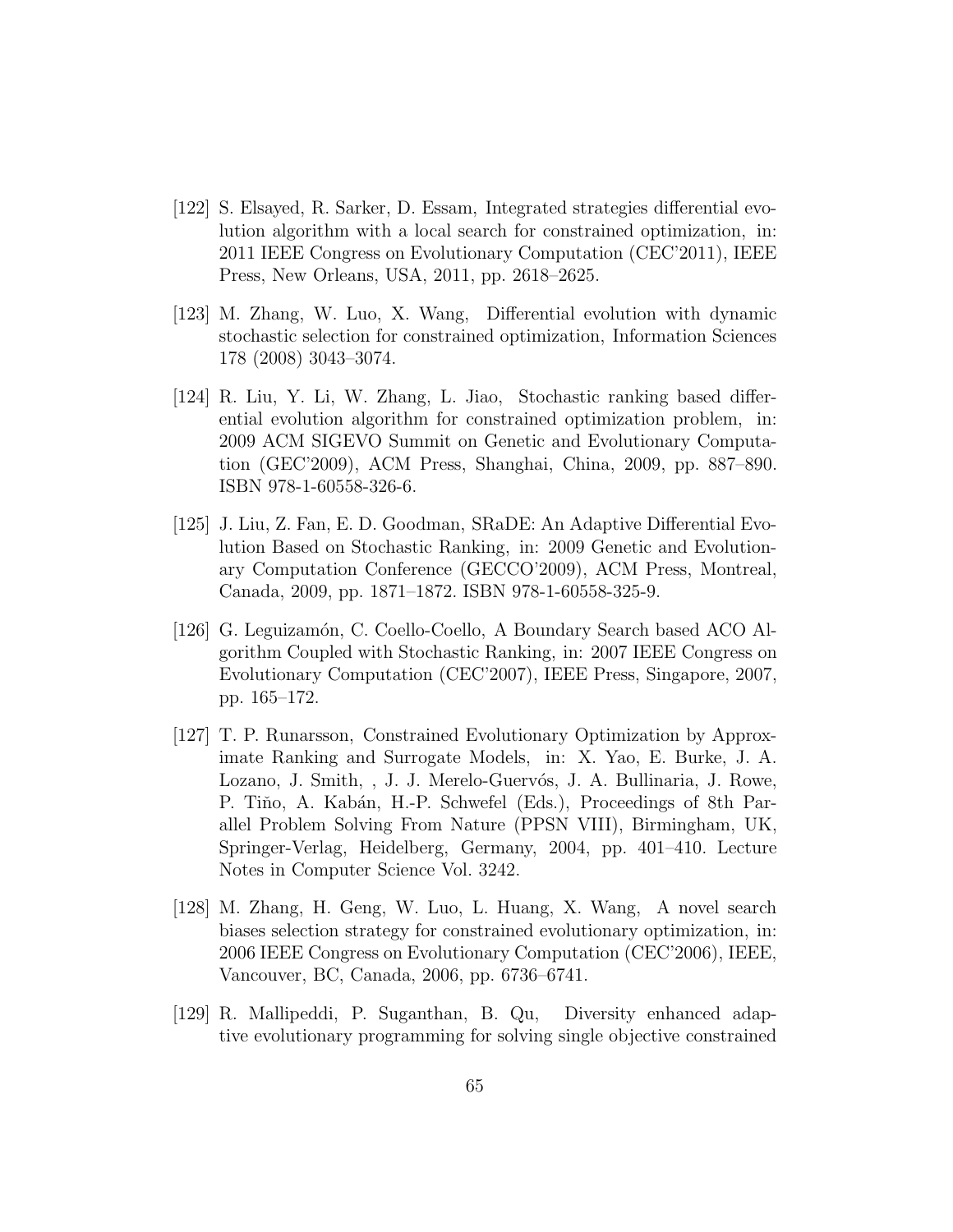- [122] S. Elsayed, R. Sarker, D. Essam, Integrated strategies differential evolution algorithm with a local search for constrained optimization, in: 2011 IEEE Congress on Evolutionary Computation (CEC'2011), IEEE Press, New Orleans, USA, 2011, pp. 2618–2625.
- [123] M. Zhang, W. Luo, X. Wang, Differential evolution with dynamic stochastic selection for constrained optimization, Information Sciences 178 (2008) 3043–3074.
- [124] R. Liu, Y. Li, W. Zhang, L. Jiao, Stochastic ranking based differential evolution algorithm for constrained optimization problem, in: 2009 ACM SIGEVO Summit on Genetic and Evolutionary Computation (GEC'2009), ACM Press, Shanghai, China, 2009, pp. 887–890. ISBN 978-1-60558-326-6.
- [125] J. Liu, Z. Fan, E. D. Goodman, SRaDE: An Adaptive Differential Evolution Based on Stochastic Ranking, in: 2009 Genetic and Evolutionary Computation Conference (GECCO'2009), ACM Press, Montreal, Canada, 2009, pp. 1871–1872. ISBN 978-1-60558-325-9.
- [126] G. Leguizamón, C. Coello-Coello, A Boundary Search based ACO Algorithm Coupled with Stochastic Ranking, in: 2007 IEEE Congress on Evolutionary Computation (CEC'2007), IEEE Press, Singapore, 2007, pp. 165–172.
- [127] T. P. Runarsson, Constrained Evolutionary Optimization by Approximate Ranking and Surrogate Models, in: X. Yao, E. Burke, J. A. Lozano, J. Smith, , J. J. Merelo-Guervós, J. A. Bullinaria, J. Rowe, P. Tiňo, A. Kabán, H.-P. Schwefel (Eds.), Proceedings of 8th Parallel Problem Solving From Nature (PPSN VIII), Birmingham, UK, Springer-Verlag, Heidelberg, Germany, 2004, pp. 401–410. Lecture Notes in Computer Science Vol. 3242.
- [128] M. Zhang, H. Geng, W. Luo, L. Huang, X. Wang, A novel search biases selection strategy for constrained evolutionary optimization, in: 2006 IEEE Congress on Evolutionary Computation (CEC'2006), IEEE, Vancouver, BC, Canada, 2006, pp. 6736–6741.
- [129] R. Mallipeddi, P. Suganthan, B. Qu, Diversity enhanced adaptive evolutionary programming for solving single objective constrained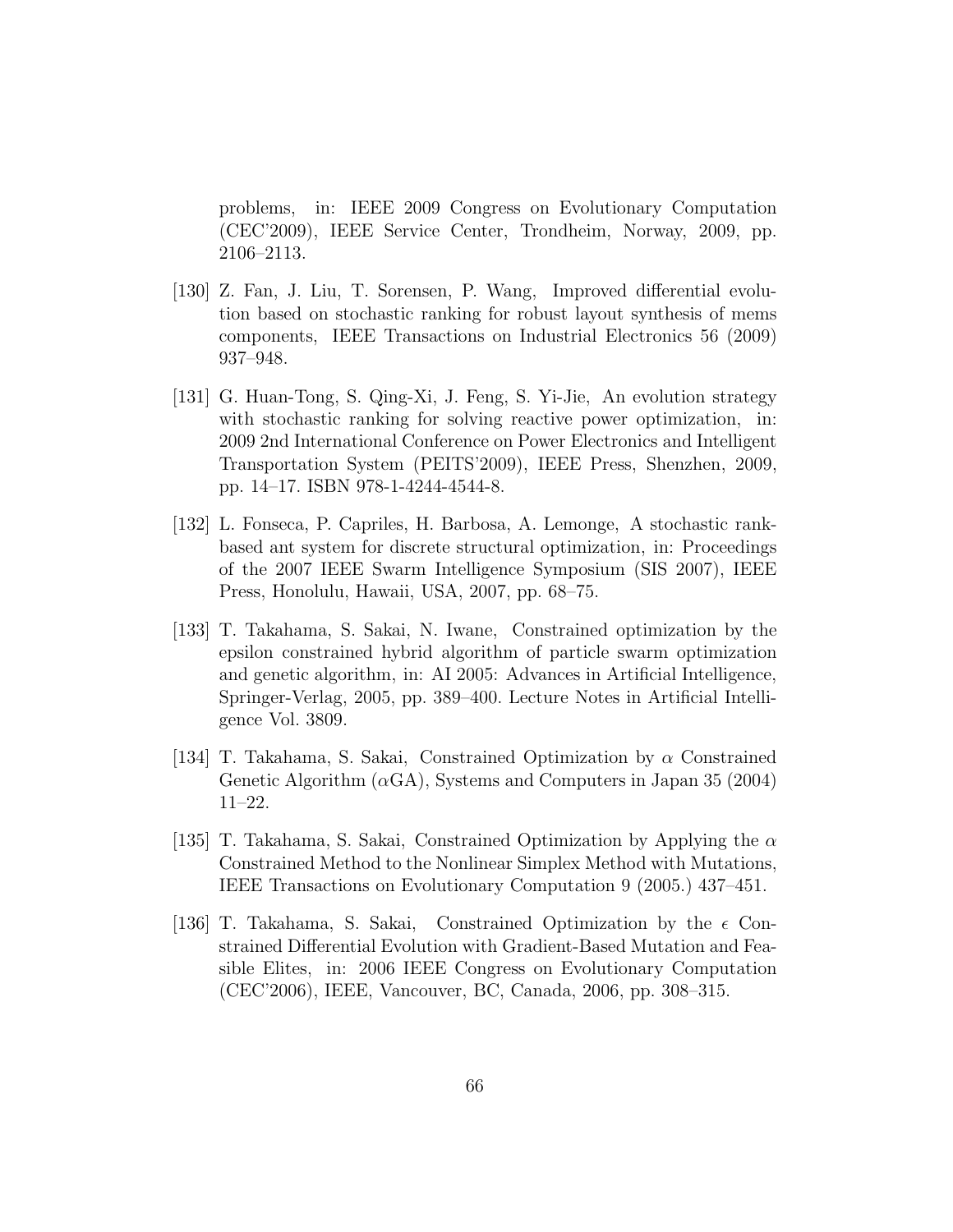problems, in: IEEE 2009 Congress on Evolutionary Computation (CEC'2009), IEEE Service Center, Trondheim, Norway, 2009, pp. 2106–2113.

- [130] Z. Fan, J. Liu, T. Sorensen, P. Wang, Improved differential evolution based on stochastic ranking for robust layout synthesis of mems components, IEEE Transactions on Industrial Electronics 56 (2009) 937–948.
- [131] G. Huan-Tong, S. Qing-Xi, J. Feng, S. Yi-Jie, An evolution strategy with stochastic ranking for solving reactive power optimization, in: 2009 2nd International Conference on Power Electronics and Intelligent Transportation System (PEITS'2009), IEEE Press, Shenzhen, 2009, pp. 14–17. ISBN 978-1-4244-4544-8.
- [132] L. Fonseca, P. Capriles, H. Barbosa, A. Lemonge, A stochastic rankbased ant system for discrete structural optimization, in: Proceedings of the 2007 IEEE Swarm Intelligence Symposium (SIS 2007), IEEE Press, Honolulu, Hawaii, USA, 2007, pp. 68–75.
- [133] T. Takahama, S. Sakai, N. Iwane, Constrained optimization by the epsilon constrained hybrid algorithm of particle swarm optimization and genetic algorithm, in: AI 2005: Advances in Artificial Intelligence, Springer-Verlag, 2005, pp. 389–400. Lecture Notes in Artificial Intelligence Vol. 3809.
- [134] T. Takahama, S. Sakai, Constrained Optimization by  $\alpha$  Constrained Genetic Algorithm  $(\alpha GA)$ , Systems and Computers in Japan 35 (2004) 11–22.
- [135] T. Takahama, S. Sakai, Constrained Optimization by Applying the  $\alpha$ Constrained Method to the Nonlinear Simplex Method with Mutations, IEEE Transactions on Evolutionary Computation 9 (2005.) 437–451.
- [136] T. Takahama, S. Sakai, Constrained Optimization by the  $\epsilon$  Constrained Differential Evolution with Gradient-Based Mutation and Feasible Elites, in: 2006 IEEE Congress on Evolutionary Computation (CEC'2006), IEEE, Vancouver, BC, Canada, 2006, pp. 308–315.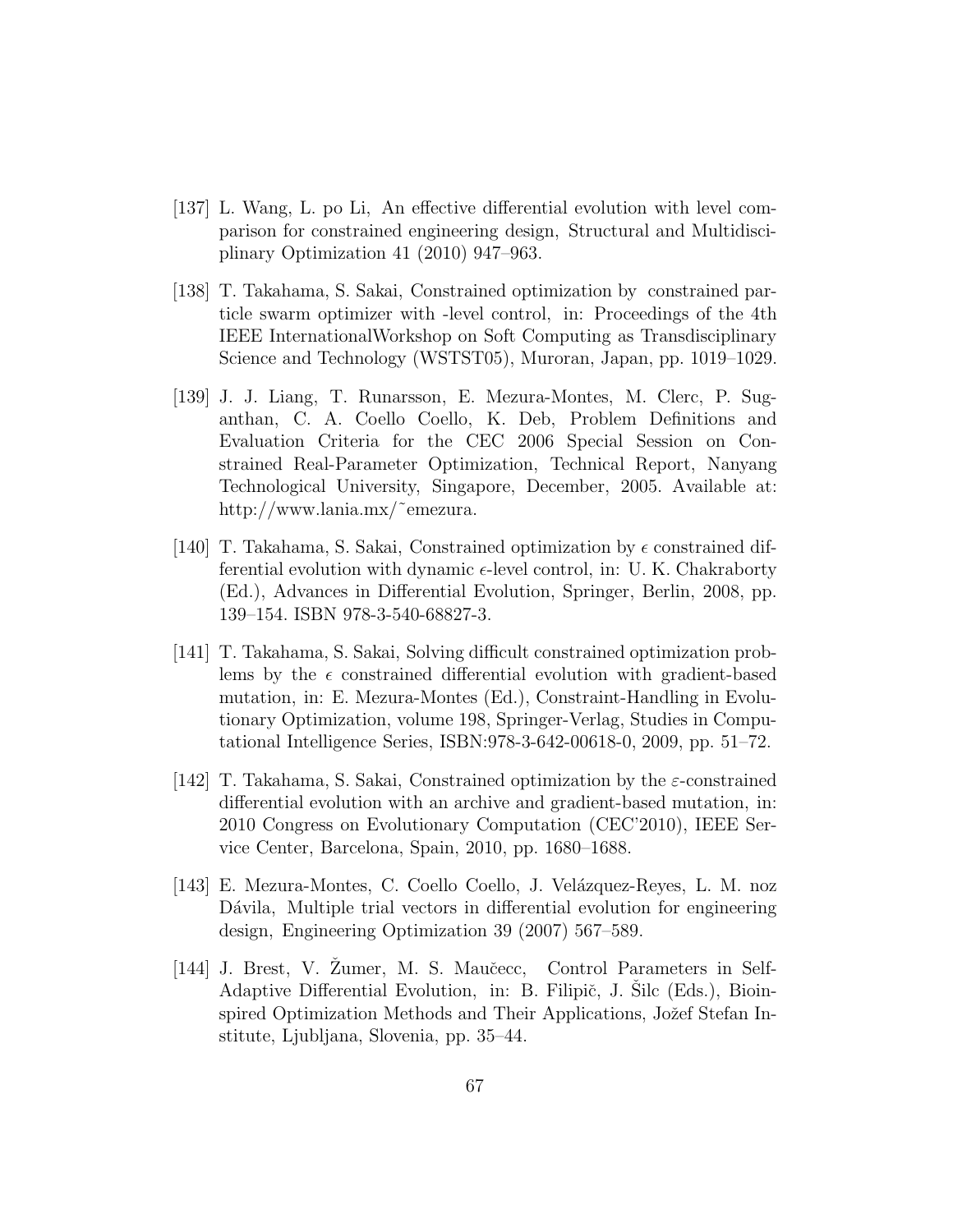- [137] L. Wang, L. po Li, An effective differential evolution with level comparison for constrained engineering design, Structural and Multidisciplinary Optimization 41 (2010) 947–963.
- [138] T. Takahama, S. Sakai, Constrained optimization by constrained particle swarm optimizer with -level control, in: Proceedings of the 4th IEEE InternationalWorkshop on Soft Computing as Transdisciplinary Science and Technology (WSTST05), Muroran, Japan, pp. 1019–1029.
- [139] J. J. Liang, T. Runarsson, E. Mezura-Montes, M. Clerc, P. Suganthan, C. A. Coello Coello, K. Deb, Problem Definitions and Evaluation Criteria for the CEC 2006 Special Session on Constrained Real-Parameter Optimization, Technical Report, Nanyang Technological University, Singapore, December, 2005. Available at: http://www.lania.mx/˜emezura.
- [140] T. Takahama, S. Sakai, Constrained optimization by  $\epsilon$  constrained differential evolution with dynamic  $\epsilon$ -level control, in: U.K. Chakraborty (Ed.), Advances in Differential Evolution, Springer, Berlin, 2008, pp. 139–154. ISBN 978-3-540-68827-3.
- [141] T. Takahama, S. Sakai, Solving difficult constrained optimization problems by the  $\epsilon$  constrained differential evolution with gradient-based mutation, in: E. Mezura-Montes (Ed.), Constraint-Handling in Evolutionary Optimization, volume 198, Springer-Verlag, Studies in Computational Intelligence Series, ISBN:978-3-642-00618-0, 2009, pp. 51–72.
- [142] T. Takahama, S. Sakai, Constrained optimization by the  $\varepsilon$ -constrained differential evolution with an archive and gradient-based mutation, in: 2010 Congress on Evolutionary Computation (CEC'2010), IEEE Service Center, Barcelona, Spain, 2010, pp. 1680–1688.
- [143] E. Mezura-Montes, C. Coello Coello, J. Velázquez-Reyes, L. M. noz Dávila, Multiple trial vectors in differential evolution for engineering design, Engineering Optimization 39 (2007) 567–589.
- [144] J. Brest, V. Žumer, M. S. Maučecc, Control Parameters in Self-Adaptive Differential Evolution, in: B. Filipič, J. Silc (Eds.), Bioinspired Optimization Methods and Their Applications, Jožef Stefan Institute, Ljubljana, Slovenia, pp. 35–44.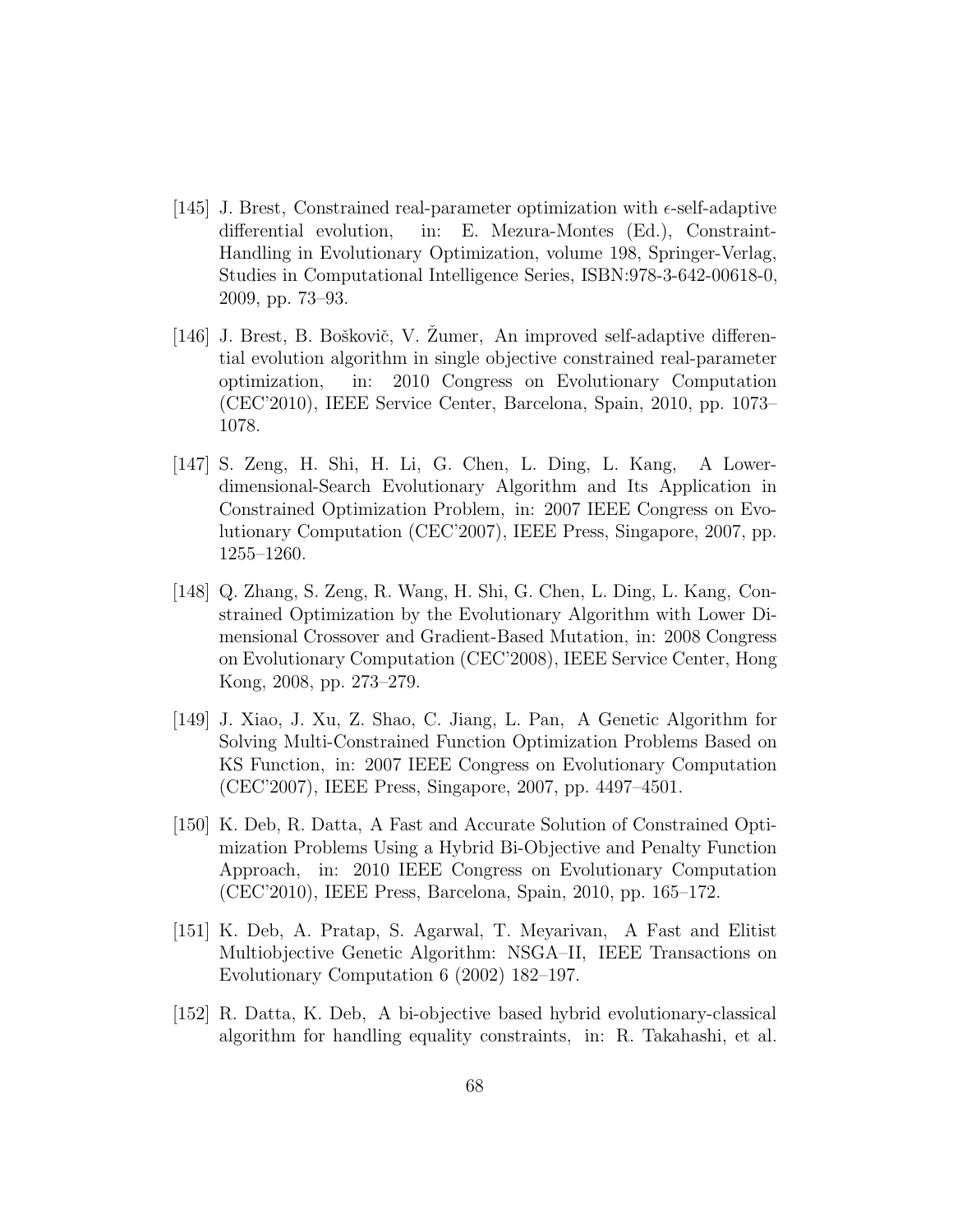- [145] J. Brest, Constrained real-parameter optimization with  $\epsilon$ -self-adaptive differential evolution, in: E. Mezura-Montes (Ed.), Constraint-Handling in Evolutionary Optimization, volume 198, Springer-Verlag, Studies in Computational Intelligence Series, ISBN:978-3-642-00618-0, 2009, pp. 73–93.
- [146] J. Brest, B. Boškovič, V. Žumer, An improved self-adaptive differential evolution algorithm in single objective constrained real-parameter optimization, in: 2010 Congress on Evolutionary Computation (CEC'2010), IEEE Service Center, Barcelona, Spain, 2010, pp. 1073– 1078.
- [147] S. Zeng, H. Shi, H. Li, G. Chen, L. Ding, L. Kang, A Lowerdimensional-Search Evolutionary Algorithm and Its Application in Constrained Optimization Problem, in: 2007 IEEE Congress on Evolutionary Computation (CEC'2007), IEEE Press, Singapore, 2007, pp. 1255–1260.
- [148] Q. Zhang, S. Zeng, R. Wang, H. Shi, G. Chen, L. Ding, L. Kang, Constrained Optimization by the Evolutionary Algorithm with Lower Dimensional Crossover and Gradient-Based Mutation, in: 2008 Congress on Evolutionary Computation (CEC'2008), IEEE Service Center, Hong Kong, 2008, pp. 273–279.
- [149] J. Xiao, J. Xu, Z. Shao, C. Jiang, L. Pan, A Genetic Algorithm for Solving Multi-Constrained Function Optimization Problems Based on KS Function, in: 2007 IEEE Congress on Evolutionary Computation (CEC'2007), IEEE Press, Singapore, 2007, pp. 4497–4501.
- [150] K. Deb, R. Datta, A Fast and Accurate Solution of Constrained Optimization Problems Using a Hybrid Bi-Objective and Penalty Function Approach, in: 2010 IEEE Congress on Evolutionary Computation (CEC'2010), IEEE Press, Barcelona, Spain, 2010, pp. 165–172.
- [151] K. Deb, A. Pratap, S. Agarwal, T. Meyarivan, A Fast and Elitist Multiobjective Genetic Algorithm: NSGA–II, IEEE Transactions on Evolutionary Computation 6 (2002) 182–197.
- [152] R. Datta, K. Deb, A bi-objective based hybrid evolutionary-classical algorithm for handling equality constraints, in: R. Takahashi, et al.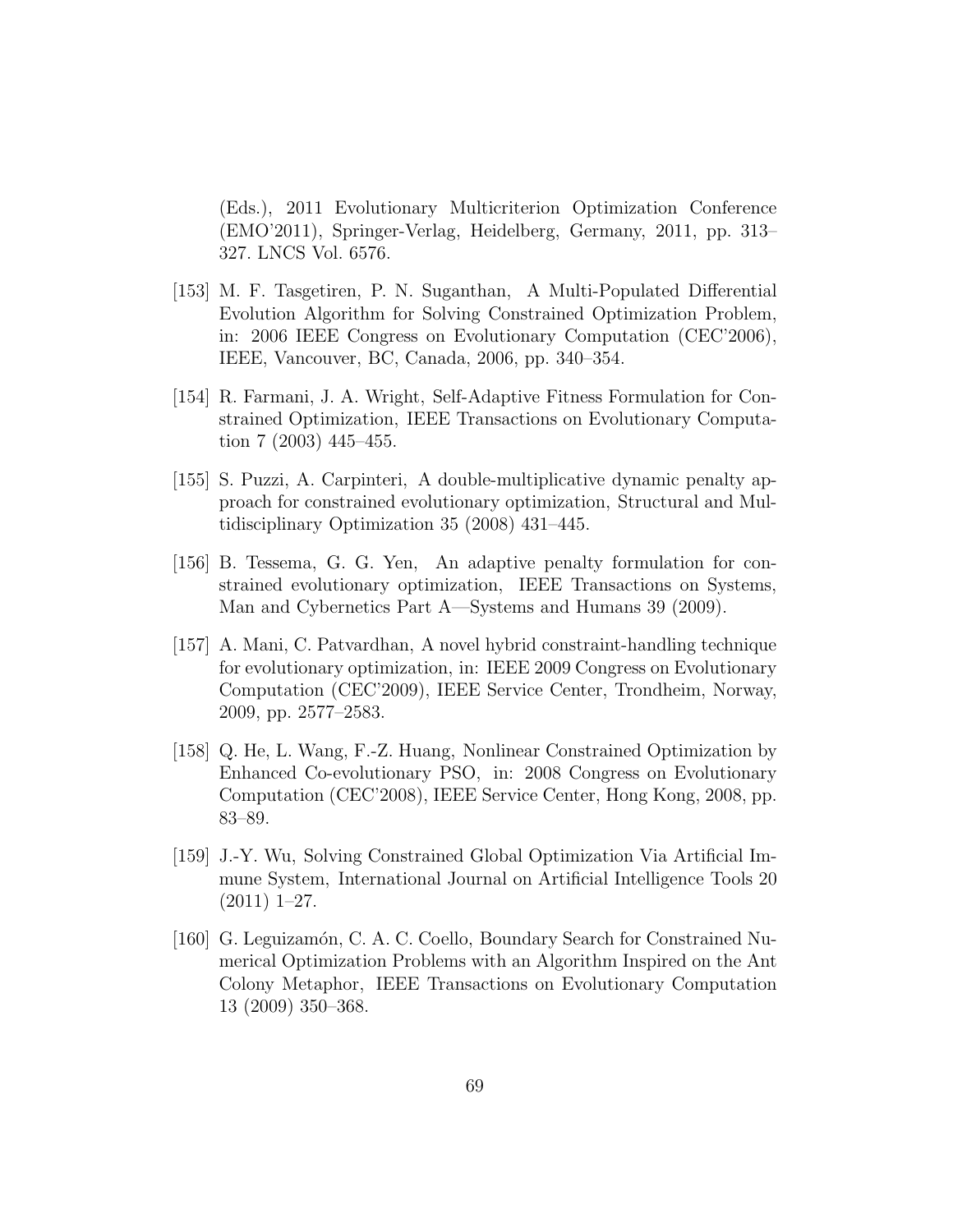(Eds.), 2011 Evolutionary Multicriterion Optimization Conference (EMO'2011), Springer-Verlag, Heidelberg, Germany, 2011, pp. 313– 327. LNCS Vol. 6576.

- [153] M. F. Tasgetiren, P. N. Suganthan, A Multi-Populated Differential Evolution Algorithm for Solving Constrained Optimization Problem, in: 2006 IEEE Congress on Evolutionary Computation (CEC'2006), IEEE, Vancouver, BC, Canada, 2006, pp. 340–354.
- [154] R. Farmani, J. A. Wright, Self-Adaptive Fitness Formulation for Constrained Optimization, IEEE Transactions on Evolutionary Computation 7 (2003) 445–455.
- [155] S. Puzzi, A. Carpinteri, A double-multiplicative dynamic penalty approach for constrained evolutionary optimization, Structural and Multidisciplinary Optimization 35 (2008) 431–445.
- [156] B. Tessema, G. G. Yen, An adaptive penalty formulation for constrained evolutionary optimization, IEEE Transactions on Systems, Man and Cybernetics Part A—Systems and Humans 39 (2009).
- [157] A. Mani, C. Patvardhan, A novel hybrid constraint-handling technique for evolutionary optimization, in: IEEE 2009 Congress on Evolutionary Computation (CEC'2009), IEEE Service Center, Trondheim, Norway, 2009, pp. 2577–2583.
- [158] Q. He, L. Wang, F.-Z. Huang, Nonlinear Constrained Optimization by Enhanced Co-evolutionary PSO, in: 2008 Congress on Evolutionary Computation (CEC'2008), IEEE Service Center, Hong Kong, 2008, pp. 83–89.
- [159] J.-Y. Wu, Solving Constrained Global Optimization Via Artificial Immune System, International Journal on Artificial Intelligence Tools 20 (2011) 1–27.
- [160] G. Leguizamón, C. A. C. Coello, Boundary Search for Constrained Numerical Optimization Problems with an Algorithm Inspired on the Ant Colony Metaphor, IEEE Transactions on Evolutionary Computation 13 (2009) 350–368.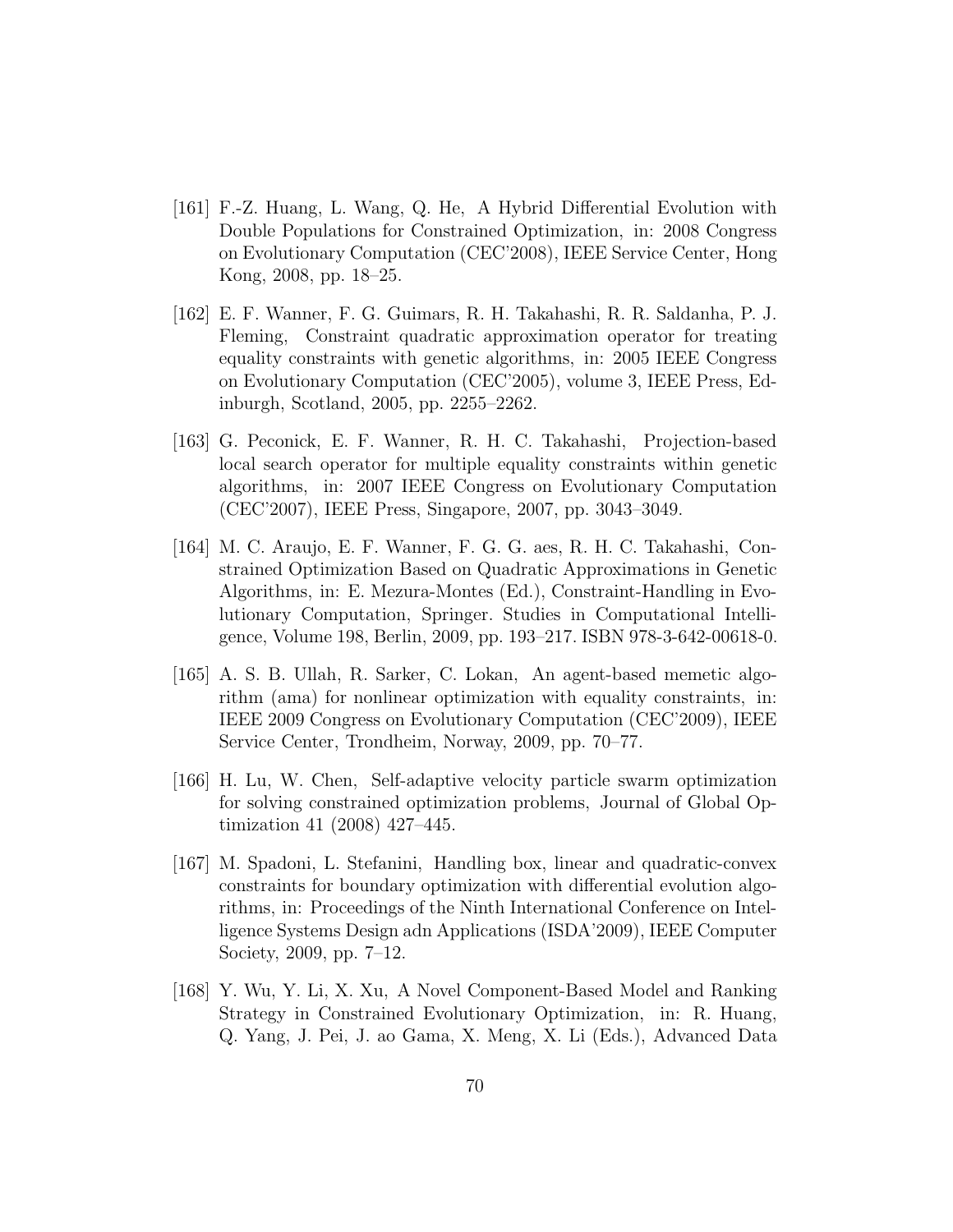- [161] F.-Z. Huang, L. Wang, Q. He, A Hybrid Differential Evolution with Double Populations for Constrained Optimization, in: 2008 Congress on Evolutionary Computation (CEC'2008), IEEE Service Center, Hong Kong, 2008, pp. 18–25.
- [162] E. F. Wanner, F. G. Guimars, R. H. Takahashi, R. R. Saldanha, P. J. Fleming, Constraint quadratic approximation operator for treating equality constraints with genetic algorithms, in: 2005 IEEE Congress on Evolutionary Computation (CEC'2005), volume 3, IEEE Press, Edinburgh, Scotland, 2005, pp. 2255–2262.
- [163] G. Peconick, E. F. Wanner, R. H. C. Takahashi, Projection-based local search operator for multiple equality constraints within genetic algorithms, in: 2007 IEEE Congress on Evolutionary Computation (CEC'2007), IEEE Press, Singapore, 2007, pp. 3043–3049.
- [164] M. C. Araujo, E. F. Wanner, F. G. G. aes, R. H. C. Takahashi, Constrained Optimization Based on Quadratic Approximations in Genetic Algorithms, in: E. Mezura-Montes (Ed.), Constraint-Handling in Evolutionary Computation, Springer. Studies in Computational Intelligence, Volume 198, Berlin, 2009, pp. 193–217. ISBN 978-3-642-00618-0.
- [165] A. S. B. Ullah, R. Sarker, C. Lokan, An agent-based memetic algorithm (ama) for nonlinear optimization with equality constraints, in: IEEE 2009 Congress on Evolutionary Computation (CEC'2009), IEEE Service Center, Trondheim, Norway, 2009, pp. 70–77.
- [166] H. Lu, W. Chen, Self-adaptive velocity particle swarm optimization for solving constrained optimization problems, Journal of Global Optimization 41 (2008) 427–445.
- [167] M. Spadoni, L. Stefanini, Handling box, linear and quadratic-convex constraints for boundary optimization with differential evolution algorithms, in: Proceedings of the Ninth International Conference on Intelligence Systems Design adn Applications (ISDA'2009), IEEE Computer Society, 2009, pp. 7–12.
- [168] Y. Wu, Y. Li, X. Xu, A Novel Component-Based Model and Ranking Strategy in Constrained Evolutionary Optimization, in: R. Huang, Q. Yang, J. Pei, J. ao Gama, X. Meng, X. Li (Eds.), Advanced Data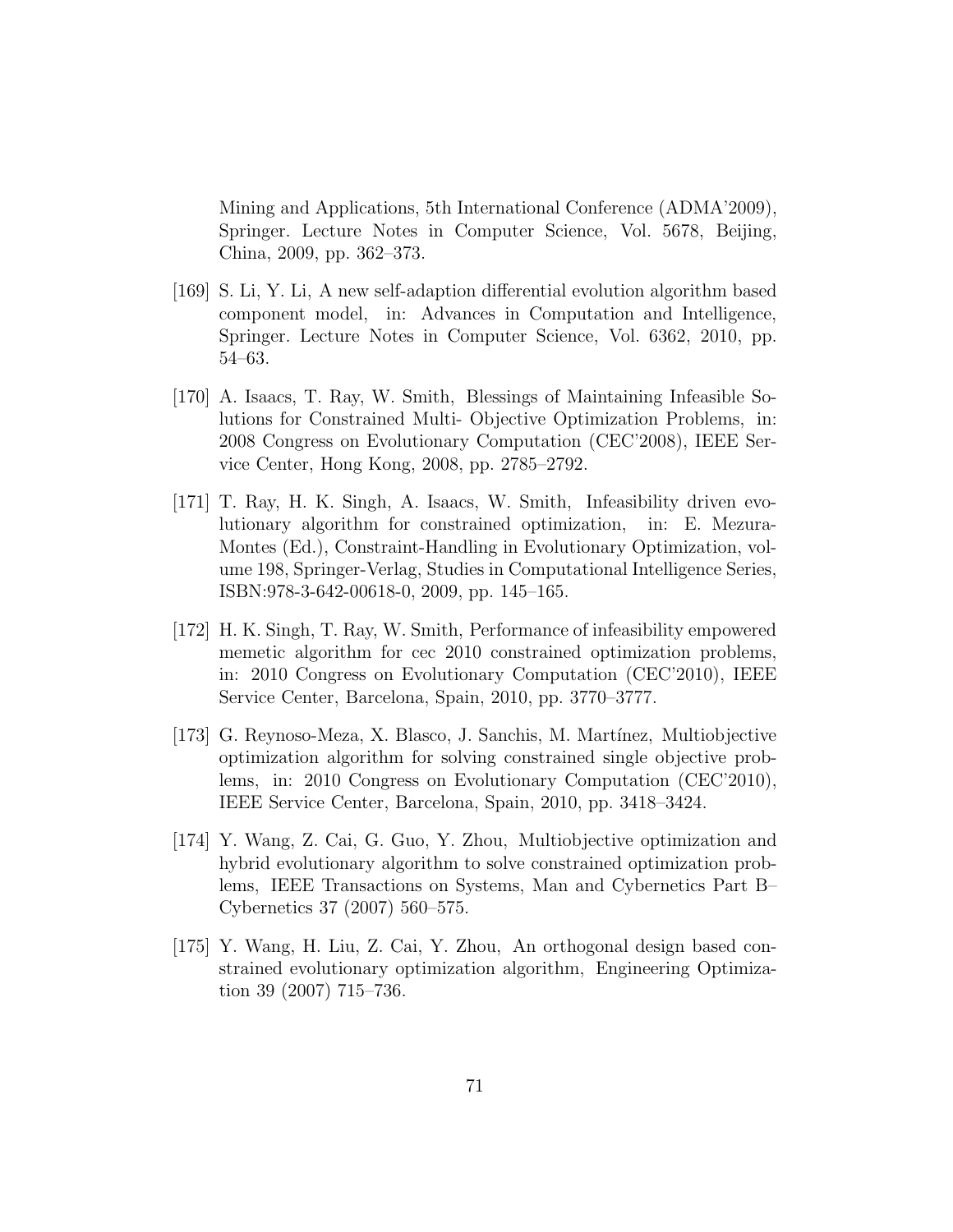Mining and Applications, 5th International Conference (ADMA'2009), Springer. Lecture Notes in Computer Science, Vol. 5678, Beijing, China, 2009, pp. 362–373.

- [169] S. Li, Y. Li, A new self-adaption differential evolution algorithm based component model, in: Advances in Computation and Intelligence, Springer. Lecture Notes in Computer Science, Vol. 6362, 2010, pp. 54–63.
- [170] A. Isaacs, T. Ray, W. Smith, Blessings of Maintaining Infeasible Solutions for Constrained Multi- Objective Optimization Problems, in: 2008 Congress on Evolutionary Computation (CEC'2008), IEEE Service Center, Hong Kong, 2008, pp. 2785–2792.
- [171] T. Ray, H. K. Singh, A. Isaacs, W. Smith, Infeasibility driven evolutionary algorithm for constrained optimization, in: E. Mezura-Montes (Ed.), Constraint-Handling in Evolutionary Optimization, volume 198, Springer-Verlag, Studies in Computational Intelligence Series, ISBN:978-3-642-00618-0, 2009, pp. 145–165.
- [172] H. K. Singh, T. Ray, W. Smith, Performance of infeasibility empowered memetic algorithm for cec 2010 constrained optimization problems, in: 2010 Congress on Evolutionary Computation (CEC'2010), IEEE Service Center, Barcelona, Spain, 2010, pp. 3770–3777.
- [173] G. Reynoso-Meza, X. Blasco, J. Sanchis, M. Martínez, Multiobjective optimization algorithm for solving constrained single objective problems, in: 2010 Congress on Evolutionary Computation (CEC'2010), IEEE Service Center, Barcelona, Spain, 2010, pp. 3418–3424.
- [174] Y. Wang, Z. Cai, G. Guo, Y. Zhou, Multiobjective optimization and hybrid evolutionary algorithm to solve constrained optimization problems, IEEE Transactions on Systems, Man and Cybernetics Part B– Cybernetics 37 (2007) 560–575.
- [175] Y. Wang, H. Liu, Z. Cai, Y. Zhou, An orthogonal design based constrained evolutionary optimization algorithm, Engineering Optimization 39 (2007) 715–736.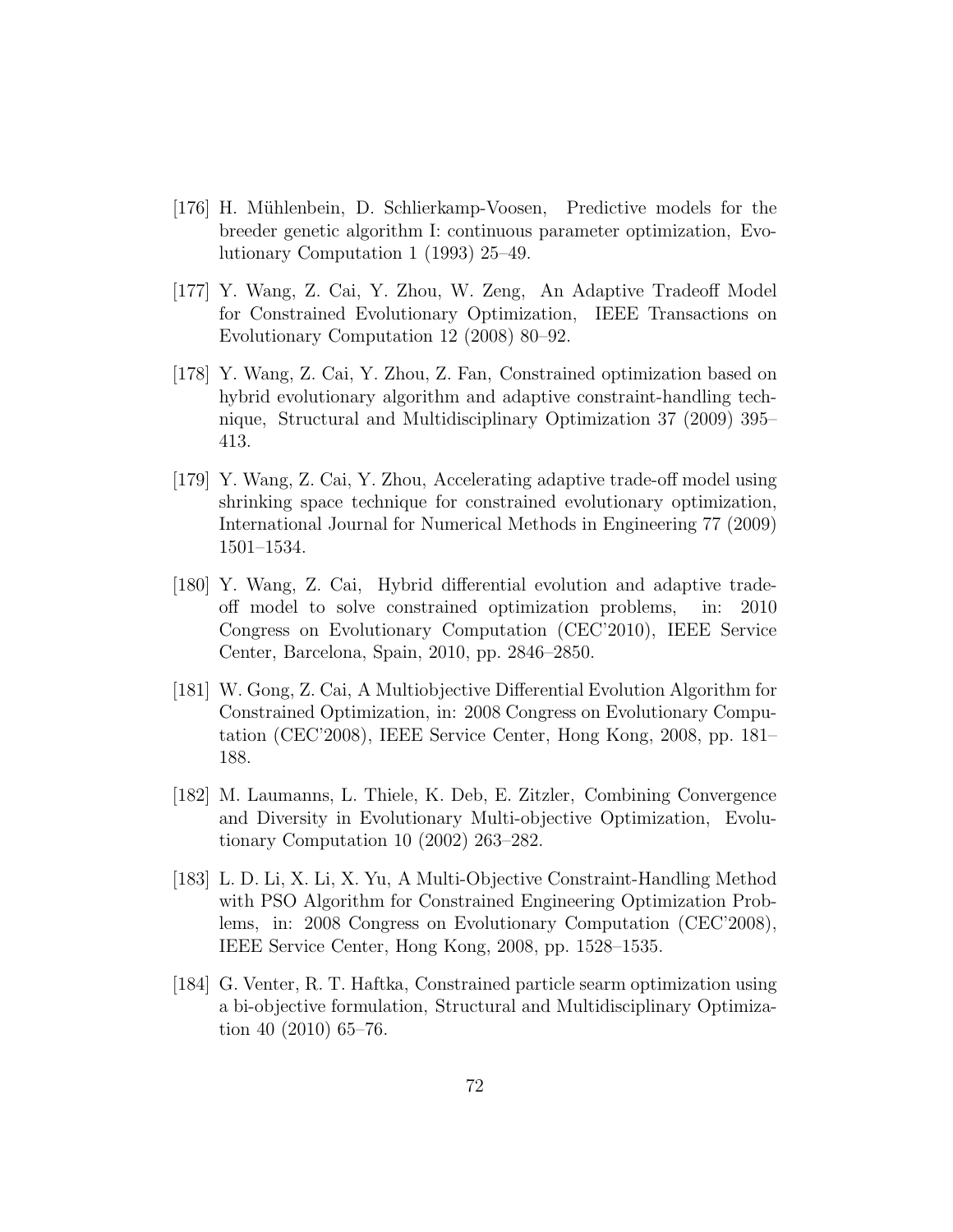- [176] H. Mühlenbein, D. Schlierkamp-Voosen, Predictive models for the breeder genetic algorithm I: continuous parameter optimization, Evolutionary Computation 1 (1993) 25–49.
- [177] Y. Wang, Z. Cai, Y. Zhou, W. Zeng, An Adaptive Tradeoff Model for Constrained Evolutionary Optimization, IEEE Transactions on Evolutionary Computation 12 (2008) 80–92.
- [178] Y. Wang, Z. Cai, Y. Zhou, Z. Fan, Constrained optimization based on hybrid evolutionary algorithm and adaptive constraint-handling technique, Structural and Multidisciplinary Optimization 37 (2009) 395– 413.
- [179] Y. Wang, Z. Cai, Y. Zhou, Accelerating adaptive trade-off model using shrinking space technique for constrained evolutionary optimization, International Journal for Numerical Methods in Engineering 77 (2009) 1501–1534.
- [180] Y. Wang, Z. Cai, Hybrid differential evolution and adaptive tradeoff model to solve constrained optimization problems, in: 2010 Congress on Evolutionary Computation (CEC'2010), IEEE Service Center, Barcelona, Spain, 2010, pp. 2846–2850.
- [181] W. Gong, Z. Cai, A Multiobjective Differential Evolution Algorithm for Constrained Optimization, in: 2008 Congress on Evolutionary Computation (CEC'2008), IEEE Service Center, Hong Kong, 2008, pp. 181– 188.
- [182] M. Laumanns, L. Thiele, K. Deb, E. Zitzler, Combining Convergence and Diversity in Evolutionary Multi-objective Optimization, Evolutionary Computation 10 (2002) 263–282.
- [183] L. D. Li, X. Li, X. Yu, A Multi-Objective Constraint-Handling Method with PSO Algorithm for Constrained Engineering Optimization Problems, in: 2008 Congress on Evolutionary Computation (CEC'2008), IEEE Service Center, Hong Kong, 2008, pp. 1528–1535.
- [184] G. Venter, R. T. Haftka, Constrained particle searm optimization using a bi-objective formulation, Structural and Multidisciplinary Optimization 40 (2010) 65–76.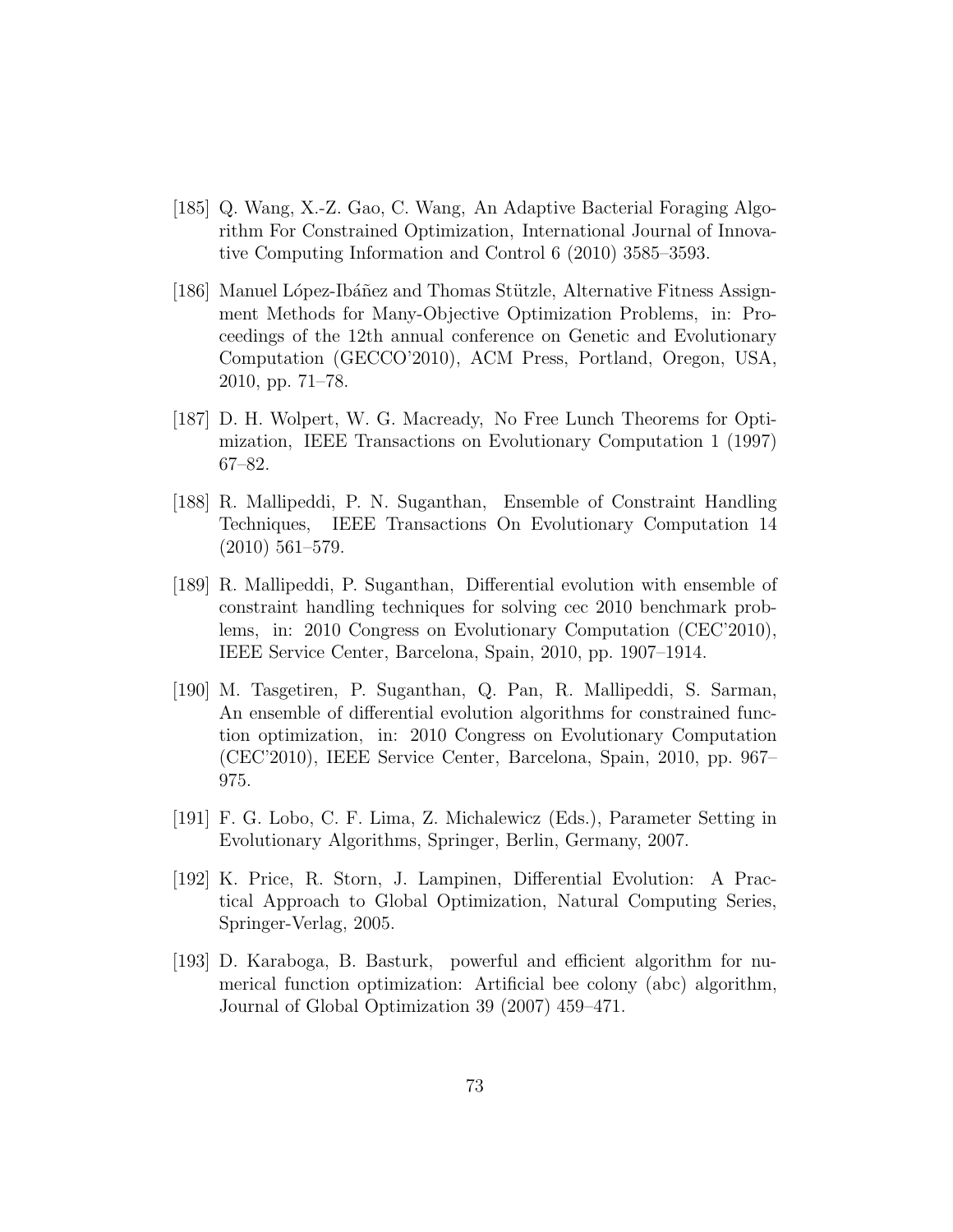- [185] Q. Wang, X.-Z. Gao, C. Wang, An Adaptive Bacterial Foraging Algorithm For Constrained Optimization, International Journal of Innovative Computing Information and Control 6 (2010) 3585–3593.
- [186] Manuel López-Ibáñez and Thomas Stützle, Alternative Fitness Assignment Methods for Many-Objective Optimization Problems, in: Proceedings of the 12th annual conference on Genetic and Evolutionary Computation (GECCO'2010), ACM Press, Portland, Oregon, USA, 2010, pp. 71–78.
- [187] D. H. Wolpert, W. G. Macready, No Free Lunch Theorems for Optimization, IEEE Transactions on Evolutionary Computation 1 (1997) 67–82.
- [188] R. Mallipeddi, P. N. Suganthan, Ensemble of Constraint Handling Techniques, IEEE Transactions On Evolutionary Computation 14 (2010) 561–579.
- [189] R. Mallipeddi, P. Suganthan, Differential evolution with ensemble of constraint handling techniques for solving cec 2010 benchmark problems, in: 2010 Congress on Evolutionary Computation (CEC'2010), IEEE Service Center, Barcelona, Spain, 2010, pp. 1907–1914.
- [190] M. Tasgetiren, P. Suganthan, Q. Pan, R. Mallipeddi, S. Sarman, An ensemble of differential evolution algorithms for constrained function optimization, in: 2010 Congress on Evolutionary Computation (CEC'2010), IEEE Service Center, Barcelona, Spain, 2010, pp. 967– 975.
- [191] F. G. Lobo, C. F. Lima, Z. Michalewicz (Eds.), Parameter Setting in Evolutionary Algorithms, Springer, Berlin, Germany, 2007.
- [192] K. Price, R. Storn, J. Lampinen, Differential Evolution: A Practical Approach to Global Optimization, Natural Computing Series, Springer-Verlag, 2005.
- [193] D. Karaboga, B. Basturk, powerful and efficient algorithm for numerical function optimization: Artificial bee colony (abc) algorithm, Journal of Global Optimization 39 (2007) 459–471.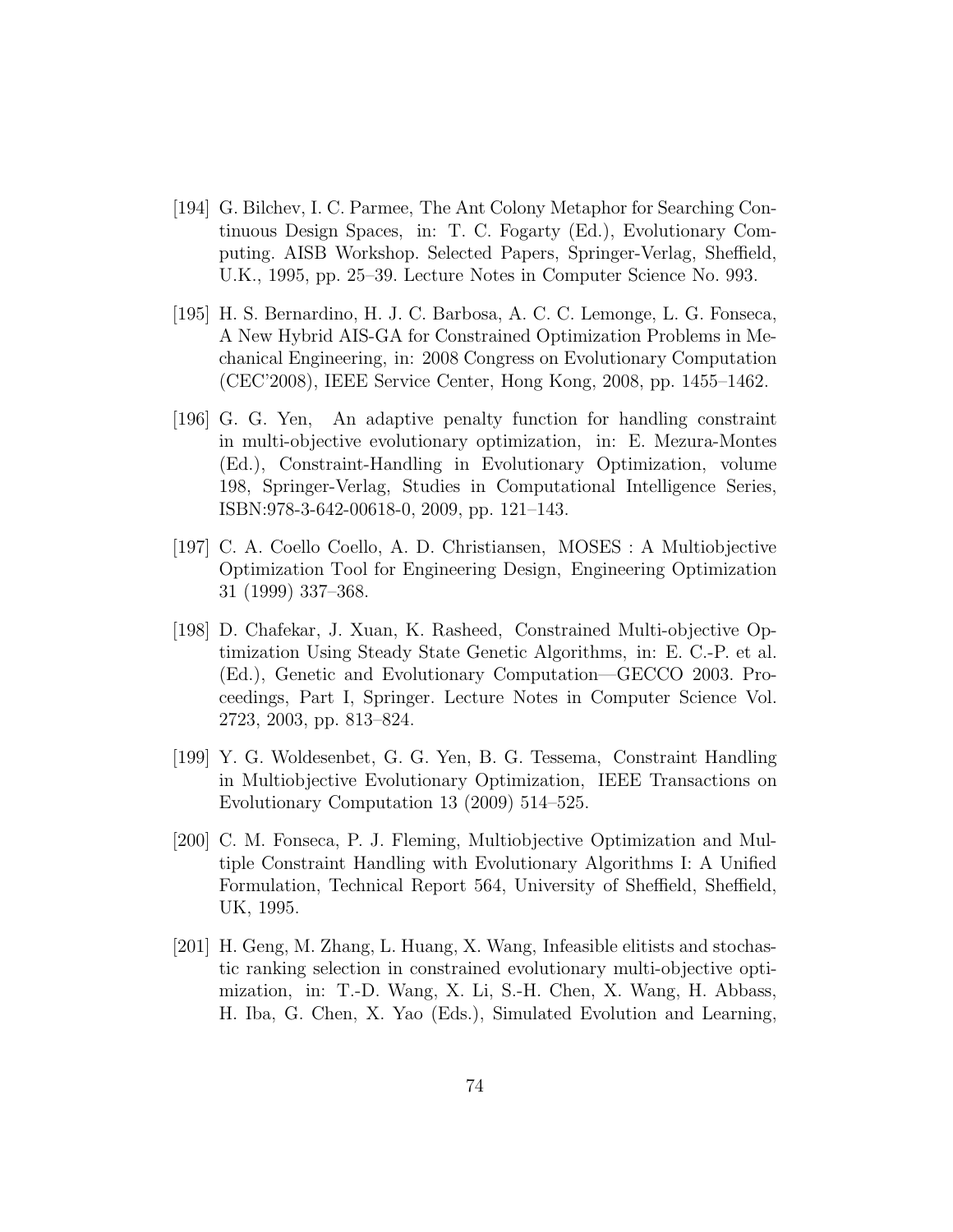- [194] G. Bilchev, I. C. Parmee, The Ant Colony Metaphor for Searching Continuous Design Spaces, in: T. C. Fogarty (Ed.), Evolutionary Computing. AISB Workshop. Selected Papers, Springer-Verlag, Sheffield, U.K., 1995, pp. 25–39. Lecture Notes in Computer Science No. 993.
- [195] H. S. Bernardino, H. J. C. Barbosa, A. C. C. Lemonge, L. G. Fonseca, A New Hybrid AIS-GA for Constrained Optimization Problems in Mechanical Engineering, in: 2008 Congress on Evolutionary Computation (CEC'2008), IEEE Service Center, Hong Kong, 2008, pp. 1455–1462.
- [196] G. G. Yen, An adaptive penalty function for handling constraint in multi-objective evolutionary optimization, in: E. Mezura-Montes (Ed.), Constraint-Handling in Evolutionary Optimization, volume 198, Springer-Verlag, Studies in Computational Intelligence Series, ISBN:978-3-642-00618-0, 2009, pp. 121–143.
- [197] C. A. Coello Coello, A. D. Christiansen, MOSES : A Multiobjective Optimization Tool for Engineering Design, Engineering Optimization 31 (1999) 337–368.
- [198] D. Chafekar, J. Xuan, K. Rasheed, Constrained Multi-objective Optimization Using Steady State Genetic Algorithms, in: E. C.-P. et al. (Ed.), Genetic and Evolutionary Computation—GECCO 2003. Proceedings, Part I, Springer. Lecture Notes in Computer Science Vol. 2723, 2003, pp. 813–824.
- [199] Y. G. Woldesenbet, G. G. Yen, B. G. Tessema, Constraint Handling in Multiobjective Evolutionary Optimization, IEEE Transactions on Evolutionary Computation 13 (2009) 514–525.
- [200] C. M. Fonseca, P. J. Fleming, Multiobjective Optimization and Multiple Constraint Handling with Evolutionary Algorithms I: A Unified Formulation, Technical Report 564, University of Sheffield, Sheffield, UK, 1995.
- [201] H. Geng, M. Zhang, L. Huang, X. Wang, Infeasible elitists and stochastic ranking selection in constrained evolutionary multi-objective optimization, in: T.-D. Wang, X. Li, S.-H. Chen, X. Wang, H. Abbass, H. Iba, G. Chen, X. Yao (Eds.), Simulated Evolution and Learning,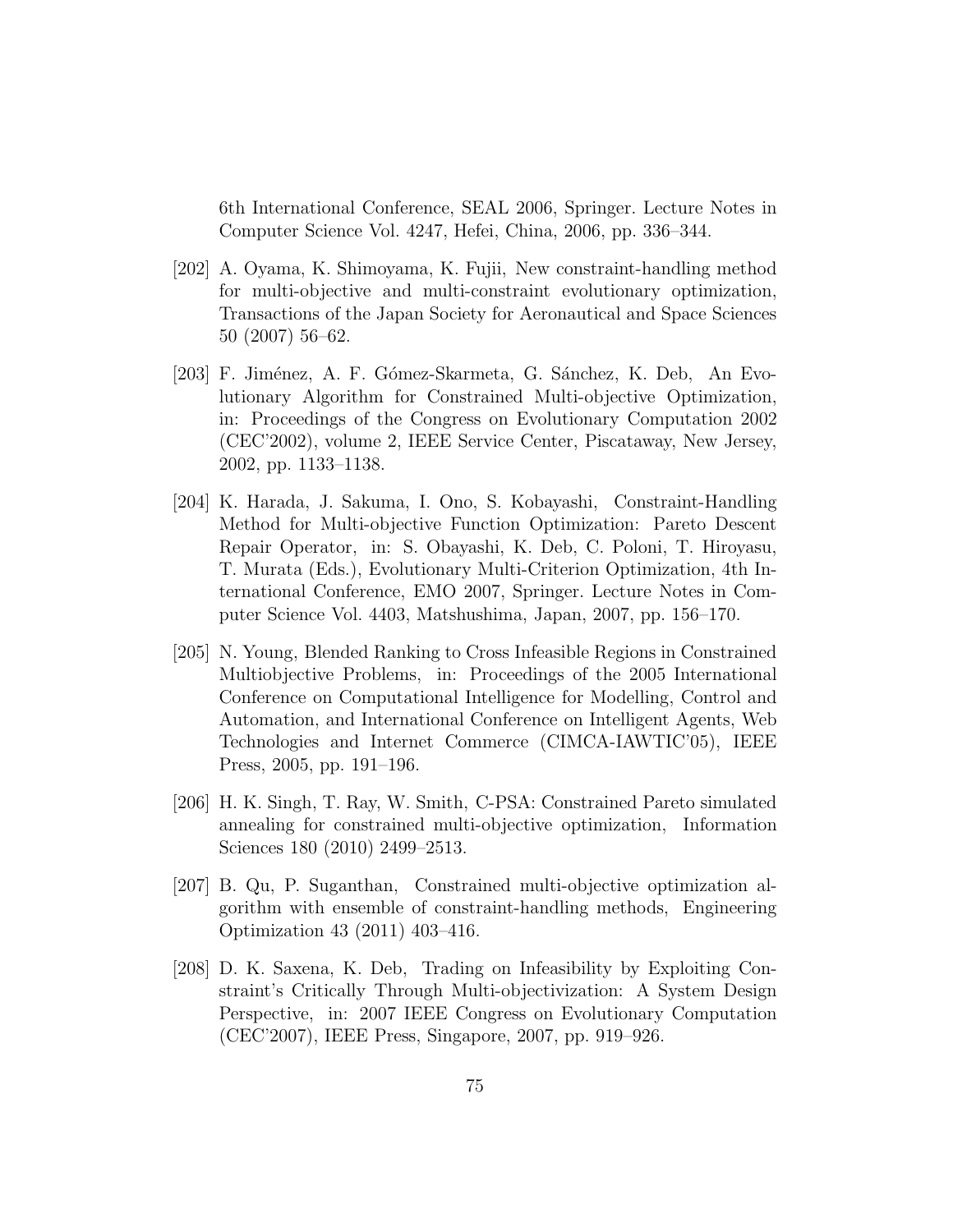6th International Conference, SEAL 2006, Springer. Lecture Notes in Computer Science Vol. 4247, Hefei, China, 2006, pp. 336–344.

- [202] A. Oyama, K. Shimoyama, K. Fujii, New constraint-handling method for multi-objective and multi-constraint evolutionary optimization, Transactions of the Japan Society for Aeronautical and Space Sciences 50 (2007) 56–62.
- [203] F. Jiménez, A. F. Gómez-Skarmeta, G. Sánchez, K. Deb, An Evolutionary Algorithm for Constrained Multi-objective Optimization, in: Proceedings of the Congress on Evolutionary Computation 2002 (CEC'2002), volume 2, IEEE Service Center, Piscataway, New Jersey, 2002, pp. 1133–1138.
- [204] K. Harada, J. Sakuma, I. Ono, S. Kobayashi, Constraint-Handling Method for Multi-objective Function Optimization: Pareto Descent Repair Operator, in: S. Obayashi, K. Deb, C. Poloni, T. Hiroyasu, T. Murata (Eds.), Evolutionary Multi-Criterion Optimization, 4th International Conference, EMO 2007, Springer. Lecture Notes in Computer Science Vol. 4403, Matshushima, Japan, 2007, pp. 156–170.
- [205] N. Young, Blended Ranking to Cross Infeasible Regions in Constrained Multiobjective Problems, in: Proceedings of the 2005 International Conference on Computational Intelligence for Modelling, Control and Automation, and International Conference on Intelligent Agents, Web Technologies and Internet Commerce (CIMCA-IAWTIC'05), IEEE Press, 2005, pp. 191–196.
- [206] H. K. Singh, T. Ray, W. Smith, C-PSA: Constrained Pareto simulated annealing for constrained multi-objective optimization, Information Sciences 180 (2010) 2499–2513.
- [207] B. Qu, P. Suganthan, Constrained multi-objective optimization algorithm with ensemble of constraint-handling methods, Engineering Optimization 43 (2011) 403–416.
- [208] D. K. Saxena, K. Deb, Trading on Infeasibility by Exploiting Constraint's Critically Through Multi-objectivization: A System Design Perspective, in: 2007 IEEE Congress on Evolutionary Computation (CEC'2007), IEEE Press, Singapore, 2007, pp. 919–926.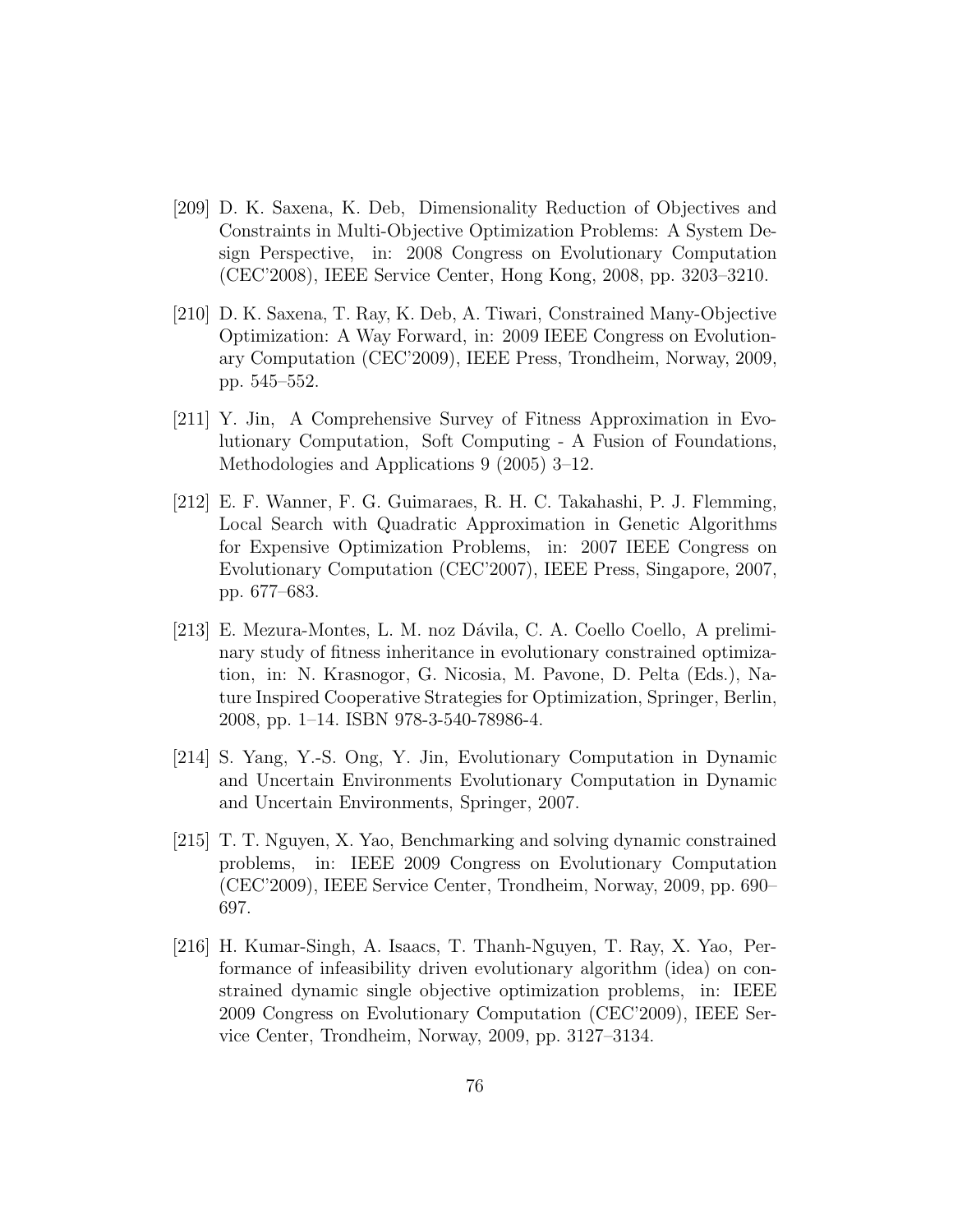- [209] D. K. Saxena, K. Deb, Dimensionality Reduction of Objectives and Constraints in Multi-Objective Optimization Problems: A System Design Perspective, in: 2008 Congress on Evolutionary Computation (CEC'2008), IEEE Service Center, Hong Kong, 2008, pp. 3203–3210.
- [210] D. K. Saxena, T. Ray, K. Deb, A. Tiwari, Constrained Many-Objective Optimization: A Way Forward, in: 2009 IEEE Congress on Evolutionary Computation (CEC'2009), IEEE Press, Trondheim, Norway, 2009, pp. 545–552.
- [211] Y. Jin, A Comprehensive Survey of Fitness Approximation in Evolutionary Computation, Soft Computing - A Fusion of Foundations, Methodologies and Applications 9 (2005) 3–12.
- [212] E. F. Wanner, F. G. Guimaraes, R. H. C. Takahashi, P. J. Flemming, Local Search with Quadratic Approximation in Genetic Algorithms for Expensive Optimization Problems, in: 2007 IEEE Congress on Evolutionary Computation (CEC'2007), IEEE Press, Singapore, 2007, pp. 677–683.
- [213] E. Mezura-Montes, L. M. noz Dávila, C. A. Coello Coello, A preliminary study of fitness inheritance in evolutionary constrained optimization, in: N. Krasnogor, G. Nicosia, M. Pavone, D. Pelta (Eds.), Nature Inspired Cooperative Strategies for Optimization, Springer, Berlin, 2008, pp. 1–14. ISBN 978-3-540-78986-4.
- [214] S. Yang, Y.-S. Ong, Y. Jin, Evolutionary Computation in Dynamic and Uncertain Environments Evolutionary Computation in Dynamic and Uncertain Environments, Springer, 2007.
- [215] T. T. Nguyen, X. Yao, Benchmarking and solving dynamic constrained problems, in: IEEE 2009 Congress on Evolutionary Computation (CEC'2009), IEEE Service Center, Trondheim, Norway, 2009, pp. 690– 697.
- [216] H. Kumar-Singh, A. Isaacs, T. Thanh-Nguyen, T. Ray, X. Yao, Performance of infeasibility driven evolutionary algorithm (idea) on constrained dynamic single objective optimization problems, in: IEEE 2009 Congress on Evolutionary Computation (CEC'2009), IEEE Service Center, Trondheim, Norway, 2009, pp. 3127–3134.